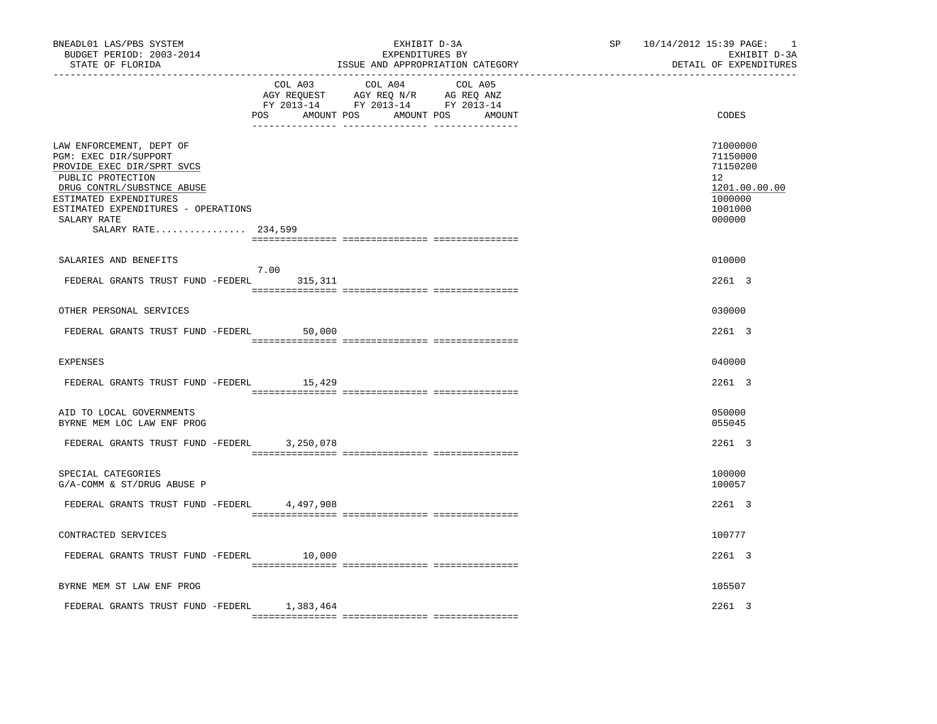| BNEADL01 LAS/PBS SYSTEM<br>BUDGET PERIOD: 2003-2014<br>STATE OF FLORIDA<br>----------------                                                                                                                                               |                | EXHIBIT D-3A<br>EXPENDITURES BY<br>ISSUE AND APPROPRIATION CATEGORY                                                        | SP 10/14/2012 15:39 PAGE:<br>------------------------------ | $\overline{\phantom{0}}$<br>EXHIBIT D-3A<br>DETAIL OF EXPENDITURES                      |
|-------------------------------------------------------------------------------------------------------------------------------------------------------------------------------------------------------------------------------------------|----------------|----------------------------------------------------------------------------------------------------------------------------|-------------------------------------------------------------|-----------------------------------------------------------------------------------------|
|                                                                                                                                                                                                                                           | COL A03<br>POS | COL A04<br>COL A05<br>NG AGUEST AGY REQ N/R AG REQ ANZ<br>FY 2013-14 FY 2013-14 FY 2013-14<br>AMOUNT POS AMOUNT POS AMOUNT |                                                             | CODES                                                                                   |
| LAW ENFORCEMENT, DEPT OF<br>PGM: EXEC DIR/SUPPORT<br>PROVIDE EXEC DIR/SPRT SVCS<br>PUBLIC PROTECTION<br>DRUG CONTRL/SUBSTNCE ABUSE<br>ESTIMATED EXPENDITURES<br>ESTIMATED EXPENDITURES - OPERATIONS<br>SALARY RATE<br>SALARY RATE 234,599 |                |                                                                                                                            |                                                             | 71000000<br>71150000<br>71150200<br>12<br>1201.00.00.00<br>1000000<br>1001000<br>000000 |
| SALARIES AND BENEFITS                                                                                                                                                                                                                     |                |                                                                                                                            |                                                             | 010000                                                                                  |
| FEDERAL GRANTS TRUST FUND -FEDERL 315,311                                                                                                                                                                                                 | 7.00           |                                                                                                                            |                                                             | 2261 3                                                                                  |
| OTHER PERSONAL SERVICES                                                                                                                                                                                                                   |                |                                                                                                                            |                                                             | 030000                                                                                  |
| FEDERAL GRANTS TRUST FUND -FEDERL                                                                                                                                                                                                         | 50,000         |                                                                                                                            |                                                             | 2261 3                                                                                  |
| <b>EXPENSES</b>                                                                                                                                                                                                                           |                |                                                                                                                            |                                                             | 040000                                                                                  |
| FEDERAL GRANTS TRUST FUND -FEDERL 15,429                                                                                                                                                                                                  |                |                                                                                                                            |                                                             | 2261 3                                                                                  |
| AID TO LOCAL GOVERNMENTS<br>BYRNE MEM LOC LAW ENF PROG                                                                                                                                                                                    |                |                                                                                                                            |                                                             | 050000<br>055045                                                                        |
| FEDERAL GRANTS TRUST FUND -FEDERL 3,250,078                                                                                                                                                                                               |                |                                                                                                                            |                                                             | 2261 3                                                                                  |
| SPECIAL CATEGORIES<br>G/A-COMM & ST/DRUG ABUSE P                                                                                                                                                                                          |                |                                                                                                                            |                                                             | 100000<br>100057                                                                        |
| FEDERAL GRANTS TRUST FUND -FEDERL 4,497,908                                                                                                                                                                                               |                |                                                                                                                            |                                                             | 2261 3                                                                                  |
| CONTRACTED SERVICES                                                                                                                                                                                                                       |                |                                                                                                                            |                                                             | 100777                                                                                  |
| FEDERAL GRANTS TRUST FUND -FEDERL 10,000                                                                                                                                                                                                  |                |                                                                                                                            |                                                             | 2261 3                                                                                  |
| BYRNE MEM ST LAW ENF PROG                                                                                                                                                                                                                 |                |                                                                                                                            |                                                             | 105507                                                                                  |
| FEDERAL GRANTS TRUST FUND -FEDERL 1,383,464                                                                                                                                                                                               |                |                                                                                                                            |                                                             | 2261 3                                                                                  |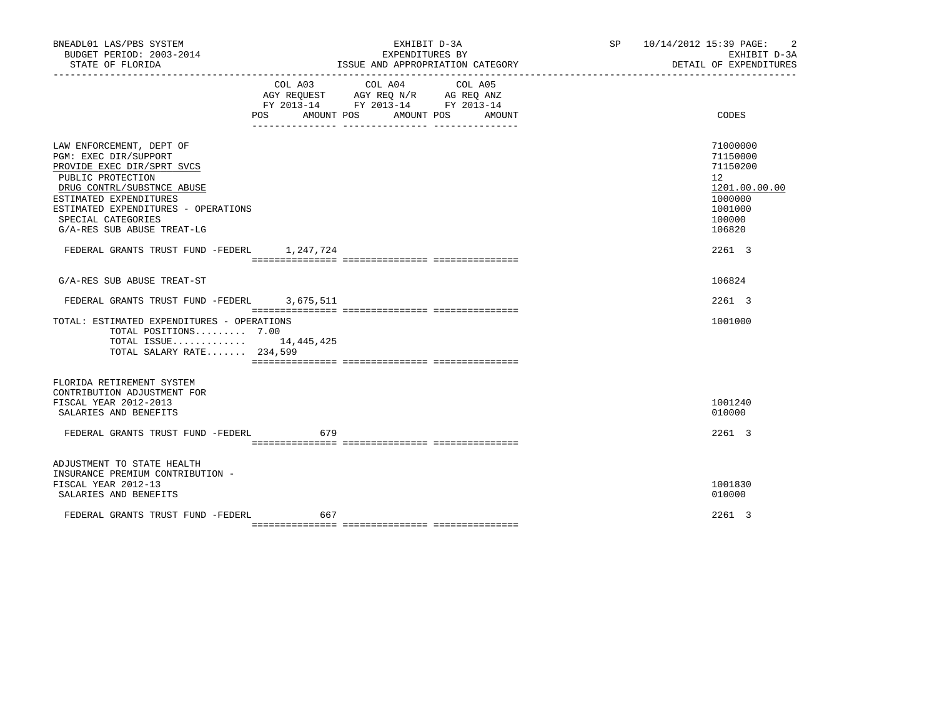| BNEADL01 LAS/PBS SYSTEM<br>BUDGET PERIOD: 2003-2014<br>STATE OF FLORIDA                                                                                                                                                                                                                                |     | EXHIBIT D-3A<br>EXPENDITURES BY<br>ISSUE AND APPROPRIATION CATEGORY                                                                      | SP 10/14/2012 15:39 PAGE: 2<br>EXHIBIT D-3A<br>DETAIL OF EXPENDITURES                                                     |
|--------------------------------------------------------------------------------------------------------------------------------------------------------------------------------------------------------------------------------------------------------------------------------------------------------|-----|------------------------------------------------------------------------------------------------------------------------------------------|---------------------------------------------------------------------------------------------------------------------------|
|                                                                                                                                                                                                                                                                                                        |     | COL A03 COL A04<br>COL A05<br>AGY REQUEST AGY REQ N/R AG REQ ANZ<br>FY 2013-14 FY 2013-14 FY 2013-14<br>POS AMOUNT POS AMOUNT POS AMOUNT | CODES                                                                                                                     |
| LAW ENFORCEMENT, DEPT OF<br>PGM: EXEC DIR/SUPPORT<br>PROVIDE EXEC DIR/SPRT SVCS<br>PUBLIC PROTECTION<br>DRUG CONTRL/SUBSTNCE ABUSE<br>ESTIMATED EXPENDITURES<br>ESTIMATED EXPENDITURES - OPERATIONS<br>SPECIAL CATEGORIES<br>G/A-RES SUB ABUSE TREAT-LG<br>FEDERAL GRANTS TRUST FUND -FEDERL 1,247,724 |     |                                                                                                                                          | 71000000<br>71150000<br>71150200<br>12 <sup>12</sup><br>1201.00.00.00<br>1000000<br>1001000<br>100000<br>106820<br>2261 3 |
| G/A-RES SUB ABUSE TREAT-ST                                                                                                                                                                                                                                                                             |     |                                                                                                                                          | 106824                                                                                                                    |
| FEDERAL GRANTS TRUST FUND -FEDERL 3,675,511                                                                                                                                                                                                                                                            |     |                                                                                                                                          | 2261 3                                                                                                                    |
| TOTAL: ESTIMATED EXPENDITURES - OPERATIONS<br>TOTAL POSITIONS 7.00<br>TOTAL ISSUE 14,445,425<br>TOTAL SALARY RATE 234,599                                                                                                                                                                              |     |                                                                                                                                          | 1001000                                                                                                                   |
| FLORIDA RETIREMENT SYSTEM<br>CONTRIBUTION ADJUSTMENT FOR<br>FISCAL YEAR 2012-2013<br>SALARIES AND BENEFITS<br>FEDERAL GRANTS TRUST FUND -FEDERL 679                                                                                                                                                    |     |                                                                                                                                          | 1001240<br>010000<br>2261 3                                                                                               |
| ADJUSTMENT TO STATE HEALTH<br>INSURANCE PREMIUM CONTRIBUTION -<br>FISCAL YEAR 2012-13<br>SALARIES AND BENEFITS                                                                                                                                                                                         |     |                                                                                                                                          | 1001830<br>010000                                                                                                         |
| FEDERAL GRANTS TRUST FUND -FEDERL                                                                                                                                                                                                                                                                      | 667 |                                                                                                                                          | 2261 3                                                                                                                    |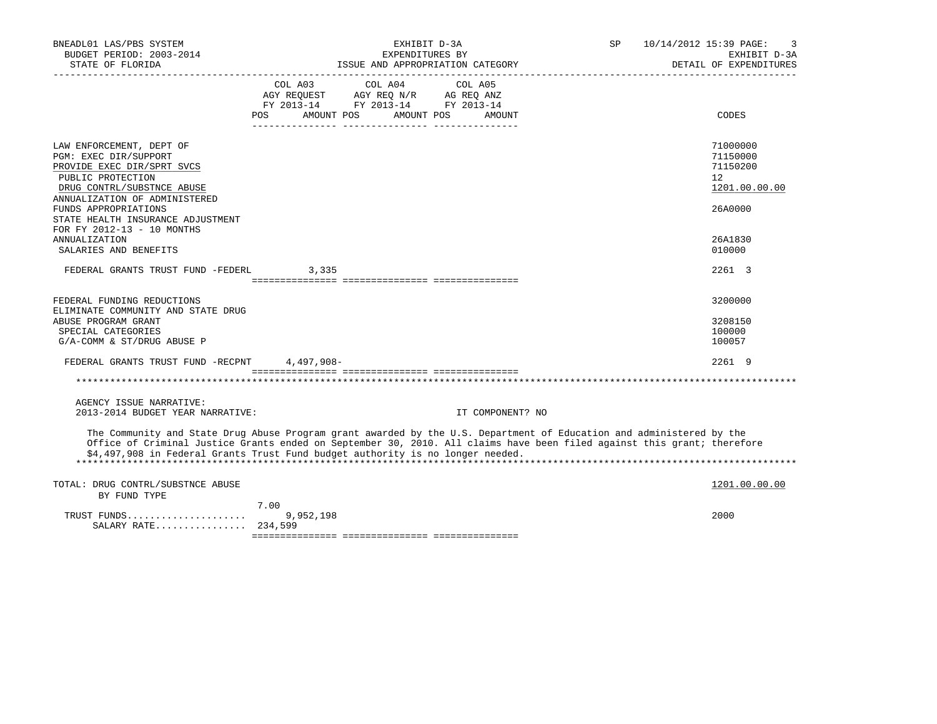| BNEADL01 LAS/PBS SYSTEM<br>BUDGET PERIOD: 2003-2014<br>STATE OF FLORIDA                                                                                             | EXHIBIT D-3A<br>SP<br>EXPENDITURES BY<br>ISSUE AND APPROPRIATION CATEGORY                                                                                                                                                                                                                                                         | 10/14/2012 15:39 PAGE:<br>3<br>EXHIBIT D-3A<br>DETAIL OF EXPENDITURES |
|---------------------------------------------------------------------------------------------------------------------------------------------------------------------|-----------------------------------------------------------------------------------------------------------------------------------------------------------------------------------------------------------------------------------------------------------------------------------------------------------------------------------|-----------------------------------------------------------------------|
|                                                                                                                                                                     | COL A03<br>COL A04<br>COL A05<br>AGY REQUEST AGY REQ N/R AG REQ ANZ<br>FY 2013-14 FY 2013-14 FY 2013-14<br>POS AMOUNT POS AMOUNT POS AMOUNT                                                                                                                                                                                       | CODES                                                                 |
| LAW ENFORCEMENT, DEPT OF<br>PGM: EXEC DIR/SUPPORT<br>PROVIDE EXEC DIR/SPRT SVCS<br>PUBLIC PROTECTION<br>DRUG CONTRL/SUBSTNCE ABUSE<br>ANNUALIZATION OF ADMINISTERED |                                                                                                                                                                                                                                                                                                                                   | 71000000<br>71150000<br>71150200<br>$12^{\circ}$<br>1201.00.00.00     |
| FUNDS APPROPRIATIONS<br>STATE HEALTH INSURANCE ADJUSTMENT<br>FOR FY 2012-13 - 10 MONTHS<br><b>ANNUALIZATION</b><br>SALARIES AND BENEFITS                            |                                                                                                                                                                                                                                                                                                                                   | 26A0000<br>26A1830<br>010000                                          |
| FEDERAL GRANTS TRUST FUND -FEDERL                                                                                                                                   | 3,335                                                                                                                                                                                                                                                                                                                             | 2261 3                                                                |
| FEDERAL FUNDING REDUCTIONS<br>ELIMINATE COMMUNITY AND STATE DRUG<br>ABUSE PROGRAM GRANT<br>SPECIAL CATEGORIES<br>G/A-COMM & ST/DRUG ABUSE P                         |                                                                                                                                                                                                                                                                                                                                   | 3200000<br>3208150<br>100000<br>100057                                |
| FEDERAL GRANTS TRUST FUND -RECPNT 4,497,908-                                                                                                                        |                                                                                                                                                                                                                                                                                                                                   | 2261 9                                                                |
|                                                                                                                                                                     |                                                                                                                                                                                                                                                                                                                                   |                                                                       |
| AGENCY ISSUE NARRATIVE:<br>2013-2014 BUDGET YEAR NARRATIVE:                                                                                                         | IT COMPONENT? NO                                                                                                                                                                                                                                                                                                                  |                                                                       |
|                                                                                                                                                                     | The Community and State Drug Abuse Program grant awarded by the U.S. Department of Education and administered by the<br>Office of Criminal Justice Grants ended on September 30, 2010. All claims have been filed against this grant; therefore<br>\$4,497,908 in Federal Grants Trust Fund budget authority is no longer needed. |                                                                       |
| TOTAL: DRUG CONTRL/SUBSTNCE ABUSE<br>BY FUND TYPE                                                                                                                   |                                                                                                                                                                                                                                                                                                                                   | 1201.00.00.00                                                         |
| TRUST FUNDS<br>SALARY RATE 234,599                                                                                                                                  | 7.00<br>9,952,198                                                                                                                                                                                                                                                                                                                 | 2000                                                                  |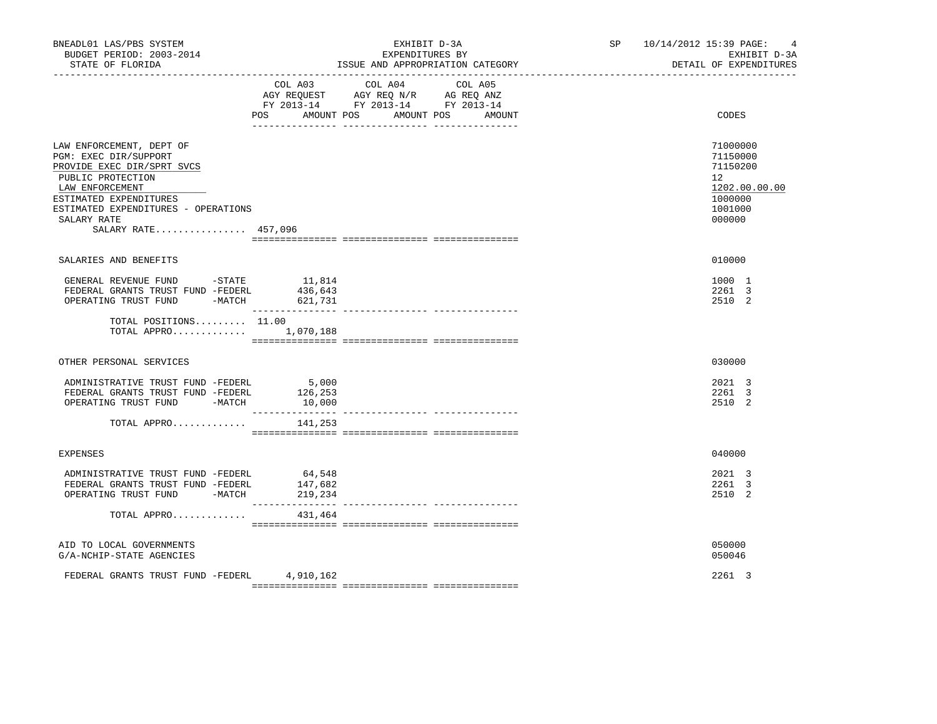| BNEADL01 LAS/PBS SYSTEM<br>BUDGET PERIOD: 2003-2014<br>STATE OF FLORIDA                                                                                                                                                        |                              | EXHIBIT D-3A<br>EXPENDITURES BY                                                                                                                                                                                                                                                               | ISSUE AND APPROPRIATION CATEGORY | SP 10/14/2012 15:39 PAGE:<br>$\overline{4}$<br>EXHIBIT D-3A<br>DETAIL OF EXPENDITURES   |
|--------------------------------------------------------------------------------------------------------------------------------------------------------------------------------------------------------------------------------|------------------------------|-----------------------------------------------------------------------------------------------------------------------------------------------------------------------------------------------------------------------------------------------------------------------------------------------|----------------------------------|-----------------------------------------------------------------------------------------|
|                                                                                                                                                                                                                                | POS AMOUNT POS               | COL A03 COL A04 COL A05<br>$\begin{tabular}{lllllll} \bf AGY \,\, &\bf REQUEST \,\, &\bf AGY \,\, &\bf REQ \,\, &\bf N/R \,\, &\bf AG \,\, &\bf REQ \,\, &\bf ANZ \,\, \\ \bf FY \,\, &\bf 2013-14 \,\, &\bf FY \,\, &\bf 2013-14 \,\, &\bf FY \,\, &\bf 2013-14 \end{tabular}$<br>AMOUNT POS | AMOUNT                           | CODES                                                                                   |
| LAW ENFORCEMENT, DEPT OF<br>PGM: EXEC DIR/SUPPORT<br>PROVIDE EXEC DIR/SPRT SVCS<br>PUBLIC PROTECTION<br>LAW ENFORCEMENT<br>ESTIMATED EXPENDITURES<br>ESTIMATED EXPENDITURES - OPERATIONS<br>SALARY RATE<br>SALARY RATE 457,096 |                              |                                                                                                                                                                                                                                                                                               |                                  | 71000000<br>71150000<br>71150200<br>12<br>1202.00.00.00<br>1000000<br>1001000<br>000000 |
| SALARIES AND BENEFITS                                                                                                                                                                                                          |                              |                                                                                                                                                                                                                                                                                               |                                  | 010000                                                                                  |
| GENERAL REVENUE FUND -STATE 11,814<br>FEDERAL GRANTS TRUST FUND -FEDERL<br>OPERATING TRUST FUND<br>TOTAL POSITIONS 11.00                                                                                                       | 436,643<br>$-MATCH$ 621,731  |                                                                                                                                                                                                                                                                                               |                                  | 1000 1<br>2261 3<br>2510 2                                                              |
| TOTAL APPRO 1,070,188                                                                                                                                                                                                          |                              |                                                                                                                                                                                                                                                                                               |                                  |                                                                                         |
| OTHER PERSONAL SERVICES                                                                                                                                                                                                        |                              |                                                                                                                                                                                                                                                                                               |                                  | 030000                                                                                  |
| ADMINISTRATIVE TRUST FUND -FEDERL<br>FEDERAL GRANTS TRUST FUND -FEDERL<br>OPERATING TRUST FUND -MATCH                                                                                                                          | 5,000<br>126,253<br>10,000   |                                                                                                                                                                                                                                                                                               |                                  | 2021 3<br>2261 3<br>2510 2                                                              |
| TOTAL APPRO                                                                                                                                                                                                                    | 141,253                      |                                                                                                                                                                                                                                                                                               |                                  |                                                                                         |
| <b>EXPENSES</b>                                                                                                                                                                                                                |                              |                                                                                                                                                                                                                                                                                               |                                  | 040000                                                                                  |
| ADMINISTRATIVE TRUST FUND -FEDERL<br>FEDERAL GRANTS TRUST FUND -FEDERL<br>OPERATING TRUST FUND -MATCH                                                                                                                          | 64,548<br>147,682<br>219,234 |                                                                                                                                                                                                                                                                                               |                                  | 2021 3<br>2261 3<br>2510 2                                                              |
| TOTAL APPRO                                                                                                                                                                                                                    | 431,464                      |                                                                                                                                                                                                                                                                                               |                                  |                                                                                         |
| AID TO LOCAL GOVERNMENTS<br>G/A-NCHIP-STATE AGENCIES                                                                                                                                                                           |                              |                                                                                                                                                                                                                                                                                               |                                  | 050000<br>050046                                                                        |
| FEDERAL GRANTS TRUST FUND -FEDERL 4,910,162                                                                                                                                                                                    |                              |                                                                                                                                                                                                                                                                                               |                                  | 2261 3                                                                                  |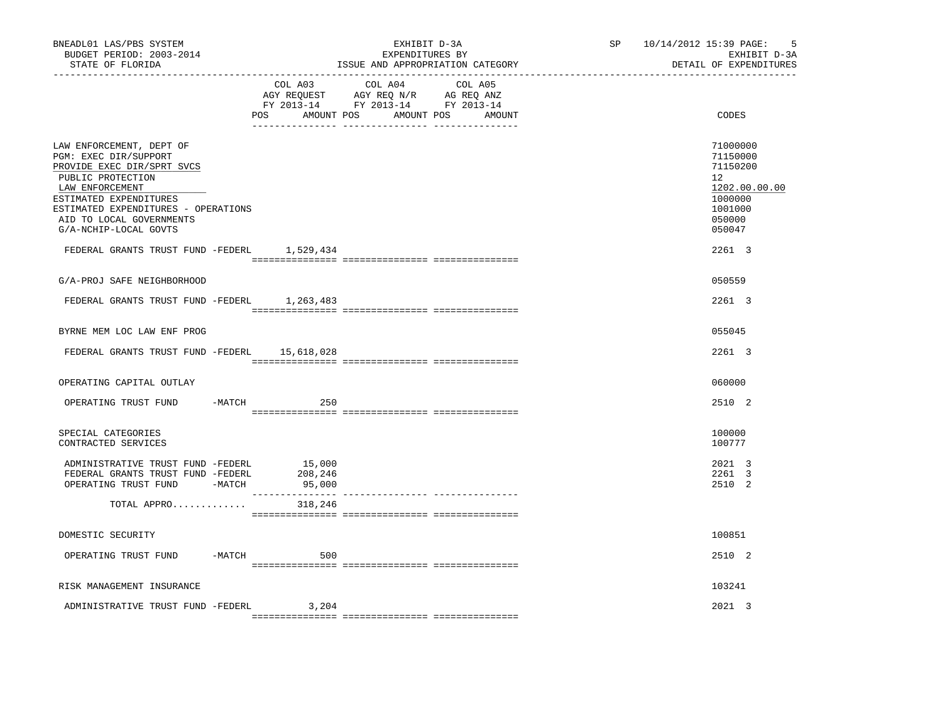| BNEADL01 LAS/PBS SYSTEM<br>BUDGET PERIOD: 2003-2014<br>STATE OF FLORIDA                                                                                                                                                                       |                   | EXHIBIT D-3A<br>EXPENDITURES BY<br>ISSUE AND APPROPRIATION CATEGORY                                                              | SP 10/14/2012 15:39 PAGE: | 5<br>EXHIBIT D-3A<br>DETAIL OF EXPENDITURES                                                       |
|-----------------------------------------------------------------------------------------------------------------------------------------------------------------------------------------------------------------------------------------------|-------------------|----------------------------------------------------------------------------------------------------------------------------------|---------------------------|---------------------------------------------------------------------------------------------------|
|                                                                                                                                                                                                                                               | COL A03           | COL A04<br>COL A05<br>AGY REQUEST AGY REQ N/R AG REQ ANZ<br>FY 2013-14 FY 2013-14 FY 2013-14<br>POS AMOUNT POS AMOUNT POS AMOUNT |                           | CODES                                                                                             |
| LAW ENFORCEMENT, DEPT OF<br>PGM: EXEC DIR/SUPPORT<br>PROVIDE EXEC DIR/SPRT SVCS<br>PUBLIC PROTECTION<br>LAW ENFORCEMENT<br>ESTIMATED EXPENDITURES<br>ESTIMATED EXPENDITURES - OPERATIONS<br>AID TO LOCAL GOVERNMENTS<br>G/A-NCHIP-LOCAL GOVTS |                   |                                                                                                                                  |                           | 71000000<br>71150000<br>71150200<br>12<br>1202.00.00.00<br>1000000<br>1001000<br>050000<br>050047 |
| FEDERAL GRANTS TRUST FUND -FEDERL 1,529,434                                                                                                                                                                                                   |                   |                                                                                                                                  |                           | 2261 3                                                                                            |
| G/A-PROJ SAFE NEIGHBORHOOD                                                                                                                                                                                                                    |                   |                                                                                                                                  |                           | 050559                                                                                            |
| FEDERAL GRANTS TRUST FUND -FEDERL 1,263,483                                                                                                                                                                                                   |                   |                                                                                                                                  |                           | 2261 3                                                                                            |
| BYRNE MEM LOC LAW ENF PROG<br>FEDERAL GRANTS TRUST FUND -FEDERL 15,618,028                                                                                                                                                                    |                   |                                                                                                                                  |                           | 055045<br>$2261 \quad 3$                                                                          |
| OPERATING CAPITAL OUTLAY                                                                                                                                                                                                                      |                   |                                                                                                                                  |                           | 060000                                                                                            |
| -MATCH<br>OPERATING TRUST FUND                                                                                                                                                                                                                | 250               |                                                                                                                                  |                           | 2510 2                                                                                            |
| SPECIAL CATEGORIES<br>CONTRACTED SERVICES                                                                                                                                                                                                     |                   |                                                                                                                                  |                           | 100000<br>100777                                                                                  |
| ADMINISTRATIVE TRUST FUND -FEDERL 15,000<br>FEDERAL GRANTS TRUST FUND -FEDERL<br>OPERATING TRUST FUND -MATCH                                                                                                                                  | 208,246<br>95,000 |                                                                                                                                  |                           | 2021 3<br>2261 3<br>2510 2                                                                        |
| TOTAL APPRO                                                                                                                                                                                                                                   | 318,246           |                                                                                                                                  |                           |                                                                                                   |
| DOMESTIC SECURITY                                                                                                                                                                                                                             |                   |                                                                                                                                  |                           | 100851                                                                                            |
| OPERATING TRUST FUND -MATCH                                                                                                                                                                                                                   | 500               |                                                                                                                                  |                           | 2510 2                                                                                            |
| RISK MANAGEMENT INSURANCE                                                                                                                                                                                                                     |                   |                                                                                                                                  |                           | 103241                                                                                            |
| ADMINISTRATIVE TRUST FUND -FEDERL                                                                                                                                                                                                             | 3,204             |                                                                                                                                  |                           | 2021 3                                                                                            |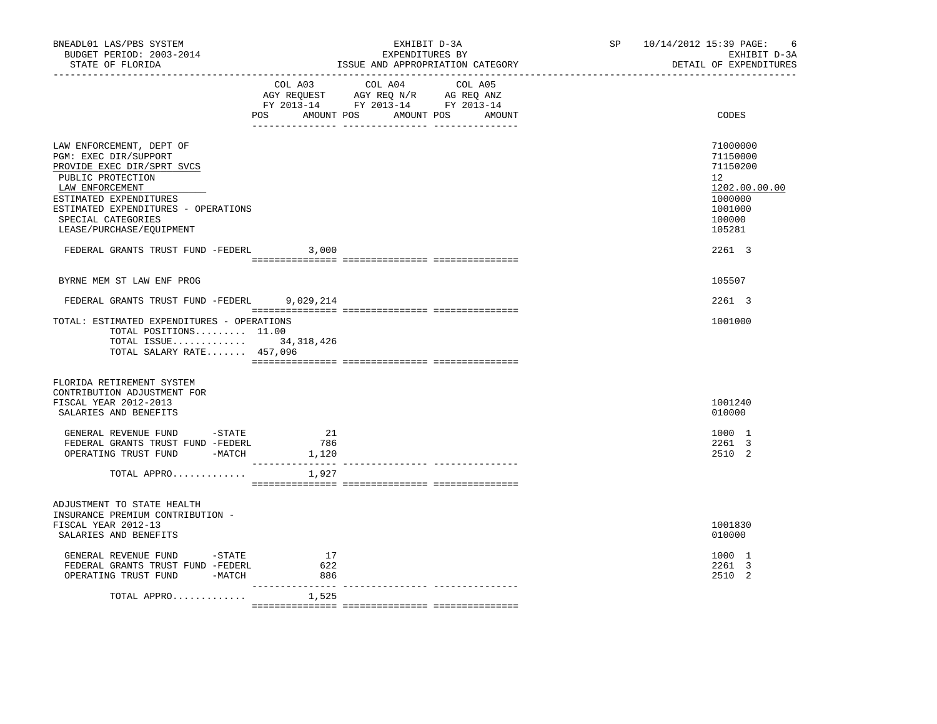| BNEADL01 LAS/PBS SYSTEM<br>BUDGET PERIOD: 2003-2014<br>STATE OF FLORIDA                                                                                                                                                                    |                                         | EXHIBIT D-3A<br>EXPENDITURES BY<br>ISSUE AND APPROPRIATION CATEGORY                                                                   | SP 10/14/2012 15:39 PAGE:<br>- 6<br>EXHIBIT D-3A<br>DETAIL OF EXPENDITURES                        |
|--------------------------------------------------------------------------------------------------------------------------------------------------------------------------------------------------------------------------------------------|-----------------------------------------|---------------------------------------------------------------------------------------------------------------------------------------|---------------------------------------------------------------------------------------------------|
|                                                                                                                                                                                                                                            |                                         | COL A03 COL A04 COL A05<br>AGY REQUEST AGY REQ N/R AG REQ ANZ<br>FY 2013-14 FY 2013-14 FY 2013-14<br>POS AMOUNT POS AMOUNT POS AMOUNT | CODES                                                                                             |
| LAW ENFORCEMENT, DEPT OF<br>PGM: EXEC DIR/SUPPORT<br>PROVIDE EXEC DIR/SPRT SVCS<br>PUBLIC PROTECTION<br>LAW ENFORCEMENT<br>ESTIMATED EXPENDITURES<br>ESTIMATED EXPENDITURES - OPERATIONS<br>SPECIAL CATEGORIES<br>LEASE/PURCHASE/EQUIPMENT |                                         |                                                                                                                                       | 71000000<br>71150000<br>71150200<br>12<br>1202.00.00.00<br>1000000<br>1001000<br>100000<br>105281 |
| FEDERAL GRANTS TRUST FUND -FEDERL                                                                                                                                                                                                          | 3,000                                   |                                                                                                                                       | 2261 3                                                                                            |
| BYRNE MEM ST LAW ENF PROG                                                                                                                                                                                                                  |                                         |                                                                                                                                       | 105507                                                                                            |
| FEDERAL GRANTS TRUST FUND -FEDERL 9,029,214                                                                                                                                                                                                |                                         |                                                                                                                                       | 2261 3                                                                                            |
| TOTAL: ESTIMATED EXPENDITURES - OPERATIONS<br>TOTAL POSITIONS $11.00$<br>TOTAL ISSUE 34,318,426<br>TOTAL SALARY RATE 457,096                                                                                                               |                                         |                                                                                                                                       | 1001000                                                                                           |
| FLORIDA RETIREMENT SYSTEM<br>CONTRIBUTION ADJUSTMENT FOR<br>FISCAL YEAR 2012-2013<br>SALARIES AND BENEFITS                                                                                                                                 |                                         |                                                                                                                                       | 1001240<br>010000                                                                                 |
| GENERAL REVENUE FUND -STATE<br>FEDERAL GRANTS TRUST FUND -FEDERL<br>OPERATING TRUST FUND -MATCH                                                                                                                                            | -21<br>786<br>1,120<br>________________ |                                                                                                                                       | 1000 1<br>2261 3<br>2510 2                                                                        |
| TOTAL APPRO                                                                                                                                                                                                                                | 1,927                                   |                                                                                                                                       |                                                                                                   |
| ADJUSTMENT TO STATE HEALTH<br>INSURANCE PREMIUM CONTRIBUTION -<br>FISCAL YEAR 2012-13<br>SALARIES AND BENEFITS                                                                                                                             |                                         |                                                                                                                                       | 1001830<br>010000                                                                                 |
| GENERAL REVENUE FUND -STATE<br>FEDERAL GRANTS TRUST FUND -FEDERL<br>OPERATING TRUST FUND -MATCH                                                                                                                                            | 17<br>622<br>886<br>--------------- -   |                                                                                                                                       | 1000 1<br>2261 3<br>2510 2                                                                        |
| TOTAL APPRO                                                                                                                                                                                                                                | 1,525                                   |                                                                                                                                       |                                                                                                   |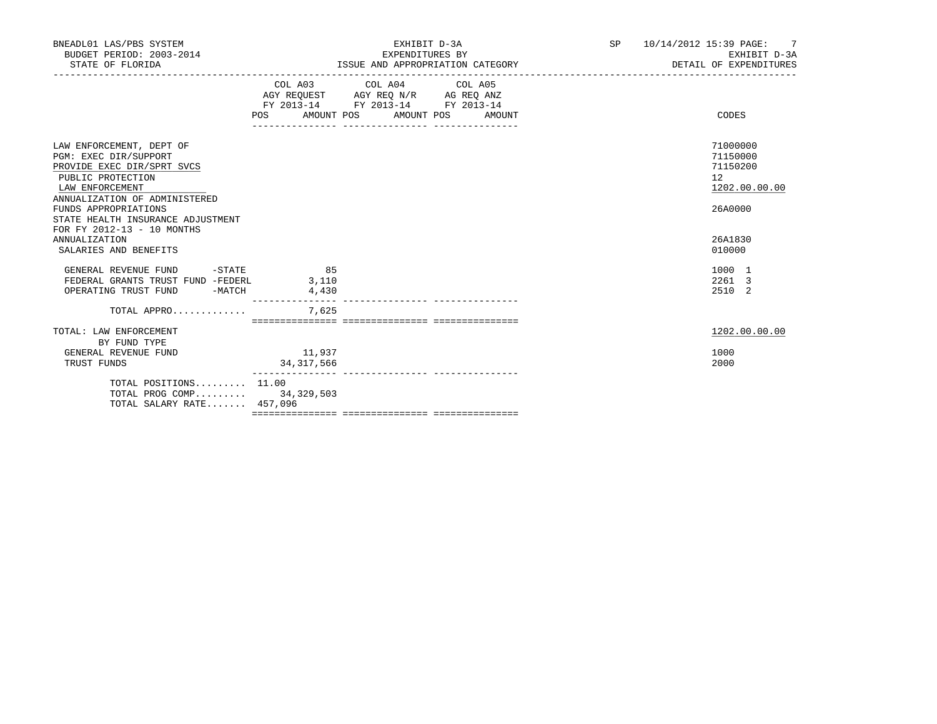| BNEADL01 LAS/PBS SYSTEM<br>BUDGET PERIOD: 2003-2014<br>STATE OF FLORIDA                                                                                                                                                                             |                        | EXHIBIT D-3A<br>EXPENDITURES BY<br>ISSUE AND APPROPRIATION CATEGORY                                                                   | SP <sub>2</sub> | 10/14/2012 15:39 PAGE: 7<br>EXHIBIT D-3A<br>DETAIL OF EXPENDITURES |  |
|-----------------------------------------------------------------------------------------------------------------------------------------------------------------------------------------------------------------------------------------------------|------------------------|---------------------------------------------------------------------------------------------------------------------------------------|-----------------|--------------------------------------------------------------------|--|
|                                                                                                                                                                                                                                                     |                        | COL A03 COL A04 COL A05<br>AGY REQUEST AGY REQ N/R AG REQ ANZ<br>FY 2013-14 FY 2013-14 FY 2013-14<br>POS AMOUNT POS AMOUNT POS AMOUNT |                 | CODES                                                              |  |
| LAW ENFORCEMENT, DEPT OF<br>PGM: EXEC DIR/SUPPORT<br>PROVIDE EXEC DIR/SPRT SVCS<br>PUBLIC PROTECTION<br>LAW ENFORCEMENT<br>ANNUALIZATION OF ADMINISTERED<br>FUNDS APPROPRIATIONS<br>STATE HEALTH INSURANCE ADJUSTMENT<br>FOR FY 2012-13 - 10 MONTHS |                        |                                                                                                                                       |                 | 71000000<br>71150000<br>71150200<br>12<br>1202.00.00.00<br>26A0000 |  |
| <b>ANNUALIZATION</b><br>SALARIES AND BENEFITS                                                                                                                                                                                                       |                        |                                                                                                                                       |                 | 26A1830<br>010000                                                  |  |
| GENERAL REVENUE FUND -STATE 65<br>FEDERAL GRANTS TRUST FUND -FEDERL 3,110<br>OPERATING TRUST FUND -MATCH                                                                                                                                            | 4,430                  |                                                                                                                                       |                 | 1000 1<br>2261 3<br>2510 2                                         |  |
| TOTAL APPRO                                                                                                                                                                                                                                         | 7,625                  |                                                                                                                                       |                 |                                                                    |  |
| TOTAL: LAW ENFORCEMENT<br>BY FUND TYPE                                                                                                                                                                                                              |                        |                                                                                                                                       |                 | 1202.00.00.00                                                      |  |
| GENERAL REVENUE FUND<br>TRUST FUNDS                                                                                                                                                                                                                 | 11,937<br>34, 317, 566 |                                                                                                                                       |                 | 1000<br>2000                                                       |  |
| TOTAL POSITIONS 11.00<br>TOTAL PROG COMP 34,329,503<br>TOTAL SALARY RATE 457,096                                                                                                                                                                    |                        |                                                                                                                                       |                 |                                                                    |  |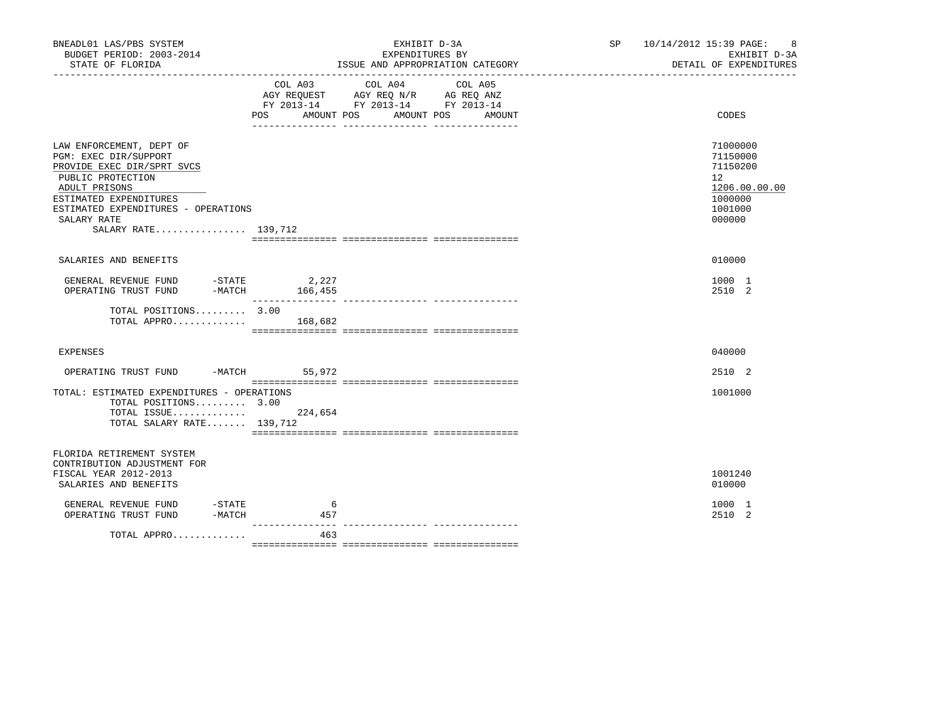| BNEADL01 LAS/PBS SYSTEM<br>BUDGET PERIOD: 2003-2014<br>STATE OF FLORIDA                                                                                                                                                      |                              | EXHIBIT D-3A<br>EXPENDITURES BY<br>ISSUE AND APPROPRIATION CATEGORY<br>________________________________                   | SP 10/14/2012 15:39 PAGE:<br>8<br>EXHIBIT D-3A<br>DETAIL OF EXPENDITURES                |
|------------------------------------------------------------------------------------------------------------------------------------------------------------------------------------------------------------------------------|------------------------------|---------------------------------------------------------------------------------------------------------------------------|-----------------------------------------------------------------------------------------|
|                                                                                                                                                                                                                              | COL A03<br>POS<br>AMOUNT POS | COL A04<br>COL A05<br>AGY REQUEST AGY REQ N/R AG REQ ANZ<br>FY 2013-14 FY 2013-14 FY 2013-14<br>AMOUNT POS<br>AMOUNT<br>. | CODES                                                                                   |
| LAW ENFORCEMENT, DEPT OF<br>PGM: EXEC DIR/SUPPORT<br>PROVIDE EXEC DIR/SPRT SVCS<br>PUBLIC PROTECTION<br>ADULT PRISONS<br>ESTIMATED EXPENDITURES<br>ESTIMATED EXPENDITURES - OPERATIONS<br>SALARY RATE<br>SALARY RATE 139,712 |                              |                                                                                                                           | 71000000<br>71150000<br>71150200<br>12<br>1206.00.00.00<br>1000000<br>1001000<br>000000 |
| SALARIES AND BENEFITS                                                                                                                                                                                                        |                              |                                                                                                                           | 010000                                                                                  |
| GENERAL REVENUE FUND<br>$-MATCH$<br>OPERATING TRUST FUND                                                                                                                                                                     | $-STATE$ 2, 227<br>166,455   |                                                                                                                           | 1000 1<br>2510 2                                                                        |
| TOTAL POSITIONS 3.00<br>TOTAL APPRO                                                                                                                                                                                          | 168,682                      |                                                                                                                           |                                                                                         |
| <b>EXPENSES</b>                                                                                                                                                                                                              |                              |                                                                                                                           | 040000                                                                                  |
| OPERATING TRUST FUND -MATCH 55,972                                                                                                                                                                                           |                              |                                                                                                                           | 2510 2                                                                                  |
| TOTAL: ESTIMATED EXPENDITURES - OPERATIONS<br>TOTAL POSITIONS 3.00<br>TOTAL ISSUE 224,654<br>TOTAL SALARY RATE 139,712                                                                                                       |                              |                                                                                                                           | 1001000                                                                                 |
| FLORIDA RETIREMENT SYSTEM<br>CONTRIBUTION ADJUSTMENT FOR<br>FISCAL YEAR 2012-2013<br>SALARIES AND BENEFITS                                                                                                                   |                              |                                                                                                                           | 1001240<br>010000                                                                       |
| GENERAL REVENUE FUND<br>$-STATE$<br>-MATCH<br>OPERATING TRUST FUND                                                                                                                                                           | -6<br>457                    |                                                                                                                           | 1000 1<br>2510 2                                                                        |
| TOTAL APPRO                                                                                                                                                                                                                  | 463                          |                                                                                                                           |                                                                                         |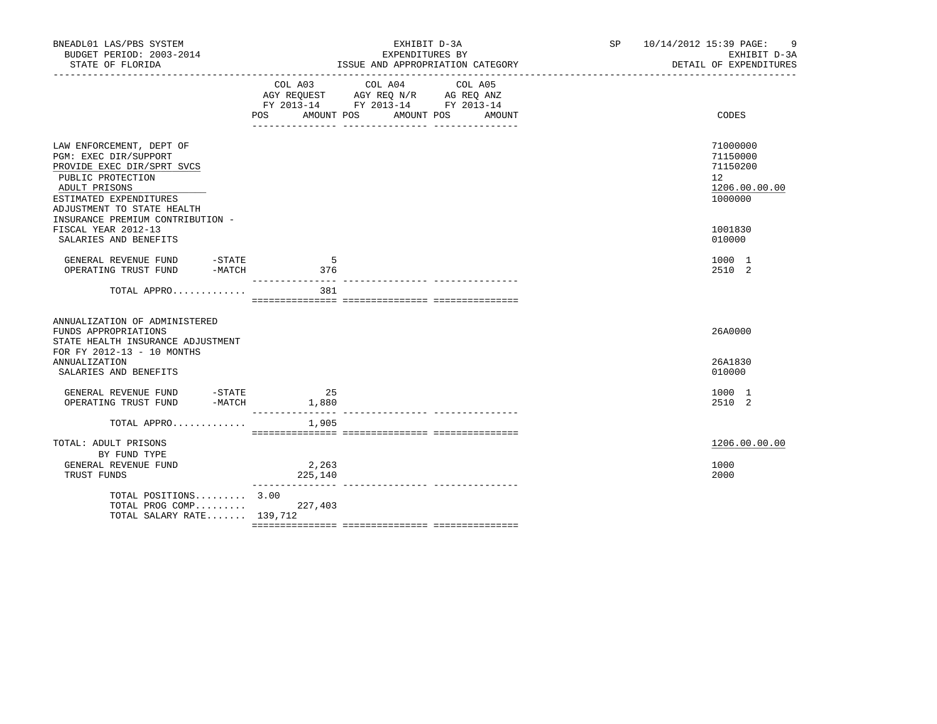| BNEADL01 LAS/PBS SYSTEM<br>BUDGET PERIOD: 2003-2014<br>STATE OF FLORIDA                                                                                                                                           |                  | EXHIBIT D-3A<br>EXPENDITURES BY<br>ISSUE AND APPROPRIATION CATEGORY                                                                         | SP 10/14/2012 15:39 PAGE: 9<br>EXHIBIT D-3A<br>DETAIL OF EXPENDITURES           |
|-------------------------------------------------------------------------------------------------------------------------------------------------------------------------------------------------------------------|------------------|---------------------------------------------------------------------------------------------------------------------------------------------|---------------------------------------------------------------------------------|
|                                                                                                                                                                                                                   |                  | COL A03 COL A04<br>COL A05<br>AGY REQUEST AGY REQ N/R AG REQ ANZ<br>FY 2013-14 FY 2013-14 FY 2013-14<br>POS AMOUNT POS AMOUNT POS<br>AMOUNT | CODES                                                                           |
| LAW ENFORCEMENT, DEPT OF<br>PGM: EXEC DIR/SUPPORT<br>PROVIDE EXEC DIR/SPRT SVCS<br>PUBLIC PROTECTION<br>ADULT PRISONS<br>ESTIMATED EXPENDITURES<br>ADJUSTMENT TO STATE HEALTH<br>INSURANCE PREMIUM CONTRIBUTION - |                  |                                                                                                                                             | 71000000<br>71150000<br>71150200<br>12 <sup>°</sup><br>1206.00.00.00<br>1000000 |
| FISCAL YEAR 2012-13<br>SALARIES AND BENEFITS                                                                                                                                                                      |                  |                                                                                                                                             | 1001830<br>010000                                                               |
| GENERAL REVENUE FUND -STATE<br>OPERATING TRUST FUND -MATCH                                                                                                                                                        | 5<br>376         |                                                                                                                                             | 1000 1<br>2510 2                                                                |
| TOTAL APPRO                                                                                                                                                                                                       | 381              |                                                                                                                                             |                                                                                 |
| ANNUALIZATION OF ADMINISTERED<br>FUNDS APPROPRIATIONS<br>STATE HEALTH INSURANCE ADJUSTMENT<br>FOR FY 2012-13 - 10 MONTHS                                                                                          |                  |                                                                                                                                             | 26A0000                                                                         |
| ANNUALIZATION<br>SALARIES AND BENEFITS                                                                                                                                                                            |                  |                                                                                                                                             | 26A1830<br>010000                                                               |
|                                                                                                                                                                                                                   |                  |                                                                                                                                             | 1000 1<br>2510 2                                                                |
| TOTAL APPRO $1,905$                                                                                                                                                                                               |                  |                                                                                                                                             |                                                                                 |
| TOTAL: ADULT PRISONS<br>BY FUND TYPE                                                                                                                                                                              |                  |                                                                                                                                             | 1206.00.00.00                                                                   |
| GENERAL REVENUE FUND<br>TRUST FUNDS                                                                                                                                                                               | 2,263<br>225,140 |                                                                                                                                             | 1000<br>2000                                                                    |
| TOTAL POSITIONS 3.00<br>TOTAL PROG COMP 227,403<br>TOTAL SALARY RATE $139,712$                                                                                                                                    |                  |                                                                                                                                             |                                                                                 |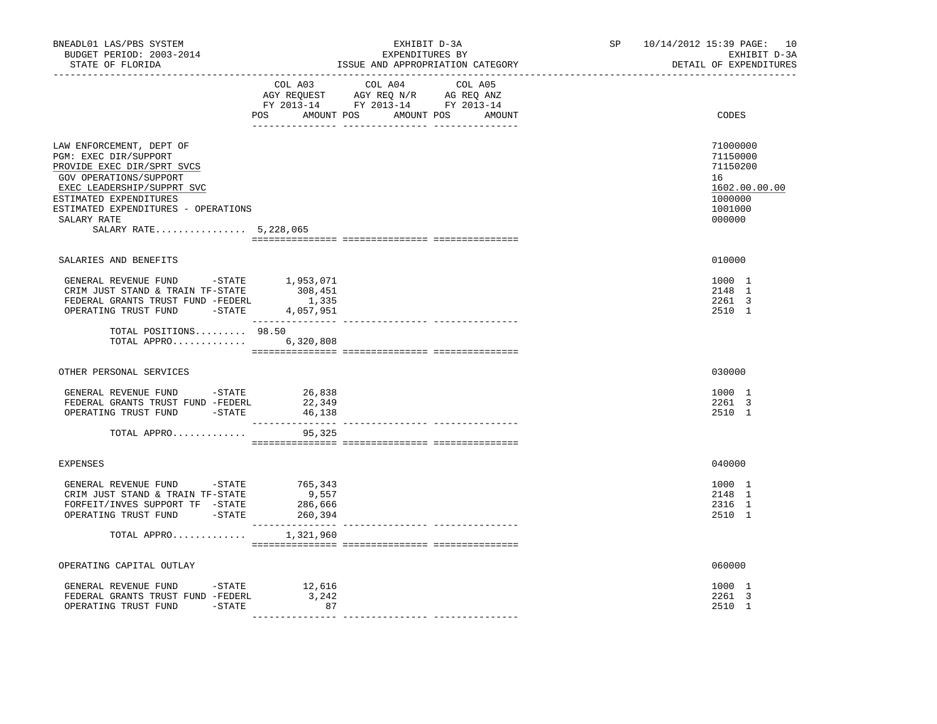| BNEADL01 LAS/PBS SYSTEM<br>BUDGET PERIOD: 2003-2014<br>STATE OF FLORIDA                                                                                                                                                                          | EXHIBIT D-3A<br>EXPENDITURES BY<br>ISSUE AND APPROPRIATION CATEGORY                                                                   | SP 10/14/2012 15:39 PAGE: 10<br>EXHIBIT D-3A<br>DETAIL OF EXPENDITURES                  |
|--------------------------------------------------------------------------------------------------------------------------------------------------------------------------------------------------------------------------------------------------|---------------------------------------------------------------------------------------------------------------------------------------|-----------------------------------------------------------------------------------------|
|                                                                                                                                                                                                                                                  | COL A03 COL A04 COL A05<br>AGY REQUEST AGY REQ N/R AG REQ ANZ<br>FY 2013-14 FY 2013-14 FY 2013-14<br>POS AMOUNT POS AMOUNT POS AMOUNT | CODES                                                                                   |
| LAW ENFORCEMENT, DEPT OF<br>PGM: EXEC DIR/SUPPORT<br>PROVIDE EXEC DIR/SPRT SVCS<br>GOV OPERATIONS/SUPPORT<br>EXEC LEADERSHIP/SUPPRT SVC<br>ESTIMATED EXPENDITURES<br>ESTIMATED EXPENDITURES - OPERATIONS<br>SALARY RATE<br>SALARY RATE 5,228,065 |                                                                                                                                       | 71000000<br>71150000<br>71150200<br>16<br>1602.00.00.00<br>1000000<br>1001000<br>000000 |
| SALARIES AND BENEFITS                                                                                                                                                                                                                            |                                                                                                                                       | 010000                                                                                  |
| GENERAL REVENUE FUND -STATE<br>CRIM JUST STAND & TRAIN TF-STATE<br>FEDERAL GRANTS TRUST FUND -FEDERL<br>OPERATING TRUST FUND -STATE 4,057,951                                                                                                    | 1,953,071<br>308,451<br>1,335                                                                                                         | 1000 1<br>2148 1<br>2261 3<br>2510 1                                                    |
| TOTAL POSITIONS 98.50<br>TOTAL APPRO                                                                                                                                                                                                             | 6,320,808                                                                                                                             |                                                                                         |
| OTHER PERSONAL SERVICES                                                                                                                                                                                                                          |                                                                                                                                       | 030000                                                                                  |
| GENERAL REVENUE FUND - STATE<br>FEDERAL GRANTS TRUST FUND -FEDERL<br>OPERATING TRUST FUND -STATE                                                                                                                                                 | 26,838<br>22,349<br>46,138                                                                                                            | 1000 1<br>2261 3<br>2510 1                                                              |
| TOTAL APPRO                                                                                                                                                                                                                                      | 95,325                                                                                                                                |                                                                                         |
| EXPENSES                                                                                                                                                                                                                                         |                                                                                                                                       | 040000                                                                                  |
| GENERAL REVENUE FUND -STATE<br>CRIM JUST STAND & TRAIN TF-STATE<br>FORFEIT/INVES SUPPORT TF -STATE<br>OPERATING TRUST FUND -STATE 260,394<br>TOTAL APPRO $1,321,960$                                                                             | 765, 343<br>9,557<br>286,666                                                                                                          | 1000 1<br>2148 1<br>2316 1<br>2510 1                                                    |
|                                                                                                                                                                                                                                                  |                                                                                                                                       |                                                                                         |
| OPERATING CAPITAL OUTLAY                                                                                                                                                                                                                         |                                                                                                                                       | 060000                                                                                  |
| GENERAL REVENUE FUND -STATE 12,616<br>FEDERAL GRANTS TRUST FUND -FEDERL<br>OPERATING TRUST FUND -STATE                                                                                                                                           | 3,242<br>87                                                                                                                           | 1000 1<br>2261 3<br>2510 1                                                              |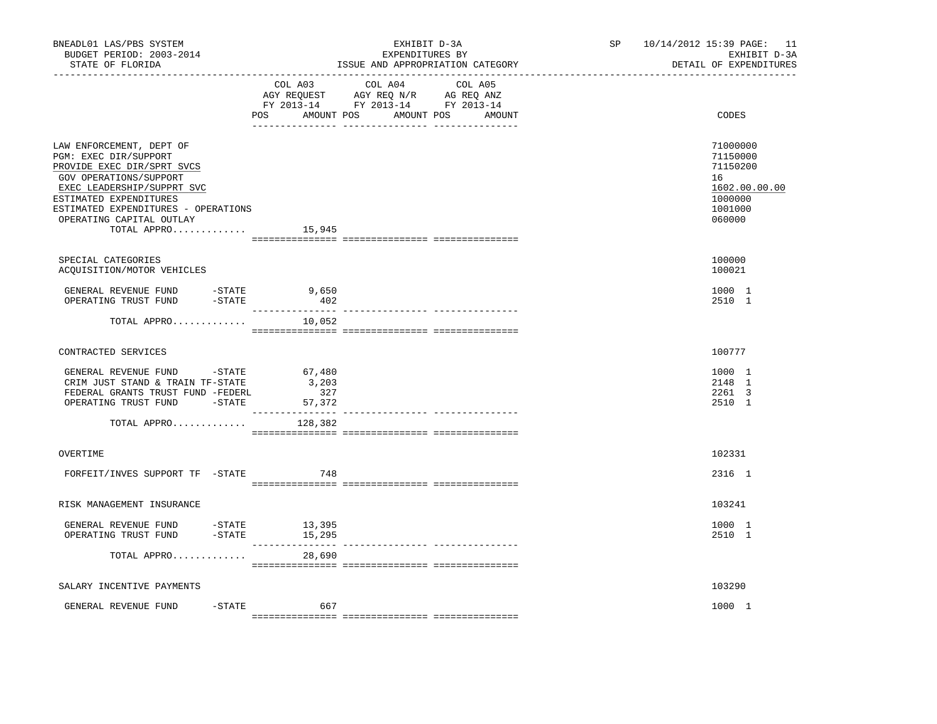| BNEADL01 LAS/PBS SYSTEM<br>BUDGET PERIOD: 2003-2014<br>STATE OF FLORIDA                                                                                                                                                                                      | _____________________________    | EXHIBIT D-3A<br>EXPENDITURES BY<br>ISSUE AND APPROPRIATION CATEGORY                                                           | SP 10/14/2012 15:39 PAGE: 11<br>EXHIBIT D-3A<br>DETAIL OF EXPENDITURES                  |
|--------------------------------------------------------------------------------------------------------------------------------------------------------------------------------------------------------------------------------------------------------------|----------------------------------|-------------------------------------------------------------------------------------------------------------------------------|-----------------------------------------------------------------------------------------|
|                                                                                                                                                                                                                                                              | COL A03                          | COL A04 COL A05<br>AGY REQUEST AGY REQ N/R AG REQ ANZ<br>FY 2013-14 FY 2013-14 FY 2013-14<br>POS AMOUNT POS AMOUNT POS AMOUNT | CODES                                                                                   |
| LAW ENFORCEMENT, DEPT OF<br>PGM: EXEC DIR/SUPPORT<br>PROVIDE EXEC DIR/SPRT SVCS<br>GOV OPERATIONS/SUPPORT<br>EXEC LEADERSHIP/SUPPRT SVC<br>ESTIMATED EXPENDITURES<br>ESTIMATED EXPENDITURES - OPERATIONS<br>OPERATING CAPITAL OUTLAY<br>TOTAL APPRO $15,945$ |                                  |                                                                                                                               | 71000000<br>71150000<br>71150200<br>16<br>1602.00.00.00<br>1000000<br>1001000<br>060000 |
| SPECIAL CATEGORIES<br>ACQUISITION/MOTOR VEHICLES                                                                                                                                                                                                             |                                  |                                                                                                                               | 100000<br>100021                                                                        |
| GENERAL REVENUE FUND $-$ STATE 9,650<br>OPERATING TRUST FUND $-$ STATE 402<br>OPERATING TRUST FUND                                                                                                                                                           |                                  |                                                                                                                               | 1000 1<br>2510 1                                                                        |
| TOTAL APPRO                                                                                                                                                                                                                                                  | 10,052                           |                                                                                                                               |                                                                                         |
| CONTRACTED SERVICES                                                                                                                                                                                                                                          |                                  |                                                                                                                               | 100777                                                                                  |
| GENERAL REVENUE FUND - STATE<br>CRIM JUST STAND & TRAIN TF-STATE<br>FEDERAL GRANTS TRUST FUND -FEDERL<br>OPERATING TRUST FUND -STATE                                                                                                                         | 67,480<br>3,203<br>327<br>57,372 |                                                                                                                               | 1000 1<br>2148 1<br>2261 3<br>2510 1                                                    |
| TOTAL APPRO                                                                                                                                                                                                                                                  | 128,382                          |                                                                                                                               |                                                                                         |
| OVERTIME                                                                                                                                                                                                                                                     |                                  |                                                                                                                               | 102331                                                                                  |
| FORFEIT/INVES SUPPORT TF -STATE                                                                                                                                                                                                                              | 748                              |                                                                                                                               | 2316 1                                                                                  |
| RISK MANAGEMENT INSURANCE                                                                                                                                                                                                                                    |                                  |                                                                                                                               | 103241                                                                                  |
| GENERAL REVENUE FUND -STATE 13,395<br>OPERATING TRUST FUND -STATE 15,295<br>OPERATING TRUST FUND                                                                                                                                                             | _______________                  |                                                                                                                               | 1000 1<br>2510 1                                                                        |
| TOTAL APPRO                                                                                                                                                                                                                                                  | 28,690                           |                                                                                                                               |                                                                                         |
| SALARY INCENTIVE PAYMENTS                                                                                                                                                                                                                                    |                                  |                                                                                                                               | 103290                                                                                  |
| $-$ STATE<br>GENERAL REVENUE FUND                                                                                                                                                                                                                            | 667                              |                                                                                                                               | 1000 1                                                                                  |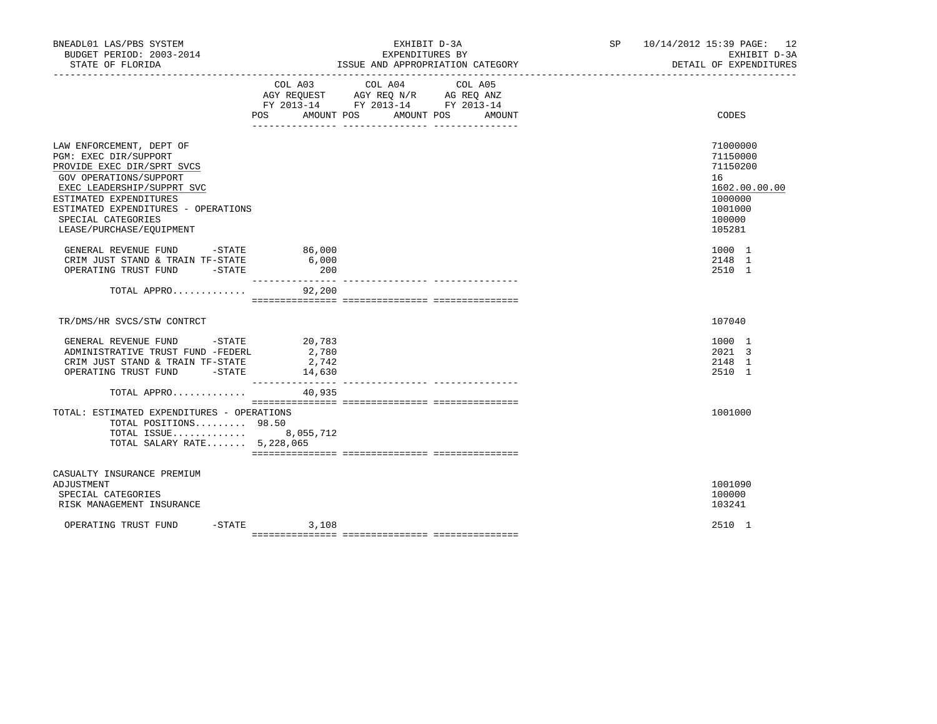| BNEADL01 LAS/PBS SYSTEM<br>BUDGET PERIOD: 2003-2014<br>STATE OF FLORIDA                                                                                                                                                                                    |                                    | EXHIBIT D-3A<br>EXPENDITURES BY<br>ISSUE AND APPROPRIATION CATEGORY                                                  | SP 10/14/2012 15:39 PAGE: 12<br>EXHIBIT D-3A<br>DETAIL OF EXPENDITURES                            |
|------------------------------------------------------------------------------------------------------------------------------------------------------------------------------------------------------------------------------------------------------------|------------------------------------|----------------------------------------------------------------------------------------------------------------------|---------------------------------------------------------------------------------------------------|
|                                                                                                                                                                                                                                                            | COL A03<br>POS AMOUNT POS          | COL A04<br>COL A05<br>AGY REQUEST AGY REQ N/R AG REQ ANZ<br>FY 2013-14 FY 2013-14 FY 2013-14<br>AMOUNT POS<br>AMOUNT | CODES                                                                                             |
| LAW ENFORCEMENT, DEPT OF<br>PGM: EXEC DIR/SUPPORT<br>PROVIDE EXEC DIR/SPRT SVCS<br>GOV OPERATIONS/SUPPORT<br>EXEC LEADERSHIP/SUPPRT SVC<br>ESTIMATED EXPENDITURES<br>ESTIMATED EXPENDITURES - OPERATIONS<br>SPECIAL CATEGORIES<br>LEASE/PURCHASE/EQUIPMENT |                                    |                                                                                                                      | 71000000<br>71150000<br>71150200<br>16<br>1602.00.00.00<br>1000000<br>1001000<br>100000<br>105281 |
| GENERAL REVENUE FUND -STATE 86,000<br>CRIM JUST STAND & TRAIN TF-STATE<br>OPERATING TRUST FUND -STATE                                                                                                                                                      | 6,000<br>200                       |                                                                                                                      | 1000 1<br>2148 1<br>2510 1                                                                        |
| TOTAL APPRO 92,200                                                                                                                                                                                                                                         |                                    |                                                                                                                      |                                                                                                   |
| TR/DMS/HR SVCS/STW CONTRCT                                                                                                                                                                                                                                 |                                    |                                                                                                                      | 107040                                                                                            |
| GENERAL REVENUE FUND -STATE 20,783<br>ADMINISTRATIVE TRUST FUND -FEDERL<br>CRIM JUST STAND & TRAIN TF-STATE<br>OPERATING TRUST FUND -STATE 14,630                                                                                                          | 2,780<br>2,742<br>________________ |                                                                                                                      | 1000 1<br>2021 3<br>2148 1<br>2510 1                                                              |
| TOTAL APPRO                                                                                                                                                                                                                                                | 40,935                             |                                                                                                                      |                                                                                                   |
| TOTAL: ESTIMATED EXPENDITURES - OPERATIONS<br>TOTAL POSITIONS 98.50<br>TOTAL ISSUE 8,055,712<br>TOTAL SALARY RATE 5,228,065                                                                                                                                |                                    |                                                                                                                      | 1001000                                                                                           |
| CASUALTY INSURANCE PREMIUM<br>ADJUSTMENT<br>SPECIAL CATEGORIES<br>RISK MANAGEMENT INSURANCE                                                                                                                                                                |                                    |                                                                                                                      | 1001090<br>100000<br>103241                                                                       |
| OPERATING TRUST FUND                                                                                                                                                                                                                                       | $-STATE$ 3, 108                    |                                                                                                                      | 2510 1                                                                                            |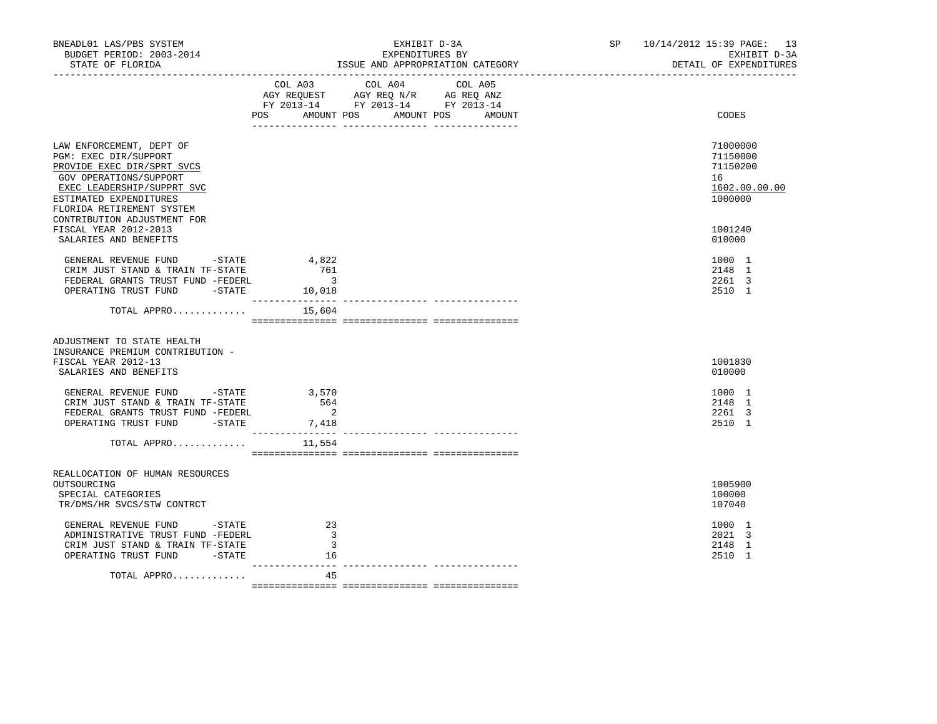| BNEADL01 LAS/PBS SYSTEM<br>BUDGET PERIOD: 2003-2014<br>STATE OF FLORIDA                                                                                                                        | EXHIBIT D-3A<br>EXPENDITURES BY<br>ISSUE AND APPROPRIATION CATEGORY<br>---------------------------------                             |        | SP 10/14/2012 15:39 PAGE: 13<br>EXHIBIT D-3A<br>DETAIL OF EXPENDITURES |
|------------------------------------------------------------------------------------------------------------------------------------------------------------------------------------------------|--------------------------------------------------------------------------------------------------------------------------------------|--------|------------------------------------------------------------------------|
|                                                                                                                                                                                                | COL A03 COL A04 COL A05<br>AGY REQUEST AGY REQ N/R AG REQ ANZ<br>FY 2013-14 FY 2013-14 FY 2013-14<br>POS DO<br>AMOUNT POS AMOUNT POS | AMOUNT | CODES                                                                  |
| LAW ENFORCEMENT, DEPT OF<br>PGM: EXEC DIR/SUPPORT<br>PROVIDE EXEC DIR/SPRT SVCS<br>GOV OPERATIONS/SUPPORT<br>EXEC LEADERSHIP/SUPPRT SVC<br>ESTIMATED EXPENDITURES<br>FLORIDA RETIREMENT SYSTEM |                                                                                                                                      |        | 71000000<br>71150000<br>71150200<br>16<br>1602.00.00.00<br>1000000     |
| CONTRIBUTION ADJUSTMENT FOR<br>FISCAL YEAR 2012-2013<br>SALARIES AND BENEFITS                                                                                                                  |                                                                                                                                      |        | 1001240<br>010000                                                      |
| GENERAL REVENUE FUND -STATE<br>CRIM JUST STAND & TRAIN TF-STATE<br>FEDERAL GRANTS TRUST FUND -FEDERL<br>OPERATING TRUST FUND -STATE                                                            | 4,822<br>761<br>$\overline{\phantom{a}}$<br>10,018                                                                                   |        | 1000 1<br>2148 1<br>2261 3<br>2510 1                                   |
| TOTAL APPRO $15,604$                                                                                                                                                                           |                                                                                                                                      |        |                                                                        |
| ADJUSTMENT TO STATE HEALTH<br>INSURANCE PREMIUM CONTRIBUTION -<br>FISCAL YEAR 2012-13<br>SALARIES AND BENEFITS                                                                                 |                                                                                                                                      |        | 1001830<br>010000                                                      |
| GENERAL REVENUE FUND -STATE<br>CRIM JUST STAND & TRAIN TF-STATE<br>FEDERAL GRANTS TRUST FUND -FEDERL<br>OPERATING TRUST FUND -STATE                                                            | 3,570<br>564<br>$\overline{\phantom{0}}^2$<br>7,418                                                                                  |        | 1000 1<br>2148 1<br>2261 3<br>2510 1                                   |
| TOTAL APPRO                                                                                                                                                                                    | 11,554                                                                                                                               |        |                                                                        |
| REALLOCATION OF HUMAN RESOURCES<br>OUTSOURCING<br>SPECIAL CATEGORIES<br>TR/DMS/HR SVCS/STW CONTRCT                                                                                             |                                                                                                                                      |        | 1005900<br>100000<br>107040                                            |
| GENERAL REVENUE FUND - STATE<br>ADMINISTRATIVE TRUST FUND -FEDERL<br>CRIM JUST STAND & TRAIN TF-STATE<br>OPERATING TRUST FUND -STATE                                                           | 23<br>3<br>3<br>16                                                                                                                   |        | 1000 1<br>2021 3<br>2148 1<br>2510 1                                   |
| TOTAL APPRO                                                                                                                                                                                    | ---------------<br>45                                                                                                                |        |                                                                        |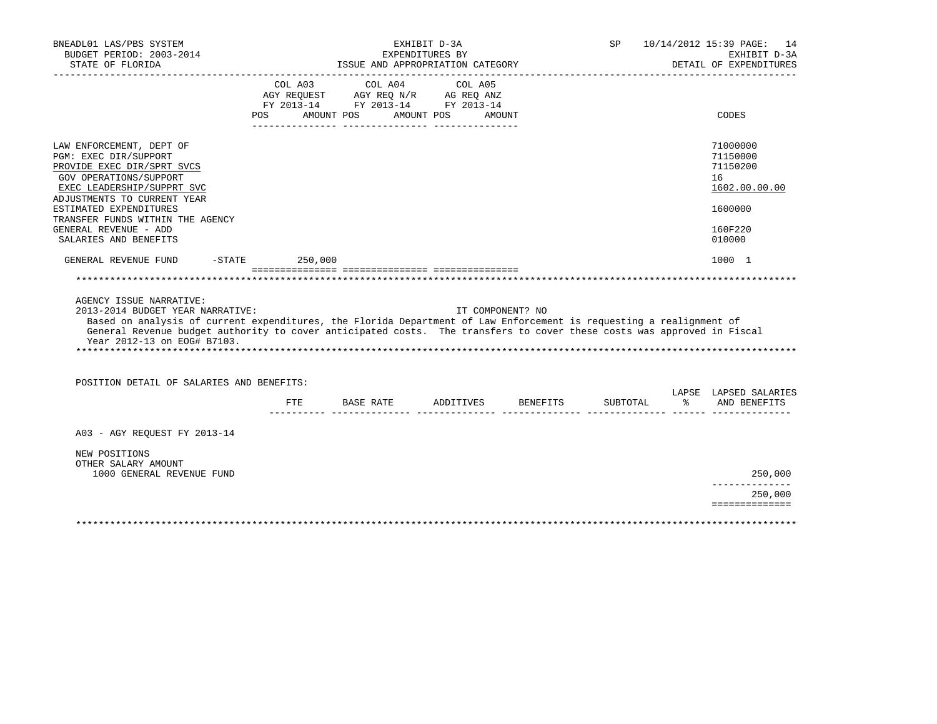| BNEADL01 LAS/PBS SYSTEM<br>BUDGET PERIOD: 2003-2014<br>STATE OF FLORIDA                                                                                                                                                                                                                                                                     |         | ISSUE AND APPROPRIATION CATEGORY                                                                                                                                                                                                                        | EXHIBIT D-3A<br>EXPENDITURES BY |                              | SP |          | 10/14/2012 15:39 PAGE: 14<br>EXHIBIT D-3A<br>DETAIL OF EXPENDITURES |
|---------------------------------------------------------------------------------------------------------------------------------------------------------------------------------------------------------------------------------------------------------------------------------------------------------------------------------------------|---------|---------------------------------------------------------------------------------------------------------------------------------------------------------------------------------------------------------------------------------------------------------|---------------------------------|------------------------------|----|----------|---------------------------------------------------------------------|
|                                                                                                                                                                                                                                                                                                                                             | COL A03 | COL A04<br>$\begin{tabular}{lllllllll} \bf AGY \,\,\, REQUEST \,\,\, & \bf AGY \,\, REQ \,\, N/R & \,\, AG \,\, REQ \,\, ANZ \\ \bf FY \,\, 2013-14 & \,\, FY \,\, 2013-14 & \,\, FY \,\, 2013-14 \\ \end{tabular}$<br>POS AMOUNT POS AMOUNT POS AMOUNT |                                 | COL A05                      |    |          | CODES                                                               |
| LAW ENFORCEMENT, DEPT OF<br>PGM: EXEC DIR/SUPPORT<br>PROVIDE EXEC DIR/SPRT SVCS<br>GOV OPERATIONS/SUPPORT<br>EXEC LEADERSHIP/SUPPRT SVC<br>ADJUSTMENTS TO CURRENT YEAR<br>ESTIMATED EXPENDITURES                                                                                                                                            |         |                                                                                                                                                                                                                                                         |                                 |                              |    |          | 71000000<br>71150000<br>71150200<br>16<br>1602.00.00.00<br>1600000  |
| TRANSFER FUNDS WITHIN THE AGENCY<br>GENERAL REVENUE - ADD<br>SALARIES AND BENEFITS                                                                                                                                                                                                                                                          |         |                                                                                                                                                                                                                                                         |                                 |                              |    |          | 160F220<br>010000                                                   |
| $-STATE$<br>GENERAL REVENUE FUND                                                                                                                                                                                                                                                                                                            |         | 250,000                                                                                                                                                                                                                                                 |                                 |                              |    |          | 1000 1                                                              |
|                                                                                                                                                                                                                                                                                                                                             |         |                                                                                                                                                                                                                                                         |                                 |                              |    |          |                                                                     |
| AGENCY ISSUE NARRATIVE:<br>2013-2014 BUDGET YEAR NARRATIVE:<br>Based on analysis of current expenditures, the Florida Department of Law Enforcement is requesting a realignment of<br>General Revenue budget authority to cover anticipated costs. The transfers to cover these costs was approved in Fiscal<br>Year 2012-13 on EOG# B7103. |         |                                                                                                                                                                                                                                                         |                                 | IT COMPONENT? NO             |    |          |                                                                     |
| POSITION DETAIL OF SALARIES AND BENEFITS:                                                                                                                                                                                                                                                                                                   |         |                                                                                                                                                                                                                                                         |                                 |                              |    |          | LAPSE LAPSED SALARIES                                               |
|                                                                                                                                                                                                                                                                                                                                             | ETE     |                                                                                                                                                                                                                                                         |                                 | BASE RATE ADDITIVES BENEFITS |    | SUBTOTAL | $\approx$<br>AND BENEFITS                                           |
| A03 - AGY REOUEST FY 2013-14                                                                                                                                                                                                                                                                                                                |         |                                                                                                                                                                                                                                                         |                                 |                              |    |          |                                                                     |
| NEW POSITIONS<br>OTHER SALARY AMOUNT<br>1000 GENERAL REVENUE FUND                                                                                                                                                                                                                                                                           |         |                                                                                                                                                                                                                                                         |                                 |                              |    |          | 250,000                                                             |
|                                                                                                                                                                                                                                                                                                                                             |         |                                                                                                                                                                                                                                                         |                                 |                              |    |          | ------------<br>250,000                                             |
|                                                                                                                                                                                                                                                                                                                                             |         |                                                                                                                                                                                                                                                         |                                 |                              |    |          | ==============                                                      |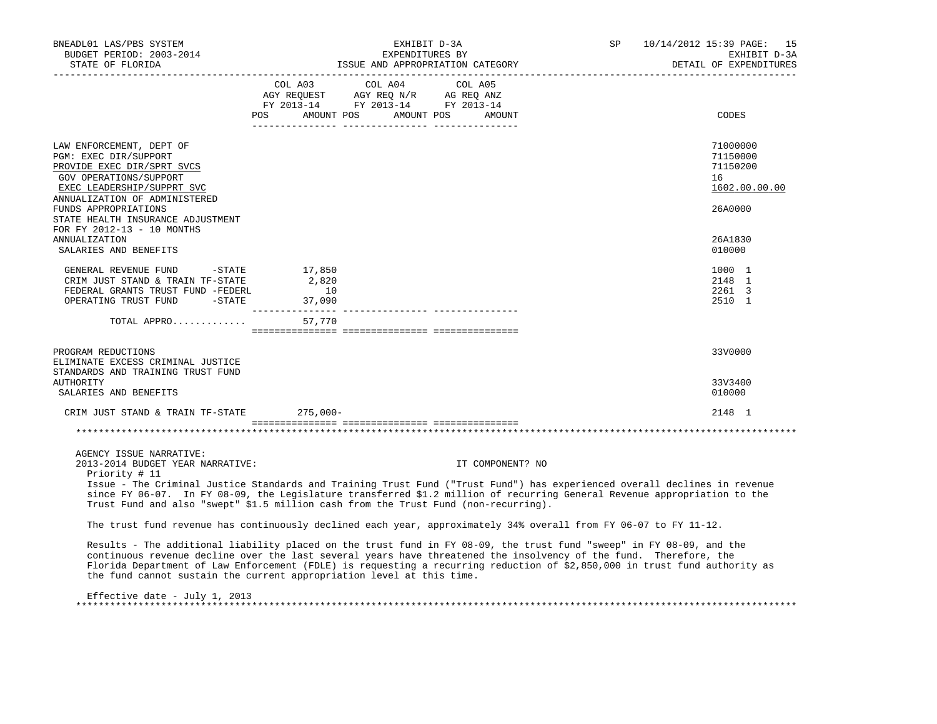| BNEADL01 LAS/PBS SYSTEM<br>BUDGET PERIOD: 2003-2014<br>STATE OF FLORIDA<br>____________________                                                                          | EXHIBIT D-3A<br>EXPENDITURES BY<br>ISSUE AND APPROPRIATION CATEGORY                                                                                                                                                                                                                                                                                                                                                                              | 10/14/2012 15:39 PAGE: 15<br>SP<br>EXHIBIT D-3A<br>DETAIL OF EXPENDITURES<br>------------------------ |
|--------------------------------------------------------------------------------------------------------------------------------------------------------------------------|--------------------------------------------------------------------------------------------------------------------------------------------------------------------------------------------------------------------------------------------------------------------------------------------------------------------------------------------------------------------------------------------------------------------------------------------------|-------------------------------------------------------------------------------------------------------|
|                                                                                                                                                                          | COL A03 COL A04 COL A05<br>$\begin{array}{ccccccccc}\n\text{AGY REQUEST} & & \text{AGY REQ} & \text{N/R} & & \text{AG REQ} & \text{ANZ} \\ \text{AGY REQUEST} & & \text{AGY REQ} & \text{N/R} & & \text{AG REQ} & \text{ANZ} \\ \text{FY} & 2013-14 & & \text{FY} & 2013-14 & & \text{FY} & 2013-14\n\end{array}$<br>POS AMOUNT POS AMOUNT POS<br>AMOUNT                                                                                         | CODES                                                                                                 |
| LAW ENFORCEMENT, DEPT OF<br>PGM: EXEC DIR/SUPPORT<br>PROVIDE EXEC DIR/SPRT SVCS<br>GOV OPERATIONS/SUPPORT<br>EXEC LEADERSHIP/SUPPRT SVC<br>ANNUALIZATION OF ADMINISTERED |                                                                                                                                                                                                                                                                                                                                                                                                                                                  | 71000000<br>71150000<br>71150200<br>16<br>1602.00.00.00                                               |
| FUNDS APPROPRIATIONS<br>STATE HEALTH INSURANCE ADJUSTMENT<br>FOR FY 2012-13 - 10 MONTHS<br><b>ANNUALIZATION</b><br>SALARIES AND BENEFITS                                 |                                                                                                                                                                                                                                                                                                                                                                                                                                                  | 26A0000<br>26A1830<br>010000                                                                          |
| GENERAL REVENUE FUND -STATE<br>CRIM JUST STAND & TRAIN TF-STATE<br>FEDERAL GRANTS TRUST FUND -FEDERL<br>OPERATING TRUST FUND -STATE 37,090                               | 17,850<br>2,820<br>10                                                                                                                                                                                                                                                                                                                                                                                                                            | 1000 1<br>2148 1<br>2261 3<br>2510 1                                                                  |
| TOTAL APPRO                                                                                                                                                              | 57,770                                                                                                                                                                                                                                                                                                                                                                                                                                           |                                                                                                       |
| PROGRAM REDUCTIONS<br>ELIMINATE EXCESS CRIMINAL JUSTICE<br>STANDARDS AND TRAINING TRUST FUND                                                                             |                                                                                                                                                                                                                                                                                                                                                                                                                                                  | 33V0000                                                                                               |
| AUTHORITY<br>SALARIES AND BENEFITS                                                                                                                                       |                                                                                                                                                                                                                                                                                                                                                                                                                                                  | 33V3400<br>010000                                                                                     |
| CRIM JUST STAND & TRAIN TF-STATE                                                                                                                                         | $275,000-$                                                                                                                                                                                                                                                                                                                                                                                                                                       | 2148 1                                                                                                |
|                                                                                                                                                                          |                                                                                                                                                                                                                                                                                                                                                                                                                                                  |                                                                                                       |
| AGENCY ISSUE NARRATIVE:<br>2013-2014 BUDGET YEAR NARRATIVE:<br>Priority # 11                                                                                             | IT COMPONENT? NO<br>Issue - The Criminal Justice Standards and Training Trust Fund ("Trust Fund") has experienced overall declines in revenue<br>since FY 06-07. In FY 08-09, the Legislature transferred \$1.2 million of recurring General Revenue appropriation to the                                                                                                                                                                        |                                                                                                       |
|                                                                                                                                                                          | Trust Fund and also "swept" \$1.5 million cash from the Trust Fund (non-recurring).                                                                                                                                                                                                                                                                                                                                                              |                                                                                                       |
|                                                                                                                                                                          | The trust fund revenue has continuously declined each year, approximately 34% overall from FY 06-07 to FY 11-12.                                                                                                                                                                                                                                                                                                                                 |                                                                                                       |
|                                                                                                                                                                          | Results - The additional liability placed on the trust fund in FY 08-09, the trust fund "sweep" in FY 08-09, and the<br>continuous revenue decline over the last several years have threatened the insolvency of the fund. Therefore, the<br>Florida Department of Law Enforcement (FDLE) is requesting a recurring reduction of \$2,850,000 in trust fund authority as<br>the fund cannot sustain the current appropriation level at this time. |                                                                                                       |
| Effective date - July 1, 2013                                                                                                                                            |                                                                                                                                                                                                                                                                                                                                                                                                                                                  |                                                                                                       |

\*\*\*\*\*\*\*\*\*\*\*\*\*\*\*\*\*\*\*\*\*\*\*\*\*\*\*\*\*\*\*\*\*\*\*\*\*\*\*\*\*\*\*\*\*\*\*\*\*\*\*\*\*\*\*\*\*\*\*\*\*\*\*\*\*\*\*\*\*\*\*\*\*\*\*\*\*\*\*\*\*\*\*\*\*\*\*\*\*\*\*\*\*\*\*\*\*\*\*\*\*\*\*\*\*\*\*\*\*\*\*\*\*\*\*\*\*\*\*\*\*\*\*\*\*\*\*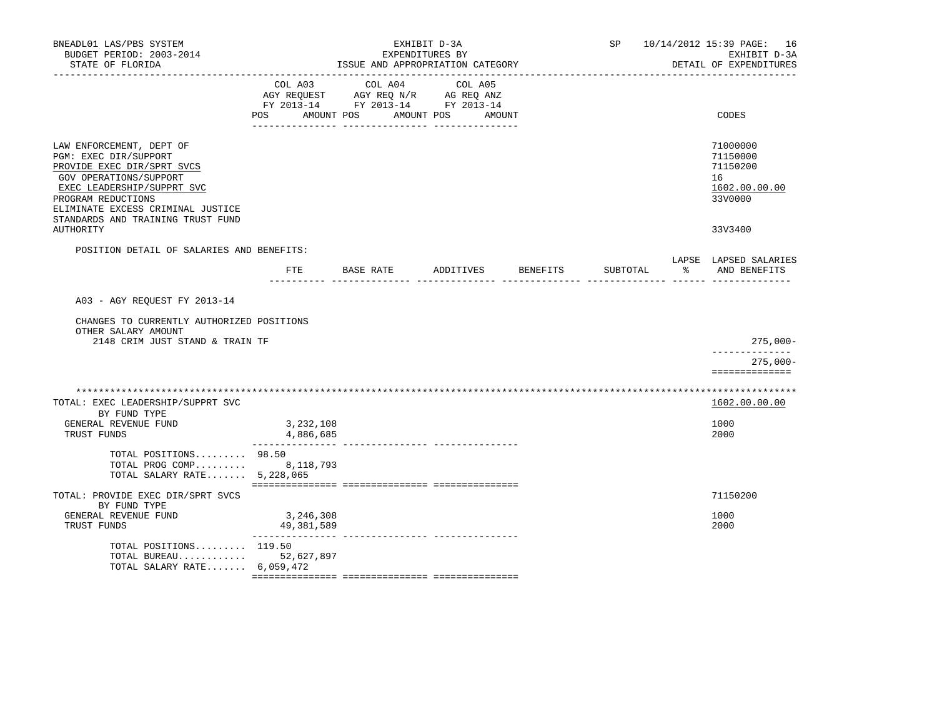| BNEADL01 LAS/PBS SYSTEM<br>BUDGET PERIOD: 2003-2014<br>STATE OF FLORIDA<br>___________________                                                                                                                                          |                         | EXHIBIT D-3A<br>EXPENDITURES BY<br>ISSUE AND APPROPRIATION CATEGORY                                     | SP                              | 10/14/2012 15:39 PAGE: 16<br>EXHIBIT D-3A<br>DETAIL OF EXPENDITURES |                                                                    |
|-----------------------------------------------------------------------------------------------------------------------------------------------------------------------------------------------------------------------------------------|-------------------------|---------------------------------------------------------------------------------------------------------|---------------------------------|---------------------------------------------------------------------|--------------------------------------------------------------------|
|                                                                                                                                                                                                                                         | <b>POS</b>              | COL A03 COL A04<br>AGY REQUEST AGY REQ N/R AG REQ ANZ<br>FY 2013-14 FY 2013-14 FY 2013-14<br>AMOUNT POS | COL A05<br>AMOUNT POS<br>AMOUNT |                                                                     | CODES                                                              |
| LAW ENFORCEMENT, DEPT OF<br>PGM: EXEC DIR/SUPPORT<br>PROVIDE EXEC DIR/SPRT SVCS<br>GOV OPERATIONS/SUPPORT<br>EXEC LEADERSHIP/SUPPRT SVC<br>PROGRAM REDUCTIONS<br>ELIMINATE EXCESS CRIMINAL JUSTICE<br>STANDARDS AND TRAINING TRUST FUND |                         |                                                                                                         |                                 |                                                                     | 71000000<br>71150000<br>71150200<br>16<br>1602.00.00.00<br>33V0000 |
| AUTHORITY                                                                                                                                                                                                                               |                         |                                                                                                         |                                 |                                                                     | 33V3400                                                            |
| POSITION DETAIL OF SALARIES AND BENEFITS:                                                                                                                                                                                               | ETE                     | BASE RATE ADDITIVES BENEFITS                                                                            |                                 | SUBTOTAL                                                            | LAPSE LAPSED SALARIES<br>% AND BENEFITS                            |
| A03 - AGY REQUEST FY 2013-14<br>CHANGES TO CURRENTLY AUTHORIZED POSITIONS<br>OTHER SALARY AMOUNT<br>2148 CRIM JUST STAND & TRAIN TF                                                                                                     |                         |                                                                                                         |                                 |                                                                     | $275,000-$                                                         |
|                                                                                                                                                                                                                                         |                         |                                                                                                         |                                 |                                                                     | -------------<br>275,000-<br>==============                        |
| TOTAL: EXEC LEADERSHIP/SUPPRT SVC<br>BY FUND TYPE<br>GENERAL REVENUE FUND<br>TRUST FUNDS                                                                                                                                                | 3,232,108<br>4,886,685  |                                                                                                         |                                 |                                                                     | 1602.00.00.00<br>1000<br>2000                                      |
| TOTAL POSITIONS 98.50<br>TOTAL PROG COMP 8,118,793<br>TOTAL SALARY RATE 5,228,065                                                                                                                                                       |                         |                                                                                                         |                                 |                                                                     |                                                                    |
| TOTAL: PROVIDE EXEC DIR/SPRT SVCS<br>BY FUND TYPE<br>GENERAL REVENUE FUND<br>TRUST FUNDS                                                                                                                                                | 3,246,308<br>49,381,589 |                                                                                                         |                                 |                                                                     | 71150200<br>1000<br>2000                                           |
| TOTAL POSITIONS $119.50$<br>TOTAL BUREAU 52,627,897<br>TOTAL SALARY RATE $6.059.472$                                                                                                                                                    | _______________         | ---------------- ---------------                                                                        |                                 |                                                                     |                                                                    |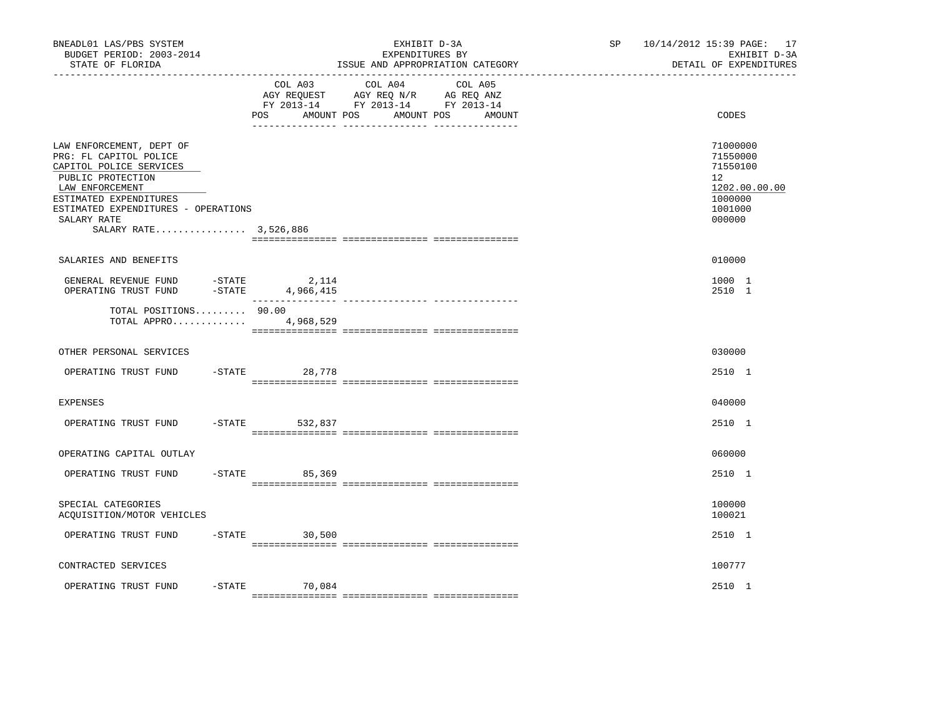| BNEADL01 LAS/PBS SYSTEM<br>BUDGET PERIOD: 2003-2014<br>STATE OF FLORIDA                                                                                                                                                        |  |                                    | EXHIBIT D-3A<br>EXPENDITURES BY<br>ISSUE AND APPROPRIATION CATEGORY                                                       | SP <sub>2</sub> | 10/14/2012 15:39 PAGE: 17<br>EXHIBIT D-3A<br>DETAIL OF EXPENDITURES                     |
|--------------------------------------------------------------------------------------------------------------------------------------------------------------------------------------------------------------------------------|--|------------------------------------|---------------------------------------------------------------------------------------------------------------------------|-----------------|-----------------------------------------------------------------------------------------|
|                                                                                                                                                                                                                                |  | AMOUNT POS<br>POS                  | COL A03 COL A04 COL A05<br>AGY REQUEST AGY REQ N/R AG REQ ANZ<br>FY 2013-14 FY 2013-14 FY 2013-14<br>AMOUNT POS<br>AMOUNT |                 | CODES                                                                                   |
| LAW ENFORCEMENT, DEPT OF<br>PRG: FL CAPITOL POLICE<br>CAPITOL POLICE SERVICES<br>PUBLIC PROTECTION<br>LAW ENFORCEMENT<br>ESTIMATED EXPENDITURES<br>ESTIMATED EXPENDITURES - OPERATIONS<br>SALARY RATE<br>SALARY RATE 3,526,886 |  |                                    |                                                                                                                           |                 | 71000000<br>71550000<br>71550100<br>12<br>1202.00.00.00<br>1000000<br>1001000<br>000000 |
| SALARIES AND BENEFITS                                                                                                                                                                                                          |  |                                    |                                                                                                                           |                 | 010000                                                                                  |
| GENERAL REVENUE FUND<br>OPERATING TRUST FUND                                                                                                                                                                                   |  | = STATE 2,114<br>= STATE 4,966,415 |                                                                                                                           |                 | 1000 1<br>2510 1                                                                        |
| TOTAL POSITIONS 90.00<br>TOTAL APPRO 4,968,529                                                                                                                                                                                 |  |                                    |                                                                                                                           |                 |                                                                                         |
| OTHER PERSONAL SERVICES                                                                                                                                                                                                        |  |                                    |                                                                                                                           |                 | 030000                                                                                  |
| OPERATING TRUST FUND                                                                                                                                                                                                           |  | -STATE 28,778                      |                                                                                                                           |                 | 2510 1                                                                                  |
| EXPENSES                                                                                                                                                                                                                       |  |                                    |                                                                                                                           |                 | 040000                                                                                  |
| OPERATING TRUST FUND                                                                                                                                                                                                           |  | -STATE 532,837                     |                                                                                                                           |                 | 2510 1                                                                                  |
| OPERATING CAPITAL OUTLAY                                                                                                                                                                                                       |  |                                    |                                                                                                                           |                 | 060000                                                                                  |
| OPERATING TRUST FUND                                                                                                                                                                                                           |  | $-STATE$<br>85,369                 |                                                                                                                           |                 | 2510 1                                                                                  |
| SPECIAL CATEGORIES<br>ACQUISITION/MOTOR VEHICLES                                                                                                                                                                               |  |                                    |                                                                                                                           |                 | 100000<br>100021                                                                        |
| OPERATING TRUST FUND                                                                                                                                                                                                           |  | $-STATE$ 30,500                    |                                                                                                                           |                 | 2510 1                                                                                  |
| CONTRACTED SERVICES                                                                                                                                                                                                            |  |                                    |                                                                                                                           |                 | 100777                                                                                  |
| OPERATING TRUST FUND                                                                                                                                                                                                           |  | $-$ STATE $70,084$                 |                                                                                                                           |                 | 2510 1                                                                                  |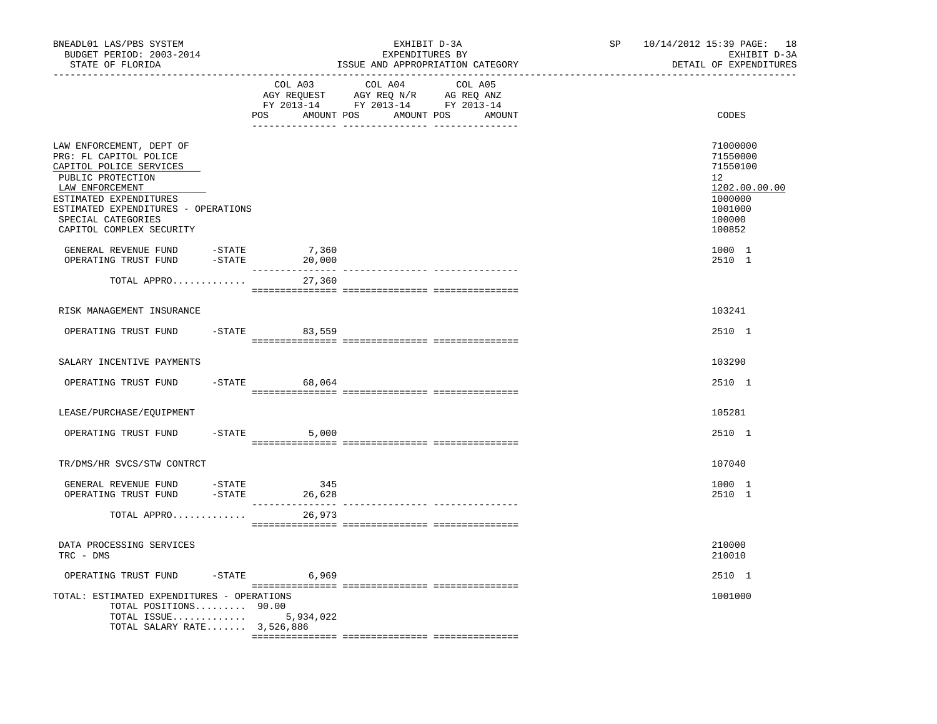| BNEADL01 LAS/PBS SYSTEM<br>BUDGET PERIOD: 2003-2014<br>STATE OF FLORIDA                                                                                                                                                                  |                            | EXHIBIT D-3A<br>EXPENDITURES BY<br>ISSUE AND APPROPRIATION CATEGORY                                                              | 10/14/2012 15:39 PAGE: 18<br>SP and the set of the set of the set of the set of the set of the set of the set of the set of the set of the set of the set of the set of the set of the set of the set of the set of the set of the set of the set of the se | EXHIBIT D-3A<br>DETAIL OF EXPENDITURES                                                                |
|------------------------------------------------------------------------------------------------------------------------------------------------------------------------------------------------------------------------------------------|----------------------------|----------------------------------------------------------------------------------------------------------------------------------|-------------------------------------------------------------------------------------------------------------------------------------------------------------------------------------------------------------------------------------------------------------|-------------------------------------------------------------------------------------------------------|
|                                                                                                                                                                                                                                          | COL A03                    | COL A04<br>COL A05<br>AGY REQUEST AGY REQ N/R AG REQ ANZ<br>FY 2013-14 FY 2013-14 FY 2013-14<br>POS AMOUNT POS AMOUNT POS AMOUNT |                                                                                                                                                                                                                                                             | CODES                                                                                                 |
| LAW ENFORCEMENT, DEPT OF<br>PRG: FL CAPITOL POLICE<br>CAPITOL POLICE SERVICES<br>PUBLIC PROTECTION<br>LAW ENFORCEMENT<br>ESTIMATED EXPENDITURES<br>ESTIMATED EXPENDITURES - OPERATIONS<br>SPECIAL CATEGORIES<br>CAPITOL COMPLEX SECURITY | 7,360                      |                                                                                                                                  | 12                                                                                                                                                                                                                                                          | 71000000<br>71550000<br>71550100<br>1202.00.00.00<br>1000000<br>1001000<br>100000<br>100852<br>1000 1 |
| GENERAL REVENUE FUND -STATE<br>OPERATING TRUST FUND -STATE                                                                                                                                                                               | 20,000                     |                                                                                                                                  |                                                                                                                                                                                                                                                             | 2510 1                                                                                                |
| TOTAL APPRO                                                                                                                                                                                                                              | 27,360                     |                                                                                                                                  |                                                                                                                                                                                                                                                             |                                                                                                       |
| RISK MANAGEMENT INSURANCE                                                                                                                                                                                                                |                            |                                                                                                                                  |                                                                                                                                                                                                                                                             | 103241                                                                                                |
| OPERATING TRUST FUND                                                                                                                                                                                                                     | -STATE 83,559              |                                                                                                                                  |                                                                                                                                                                                                                                                             | 2510 1                                                                                                |
| SALARY INCENTIVE PAYMENTS                                                                                                                                                                                                                |                            |                                                                                                                                  |                                                                                                                                                                                                                                                             | 103290                                                                                                |
| OPERATING TRUST FUND                                                                                                                                                                                                                     | $-$ STATE 68,064           |                                                                                                                                  |                                                                                                                                                                                                                                                             | 2510 1                                                                                                |
| LEASE/PURCHASE/EQUIPMENT                                                                                                                                                                                                                 |                            |                                                                                                                                  |                                                                                                                                                                                                                                                             | 105281                                                                                                |
| OPERATING TRUST FUND                                                                                                                                                                                                                     | $-STATE$ 5,000             |                                                                                                                                  |                                                                                                                                                                                                                                                             | 2510 1                                                                                                |
| TR/DMS/HR SVCS/STW CONTRCT                                                                                                                                                                                                               |                            |                                                                                                                                  |                                                                                                                                                                                                                                                             | 107040                                                                                                |
| -STATE<br>GENERAL REVENUE FUND<br>OPERATING TRUST FUND                                                                                                                                                                                   | 345<br>$-$ STATE<br>26,628 |                                                                                                                                  |                                                                                                                                                                                                                                                             | 1000 1<br>2510 1                                                                                      |
| TOTAL APPRO                                                                                                                                                                                                                              | 26,973                     |                                                                                                                                  |                                                                                                                                                                                                                                                             |                                                                                                       |
| DATA PROCESSING SERVICES<br>TRC - DMS                                                                                                                                                                                                    |                            |                                                                                                                                  |                                                                                                                                                                                                                                                             | 210000<br>210010                                                                                      |
| OPERATING TRUST FUND                                                                                                                                                                                                                     | $-STATE$ 6,969             |                                                                                                                                  |                                                                                                                                                                                                                                                             | 2510 1                                                                                                |
| TOTAL: ESTIMATED EXPENDITURES - OPERATIONS<br>TOTAL POSITIONS 90.00<br>TOTAL ISSUE<br>TOTAL SALARY RATE 3,526,886                                                                                                                        | 5,934,022                  |                                                                                                                                  |                                                                                                                                                                                                                                                             | 1001000                                                                                               |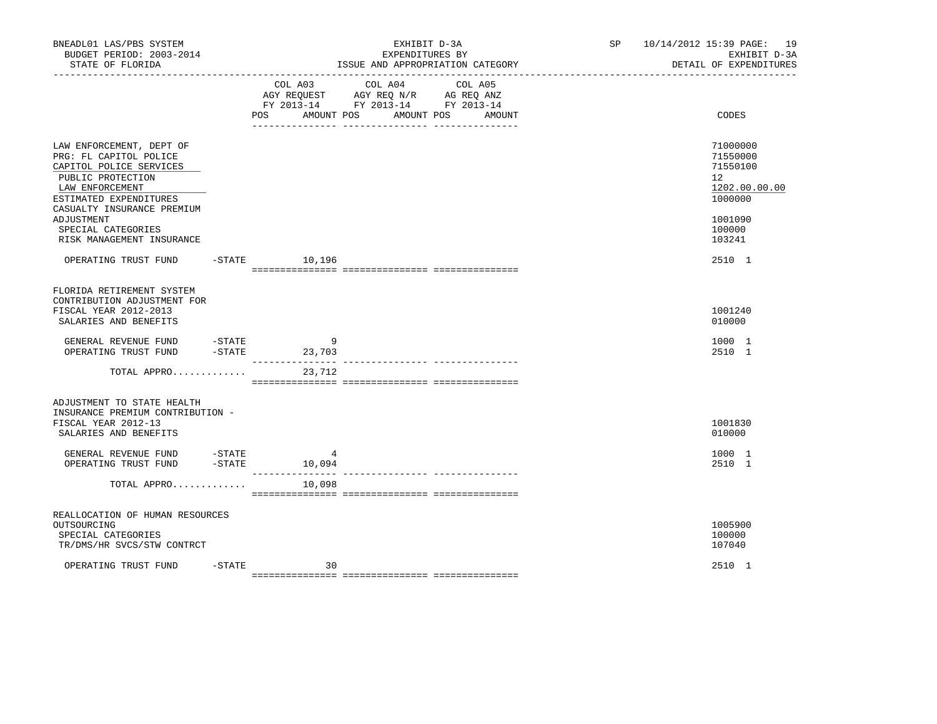| BNEADL01 LAS/PBS SYSTEM<br>BUDGET PERIOD: 2003-2014<br>STATE OF FLORIDA                                                                                                       |                  |                              | EXHIBIT D-3A<br>EXPENDITURES BY<br>ISSUE AND APPROPRIATION CATEGORY                                                  | SP 10/14/2012 15:39 PAGE: 19<br>EXHIBIT D-3A<br>DETAIL OF EXPENDITURES          |
|-------------------------------------------------------------------------------------------------------------------------------------------------------------------------------|------------------|------------------------------|----------------------------------------------------------------------------------------------------------------------|---------------------------------------------------------------------------------|
|                                                                                                                                                                               |                  | COL A03<br>AMOUNT POS<br>POS | COL A04<br>COL A05<br>AGY REQUEST AGY REQ N/R AG REQ ANZ<br>FY 2013-14 FY 2013-14 FY 2013-14<br>AMOUNT POS<br>AMOUNT | CODES                                                                           |
| LAW ENFORCEMENT, DEPT OF<br>PRG: FL CAPITOL POLICE<br>CAPITOL POLICE SERVICES<br>PUBLIC PROTECTION<br>LAW ENFORCEMENT<br>ESTIMATED EXPENDITURES<br>CASUALTY INSURANCE PREMIUM |                  |                              |                                                                                                                      | 71000000<br>71550000<br>71550100<br>12 <sup>°</sup><br>1202.00.00.00<br>1000000 |
| ADJUSTMENT<br>SPECIAL CATEGORIES<br>RISK MANAGEMENT INSURANCE                                                                                                                 |                  |                              |                                                                                                                      | 1001090<br>100000<br>103241                                                     |
| OPERATING TRUST FUND -STATE 10,196                                                                                                                                            |                  |                              |                                                                                                                      | 2510 1                                                                          |
| FLORIDA RETIREMENT SYSTEM<br>CONTRIBUTION ADJUSTMENT FOR<br>FISCAL YEAR 2012-2013<br>SALARIES AND BENEFITS                                                                    |                  |                              |                                                                                                                      | 1001240<br>010000                                                               |
| GENERAL REVENUE FUND<br>OPERATING TRUST FUND                                                                                                                                  | $-$ STATE        | 9<br>$-STATE$ 23,703         |                                                                                                                      | 1000 1<br>2510 1                                                                |
| TOTAL APPRO                                                                                                                                                                   |                  | 23,712                       |                                                                                                                      |                                                                                 |
| ADJUSTMENT TO STATE HEALTH<br>INSURANCE PREMIUM CONTRIBUTION -<br>FISCAL YEAR 2012-13<br>SALARIES AND BENEFITS                                                                |                  |                              |                                                                                                                      | 1001830<br>010000                                                               |
| GENERAL REVENUE FUND<br>OPERATING TRUST FUND                                                                                                                                  | -STATE<br>-STATE | 4<br>10,094                  |                                                                                                                      | 1000 1<br>2510 1                                                                |
| TOTAL APPRO                                                                                                                                                                   |                  | ________________<br>10,098   | ------------- -----------                                                                                            |                                                                                 |
| REALLOCATION OF HUMAN RESOURCES<br>OUTSOURCING<br>SPECIAL CATEGORIES<br>TR/DMS/HR SVCS/STW CONTRCT                                                                            |                  |                              |                                                                                                                      | 1005900<br>100000<br>107040                                                     |
| OPERATING TRUST FUND                                                                                                                                                          | $-$ STATE        | 30                           |                                                                                                                      | 2510 1                                                                          |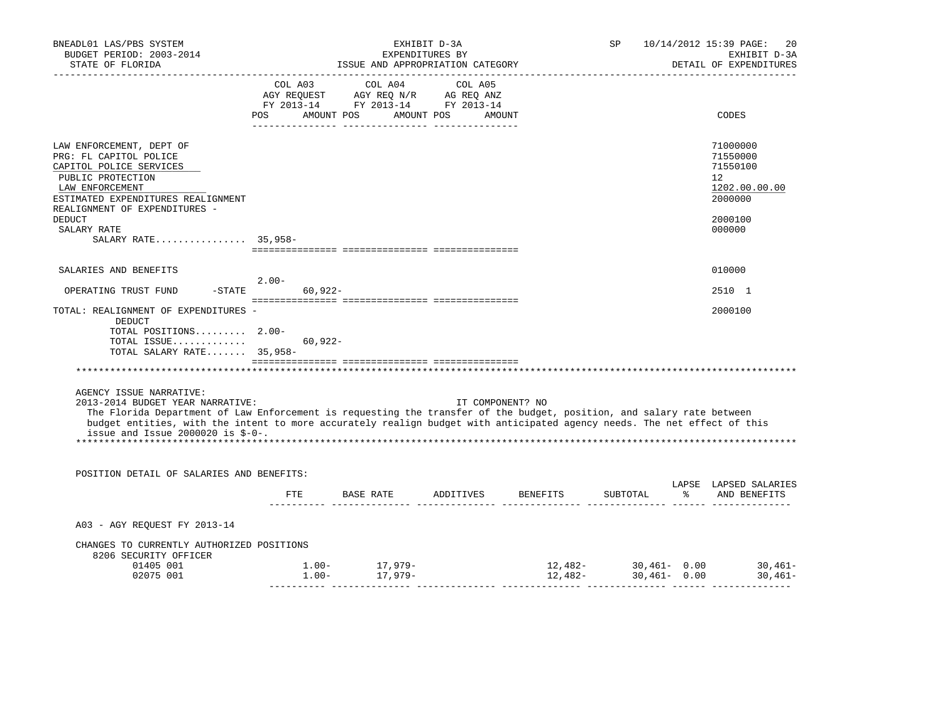| BNEADL01 LAS/PBS SYSTEM<br>BUDGET PERIOD: 2003-2014<br>STATE OF FLORIDA                                                                                                                                                                                                                                                                                 | EXHIBIT D-3A<br>EXPENDITURES BY  |           |                                                                                                                                                            |  |  |                  | ISSUE AND APPROPRIATION CATEGORY |  |  |                                                                                                                                                                                                                                                                                                      |  |  | SP |  | 10/14/2012 15:39 PAGE:<br>20<br>EXHIBIT D-3A<br>DETAIL OF EXPENDITURES |
|---------------------------------------------------------------------------------------------------------------------------------------------------------------------------------------------------------------------------------------------------------------------------------------------------------------------------------------------------------|----------------------------------|-----------|------------------------------------------------------------------------------------------------------------------------------------------------------------|--|--|------------------|----------------------------------|--|--|------------------------------------------------------------------------------------------------------------------------------------------------------------------------------------------------------------------------------------------------------------------------------------------------------|--|--|----|--|------------------------------------------------------------------------|
|                                                                                                                                                                                                                                                                                                                                                         | POS AMOUNT POS AMOUNT POS AMOUNT |           | $\begin{tabular}{lcccc} CDL A03 & CDL A04 & CDL A05 \\ AGY REQUEST & AGY REQ N/R & AG REQ ANZ \\ FY & 2013-14 & FY & 2013-14 & FY & 2013-14 \end{tabular}$ |  |  |                  |                                  |  |  | CODES                                                                                                                                                                                                                                                                                                |  |  |    |  |                                                                        |
| LAW ENFORCEMENT, DEPT OF<br>PRG: FL CAPITOL POLICE<br>CAPITOL POLICE SERVICES<br>PUBLIC PROTECTION<br>LAW ENFORCEMENT<br>ESTIMATED EXPENDITURES REALIGNMENT<br>REALIGNMENT OF EXPENDITURES -<br><b>DEDUCT</b>                                                                                                                                           |                                  |           |                                                                                                                                                            |  |  |                  |                                  |  |  | 71000000<br>71550000<br>71550100<br>12<br>1202.00.00.00<br>2000000<br>2000100                                                                                                                                                                                                                        |  |  |    |  |                                                                        |
| SALARY RATE<br>SALARY RATE 35,958-                                                                                                                                                                                                                                                                                                                      |                                  |           |                                                                                                                                                            |  |  |                  |                                  |  |  | 000000                                                                                                                                                                                                                                                                                               |  |  |    |  |                                                                        |
| SALARIES AND BENEFITS                                                                                                                                                                                                                                                                                                                                   |                                  |           |                                                                                                                                                            |  |  |                  |                                  |  |  | 010000                                                                                                                                                                                                                                                                                               |  |  |    |  |                                                                        |
| OPERATING TRUST FUND                                                                                                                                                                                                                                                                                                                                    | $2.00-$<br>$-STATE$              | 60,922-   |                                                                                                                                                            |  |  |                  |                                  |  |  | 2510 1                                                                                                                                                                                                                                                                                               |  |  |    |  |                                                                        |
| TOTAL: REALIGNMENT OF EXPENDITURES -<br>DEDUCT<br>TOTAL POSITIONS 2.00-<br>TOTAL ISSUE<br>TOTAL SALARY RATE 35,958-                                                                                                                                                                                                                                     |                                  | $60,922-$ |                                                                                                                                                            |  |  |                  |                                  |  |  | 2000100                                                                                                                                                                                                                                                                                              |  |  |    |  |                                                                        |
|                                                                                                                                                                                                                                                                                                                                                         |                                  |           |                                                                                                                                                            |  |  |                  |                                  |  |  |                                                                                                                                                                                                                                                                                                      |  |  |    |  |                                                                        |
| AGENCY ISSUE NARRATIVE:<br>2013-2014 BUDGET YEAR NARRATIVE:<br>The Florida Department of Law Enforcement is requesting the transfer of the budget, position, and salary rate between<br>budget entities, with the intent to more accurately realign budget with anticipated agency needs. The net effect of this<br>issue and Issue 2000020 is $$-0-$ . |                                  |           |                                                                                                                                                            |  |  | IT COMPONENT? NO |                                  |  |  |                                                                                                                                                                                                                                                                                                      |  |  |    |  |                                                                        |
| POSITION DETAIL OF SALARIES AND BENEFITS:                                                                                                                                                                                                                                                                                                               |                                  |           |                                                                                                                                                            |  |  |                  |                                  |  |  |                                                                                                                                                                                                                                                                                                      |  |  |    |  |                                                                        |
|                                                                                                                                                                                                                                                                                                                                                         |                                  |           |                                                                                                                                                            |  |  |                  |                                  |  |  | LAPSE LAPSED SALARIES<br>FTE BASE RATE ADDITIVES BENEFITS SUBTOTAL % AND BENEFITS                                                                                                                                                                                                                    |  |  |    |  |                                                                        |
| A03 - AGY REQUEST FY 2013-14                                                                                                                                                                                                                                                                                                                            |                                  |           |                                                                                                                                                            |  |  |                  |                                  |  |  |                                                                                                                                                                                                                                                                                                      |  |  |    |  |                                                                        |
| CHANGES TO CURRENTLY AUTHORIZED POSITIONS<br>8206 SECURITY OFFICER                                                                                                                                                                                                                                                                                      |                                  |           |                                                                                                                                                            |  |  |                  |                                  |  |  |                                                                                                                                                                                                                                                                                                      |  |  |    |  |                                                                        |
| 01405 001<br>02075 001                                                                                                                                                                                                                                                                                                                                  |                                  |           | $1.00 - 17,979 - 1.00 - 1.00 - 17,979 -$                                                                                                                   |  |  |                  |                                  |  |  | $\begin{array}{cccccccc} 1.00- & & 17,979- & & 12,482- & & 30,461- & 0.00 & & 30,461- & & 0.00 & & 0.00 & & 0.00 & & 0.00 & & 0.00 & & 0.00 & & 0.00 & & 0.00 & & 0.00 & & 0.00 & & 0.00 & & 0.00 & & 0.00 & & 0.00 & & 0.00 & & 0.00 & & 0.00 & & 0.00 & & 0.00 & & 0.00 & & 0.00 & & 0.00 & & 0.0$ |  |  |    |  |                                                                        |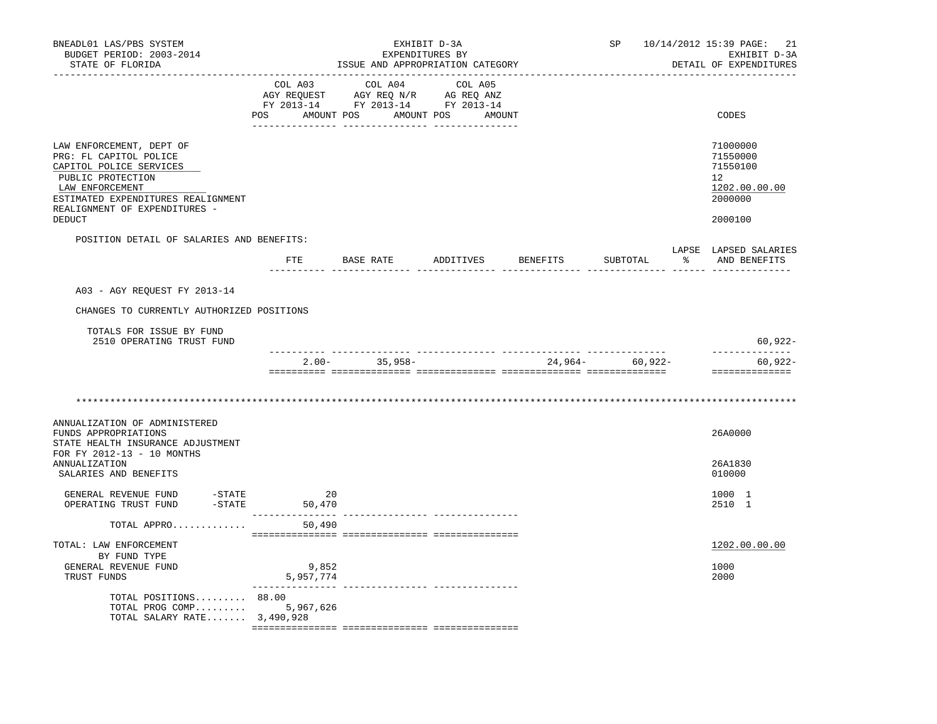| BNEADL01 LAS/PBS SYSTEM<br>BUDGET PERIOD: 2003-2014<br>STATE OF FLORIDA                                                                                                                      |                    | EXPENDITURES BY<br>ISSUE AND APPROPRIATION CATEGORY                                                                   | EXHIBIT D-3A                           | SP | 10/14/2012 15:39 PAGE:<br>-21<br>EXHIBIT D-3A<br>DETAIL OF EXPENDITURES |
|----------------------------------------------------------------------------------------------------------------------------------------------------------------------------------------------|--------------------|-----------------------------------------------------------------------------------------------------------------------|----------------------------------------|----|-------------------------------------------------------------------------|
|                                                                                                                                                                                              | COL A03            | COL A04<br>AGY REQUEST AGY REQ N/R AG REQ ANZ<br>FY 2013-14 FY 2013-14 FY 2013-14<br>POS AMOUNT POS AMOUNT POS AMOUNT | COL A05                                |    | CODES                                                                   |
| LAW ENFORCEMENT, DEPT OF<br>PRG: FL CAPITOL POLICE<br>CAPITOL POLICE SERVICES<br>PUBLIC PROTECTION<br>LAW ENFORCEMENT<br>ESTIMATED EXPENDITURES REALIGNMENT<br>REALIGNMENT OF EXPENDITURES - |                    |                                                                                                                       |                                        |    | 71000000<br>71550000<br>71550100<br>12<br>1202.00.00.00<br>2000000      |
| DEDUCT                                                                                                                                                                                       |                    |                                                                                                                       |                                        |    | 2000100                                                                 |
| POSITION DETAIL OF SALARIES AND BENEFITS:                                                                                                                                                    |                    |                                                                                                                       |                                        |    | LAPSE LAPSED SALARIES<br>SUBTOTAL % AND BENEFITS                        |
| A03 - AGY REQUEST FY 2013-14                                                                                                                                                                 |                    |                                                                                                                       |                                        |    |                                                                         |
| CHANGES TO CURRENTLY AUTHORIZED POSITIONS                                                                                                                                                    |                    |                                                                                                                       |                                        |    |                                                                         |
| TOTALS FOR ISSUE BY FUND<br>2510 OPERATING TRUST FUND                                                                                                                                        |                    |                                                                                                                       |                                        |    | 60,922-                                                                 |
|                                                                                                                                                                                              |                    | $2.00 - 35,958 - 24,964 - 60,922 -$                                                                                   |                                        |    | --------------<br>60,922-<br>==============                             |
|                                                                                                                                                                                              |                    |                                                                                                                       |                                        |    |                                                                         |
| ANNUALIZATION OF ADMINISTERED<br>FUNDS APPROPRIATIONS<br>STATE HEALTH INSURANCE ADJUSTMENT                                                                                                   |                    |                                                                                                                       |                                        |    | 26A0000                                                                 |
| FOR FY 2012-13 - 10 MONTHS<br><b>ANNUALIZATION</b><br>SALARIES AND BENEFITS                                                                                                                  |                    |                                                                                                                       |                                        |    | 26A1830<br>010000                                                       |
| GENERAL REVENUE FUND -STATE<br>$-$ STATE<br>OPERATING TRUST FUND                                                                                                                             | 20<br>50,470       |                                                                                                                       |                                        |    | 1000 1<br>2510 1                                                        |
| TOTAL APPRO                                                                                                                                                                                  | 50,490             |                                                                                                                       |                                        |    |                                                                         |
| TOTAL: LAW ENFORCEMENT<br>BY FUND TYPE<br>GENERAL REVENUE FUND<br>TRUST FUNDS                                                                                                                | 9,852<br>5,957,774 |                                                                                                                       |                                        |    | 1202.00.00.00<br>1000<br>2000                                           |
| TOTAL POSITIONS 88.00<br>TOTAL PROG COMP<br>TOTAL SALARY RATE 3,490,928                                                                                                                      | 5,967,626          |                                                                                                                       | ______________________________________ |    |                                                                         |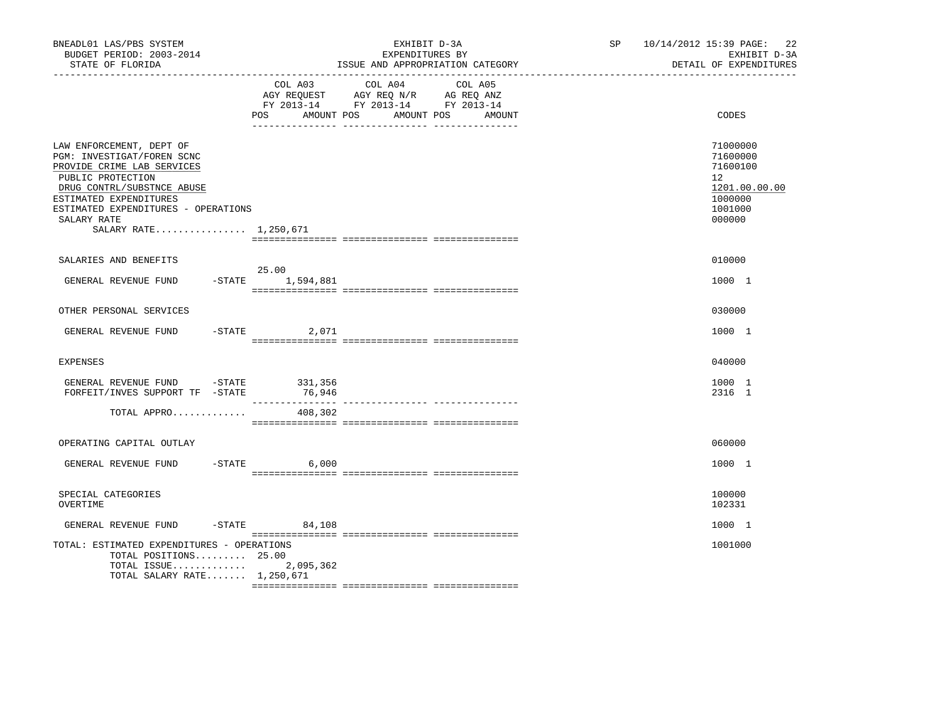| BNEADL01 LAS/PBS SYSTEM<br>BUDGET PERIOD: 2003-2014<br>STATE OF FLORIDA                                                                                                                                                                          |                           | EXHIBIT D-3A<br>EXPENDITURES BY<br>ISSUE AND APPROPRIATION CATEGORY                                                                                                                                                                             | SP 10/14/2012 15:39 PAGE: 22<br>EXHIBIT D-3A<br>DETAIL OF EXPENDITURES                               |
|--------------------------------------------------------------------------------------------------------------------------------------------------------------------------------------------------------------------------------------------------|---------------------------|-------------------------------------------------------------------------------------------------------------------------------------------------------------------------------------------------------------------------------------------------|------------------------------------------------------------------------------------------------------|
|                                                                                                                                                                                                                                                  | POS AMOUNT POS            | COL A03 COL A04 COL A05<br>$\begin{tabular}{lllllll} AGY & \texttt{REQUEST} & \texttt{AGY} & \texttt{REG} & \texttt{N/R} & \texttt{AG} & \texttt{REQ} & \texttt{ANZ} \end{tabular}$<br>FY 2013-14 FY 2013-14 FY 2013-14<br>AMOUNT POS<br>AMOUNT | CODES                                                                                                |
| LAW ENFORCEMENT, DEPT OF<br>PGM: INVESTIGAT/FOREN SCNC<br>PROVIDE CRIME LAB SERVICES<br>PUBLIC PROTECTION<br>DRUG CONTRL/SUBSTNCE ABUSE<br>ESTIMATED EXPENDITURES<br>ESTIMATED EXPENDITURES - OPERATIONS<br>SALARY RATE<br>SALARY RATE 1,250,671 |                           |                                                                                                                                                                                                                                                 | 71000000<br>71600000<br>71600100<br>12 <sup>1</sup><br>1201.00.00.00<br>1000000<br>1001000<br>000000 |
| SALARIES AND BENEFITS                                                                                                                                                                                                                            |                           |                                                                                                                                                                                                                                                 | 010000                                                                                               |
| GENERAL REVENUE FUND                                                                                                                                                                                                                             | 25.00<br>-STATE 1,594,881 |                                                                                                                                                                                                                                                 | 1000 1                                                                                               |
| OTHER PERSONAL SERVICES                                                                                                                                                                                                                          |                           |                                                                                                                                                                                                                                                 | 030000                                                                                               |
| GENERAL REVENUE FUND                                                                                                                                                                                                                             | $-STATE$<br>2,071         |                                                                                                                                                                                                                                                 | 1000 1                                                                                               |
| EXPENSES                                                                                                                                                                                                                                         |                           |                                                                                                                                                                                                                                                 | 040000                                                                                               |
| GENERAL REVENUE FUND -STATE 331,356<br>FORFEIT/INVES SUPPORT TF -STATE                                                                                                                                                                           | 76,946                    |                                                                                                                                                                                                                                                 | 1000 1<br>2316 1                                                                                     |
| TOTAL APPRO                                                                                                                                                                                                                                      | 408,302                   |                                                                                                                                                                                                                                                 |                                                                                                      |
| OPERATING CAPITAL OUTLAY                                                                                                                                                                                                                         |                           |                                                                                                                                                                                                                                                 | 060000                                                                                               |
| GENERAL REVENUE FUND -STATE 6,000                                                                                                                                                                                                                |                           |                                                                                                                                                                                                                                                 | 1000 1                                                                                               |
| SPECIAL CATEGORIES<br>OVERTIME                                                                                                                                                                                                                   |                           |                                                                                                                                                                                                                                                 | 100000<br>102331                                                                                     |
| GENERAL REVENUE FUND                                                                                                                                                                                                                             | $-STATE$ 84,108           |                                                                                                                                                                                                                                                 | 1000 1                                                                                               |
| TOTAL: ESTIMATED EXPENDITURES - OPERATIONS<br>TOTAL POSITIONS 25.00<br>TOTAL ISSUE<br>TOTAL SALARY RATE 1,250,671                                                                                                                                | 2,095,362                 |                                                                                                                                                                                                                                                 | 1001000                                                                                              |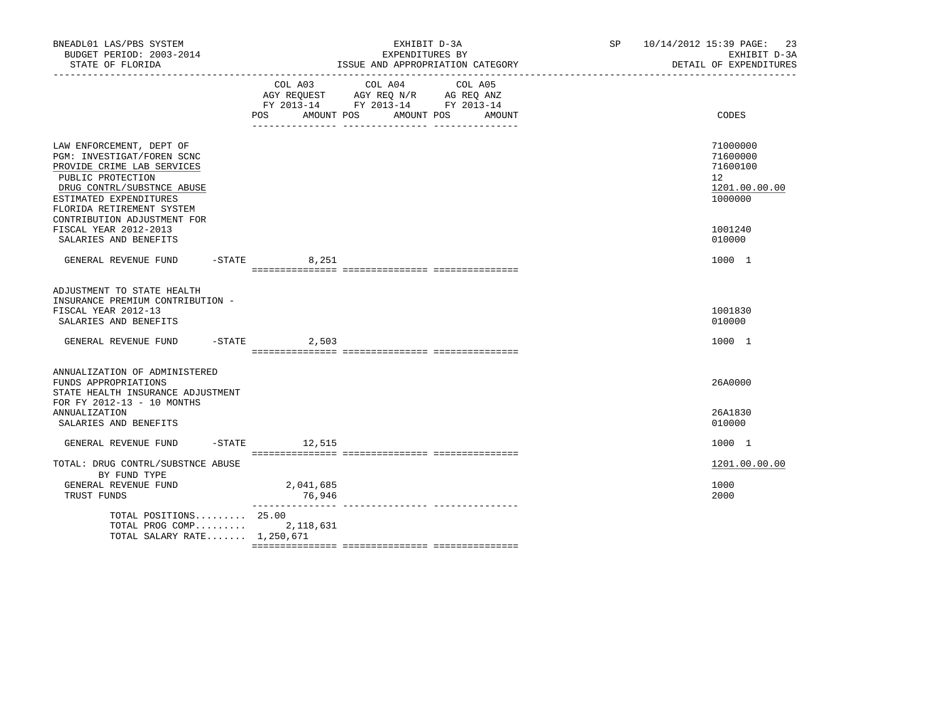| BNEADL01 LAS/PBS SYSTEM<br>BUDGET PERIOD: 2003-2014<br>STATE OF FLORIDA                                                                                                                                                                                |                  |                                                                                                         | EXHIBIT D-3A<br>EXPENDITURES BY<br>ISSUE AND APPROPRIATION CATEGORY |                       |        | SP 10/14/2012 15:39 PAGE: 23<br>EXHIBIT D-3A<br>DETAIL OF EXPENDITURES |                                                                               |
|--------------------------------------------------------------------------------------------------------------------------------------------------------------------------------------------------------------------------------------------------------|------------------|---------------------------------------------------------------------------------------------------------|---------------------------------------------------------------------|-----------------------|--------|------------------------------------------------------------------------|-------------------------------------------------------------------------------|
|                                                                                                                                                                                                                                                        | POS              | COL A03 COL A04<br>AGY REQUEST AGY REQ N/R AG REQ ANZ<br>FY 2013-14 FY 2013-14 FY 2013-14<br>AMOUNT POS |                                                                     | COL A05<br>AMOUNT POS | AMOUNT |                                                                        | CODES                                                                         |
| LAW ENFORCEMENT, DEPT OF<br>PGM: INVESTIGAT/FOREN SCNC<br>PROVIDE CRIME LAB SERVICES<br>PUBLIC PROTECTION<br>DRUG CONTRL/SUBSTNCE ABUSE<br>ESTIMATED EXPENDITURES<br>FLORIDA RETIREMENT SYSTEM<br>CONTRIBUTION ADJUSTMENT FOR<br>FISCAL YEAR 2012-2013 |                  |                                                                                                         |                                                                     |                       |        |                                                                        | 71000000<br>71600000<br>71600100<br>12<br>1201.00.00.00<br>1000000<br>1001240 |
| SALARIES AND BENEFITS<br>GENERAL REVENUE FUND                                                                                                                                                                                                          | $-$ STATE 8, 251 |                                                                                                         |                                                                     |                       |        |                                                                        | 010000<br>1000 1                                                              |
| ADJUSTMENT TO STATE HEALTH<br>INSURANCE PREMIUM CONTRIBUTION -<br>FISCAL YEAR 2012-13<br>SALARIES AND BENEFITS<br>GENERAL REVENUE FUND -STATE 2,503                                                                                                    |                  |                                                                                                         |                                                                     |                       |        |                                                                        | 1001830<br>010000<br>1000 1                                                   |
| ANNUALIZATION OF ADMINISTERED<br>FUNDS APPROPRIATIONS<br>STATE HEALTH INSURANCE ADJUSTMENT<br>FOR FY 2012-13 - 10 MONTHS<br><b>ANNUALIZATION</b><br>SALARIES AND BENEFITS                                                                              |                  |                                                                                                         |                                                                     |                       |        |                                                                        | 26A0000<br>26A1830<br>010000                                                  |
| GENERAL REVENUE FUND                                                                                                                                                                                                                                   | $-STATE$ 12,515  |                                                                                                         |                                                                     |                       |        |                                                                        | 1000 1                                                                        |
| TOTAL: DRUG CONTRL/SUBSTNCE ABUSE<br>BY FUND TYPE<br>GENERAL REVENUE FUND<br>TRUST FUNDS                                                                                                                                                               |                  | 2,041,685<br>76,946                                                                                     |                                                                     |                       |        |                                                                        | 1201.00.00.00<br>1000<br>2000                                                 |
| TOTAL POSITIONS 25.00<br>TOTAL PROG COMP 2, 118, 631<br>TOTAL SALARY RATE 1,250,671                                                                                                                                                                    |                  |                                                                                                         |                                                                     |                       |        |                                                                        |                                                                               |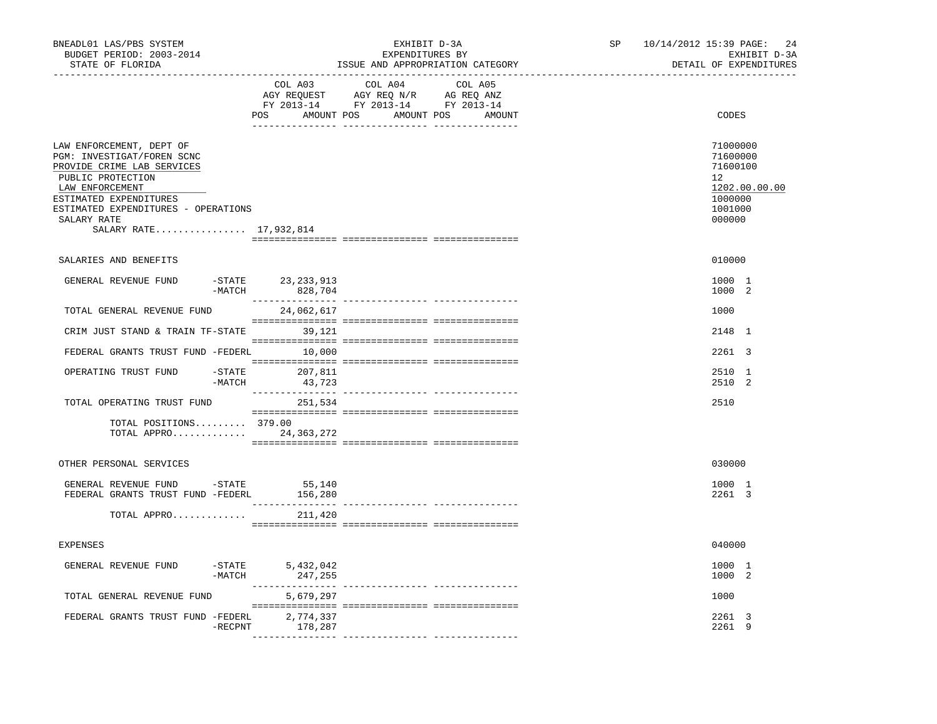| BNEADL01 LAS/PBS SYSTEM<br>BUDGET PERIOD: 2003-2014<br>STATE OF FLORIDA                                                                                                                                                                |                                           | EXHIBIT D-3A<br>EXPENDITURES BY<br>ISSUE AND APPROPRIATION CATEGORY                                                                 | SP | 10/14/2012 15:39 PAGE:<br>24<br>EXHIBIT D-3A<br>DETAIL OF EXPENDITURES                               |
|----------------------------------------------------------------------------------------------------------------------------------------------------------------------------------------------------------------------------------------|-------------------------------------------|-------------------------------------------------------------------------------------------------------------------------------------|----|------------------------------------------------------------------------------------------------------|
|                                                                                                                                                                                                                                        | COL A03                                   | COL A04<br>COL A05<br>AGY REQUEST AGY REQ N/R AG REQ ANZ<br>FY 2013-14 FY 2013-14 FY 2013-14<br>POS AMOUNT POS AMOUNT POS<br>AMOUNT |    | CODES                                                                                                |
| LAW ENFORCEMENT, DEPT OF<br>PGM: INVESTIGAT/FOREN SCNC<br>PROVIDE CRIME LAB SERVICES<br>PUBLIC PROTECTION<br>LAW ENFORCEMENT<br>ESTIMATED EXPENDITURES<br>ESTIMATED EXPENDITURES - OPERATIONS<br>SALARY RATE<br>SALARY RATE 17,932,814 |                                           |                                                                                                                                     |    | 71000000<br>71600000<br>71600100<br>12 <sup>°</sup><br>1202.00.00.00<br>1000000<br>1001000<br>000000 |
| SALARIES AND BENEFITS                                                                                                                                                                                                                  |                                           |                                                                                                                                     |    | 010000                                                                                               |
| GENERAL REVENUE FUND                                                                                                                                                                                                                   | -STATE 23,233,913<br>$-MATCH$<br>828,704  |                                                                                                                                     |    | 1000 1<br>1000 2                                                                                     |
| TOTAL GENERAL REVENUE FUND                                                                                                                                                                                                             | 24,062,617                                |                                                                                                                                     |    | 1000                                                                                                 |
| CRIM JUST STAND & TRAIN TF-STATE 39,121                                                                                                                                                                                                |                                           |                                                                                                                                     |    | 2148 1                                                                                               |
| FEDERAL GRANTS TRUST FUND -FEDERL 10,000                                                                                                                                                                                               |                                           |                                                                                                                                     |    | 2261 3                                                                                               |
| OPERATING TRUST FUND                                                                                                                                                                                                                   | $-$ STATE 207,811<br>$-MATCH$ 43,723      |                                                                                                                                     |    | 2510 1<br>2510 2                                                                                     |
| TOTAL OPERATING TRUST FUND                                                                                                                                                                                                             | 251,534                                   |                                                                                                                                     |    | 2510                                                                                                 |
| TOTAL POSITIONS 379.00<br>TOTAL APPRO 24,363,272                                                                                                                                                                                       |                                           |                                                                                                                                     |    |                                                                                                      |
| OTHER PERSONAL SERVICES                                                                                                                                                                                                                |                                           |                                                                                                                                     |    | 030000                                                                                               |
| GENERAL REVENUE FUND -STATE<br>FEDERAL GRANTS TRUST FUND -FEDERL                                                                                                                                                                       | 55,140<br>156,280                         |                                                                                                                                     |    | 1000 1<br>2261 3                                                                                     |
| TOTAL APPRO                                                                                                                                                                                                                            | 211,420                                   |                                                                                                                                     |    |                                                                                                      |
| <b>EXPENSES</b>                                                                                                                                                                                                                        |                                           |                                                                                                                                     |    | 040000                                                                                               |
| GENERAL REVENUE FUND                                                                                                                                                                                                                   | $-STATE$ 5,432,042<br>$-MATCH$<br>247,255 |                                                                                                                                     |    | 1000 1<br>1000 2                                                                                     |
| TOTAL GENERAL REVENUE FUND                                                                                                                                                                                                             | 5,679,297                                 |                                                                                                                                     |    | 1000                                                                                                 |
| FEDERAL GRANTS TRUST FUND -FEDERL                                                                                                                                                                                                      | 2,774,337<br>178,287<br>$-$ RECPNT        |                                                                                                                                     |    | 2261 3<br>2261 9                                                                                     |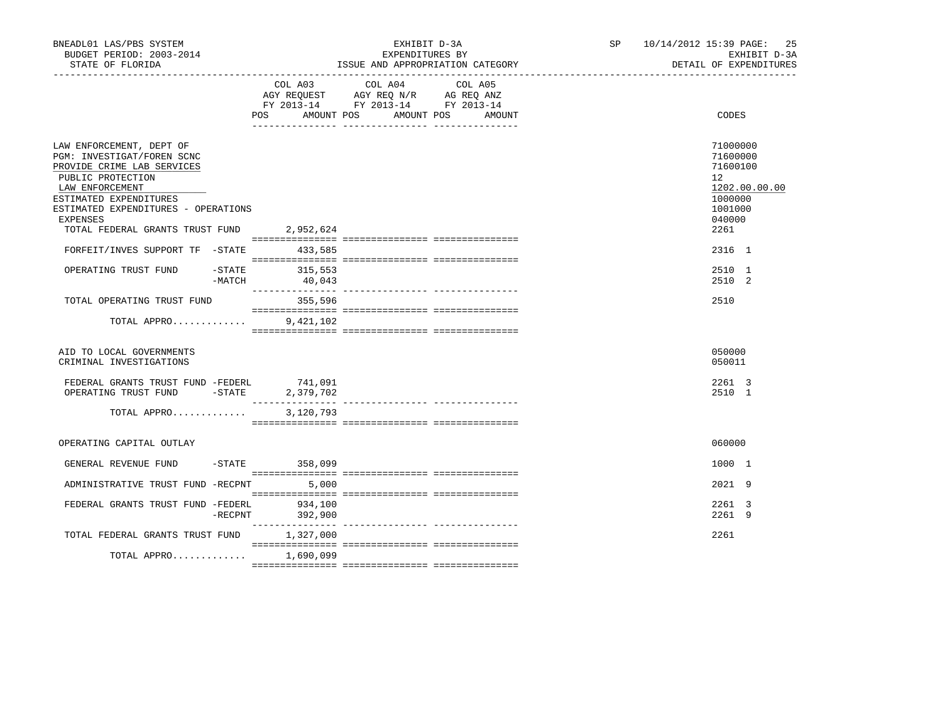| BNEADL01 LAS/PBS SYSTEM<br>BUDGET PERIOD: 2003-2014<br>STATE OF FLORIDA                                                                                                                                          |                          | EXHIBIT D-3A<br>EXPENDITURES BY<br>ISSUE AND APPROPRIATION CATEGORY                                                                         | SP 10/14/2012 15:39 PAGE: 25<br>EXHIBIT D-3A<br>DETAIL OF EXPENDITURES                               |
|------------------------------------------------------------------------------------------------------------------------------------------------------------------------------------------------------------------|--------------------------|---------------------------------------------------------------------------------------------------------------------------------------------|------------------------------------------------------------------------------------------------------|
|                                                                                                                                                                                                                  |                          | COL A03 COL A04<br>COL A05<br>AGY REQUEST AGY REQ N/R AG REQ ANZ<br>FY 2013-14 FY 2013-14 FY 2013-14<br>POS AMOUNT POS AMOUNT POS<br>AMOUNT | CODES                                                                                                |
| LAW ENFORCEMENT, DEPT OF<br>PGM: INVESTIGAT/FOREN SCNC<br>PROVIDE CRIME LAB SERVICES<br>PUBLIC PROTECTION<br>LAW ENFORCEMENT<br>ESTIMATED EXPENDITURES<br>ESTIMATED EXPENDITURES - OPERATIONS<br><b>EXPENSES</b> |                          |                                                                                                                                             | 71000000<br>71600000<br>71600100<br>12 <sup>°</sup><br>1202.00.00.00<br>1000000<br>1001000<br>040000 |
| TOTAL FEDERAL GRANTS TRUST FUND 2,952,624<br>FORFEIT/INVES SUPPORT TF -STATE                                                                                                                                     | 433,585                  |                                                                                                                                             | 2261<br>2316 1                                                                                       |
| OPERATING TRUST FUND<br>-MATCH                                                                                                                                                                                   | -STATE 315,553<br>40,043 |                                                                                                                                             | 2510 1<br>2510 2                                                                                     |
| TOTAL OPERATING TRUST FUND                                                                                                                                                                                       | 355,596                  |                                                                                                                                             | 2510                                                                                                 |
| TOTAL APPRO                                                                                                                                                                                                      | 9,421,102                |                                                                                                                                             |                                                                                                      |
| AID TO LOCAL GOVERNMENTS<br>CRIMINAL INVESTIGATIONS                                                                                                                                                              |                          |                                                                                                                                             | 050000<br>050011                                                                                     |
| FEDERAL GRANTS TRUST FUND -FEDERL 741,091<br>OPERATING TRUST FUND -STATE 2                                                                                                                                       | 2,379,702                | ___________________________________                                                                                                         | 2261 3<br>2510 1                                                                                     |
| TOTAL APPRO                                                                                                                                                                                                      | 3,120,793                |                                                                                                                                             |                                                                                                      |
| OPERATING CAPITAL OUTLAY                                                                                                                                                                                         |                          |                                                                                                                                             | 060000                                                                                               |
| GENERAL REVENUE FUND                                                                                                                                                                                             | -STATE 358,099           |                                                                                                                                             | 1000 1                                                                                               |
| ADMINISTRATIVE TRUST FUND -RECPNT 5,000                                                                                                                                                                          |                          |                                                                                                                                             | 2021 9                                                                                               |
| FEDERAL GRANTS TRUST FUND -FEDERL<br>$-$ RECPNT                                                                                                                                                                  | 934,100<br>392,900       |                                                                                                                                             | 2261 3<br>2261 9                                                                                     |
| TOTAL FEDERAL GRANTS TRUST FUND 1,327,000                                                                                                                                                                        |                          |                                                                                                                                             | 2261                                                                                                 |
| TOTAL APPRO                                                                                                                                                                                                      | 1,690,099                |                                                                                                                                             |                                                                                                      |
|                                                                                                                                                                                                                  |                          |                                                                                                                                             |                                                                                                      |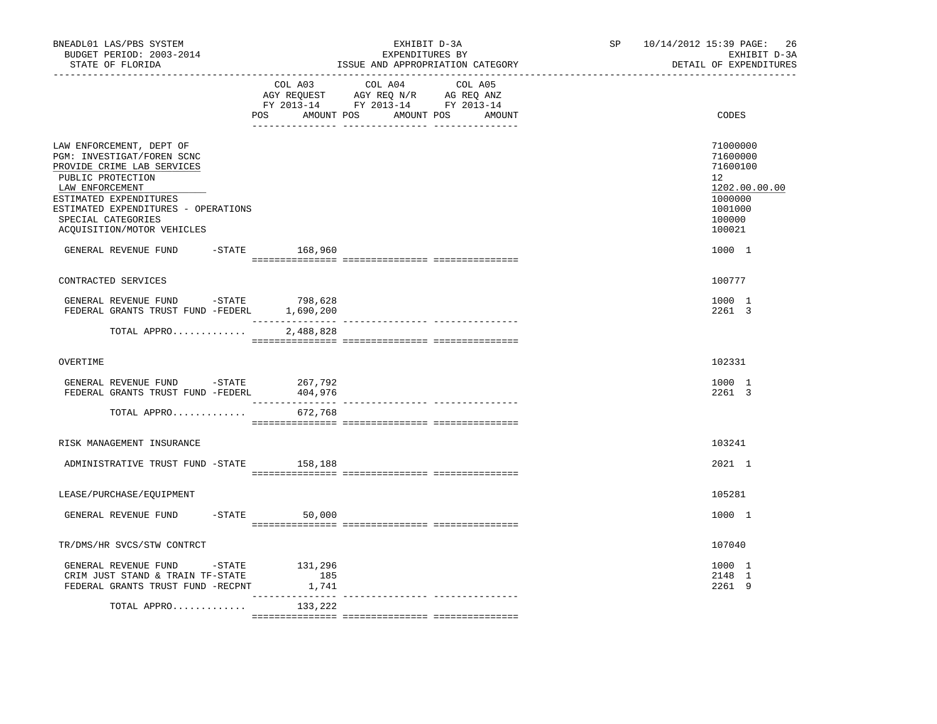| BUDGET PERIOD: 2003-2014<br>STATE OF FLORIDA                                                                                                                                                                                                      |           |                            | EXHIBIT D-3A<br>EXPENDITURES BY<br>ISSUE AND APPROPRIATION CATEGORY                                                                   | SP 10/14/2012 15:39 PAGE: 26<br>EXHIBIT D-3A<br>DETAIL OF EXPENDITURES                            |
|---------------------------------------------------------------------------------------------------------------------------------------------------------------------------------------------------------------------------------------------------|-----------|----------------------------|---------------------------------------------------------------------------------------------------------------------------------------|---------------------------------------------------------------------------------------------------|
|                                                                                                                                                                                                                                                   |           |                            | COL A03 COL A04 COL A05<br>AGY REQUEST AGY REQ N/R AG REQ ANZ<br>FY 2013-14 FY 2013-14 FY 2013-14<br>POS AMOUNT POS AMOUNT POS AMOUNT | CODES                                                                                             |
| LAW ENFORCEMENT, DEPT OF<br>PGM: INVESTIGAT/FOREN SCNC<br>PROVIDE CRIME LAB SERVICES<br>PUBLIC PROTECTION<br>LAW ENFORCEMENT<br>ESTIMATED EXPENDITURES<br>ESTIMATED EXPENDITURES - OPERATIONS<br>SPECIAL CATEGORIES<br>ACQUISITION/MOTOR VEHICLES |           |                            |                                                                                                                                       | 71000000<br>71600000<br>71600100<br>12<br>1202.00.00.00<br>1000000<br>1001000<br>100000<br>100021 |
| GENERAL REVENUE FUND -STATE 168,960                                                                                                                                                                                                               |           |                            |                                                                                                                                       | 1000 1                                                                                            |
| CONTRACTED SERVICES                                                                                                                                                                                                                               |           |                            |                                                                                                                                       | 100777                                                                                            |
| GENERAL REVENUE FUND - STATE<br>FEDERAL GRANTS TRUST FUND -FEDERL 1,690,200                                                                                                                                                                       |           | 798,628                    |                                                                                                                                       | 1000 1<br>2261 3                                                                                  |
| TOTAL APPRO                                                                                                                                                                                                                                       |           | 2,488,828                  |                                                                                                                                       |                                                                                                   |
| OVERTIME                                                                                                                                                                                                                                          |           |                            |                                                                                                                                       | 102331                                                                                            |
| GENERAL REVENUE FUND -STATE<br>FEDERAL GRANTS TRUST FUND -FEDERL                                                                                                                                                                                  |           | 267,792<br>404,976         |                                                                                                                                       | 1000 1<br>2261 3                                                                                  |
| TOTAL APPRO                                                                                                                                                                                                                                       |           | 672,768                    |                                                                                                                                       |                                                                                                   |
| RISK MANAGEMENT INSURANCE                                                                                                                                                                                                                         |           |                            |                                                                                                                                       | 103241                                                                                            |
| ADMINISTRATIVE TRUST FUND -STATE 158,188                                                                                                                                                                                                          |           |                            |                                                                                                                                       | 2021 1                                                                                            |
| LEASE/PURCHASE/EQUIPMENT                                                                                                                                                                                                                          |           |                            |                                                                                                                                       | 105281                                                                                            |
| GENERAL REVENUE FUND                                                                                                                                                                                                                              | $-$ STATE | 50,000                     |                                                                                                                                       | 1000 1                                                                                            |
| TR/DMS/HR SVCS/STW CONTRCT                                                                                                                                                                                                                        |           |                            |                                                                                                                                       | 107040                                                                                            |
| GENERAL REVENUE FUND -STATE<br>CRIM JUST STAND & TRAIN TF-STATE<br>FEDERAL GRANTS TRUST FUND -RECPNT                                                                                                                                              |           | 131,296<br>185<br>1,741    |                                                                                                                                       | 1000 1<br>2148 1<br>2261 9                                                                        |
| TOTAL APPRO                                                                                                                                                                                                                                       |           | _______________<br>133,222 |                                                                                                                                       |                                                                                                   |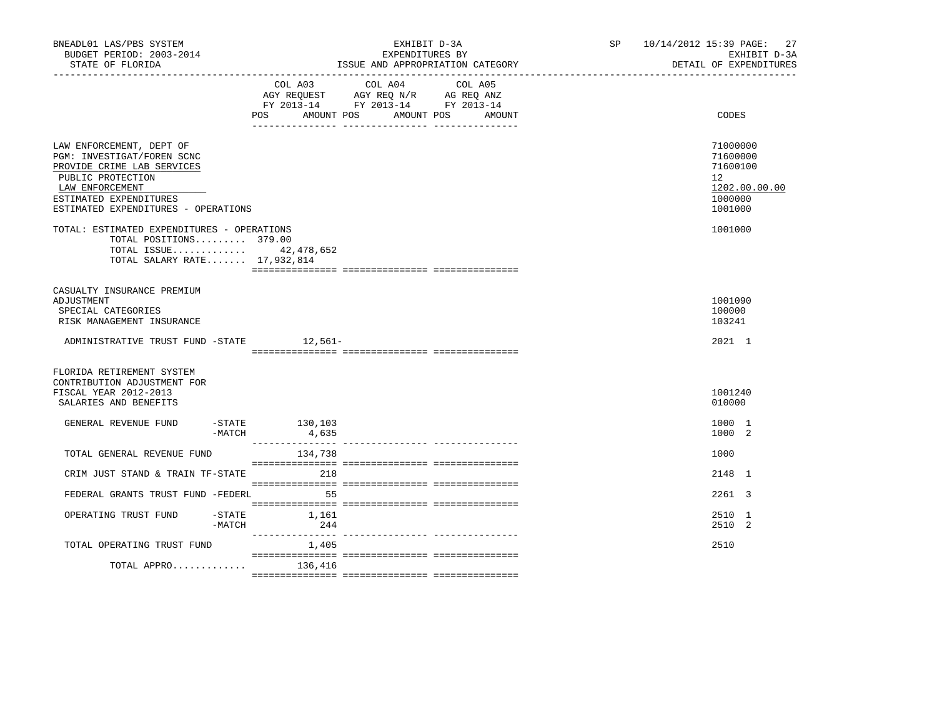| BNEADL01 LAS/PBS SYSTEM<br>BUDGET PERIOD: 2003-2014<br>STATE OF FLORIDA                                                                                                                       |                           | EXHIBIT D-3A<br>EXPENDITURES BY<br>ISSUE AND APPROPRIATION CATEGORY                                                                     | SP 10/14/2012 15:39 PAGE: 27<br>EXHIBIT D-3A<br>DETAIL OF EXPENDITURES        |
|-----------------------------------------------------------------------------------------------------------------------------------------------------------------------------------------------|---------------------------|-----------------------------------------------------------------------------------------------------------------------------------------|-------------------------------------------------------------------------------|
|                                                                                                                                                                                               | <b>POS</b>                | COL A03 COL A04 COL A05<br>AGY REQUEST AGY REQ N/R AG REQ ANZ<br>FY 2013-14 FY 2013-14 FY 2013-14<br>AMOUNT POS<br>AMOUNT POS<br>AMOUNT | CODES                                                                         |
| LAW ENFORCEMENT, DEPT OF<br>PGM: INVESTIGAT/FOREN SCNC<br>PROVIDE CRIME LAB SERVICES<br>PUBLIC PROTECTION<br>LAW ENFORCEMENT<br>ESTIMATED EXPENDITURES<br>ESTIMATED EXPENDITURES - OPERATIONS |                           |                                                                                                                                         | 71000000<br>71600000<br>71600100<br>12<br>1202.00.00.00<br>1000000<br>1001000 |
| TOTAL: ESTIMATED EXPENDITURES - OPERATIONS<br>TOTAL POSITIONS 379.00<br>TOTAL ISSUE 42,478,652<br>TOTAL SALARY RATE 17,932,814                                                                |                           |                                                                                                                                         | 1001000                                                                       |
| CASUALTY INSURANCE PREMIUM<br>ADJUSTMENT<br>SPECIAL CATEGORIES<br>RISK MANAGEMENT INSURANCE                                                                                                   |                           |                                                                                                                                         | 1001090<br>100000<br>103241                                                   |
| ADMINISTRATIVE TRUST FUND -STATE 12,561-                                                                                                                                                      |                           |                                                                                                                                         | 2021 1                                                                        |
| FLORIDA RETIREMENT SYSTEM<br>CONTRIBUTION ADJUSTMENT FOR<br>FISCAL YEAR 2012-2013<br>SALARIES AND BENEFITS                                                                                    |                           |                                                                                                                                         | 1001240<br>010000                                                             |
| GENERAL REVENUE FUND<br>-MATCH                                                                                                                                                                | $-STATE$ 130,103<br>4,635 |                                                                                                                                         | 1000 1<br>1000 2                                                              |
| TOTAL GENERAL REVENUE FUND                                                                                                                                                                    | 134,738                   |                                                                                                                                         | 1000                                                                          |
| CRIM JUST STAND & TRAIN TF-STATE 218                                                                                                                                                          |                           |                                                                                                                                         | 2148 1                                                                        |
| FEDERAL GRANTS TRUST FUND -FEDERL                                                                                                                                                             | 55                        |                                                                                                                                         | 2261 3                                                                        |
| $-$ STATE<br>OPERATING TRUST FUND<br>-MATCH                                                                                                                                                   | 1,161<br>244              |                                                                                                                                         | 2510 1<br>2510 2                                                              |
| TOTAL OPERATING TRUST FUND                                                                                                                                                                    | 1,405                     |                                                                                                                                         | 2510                                                                          |
| TOTAL APPRO                                                                                                                                                                                   | 136,416                   |                                                                                                                                         |                                                                               |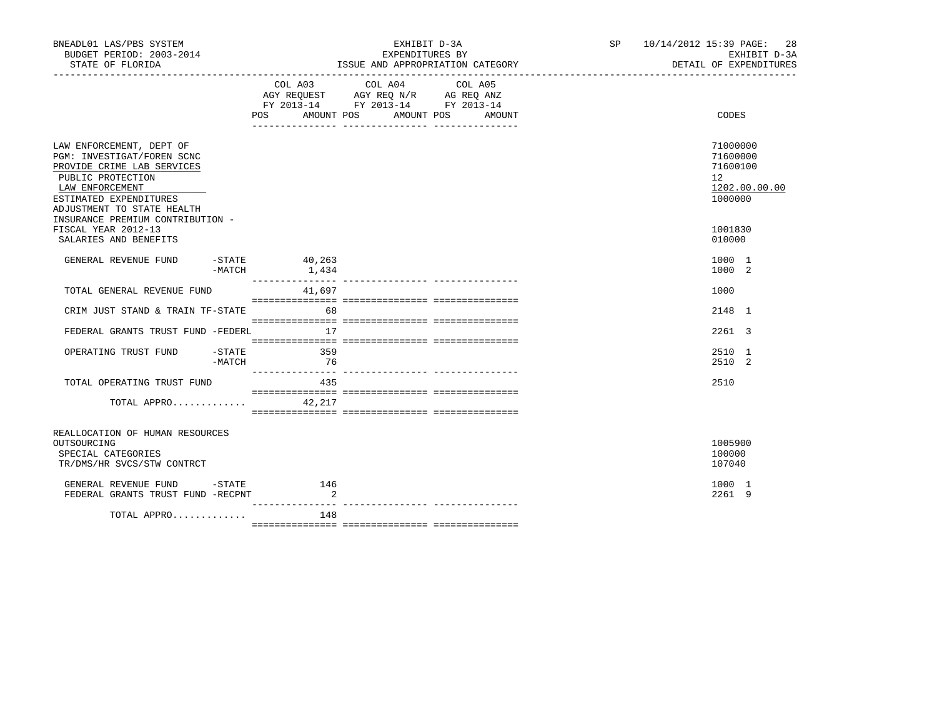| BNEADL01 LAS/PBS SYSTEM<br>BUDGET PERIOD: 2003-2014<br>STATE OF FLORIDA                                                                                                                                                  |                                     | EXHIBIT D-3A<br>EXPENDITURES BY<br>ISSUE AND APPROPRIATION CATEGORY                                                                   | SP 10/14/2012 15:39 PAGE: 28<br>EXHIBIT D-3A<br>DETAIL OF EXPENDITURES          |
|--------------------------------------------------------------------------------------------------------------------------------------------------------------------------------------------------------------------------|-------------------------------------|---------------------------------------------------------------------------------------------------------------------------------------|---------------------------------------------------------------------------------|
|                                                                                                                                                                                                                          |                                     | COL A03 COL A04 COL A05<br>AGY REQUEST AGY REQ N/R AG REQ ANZ<br>FY 2013-14 FY 2013-14 FY 2013-14<br>POS AMOUNT POS AMOUNT POS AMOUNT | CODES                                                                           |
| LAW ENFORCEMENT, DEPT OF<br>PGM: INVESTIGAT/FOREN SCNC<br>PROVIDE CRIME LAB SERVICES<br>PUBLIC PROTECTION<br>LAW ENFORCEMENT<br>ESTIMATED EXPENDITURES<br>ADJUSTMENT TO STATE HEALTH<br>INSURANCE PREMIUM CONTRIBUTION - |                                     |                                                                                                                                       | 71000000<br>71600000<br>71600100<br>12 <sub>2</sub><br>1202.00.00.00<br>1000000 |
| FISCAL YEAR 2012-13<br>SALARIES AND BENEFITS                                                                                                                                                                             |                                     |                                                                                                                                       | 1001830<br>010000                                                               |
| GENERAL REVENUE FUND                                                                                                                                                                                                     | $-$ STATE 40, 263<br>$-MATCH$ 1,434 |                                                                                                                                       | 1000 1<br>1000 2                                                                |
| TOTAL GENERAL REVENUE FUND                                                                                                                                                                                               | 41,697                              |                                                                                                                                       | 1000                                                                            |
| CRIM JUST STAND & TRAIN TF-STATE                                                                                                                                                                                         | 68                                  |                                                                                                                                       | 2148 1                                                                          |
| FEDERAL GRANTS TRUST FUND -FEDERL                                                                                                                                                                                        | 17                                  |                                                                                                                                       | $2261 \quad 3$                                                                  |
| OPERATING TRUST FUND -STATE<br>$-MATCH$                                                                                                                                                                                  | 359<br>76                           |                                                                                                                                       | 2510 1<br>2510 2                                                                |
| TOTAL OPERATING TRUST FUND                                                                                                                                                                                               | 435                                 |                                                                                                                                       | 2510                                                                            |
| TOTAL APPRO $42,217$                                                                                                                                                                                                     |                                     |                                                                                                                                       |                                                                                 |
| REALLOCATION OF HUMAN RESOURCES<br>OUTSOURCING<br>SPECIAL CATEGORIES<br>TR/DMS/HR SVCS/STW CONTRCT                                                                                                                       |                                     |                                                                                                                                       | 1005900<br>100000<br>107040                                                     |
| GENERAL REVENUE FUND -STATE 146<br>FEDERAL GRANTS TRUST FUND -RECPNT                                                                                                                                                     | $\sim$ 2                            |                                                                                                                                       | 1000 1<br>2261 9                                                                |
| TOTAL APPRO                                                                                                                                                                                                              | 148                                 |                                                                                                                                       |                                                                                 |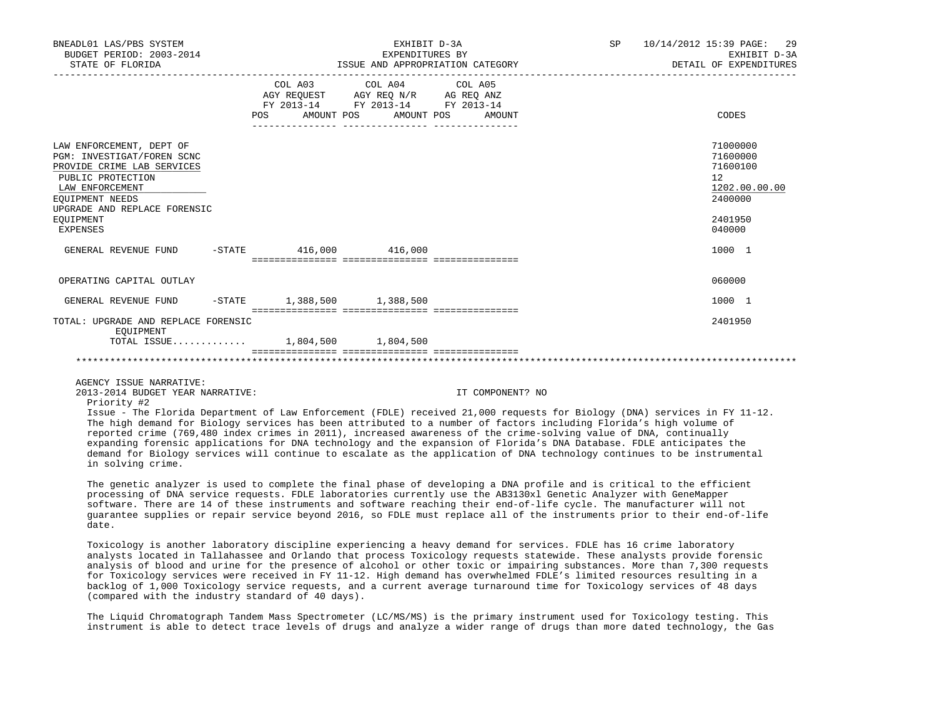| BNEADL01 LAS/PBS SYSTEM<br>BUDGET PERIOD: 2003-2014<br>STATE OF FLORIDA                                                                                                                                                                                                                                                                                                                                                                                                                                                                                                                                                                                                                                                    |                                  | EXHIBIT D-3A<br>EXPENDITURES BY                                                   | ISSUE AND APPROPRIATION CATEGORY<br>. _ _ _ _ _ _ _ _ _ _ _ _ _ | SP | 10/14/2012 15:39 PAGE:<br>29<br>EXHIBIT D-3A<br>DETAIL OF EXPENDITURES |
|----------------------------------------------------------------------------------------------------------------------------------------------------------------------------------------------------------------------------------------------------------------------------------------------------------------------------------------------------------------------------------------------------------------------------------------------------------------------------------------------------------------------------------------------------------------------------------------------------------------------------------------------------------------------------------------------------------------------------|----------------------------------|-----------------------------------------------------------------------------------|-----------------------------------------------------------------|----|------------------------------------------------------------------------|
|                                                                                                                                                                                                                                                                                                                                                                                                                                                                                                                                                                                                                                                                                                                            | COL A03<br>AMOUNT POS<br>POS FOR | COL A04<br>AGY REQUEST AGY REQ N/R AG REQ ANZ<br>FY 2013-14 FY 2013-14 FY 2013-14 | COL A05<br>AMOUNT POS<br>AMOUNT                                 |    | CODES                                                                  |
| LAW ENFORCEMENT, DEPT OF<br>PGM: INVESTIGAT/FOREN SCNC<br>PROVIDE CRIME LAB SERVICES<br>PUBLIC PROTECTION<br>LAW ENFORCEMENT<br>EOUIPMENT NEEDS<br>UPGRADE AND REPLACE FORENSIC                                                                                                                                                                                                                                                                                                                                                                                                                                                                                                                                            |                                  |                                                                                   |                                                                 |    | 71000000<br>71600000<br>71600100<br>12<br>1202.00.00.00<br>2400000     |
| EOUIPMENT<br><b>EXPENSES</b>                                                                                                                                                                                                                                                                                                                                                                                                                                                                                                                                                                                                                                                                                               |                                  |                                                                                   |                                                                 |    | 2401950<br>040000                                                      |
| GENERAL REVENUE FUND                                                                                                                                                                                                                                                                                                                                                                                                                                                                                                                                                                                                                                                                                                       | $-$ STATE 416,000 416,000        |                                                                                   |                                                                 |    | 1000 1                                                                 |
| OPERATING CAPITAL OUTLAY                                                                                                                                                                                                                                                                                                                                                                                                                                                                                                                                                                                                                                                                                                   |                                  |                                                                                   |                                                                 |    | 060000                                                                 |
| GENERAL REVENUE FUND                                                                                                                                                                                                                                                                                                                                                                                                                                                                                                                                                                                                                                                                                                       | $-STATE$ 1,388,500 1,388,500     |                                                                                   |                                                                 |    | 1000 1                                                                 |
| TOTAL: UPGRADE AND REPLACE FORENSIC<br>EOUIPMENT<br>TOTAL ISSUE 1,804,500 1,804,500                                                                                                                                                                                                                                                                                                                                                                                                                                                                                                                                                                                                                                        |                                  |                                                                                   |                                                                 |    | 2401950                                                                |
|                                                                                                                                                                                                                                                                                                                                                                                                                                                                                                                                                                                                                                                                                                                            |                                  |                                                                                   |                                                                 |    |                                                                        |
| AGENCY ISSUE NARRATIVE:<br>2013-2014 BUDGET YEAR NARRATIVE:<br>Priority #2<br>Issue - The Florida Department of Law Enforcement (FDLE) received 21,000 requests for Biology (DNA) services in FY 11-12.<br>The high demand for Biology services has been attributed to a number of factors including Florida's high volume of<br>reported crime (769,480 index crimes in 2011), increased awareness of the crime-solving value of DNA, continually<br>expanding forensic applications for DNA technology and the expansion of Florida's DNA Database. FDLE anticipates the<br>demand for Biology services will continue to escalate as the application of DNA technology continues to be instrumental<br>in solving crime. |                                  |                                                                                   | IT COMPONENT? NO                                                |    |                                                                        |
| The genetic analyzer is used to complete the final phase of developing a DNA profile and is critical to the efficient<br>processing of DNA service requests. FDLE laboratories currently use the AB3130xl Genetic Analyzer with GeneMapper<br>software. There are 14 of these instruments and software reaching their end-of-life cycle. The manufacturer will not<br>quarantee supplies or repair service beyond 2016, so FDLE must replace all of the instruments prior to their end-of-life<br>date.                                                                                                                                                                                                                    |                                  |                                                                                   |                                                                 |    |                                                                        |

 Toxicology is another laboratory discipline experiencing a heavy demand for services. FDLE has 16 crime laboratory analysts located in Tallahassee and Orlando that process Toxicology requests statewide. These analysts provide forensic analysis of blood and urine for the presence of alcohol or other toxic or impairing substances. More than 7,300 requests for Toxicology services were received in FY 11-12. High demand has overwhelmed FDLE's limited resources resulting in a backlog of 1,000 Toxicology service requests, and a current average turnaround time for Toxicology services of 48 days (compared with the industry standard of 40 days).

 The Liquid Chromatograph Tandem Mass Spectrometer (LC/MS/MS) is the primary instrument used for Toxicology testing. This instrument is able to detect trace levels of drugs and analyze a wider range of drugs than more dated technology, the Gas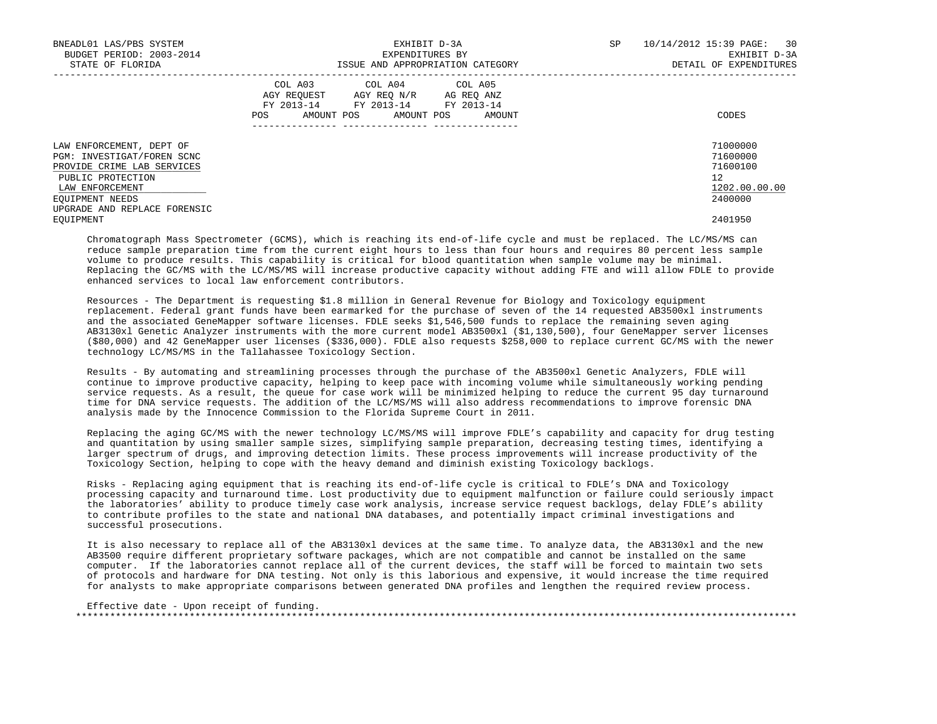| BNEADL01 LAS/PBS SYSTEM<br>BUDGET PERIOD: 2003-2014<br>STATE OF FLORIDA                                                                                                         | EXHIBIT D-3A<br>EXPENDITURES BY<br>ISSUE AND APPROPRIATION CATEGORY                                                                                  | 10/14/2012 15:39 PAGE: 30<br>SP<br>EXHIBIT D-3A<br>DETAIL OF EXPENDITURES |
|---------------------------------------------------------------------------------------------------------------------------------------------------------------------------------|------------------------------------------------------------------------------------------------------------------------------------------------------|---------------------------------------------------------------------------|
|                                                                                                                                                                                 | COL A03 COL A04 COL A05<br>AGY REOUEST<br>AGY REO N/R AG REO ANZ<br>FY 2013-14<br>FY 2013-14 FY 2013-14<br>AMOUNT POS<br>AMOUNT POS<br>AMOUNT<br>POS | CODES                                                                     |
| LAW ENFORCEMENT, DEPT OF<br>PGM: INVESTIGAT/FOREN SCNC<br>PROVIDE CRIME LAB SERVICES<br>PUBLIC PROTECTION<br>LAW ENFORCEMENT<br>EOUIPMENT NEEDS<br>UPGRADE AND REPLACE FORENSIC |                                                                                                                                                      | 71000000<br>71600000<br>71600100<br>12<br>1202.00.00.00<br>2400000        |
| EOUIPMENT                                                                                                                                                                       |                                                                                                                                                      | 2401950                                                                   |

 Chromatograph Mass Spectrometer (GCMS), which is reaching its end-of-life cycle and must be replaced. The LC/MS/MS can reduce sample preparation time from the current eight hours to less than four hours and requires 80 percent less sample volume to produce results. This capability is critical for blood quantitation when sample volume may be minimal. Replacing the GC/MS with the LC/MS/MS will increase productive capacity without adding FTE and will allow FDLE to provide enhanced services to local law enforcement contributors.

 Resources - The Department is requesting \$1.8 million in General Revenue for Biology and Toxicology equipment replacement. Federal grant funds have been earmarked for the purchase of seven of the 14 requested AB3500xl instruments and the associated GeneMapper software licenses. FDLE seeks \$1,546,500 funds to replace the remaining seven aging AB3130xl Genetic Analyzer instruments with the more current model AB3500xl (\$1,130,500), four GeneMapper server licenses (\$80,000) and 42 GeneMapper user licenses (\$336,000). FDLE also requests \$258,000 to replace current GC/MS with the newer technology LC/MS/MS in the Tallahassee Toxicology Section.

 Results - By automating and streamlining processes through the purchase of the AB3500xl Genetic Analyzers, FDLE will continue to improve productive capacity, helping to keep pace with incoming volume while simultaneously working pending service requests. As a result, the queue for case work will be minimized helping to reduce the current 95 day turnaround time for DNA service requests. The addition of the LC/MS/MS will also address recommendations to improve forensic DNA analysis made by the Innocence Commission to the Florida Supreme Court in 2011.

 Replacing the aging GC/MS with the newer technology LC/MS/MS will improve FDLE's capability and capacity for drug testing and quantitation by using smaller sample sizes, simplifying sample preparation, decreasing testing times, identifying a larger spectrum of drugs, and improving detection limits. These process improvements will increase productivity of the Toxicology Section, helping to cope with the heavy demand and diminish existing Toxicology backlogs.

 Risks - Replacing aging equipment that is reaching its end-of-life cycle is critical to FDLE's DNA and Toxicology processing capacity and turnaround time. Lost productivity due to equipment malfunction or failure could seriously impact the laboratories' ability to produce timely case work analysis, increase service request backlogs, delay FDLE's ability to contribute profiles to the state and national DNA databases, and potentially impact criminal investigations and successful prosecutions.

 It is also necessary to replace all of the AB3130xl devices at the same time. To analyze data, the AB3130xl and the new AB3500 require different proprietary software packages, which are not compatible and cannot be installed on the same computer. If the laboratories cannot replace all of the current devices, the staff will be forced to maintain two sets of protocols and hardware for DNA testing. Not only is this laborious and expensive, it would increase the time required for analysts to make appropriate comparisons between generated DNA profiles and lengthen the required review process.

 Effective date - Upon receipt of funding. \*\*\*\*\*\*\*\*\*\*\*\*\*\*\*\*\*\*\*\*\*\*\*\*\*\*\*\*\*\*\*\*\*\*\*\*\*\*\*\*\*\*\*\*\*\*\*\*\*\*\*\*\*\*\*\*\*\*\*\*\*\*\*\*\*\*\*\*\*\*\*\*\*\*\*\*\*\*\*\*\*\*\*\*\*\*\*\*\*\*\*\*\*\*\*\*\*\*\*\*\*\*\*\*\*\*\*\*\*\*\*\*\*\*\*\*\*\*\*\*\*\*\*\*\*\*\*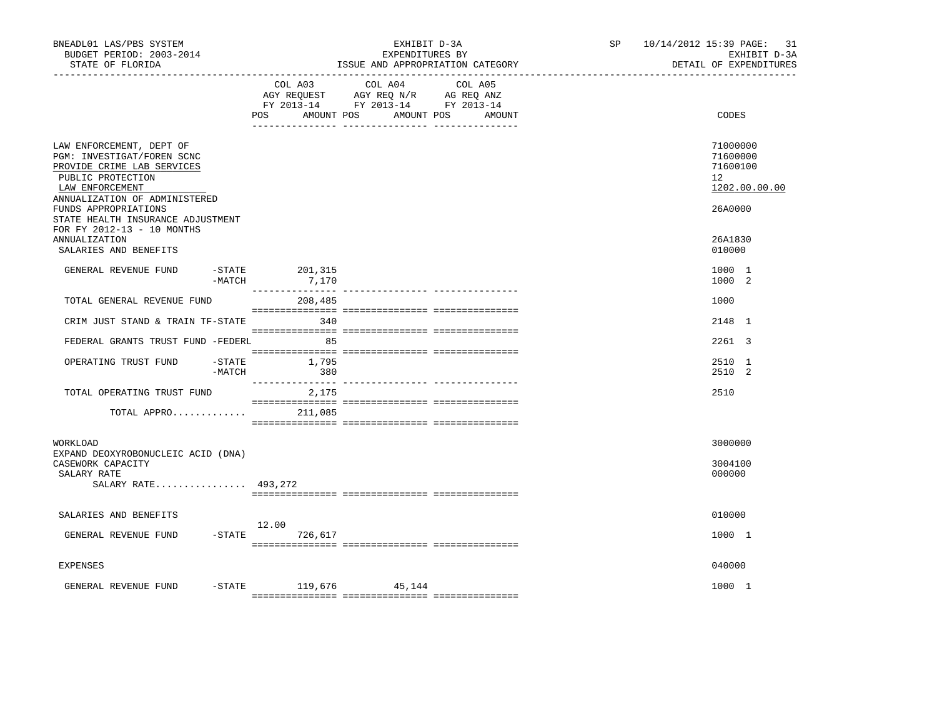| BNEADL01 LAS/PBS SYSTEM<br>BUDGET PERIOD: 2003-2014<br>STATE OF FLORIDA                                                      |                            | EXHIBIT D-3A<br>EXPENDITURES BY<br>ISSUE AND APPROPRIATION CATEGORY                                                                   | SP | 10/14/2012 15:39 PAGE: 31<br>EXHIBIT D-3A<br>DETAIL OF EXPENDITURES |
|------------------------------------------------------------------------------------------------------------------------------|----------------------------|---------------------------------------------------------------------------------------------------------------------------------------|----|---------------------------------------------------------------------|
|                                                                                                                              |                            | COL A03 COL A04 COL A05<br>AGY REQUEST AGY REQ N/R AG REQ ANZ<br>FY 2013-14 FY 2013-14 FY 2013-14<br>POS AMOUNT POS AMOUNT POS AMOUNT |    | CODES                                                               |
| LAW ENFORCEMENT, DEPT OF<br>PGM: INVESTIGAT/FOREN SCNC<br>PROVIDE CRIME LAB SERVICES<br>PUBLIC PROTECTION<br>LAW ENFORCEMENT |                            |                                                                                                                                       |    | 71000000<br>71600000<br>71600100<br>12<br>1202.00.00.00             |
| ANNUALIZATION OF ADMINISTERED<br>FUNDS APPROPRIATIONS<br>STATE HEALTH INSURANCE ADJUSTMENT<br>FOR FY 2012-13 - 10 MONTHS     |                            |                                                                                                                                       |    | 26A0000                                                             |
| ANNUALIZATION<br>SALARIES AND BENEFITS                                                                                       |                            |                                                                                                                                       |    | 26A1830<br>010000                                                   |
| GENERAL REVENUE FUND<br>-MATCH                                                                                               | $-STATE$ 201, 315<br>7,170 |                                                                                                                                       |    | 1000 1<br>1000 2                                                    |
| TOTAL GENERAL REVENUE FUND                                                                                                   | 208,485                    |                                                                                                                                       |    | 1000                                                                |
| CRIM JUST STAND & TRAIN TF-STATE                                                                                             | 340                        |                                                                                                                                       |    | 2148 1                                                              |
| FEDERAL GRANTS TRUST FUND -FEDERL                                                                                            | 85                         |                                                                                                                                       |    | 2261 3                                                              |
| OPERATING TRUST FUND<br>-STATE<br>-MATCH                                                                                     | 1,795<br>380               |                                                                                                                                       |    | 2510 1<br>2510 2                                                    |
| TOTAL OPERATING TRUST FUND                                                                                                   | 2,175                      |                                                                                                                                       |    | 2510                                                                |
| TOTAL APPRO                                                                                                                  | 211,085                    |                                                                                                                                       |    |                                                                     |
| WORKLOAD                                                                                                                     |                            |                                                                                                                                       |    | 3000000                                                             |
| EXPAND DEOXYROBONUCLEIC ACID (DNA)<br>CASEWORK CAPACITY<br>SALARY RATE<br>SALARY RATE 493,272                                |                            |                                                                                                                                       |    | 3004100<br>000000                                                   |
|                                                                                                                              |                            |                                                                                                                                       |    |                                                                     |
| SALARIES AND BENEFITS                                                                                                        | 12.00                      |                                                                                                                                       |    | 010000                                                              |
| GENERAL REVENUE FUND                                                                                                         | -STATE 726,617             |                                                                                                                                       |    | 1000 1                                                              |
| <b>EXPENSES</b>                                                                                                              |                            |                                                                                                                                       |    | 040000                                                              |
| GENERAL REVENUE FUND                                                                                                         | $-$ STATE 119,676 45,144   |                                                                                                                                       |    | 1000 1                                                              |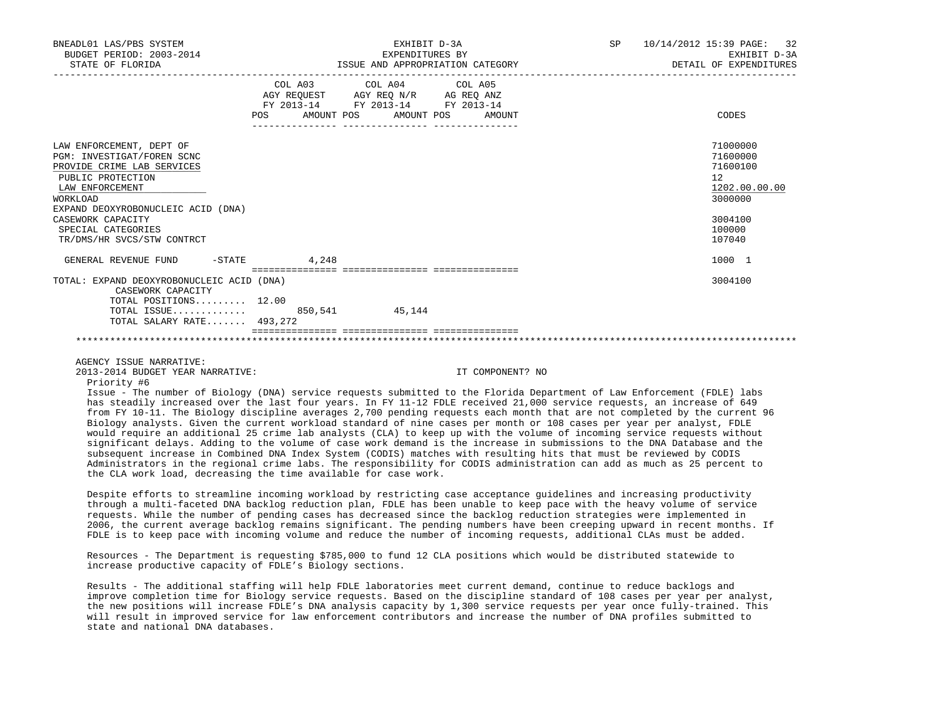| BNEADL01 LAS/PBS SYSTEM<br>BUDGET PERIOD: 2003-2014<br>STATE OF FLORIDA                                                                  |                                  | EXHIBIT D-3A<br>EXPENDITURES BY<br>ISSUE AND APPROPRIATION CATEGORY                                                                      | SP <sub>2</sub> | 10/14/2012 15:39 PAGE: 32<br>EXHIBIT D-3A<br>DETAIL OF EXPENDITURES |
|------------------------------------------------------------------------------------------------------------------------------------------|----------------------------------|------------------------------------------------------------------------------------------------------------------------------------------|-----------------|---------------------------------------------------------------------|
|                                                                                                                                          |                                  | COL A03 COL A04 COL A05<br>AGY REQUEST AGY REQ N/R AG REQ ANZ<br>FY 2013-14 FY 2013-14 FY 2013-14<br>POS AMOUNT POS AMOUNT POS<br>AMOUNT |                 | CODES                                                               |
| LAW ENFORCEMENT, DEPT OF<br>PGM: INVESTIGAT/FOREN SCNC<br>PROVIDE CRIME LAB SERVICES<br>PUBLIC PROTECTION<br>LAW ENFORCEMENT<br>WORKLOAD |                                  |                                                                                                                                          |                 | 71000000<br>71600000<br>71600100<br>12<br>1202.00.00.00<br>3000000  |
| EXPAND DEOXYROBONUCLEIC ACID (DNA)<br>CASEWORK CAPACITY<br>SPECIAL CATEGORIES<br>TR/DMS/HR SVCS/STW CONTRCT                              |                                  |                                                                                                                                          |                 | 3004100<br>100000<br>107040                                         |
| GENERAL REVENUE FUND -STATE                                                                                                              | 4,248                            |                                                                                                                                          |                 | 1000 1                                                              |
| TOTAL: EXPAND DEOXYROBONUCLEIC ACID (DNA)<br>CASEWORK CAPACITY<br>TOTAL POSITIONS $12.00$                                                | ================================ |                                                                                                                                          |                 | 3004100                                                             |
| TOTAL ISSUE 850,541 45,144<br>TOTAL SALARY RATE 493,272                                                                                  |                                  |                                                                                                                                          |                 |                                                                     |
|                                                                                                                                          |                                  |                                                                                                                                          |                 |                                                                     |

AGENCY ISSUE NARRATIVE:

2013-2014 BUDGET YEAR NARRATIVE: IT COMPONENT? NO

Priority #6

 Issue - The number of Biology (DNA) service requests submitted to the Florida Department of Law Enforcement (FDLE) labs has steadily increased over the last four years. In FY 11-12 FDLE received 21,000 service requests, an increase of 649 from FY 10-11. The Biology discipline averages 2,700 pending requests each month that are not completed by the current 96 Biology analysts. Given the current workload standard of nine cases per month or 108 cases per year per analyst, FDLE would require an additional 25 crime lab analysts (CLA) to keep up with the volume of incoming service requests without significant delays. Adding to the volume of case work demand is the increase in submissions to the DNA Database and the subsequent increase in Combined DNA Index System (CODIS) matches with resulting hits that must be reviewed by CODIS Administrators in the regional crime labs. The responsibility for CODIS administration can add as much as 25 percent to the CLA work load, decreasing the time available for case work.

 Despite efforts to streamline incoming workload by restricting case acceptance guidelines and increasing productivity through a multi-faceted DNA backlog reduction plan, FDLE has been unable to keep pace with the heavy volume of service requests. While the number of pending cases has decreased since the backlog reduction strategies were implemented in 2006, the current average backlog remains significant. The pending numbers have been creeping upward in recent months. If FDLE is to keep pace with incoming volume and reduce the number of incoming requests, additional CLAs must be added.

 Resources - The Department is requesting \$785,000 to fund 12 CLA positions which would be distributed statewide to increase productive capacity of FDLE's Biology sections.

 Results - The additional staffing will help FDLE laboratories meet current demand, continue to reduce backlogs and improve completion time for Biology service requests. Based on the discipline standard of 108 cases per year per analyst, the new positions will increase FDLE's DNA analysis capacity by 1,300 service requests per year once fully-trained. This will result in improved service for law enforcement contributors and increase the number of DNA profiles submitted to state and national DNA databases.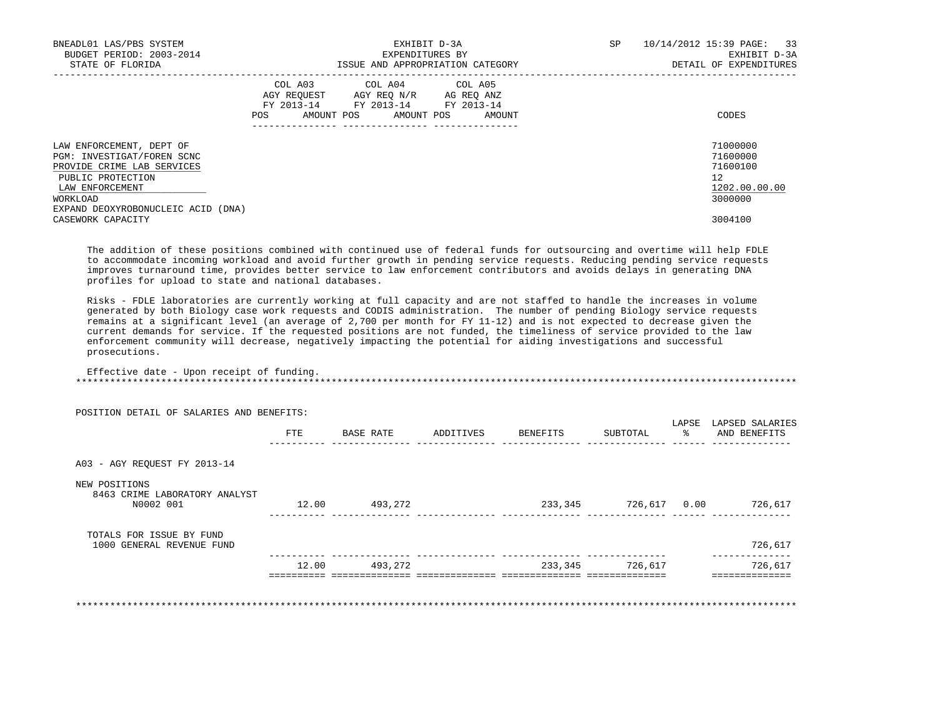| BNEADL01 LAS/PBS SYSTEM<br>BUDGET PERIOD: 2003-2014<br>STATE OF FLORIDA                                                      | EXHIBIT D-3A<br>EXPENDITURES BY<br>ISSUE AND APPROPRIATION CATEGORY                                                                                  | 10/14/2012 15:39 PAGE: 33<br>SP<br>EXHIBIT D-3A<br>DETAIL OF EXPENDITURES |
|------------------------------------------------------------------------------------------------------------------------------|------------------------------------------------------------------------------------------------------------------------------------------------------|---------------------------------------------------------------------------|
|                                                                                                                              | COL A03 COL A04 COL A05<br>AGY REOUEST AGY REO N/R<br>AG REQ ANZ<br>FY 2013-14 FY 2013-14<br>FY 2013-14<br>AMOUNT POS<br>AMOUNT POS<br>POS<br>AMOUNT | CODES                                                                     |
| LAW ENFORCEMENT, DEPT OF<br>PGM: INVESTIGAT/FOREN SCNC<br>PROVIDE CRIME LAB SERVICES<br>PUBLIC PROTECTION<br>LAW ENFORCEMENT |                                                                                                                                                      | 71000000<br>71600000<br>71600100<br>12 <sup>°</sup><br>1202.00.00.00      |
| WORKLOAD<br>EXPAND DEOXYROBONUCLEIC ACID (DNA)<br>CASEWORK CAPACITY                                                          |                                                                                                                                                      | 3000000<br>3004100                                                        |

 The addition of these positions combined with continued use of federal funds for outsourcing and overtime will help FDLE to accommodate incoming workload and avoid further growth in pending service requests. Reducing pending service requests improves turnaround time, provides better service to law enforcement contributors and avoids delays in generating DNA profiles for upload to state and national databases.

 Risks - FDLE laboratories are currently working at full capacity and are not staffed to handle the increases in volume generated by both Biology case work requests and CODIS administration. The number of pending Biology service requests remains at a significant level (an average of 2,700 per month for FY 11-12) and is not expected to decrease given the current demands for service. If the requested positions are not funded, the timeliness of service provided to the law enforcement community will decrease, negatively impacting the potential for aiding investigations and successful prosecutions.

 Effective date - Upon receipt of funding. \*\*\*\*\*\*\*\*\*\*\*\*\*\*\*\*\*\*\*\*\*\*\*\*\*\*\*\*\*\*\*\*\*\*\*\*\*\*\*\*\*\*\*\*\*\*\*\*\*\*\*\*\*\*\*\*\*\*\*\*\*\*\*\*\*\*\*\*\*\*\*\*\*\*\*\*\*\*\*\*\*\*\*\*\*\*\*\*\*\*\*\*\*\*\*\*\*\*\*\*\*\*\*\*\*\*\*\*\*\*\*\*\*\*\*\*\*\*\*\*\*\*\*\*\*\*\*

|                                                             | FTE   | BASE RATE | ADDITIVES | BENEFITS | SUBTOTAL     | LAPSE | LAPSED SALARIES<br>AND BENEFITS |
|-------------------------------------------------------------|-------|-----------|-----------|----------|--------------|-------|---------------------------------|
| A03 - AGY REOUEST FY 2013-14                                |       |           |           |          |              |       |                                 |
| NEW POSITIONS<br>8463 CRIME LABORATORY ANALYST<br>N0002 001 | 12.00 | 493,272   |           | 233,345  | 726,617 0.00 |       | 726,617                         |
| TOTALS FOR ISSUE BY FUND<br>1000 GENERAL REVENUE FUND       |       |           |           |          |              |       | 726,617                         |
|                                                             | 12.00 | 493,272   |           | 233,345  | 726,617      |       | 726,617                         |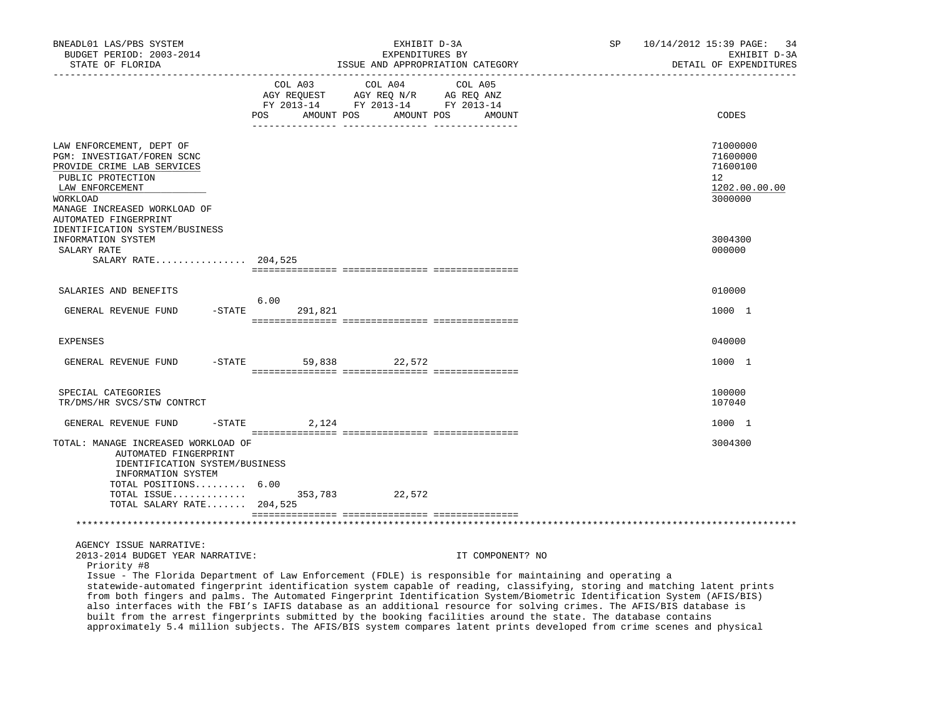| BNEADL01 LAS/PBS SYSTEM<br>BUDGET PERIOD: 2003-2014<br>STATE OF FLORIDA                                                                                                                           | EXHIBIT D-3A<br>EXPENDITURES BY<br>ISSUE AND APPROPRIATION CATEGORY                                                                                                                                                                                                                                                                                                                                                                                                                                                                                                                                                           | SP<br>10/14/2012 15:39 PAGE:<br>34<br>EXHIBIT D-3A<br>DETAIL OF EXPENDITURES |
|---------------------------------------------------------------------------------------------------------------------------------------------------------------------------------------------------|-------------------------------------------------------------------------------------------------------------------------------------------------------------------------------------------------------------------------------------------------------------------------------------------------------------------------------------------------------------------------------------------------------------------------------------------------------------------------------------------------------------------------------------------------------------------------------------------------------------------------------|------------------------------------------------------------------------------|
|                                                                                                                                                                                                   | COL A03<br>COL A04<br>COL A05<br>AGY REQ N/R AG REQ ANZ<br>AGY REQUEST<br>FY 2013-14 FY 2013-14 FY 2013-14<br>POS DO<br>AMOUNT POS<br>AMOUNT POS<br>AMOUNT                                                                                                                                                                                                                                                                                                                                                                                                                                                                    | CODES                                                                        |
| LAW ENFORCEMENT, DEPT OF<br>PGM: INVESTIGAT/FOREN SCNC<br>PROVIDE CRIME LAB SERVICES<br>PUBLIC PROTECTION<br>LAW ENFORCEMENT<br>WORKLOAD<br>MANAGE INCREASED WORKLOAD OF<br>AUTOMATED FINGERPRINT |                                                                                                                                                                                                                                                                                                                                                                                                                                                                                                                                                                                                                               | 71000000<br>71600000<br>71600100<br>12<br>1202.00.00.00<br>3000000           |
| IDENTIFICATION SYSTEM/BUSINESS<br>INFORMATION SYSTEM<br>SALARY RATE<br>SALARY RATE 204,525                                                                                                        |                                                                                                                                                                                                                                                                                                                                                                                                                                                                                                                                                                                                                               | 3004300<br>000000                                                            |
| SALARIES AND BENEFITS                                                                                                                                                                             |                                                                                                                                                                                                                                                                                                                                                                                                                                                                                                                                                                                                                               | 010000                                                                       |
| $-$ STATE<br>GENERAL REVENUE FUND                                                                                                                                                                 | 6.00<br>291,821                                                                                                                                                                                                                                                                                                                                                                                                                                                                                                                                                                                                               | 1000 1                                                                       |
| <b>EXPENSES</b>                                                                                                                                                                                   |                                                                                                                                                                                                                                                                                                                                                                                                                                                                                                                                                                                                                               | 040000                                                                       |
| $-$ STATE<br>GENERAL REVENUE FUND                                                                                                                                                                 | 59,838 22,572                                                                                                                                                                                                                                                                                                                                                                                                                                                                                                                                                                                                                 | 1000 1                                                                       |
| SPECIAL CATEGORIES<br>TR/DMS/HR SVCS/STW CONTRCT                                                                                                                                                  |                                                                                                                                                                                                                                                                                                                                                                                                                                                                                                                                                                                                                               | 100000<br>107040                                                             |
| $-STATE$<br>GENERAL REVENUE FUND                                                                                                                                                                  | 2,124                                                                                                                                                                                                                                                                                                                                                                                                                                                                                                                                                                                                                         | 1000 1                                                                       |
| TOTAL: MANAGE INCREASED WORKLOAD OF<br>AUTOMATED FINGERPRINT<br>IDENTIFICATION SYSTEM/BUSINESS<br>INFORMATION SYSTEM<br>TOTAL POSITIONS 6.00<br>TOTAL ISSUE<br>TOTAL SALARY RATE 204,525          | 353,783 22,572                                                                                                                                                                                                                                                                                                                                                                                                                                                                                                                                                                                                                | 3004300                                                                      |
|                                                                                                                                                                                                   |                                                                                                                                                                                                                                                                                                                                                                                                                                                                                                                                                                                                                               |                                                                              |
| AGENCY ISSUE NARRATIVE:<br>2013-2014 BUDGET YEAR NARRATIVE:<br>Priority #8                                                                                                                        | IT COMPONENT? NO<br>Issue - The Florida Department of Law Enforcement (FDLE) is responsible for maintaining and operating a<br>statewide-automated fingerprint identification system capable of reading, classifying, storing and matching latent prints<br>from both fingers and palms. The Automated Fingerprint Identification System/Biometric Identification System (AFIS/BIS)<br>also interfaces with the FBI's IAFIS database as an additional resource for solving crimes. The AFIS/BIS database is<br>built from the arrest fingerprints submitted by the booking facilities around the state. The database contains |                                                                              |
|                                                                                                                                                                                                   | approximately 5.4 million subjects. The AFIS/BIS system compares latent prints developed from crime scenes and physical                                                                                                                                                                                                                                                                                                                                                                                                                                                                                                       |                                                                              |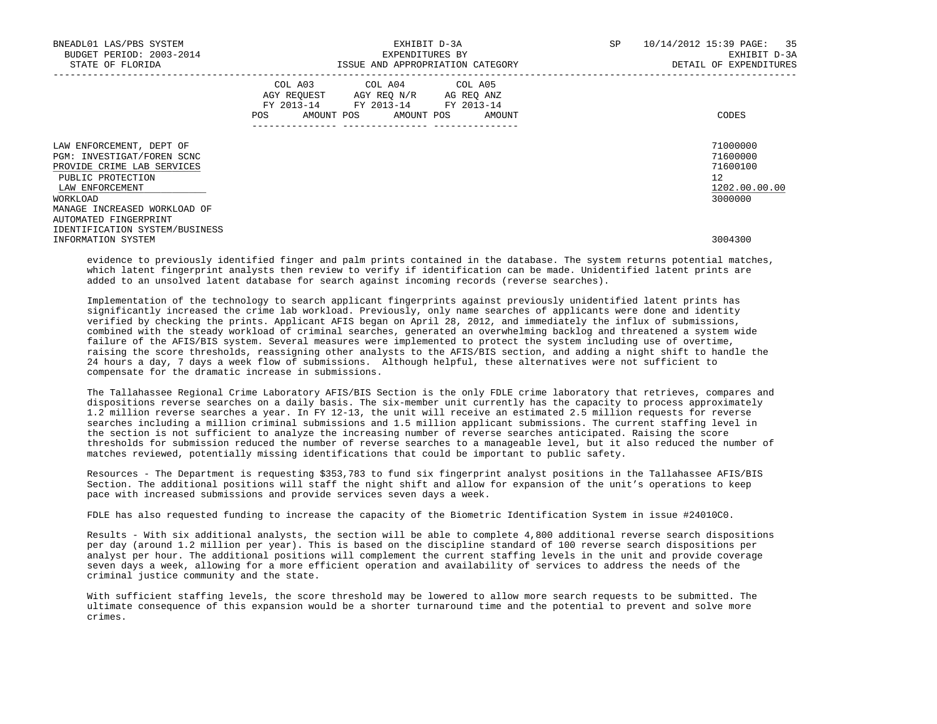| BNEADL01 LAS/PBS SYSTEM<br>BUDGET PERIOD: 2003-2014<br>STATE OF FLORIDA                                                                                                  | EXHIBIT D-3A<br>EXPENDITURES BY<br>ISSUE AND APPROPRIATION CATEGORY                                                                   | 10/14/2012 15:39 PAGE: 35<br><b>SP</b><br>EXHIBIT D-3A<br>DETAIL OF EXPENDITURES |
|--------------------------------------------------------------------------------------------------------------------------------------------------------------------------|---------------------------------------------------------------------------------------------------------------------------------------|----------------------------------------------------------------------------------|
|                                                                                                                                                                          | COL A03 COL A04 COL A05<br>AGY REQUEST AGY REQ N/R AG REQ ANZ<br>FY 2013-14 FY 2013-14 FY 2013-14<br>POS AMOUNT POS AMOUNT POS AMOUNT | CODES                                                                            |
| LAW ENFORCEMENT, DEPT OF<br>PGM: INVESTIGAT/FOREN SCNC<br>PROVIDE CRIME LAB SERVICES<br>PUBLIC PROTECTION<br>LAW ENFORCEMENT<br>WORKLOAD<br>MANAGE INCREASED WORKLOAD OF |                                                                                                                                       | 71000000<br>71600000<br>71600100<br>12<br>1202.00.00.00<br>3000000               |
| AUTOMATED FINGERPRINT<br>IDENTIFICATION SYSTEM/BUSINESS<br>INFORMATION SYSTEM                                                                                            |                                                                                                                                       | 3004300                                                                          |

 evidence to previously identified finger and palm prints contained in the database. The system returns potential matches, which latent fingerprint analysts then review to verify if identification can be made. Unidentified latent prints are added to an unsolved latent database for search against incoming records (reverse searches).

 Implementation of the technology to search applicant fingerprints against previously unidentified latent prints has significantly increased the crime lab workload. Previously, only name searches of applicants were done and identity verified by checking the prints. Applicant AFIS began on April 28, 2012, and immediately the influx of submissions, combined with the steady workload of criminal searches, generated an overwhelming backlog and threatened a system wide failure of the AFIS/BIS system. Several measures were implemented to protect the system including use of overtime, raising the score thresholds, reassigning other analysts to the AFIS/BIS section, and adding a night shift to handle the 24 hours a day, 7 days a week flow of submissions. Although helpful, these alternatives were not sufficient to compensate for the dramatic increase in submissions.

 The Tallahassee Regional Crime Laboratory AFIS/BIS Section is the only FDLE crime laboratory that retrieves, compares and dispositions reverse searches on a daily basis. The six-member unit currently has the capacity to process approximately 1.2 million reverse searches a year. In FY 12-13, the unit will receive an estimated 2.5 million requests for reverse searches including a million criminal submissions and 1.5 million applicant submissions. The current staffing level in the section is not sufficient to analyze the increasing number of reverse searches anticipated. Raising the score thresholds for submission reduced the number of reverse searches to a manageable level, but it also reduced the number of matches reviewed, potentially missing identifications that could be important to public safety.

 Resources - The Department is requesting \$353,783 to fund six fingerprint analyst positions in the Tallahassee AFIS/BIS Section. The additional positions will staff the night shift and allow for expansion of the unit's operations to keep pace with increased submissions and provide services seven days a week.

FDLE has also requested funding to increase the capacity of the Biometric Identification System in issue #24010C0.

 Results - With six additional analysts, the section will be able to complete 4,800 additional reverse search dispositions per day (around 1.2 million per year). This is based on the discipline standard of 100 reverse search dispositions per analyst per hour. The additional positions will complement the current staffing levels in the unit and provide coverage seven days a week, allowing for a more efficient operation and availability of services to address the needs of the criminal justice community and the state.

 With sufficient staffing levels, the score threshold may be lowered to allow more search requests to be submitted. The ultimate consequence of this expansion would be a shorter turnaround time and the potential to prevent and solve more crimes.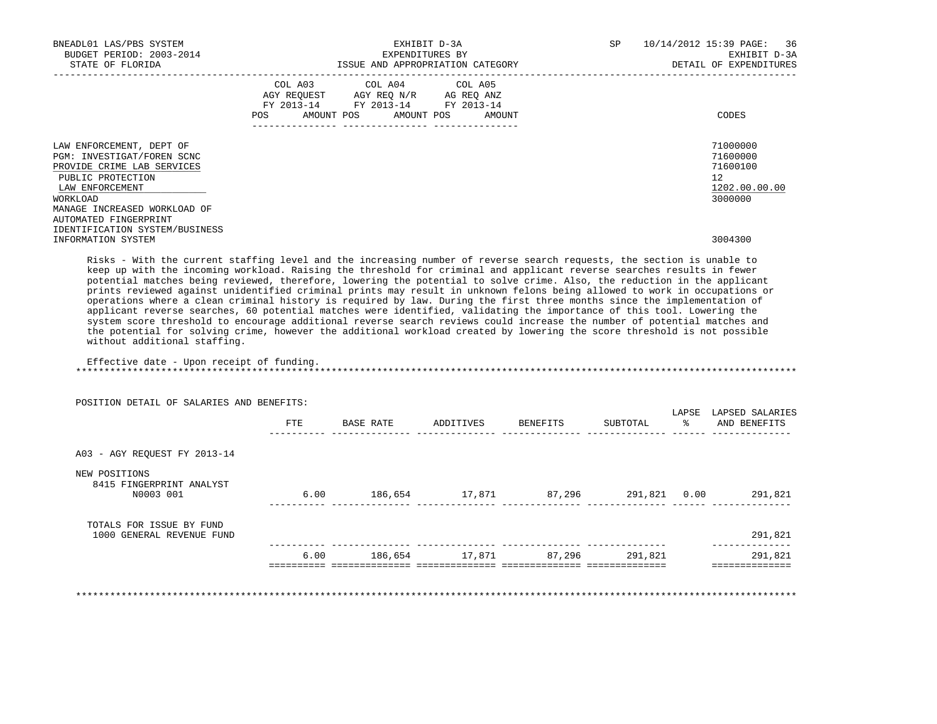| BNEADL01 LAS/PBS SYSTEM<br>BUDGET PERIOD: 2003-2014<br>STATE OF FLORIDA                                                                  | EXHIBIT D-3A<br>EXPENDITURES BY<br>ISSUE AND APPROPRIATION CATEGORY                                                                      | 10/14/2012 15:39 PAGE: 36<br>SP<br>EXHIBIT D-3A<br>DETAIL OF EXPENDITURES |
|------------------------------------------------------------------------------------------------------------------------------------------|------------------------------------------------------------------------------------------------------------------------------------------|---------------------------------------------------------------------------|
|                                                                                                                                          | COL A03 COL A04 COL A05<br>AGY REQUEST AGY REQ N/R AG REQ ANZ<br>FY 2013-14 FY 2013-14 FY 2013-14<br>POS<br>AMOUNT POS AMOUNT POS AMOUNT | CODES                                                                     |
| LAW ENFORCEMENT, DEPT OF<br>PGM: INVESTIGAT/FOREN SCNC<br>PROVIDE CRIME LAB SERVICES<br>PUBLIC PROTECTION<br>LAW ENFORCEMENT<br>WORKLOAD |                                                                                                                                          | 71000000<br>71600000<br>71600100<br>12<br>1202.00.00.00<br>3000000        |
| MANAGE INCREASED WORKLOAD OF<br>AUTOMATED FINGERPRINT<br>IDENTIFICATION SYSTEM/BUSINESS<br>INFORMATION SYSTEM                            |                                                                                                                                          | 3004300                                                                   |

 Risks - With the current staffing level and the increasing number of reverse search requests, the section is unable to keep up with the incoming workload. Raising the threshold for criminal and applicant reverse searches results in fewer potential matches being reviewed, therefore, lowering the potential to solve crime. Also, the reduction in the applicant prints reviewed against unidentified criminal prints may result in unknown felons being allowed to work in occupations or operations where a clean criminal history is required by law. During the first three months since the implementation of applicant reverse searches, 60 potential matches were identified, validating the importance of this tool. Lowering the system score threshold to encourage additional reverse search reviews could increase the number of potential matches and the potential for solving crime, however the additional workload created by lowering the score threshold is not possible without additional staffing.

Effective date - Upon receipt of funding.

\*\*\*\*\*\*\*\*\*\*\*\*\*\*\*\*\*\*\*\*\*\*\*\*\*\*\*\*\*\*\*\*\*\*\*\*\*\*\*\*\*\*\*\*\*\*\*\*\*\*\*\*\*\*\*\*\*\*\*\*\*\*\*\*\*\*\*\*\*\*\*\*\*\*\*\*\*\*\*\*\*\*\*\*\*\*\*\*\*\*\*\*\*\*\*\*\*\*\*\*\*\*\*\*\*\*\*\*\*\*\*\*\*\*\*\*\*\*\*\*\*\*\*\*\*\*\*

|                                                        | PUSIIIUN DEIAIL UP SALAKIES AND BENEFIIS: |           |           |          |              | LAPSE | LAPSED SALARIES |
|--------------------------------------------------------|-------------------------------------------|-----------|-----------|----------|--------------|-------|-----------------|
|                                                        | FTE                                       | BASE RATE | ADDITIVES | BENEFITS | SUBTOTAL     | ႜ     | AND BENEFITS    |
| A03 - AGY REOUEST FY 2013-14                           |                                           |           |           |          |              |       |                 |
| NEW POSITIONS<br>8415 FINGERPRINT ANALYST<br>N0003 001 | 6.00                                      | 186,654   | 17,871    | 87,296   | 291,821 0.00 |       | 291,821         |
| TOTALS FOR ISSUE BY FUND<br>1000 GENERAL REVENUE FUND  |                                           |           |           |          |              |       | 291,821         |
|                                                        | 6.00                                      | 186,654   | 17,871    | 87,296   | 291,821      |       | 291,821         |

POSITION DETAIL OF SALARIES AND BENEFITS:

\*\*\*\*\*\*\*\*\*\*\*\*\*\*\*\*\*\*\*\*\*\*\*\*\*\*\*\*\*\*\*\*\*\*\*\*\*\*\*\*\*\*\*\*\*\*\*\*\*\*\*\*\*\*\*\*\*\*\*\*\*\*\*\*\*\*\*\*\*\*\*\*\*\*\*\*\*\*\*\*\*\*\*\*\*\*\*\*\*\*\*\*\*\*\*\*\*\*\*\*\*\*\*\*\*\*\*\*\*\*\*\*\*\*\*\*\*\*\*\*\*\*\*\*\*\*\*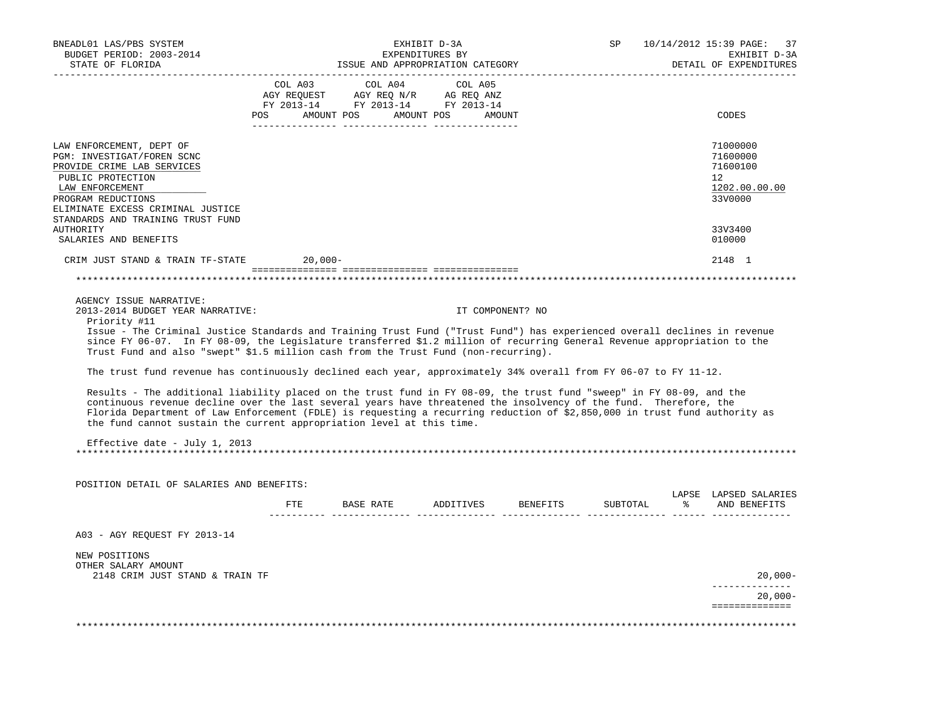| BNEADL01 LAS/PBS SYSTEM<br>BUDGET PERIOD: 2003-2014<br>STATE OF FLORIDA                                                                                                                                                                                                                                                                                                                                                                                                                                                                         |        |                       |           | EXHIBIT D-3A<br>EXPENDITURES BY | ISSUE AND APPROPRIATION CATEGORY |                  |          | SP       |   | 10/14/2012 15:39 PAGE:<br>37<br>EXHIBIT D-3A<br>DETAIL OF EXPENDITURES          |
|-------------------------------------------------------------------------------------------------------------------------------------------------------------------------------------------------------------------------------------------------------------------------------------------------------------------------------------------------------------------------------------------------------------------------------------------------------------------------------------------------------------------------------------------------|--------|-----------------------|-----------|---------------------------------|----------------------------------|------------------|----------|----------|---|---------------------------------------------------------------------------------|
|                                                                                                                                                                                                                                                                                                                                                                                                                                                                                                                                                 |        | COL A03               |           | COL A04                         | COL A05                          |                  |          |          |   |                                                                                 |
|                                                                                                                                                                                                                                                                                                                                                                                                                                                                                                                                                 |        |                       |           |                                 |                                  |                  |          |          |   |                                                                                 |
|                                                                                                                                                                                                                                                                                                                                                                                                                                                                                                                                                 |        |                       |           |                                 |                                  |                  |          |          |   |                                                                                 |
|                                                                                                                                                                                                                                                                                                                                                                                                                                                                                                                                                 | POS DO | AMOUNT POS AMOUNT POS |           |                                 |                                  | AMOUNT           |          |          |   | CODES                                                                           |
| LAW ENFORCEMENT, DEPT OF<br>PGM: INVESTIGAT/FOREN SCNC<br>PROVIDE CRIME LAB SERVICES<br>PUBLIC PROTECTION<br>LAW ENFORCEMENT<br>PROGRAM REDUCTIONS<br>ELIMINATE EXCESS CRIMINAL JUSTICE                                                                                                                                                                                                                                                                                                                                                         |        |                       |           |                                 |                                  |                  |          |          |   | 71000000<br>71600000<br>71600100<br>12 <sup>°</sup><br>1202.00.00.00<br>33V0000 |
| STANDARDS AND TRAINING TRUST FUND<br>AUTHORITY                                                                                                                                                                                                                                                                                                                                                                                                                                                                                                  |        |                       |           |                                 |                                  |                  |          |          |   | 33V3400                                                                         |
| SALARIES AND BENEFITS                                                                                                                                                                                                                                                                                                                                                                                                                                                                                                                           |        |                       |           |                                 |                                  |                  |          |          |   | 010000                                                                          |
|                                                                                                                                                                                                                                                                                                                                                                                                                                                                                                                                                 |        |                       |           |                                 |                                  |                  |          |          |   |                                                                                 |
| CRIM JUST STAND & TRAIN TF-STATE                                                                                                                                                                                                                                                                                                                                                                                                                                                                                                                |        | $20,000-$             |           |                                 |                                  |                  |          |          |   | 2148 1                                                                          |
|                                                                                                                                                                                                                                                                                                                                                                                                                                                                                                                                                 |        |                       |           |                                 |                                  |                  |          |          |   | ******************                                                              |
| AGENCY ISSUE NARRATIVE:<br>2013-2014 BUDGET YEAR NARRATIVE:<br>Priority #11<br>Issue - The Criminal Justice Standards and Training Trust Fund ("Trust Fund") has experienced overall declines in revenue<br>since FY 06-07. In FY 08-09, the Legislature transferred \$1.2 million of recurring General Revenue appropriation to the<br>Trust Fund and also "swept" \$1.5 million cash from the Trust Fund (non-recurring).<br>The trust fund revenue has continuously declined each year, approximately 34% overall from FY 06-07 to FY 11-12. |        |                       |           |                                 |                                  | IT COMPONENT? NO |          |          |   |                                                                                 |
| Results - The additional liability placed on the trust fund in FY 08-09, the trust fund "sweep" in FY 08-09, and the<br>continuous revenue decline over the last several years have threatened the insolvency of the fund. Therefore, the<br>Florida Department of Law Enforcement (FDLE) is requesting a recurring reduction of \$2,850,000 in trust fund authority as<br>the fund cannot sustain the current appropriation level at this time.                                                                                                |        |                       |           |                                 |                                  |                  |          |          |   |                                                                                 |
| Effective date - July 1, 2013                                                                                                                                                                                                                                                                                                                                                                                                                                                                                                                   |        |                       |           |                                 |                                  |                  |          |          |   |                                                                                 |
| POSITION DETAIL OF SALARIES AND BENEFITS:                                                                                                                                                                                                                                                                                                                                                                                                                                                                                                       |        |                       |           |                                 |                                  |                  |          |          |   | LAPSE LAPSED SALARIES                                                           |
|                                                                                                                                                                                                                                                                                                                                                                                                                                                                                                                                                 |        | FTE.                  | BASE RATE |                                 | ADDITIVES                        |                  | BENEFITS | SUBTOTAL | ⊱ | AND BENEFITS                                                                    |
| A03 - AGY REOUEST FY 2013-14                                                                                                                                                                                                                                                                                                                                                                                                                                                                                                                    |        |                       |           |                                 |                                  |                  |          |          |   |                                                                                 |
| NEW POSITIONS<br>OTHER SALARY AMOUNT<br>2148 CRIM JUST STAND & TRAIN TF                                                                                                                                                                                                                                                                                                                                                                                                                                                                         |        |                       |           |                                 |                                  |                  |          |          |   | $20,000-$                                                                       |
|                                                                                                                                                                                                                                                                                                                                                                                                                                                                                                                                                 |        |                       |           |                                 |                                  |                  |          |          |   |                                                                                 |
|                                                                                                                                                                                                                                                                                                                                                                                                                                                                                                                                                 |        |                       |           |                                 |                                  |                  |          |          |   | $20,000-$<br>==============                                                     |
|                                                                                                                                                                                                                                                                                                                                                                                                                                                                                                                                                 |        |                       |           |                                 |                                  |                  |          |          |   |                                                                                 |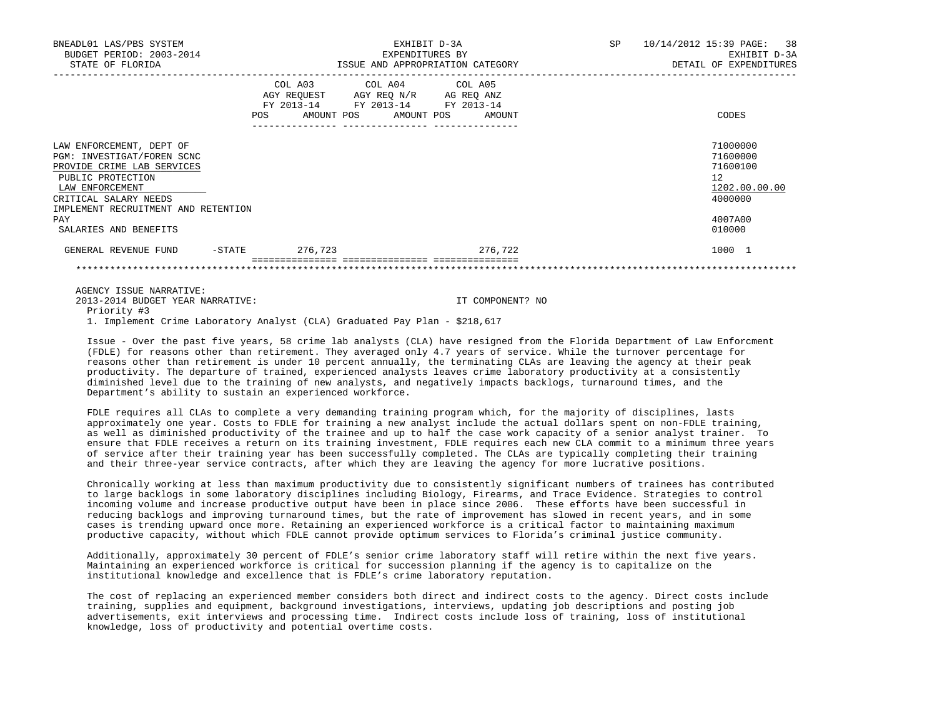| BNEADL01 LAS/PBS SYSTEM<br>BUDGET PERIOD: 2003-2014<br>STATE OF FLORIDA                                                                                                                      |                              | EXHIBIT D-3A<br>EXPENDITURES BY<br>ISSUE AND APPROPRIATION CATEGORY                                                     |                      | SP | 10/14/2012 15:39 PAGE: 38<br>EXHIBIT D-3A<br>DETAIL OF EXPENDITURES          |
|----------------------------------------------------------------------------------------------------------------------------------------------------------------------------------------------|------------------------------|-------------------------------------------------------------------------------------------------------------------------|----------------------|----|------------------------------------------------------------------------------|
|                                                                                                                                                                                              | COL A03<br>FY 2013-14<br>POS | COL A04 COL A05<br>AGY REQUEST AGY REQ N/R<br>FY 2013-14 FY 2013-14<br>AMOUNT POS<br>AMOUNT POS<br>____ _______________ | AG REQ ANZ<br>AMOUNT |    | CODES                                                                        |
| LAW ENFORCEMENT, DEPT OF<br>PGM: INVESTIGAT/FOREN SCNC<br>PROVIDE CRIME LAB SERVICES<br>PUBLIC PROTECTION<br>LAW ENFORCEMENT<br>CRITICAL SALARY NEEDS<br>IMPLEMENT RECRUITMENT AND RETENTION |                              |                                                                                                                         |                      |    | 71000000<br>71600000<br>71600100<br>$12^{\circ}$<br>1202.00.00.00<br>4000000 |
| PAY<br>SALARIES AND BENEFITS                                                                                                                                                                 |                              |                                                                                                                         |                      |    | 4007A00<br>010000                                                            |
| GENERAL REVENUE FUND                                                                                                                                                                         | 276,723<br>$-$ STATE         |                                                                                                                         | 276,722              |    | 1000 1                                                                       |
|                                                                                                                                                                                              |                              |                                                                                                                         |                      |    |                                                                              |

2013-2014 BUDGET YEAR NARRATIVE: IT COMPONENT? NO

 Priority #3 1. Implement Crime Laboratory Analyst (CLA) Graduated Pay Plan - \$218,617

 Issue - Over the past five years, 58 crime lab analysts (CLA) have resigned from the Florida Department of Law Enforcment (FDLE) for reasons other than retirement. They averaged only 4.7 years of service. While the turnover percentage for reasons other than retirement is under 10 percent annually, the terminating CLAs are leaving the agency at their peak productivity. The departure of trained, experienced analysts leaves crime laboratory productivity at a consistently diminished level due to the training of new analysts, and negatively impacts backlogs, turnaround times, and the Department's ability to sustain an experienced workforce.

 FDLE requires all CLAs to complete a very demanding training program which, for the majority of disciplines, lasts approximately one year. Costs to FDLE for training a new analyst include the actual dollars spent on non-FDLE training, as well as diminished productivity of the trainee and up to half the case work capacity of a senior analyst trainer. To ensure that FDLE receives a return on its training investment, FDLE requires each new CLA commit to a minimum three years of service after their training year has been successfully completed. The CLAs are typically completing their training and their three-year service contracts, after which they are leaving the agency for more lucrative positions.

 Chronically working at less than maximum productivity due to consistently significant numbers of trainees has contributed to large backlogs in some laboratory disciplines including Biology, Firearms, and Trace Evidence. Strategies to control incoming volume and increase productive output have been in place since 2006. These efforts have been successful in reducing backlogs and improving turnaround times, but the rate of improvement has slowed in recent years, and in some cases is trending upward once more. Retaining an experienced workforce is a critical factor to maintaining maximum productive capacity, without which FDLE cannot provide optimum services to Florida's criminal justice community.

 Additionally, approximately 30 percent of FDLE's senior crime laboratory staff will retire within the next five years. Maintaining an experienced workforce is critical for succession planning if the agency is to capitalize on the institutional knowledge and excellence that is FDLE's crime laboratory reputation.

 The cost of replacing an experienced member considers both direct and indirect costs to the agency. Direct costs include training, supplies and equipment, background investigations, interviews, updating job descriptions and posting job advertisements, exit interviews and processing time. Indirect costs include loss of training, loss of institutional knowledge, loss of productivity and potential overtime costs.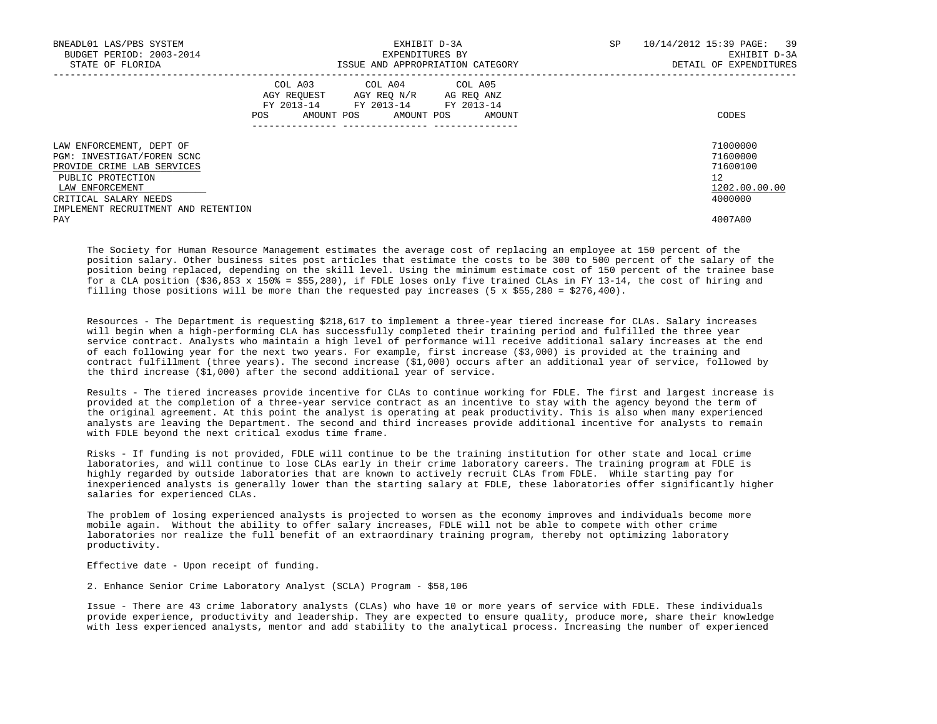| BNEADL01 LAS/PBS SYSTEM<br>BUDGET PERIOD: 2003-2014<br>STATE OF FLORIDA                                                      |                                                                                      | EXHIBIT D-3A<br>EXPENDITURES BY<br>ISSUE AND APPROPRIATION CATEGORY | SP | 10/14/2012 15:39 PAGE: 39<br>EXHIBIT D-3A<br>DETAIL OF EXPENDITURES |
|------------------------------------------------------------------------------------------------------------------------------|--------------------------------------------------------------------------------------|---------------------------------------------------------------------|----|---------------------------------------------------------------------|
|                                                                                                                              | AGY REQUEST AGY REQ N/R AG REQ ANZ<br>FY 2013-14 FY 2013-14 FY 2013-14<br><b>POS</b> | COL A03 COL A04 COL A05<br>AMOUNT POS AMOUNT POS AMOUNT             |    | CODES                                                               |
| LAW ENFORCEMENT, DEPT OF<br>PGM: INVESTIGAT/FOREN SCNC<br>PROVIDE CRIME LAB SERVICES<br>PUBLIC PROTECTION<br>LAW ENFORCEMENT |                                                                                      |                                                                     |    | 71000000<br>71600000<br>71600100<br>12<br>1202.00.00.00             |
| CRITICAL SALARY NEEDS<br>IMPLEMENT RECRUITMENT AND RETENTION<br>PAY                                                          |                                                                                      |                                                                     |    | 4000000<br>4007A00                                                  |
|                                                                                                                              |                                                                                      |                                                                     |    |                                                                     |

 The Society for Human Resource Management estimates the average cost of replacing an employee at 150 percent of the position salary. Other business sites post articles that estimate the costs to be 300 to 500 percent of the salary of the position being replaced, depending on the skill level. Using the minimum estimate cost of 150 percent of the trainee base for a CLA position (\$36,853 x 150% = \$55,280), if FDLE loses only five trained CLAs in FY 13-14, the cost of hiring and filling those positions will be more than the requested pay increases  $(5 \times $55,280 = $276,400)$ .

 Resources - The Department is requesting \$218,617 to implement a three-year tiered increase for CLAs. Salary increases will begin when a high-performing CLA has successfully completed their training period and fulfilled the three year service contract. Analysts who maintain a high level of performance will receive additional salary increases at the end of each following year for the next two years. For example, first increase (\$3,000) is provided at the training and contract fulfillment (three years). The second increase (\$1,000) occurs after an additional year of service, followed by the third increase (\$1,000) after the second additional year of service.

 Results - The tiered increases provide incentive for CLAs to continue working for FDLE. The first and largest increase is provided at the completion of a three-year service contract as an incentive to stay with the agency beyond the term of the original agreement. At this point the analyst is operating at peak productivity. This is also when many experienced analysts are leaving the Department. The second and third increases provide additional incentive for analysts to remain with FDLE beyond the next critical exodus time frame.

 Risks - If funding is not provided, FDLE will continue to be the training institution for other state and local crime laboratories, and will continue to lose CLAs early in their crime laboratory careers. The training program at FDLE is highly regarded by outside laboratories that are known to actively recruit CLAs from FDLE. While starting pay for inexperienced analysts is generally lower than the starting salary at FDLE, these laboratories offer significantly higher salaries for experienced CLAs.

 The problem of losing experienced analysts is projected to worsen as the economy improves and individuals become more mobile again. Without the ability to offer salary increases, FDLE will not be able to compete with other crime laboratories nor realize the full benefit of an extraordinary training program, thereby not optimizing laboratory productivity.

Effective date - Upon receipt of funding.

2. Enhance Senior Crime Laboratory Analyst (SCLA) Program - \$58,106

 Issue - There are 43 crime laboratory analysts (CLAs) who have 10 or more years of service with FDLE. These individuals provide experience, productivity and leadership. They are expected to ensure quality, produce more, share their knowledge with less experienced analysts, mentor and add stability to the analytical process. Increasing the number of experienced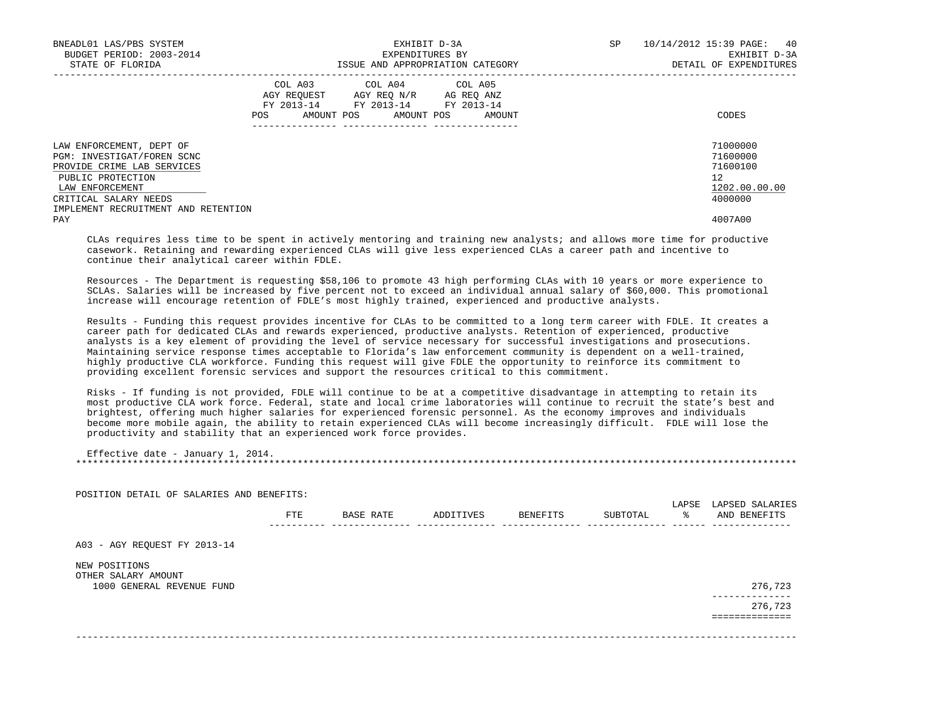| BNEADL01 LAS/PBS SYSTEM<br>BUDGET PERIOD: 2003-2014<br>STATE OF FLORIDA                                                                                                                      | EXHIBIT D-3A<br>EXPENDITURES BY<br>ISSUE AND APPROPRIATION CATEGORY                                                                   | SP | 10/14/2012 15:39 PAGE: 40<br>EXHIBIT D-3A<br>DETAIL OF EXPENDITURES |
|----------------------------------------------------------------------------------------------------------------------------------------------------------------------------------------------|---------------------------------------------------------------------------------------------------------------------------------------|----|---------------------------------------------------------------------|
|                                                                                                                                                                                              | COL A03 COL A04 COL A05<br>AGY REQUEST AGY REO N/R AG REO ANZ<br>FY 2013-14 FY 2013-14 FY 2013-14<br>POS AMOUNT POS AMOUNT POS AMOUNT |    | CODES                                                               |
| LAW ENFORCEMENT, DEPT OF<br>PGM: INVESTIGAT/FOREN SCNC<br>PROVIDE CRIME LAB SERVICES<br>PUBLIC PROTECTION<br>LAW ENFORCEMENT<br>CRITICAL SALARY NEEDS<br>IMPLEMENT RECRUITMENT AND RETENTION |                                                                                                                                       |    | 71000000<br>71600000<br>71600100<br>12<br>1202.00.00.00<br>4000000  |
| PAY                                                                                                                                                                                          |                                                                                                                                       |    | 4007A00                                                             |

 CLAs requires less time to be spent in actively mentoring and training new analysts; and allows more time for productive casework. Retaining and rewarding experienced CLAs will give less experienced CLAs a career path and incentive to continue their analytical career within FDLE.

 Resources - The Department is requesting \$58,106 to promote 43 high performing CLAs with 10 years or more experience to SCLAs. Salaries will be increased by five percent not to exceed an individual annual salary of \$60,000. This promotional increase will encourage retention of FDLE's most highly trained, experienced and productive analysts.

 Results - Funding this request provides incentive for CLAs to be committed to a long term career with FDLE. It creates a career path for dedicated CLAs and rewards experienced, productive analysts. Retention of experienced, productive analysts is a key element of providing the level of service necessary for successful investigations and prosecutions. Maintaining service response times acceptable to Florida's law enforcement community is dependent on a well-trained, highly productive CLA workforce. Funding this request will give FDLE the opportunity to reinforce its commitment to providing excellent forensic services and support the resources critical to this commitment.

 Risks - If funding is not provided, FDLE will continue to be at a competitive disadvantage in attempting to retain its most productive CLA work force. Federal, state and local crime laboratories will continue to recruit the state's best and brightest, offering much higher salaries for experienced forensic personnel. As the economy improves and individuals become more mobile again, the ability to retain experienced CLAs will become increasingly difficult. FDLE will lose the productivity and stability that an experienced work force provides.

| Effective date - January 1, 2014. |  |
|-----------------------------------|--|
|                                   |  |

| POSITION DETAIL OF SALARIES AND BENEFITS: |     |           |           |          |          | LAPSE | LAPSED SALARIES |
|-------------------------------------------|-----|-----------|-----------|----------|----------|-------|-----------------|
|                                           | FTE | BASE RATE | ADDITIVES | BENEFITS | SUBTOTAL | - 왕   | AND BENEFITS    |
| A03 - AGY REQUEST FY 2013-14              |     |           |           |          |          |       |                 |
| NEW POSITIONS                             |     |           |           |          |          |       |                 |
| OTHER SALARY AMOUNT                       |     |           |           |          |          |       |                 |
| 1000 GENERAL REVENUE FUND                 |     |           |           |          |          |       | 276,723         |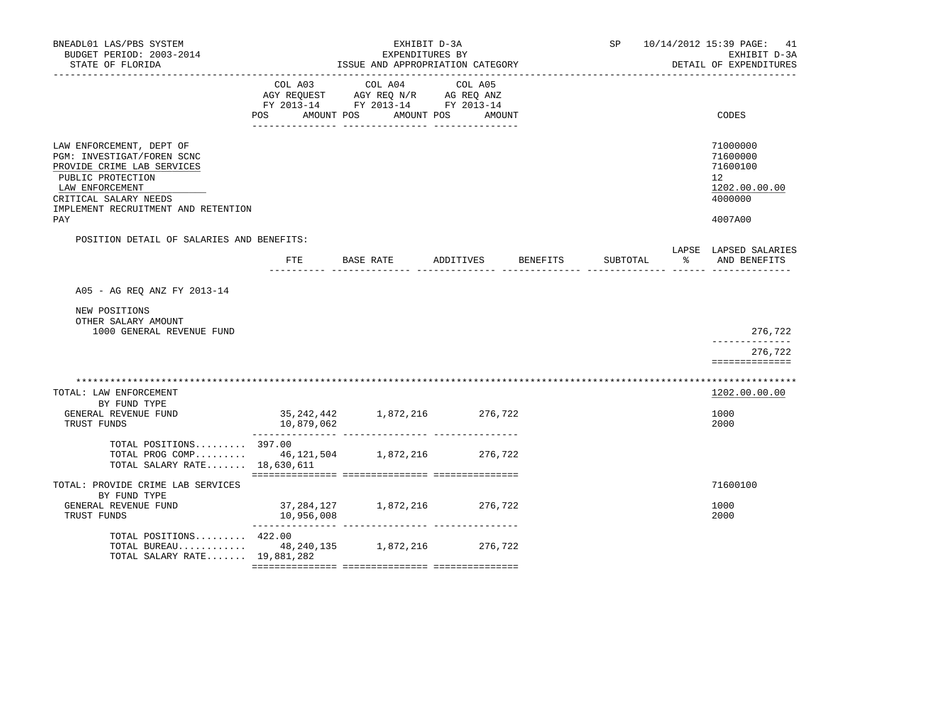| BNEADL01 LAS/PBS SYSTEM<br>BUDGET PERIOD: 2003-2014<br>STATE OF FLORIDA                                                                                                                             |                           | EXHIBIT D-3A<br>EXPENDITURES BY<br>ISSUE AND APPROPRIATION CATEGORY                                                    |                   | SP                                                     | 10/14/2012 15:39 PAGE: 41<br>EXHIBIT D-3A<br>DETAIL OF EXPENDITURES           |
|-----------------------------------------------------------------------------------------------------------------------------------------------------------------------------------------------------|---------------------------|------------------------------------------------------------------------------------------------------------------------|-------------------|--------------------------------------------------------|-------------------------------------------------------------------------------|
|                                                                                                                                                                                                     | COL A03<br>POS AMOUNT POS | COL A04<br>AGY REQUEST AGY REQ N/R AG REQ ANZ<br>FY 2013-14 FY 2013-14 FY 2013-14<br>AMOUNT POS<br>____ ______________ | COL A05<br>AMOUNT |                                                        | CODES                                                                         |
| LAW ENFORCEMENT, DEPT OF<br>PGM: INVESTIGAT/FOREN SCNC<br>PROVIDE CRIME LAB SERVICES<br>PUBLIC PROTECTION<br>LAW ENFORCEMENT<br>CRITICAL SALARY NEEDS<br>IMPLEMENT RECRUITMENT AND RETENTION<br>PAY |                           |                                                                                                                        |                   |                                                        | 71000000<br>71600000<br>71600100<br>12<br>1202.00.00.00<br>4000000<br>4007A00 |
| POSITION DETAIL OF SALARIES AND BENEFITS:                                                                                                                                                           |                           | FTE BASE RATE ADDITIVES BENEFITS                                                                                       |                   | SUBTOTAL<br><u> ----- --------------- ------ -----</u> | LAPSE LAPSED SALARIES<br>% AND BENEFITS                                       |
| A05 - AG REQ ANZ FY 2013-14                                                                                                                                                                         |                           |                                                                                                                        |                   |                                                        |                                                                               |
| NEW POSITIONS<br>OTHER SALARY AMOUNT<br>1000 GENERAL REVENUE FUND                                                                                                                                   |                           |                                                                                                                        |                   |                                                        | 276,722                                                                       |
|                                                                                                                                                                                                     |                           |                                                                                                                        |                   |                                                        | 276,722<br>==============                                                     |
| TOTAL: LAW ENFORCEMENT<br>BY FUND TYPE<br>GENERAL REVENUE FUND<br>TRUST FUNDS                                                                                                                       | 10,879,062                | 35, 242, 442 1, 872, 216 276, 722                                                                                      |                   |                                                        | 1202.00.00.00<br>1000<br>2000                                                 |
| TOTAL POSITIONS 397.00<br>TOTAL PROG COMP 46,121,504 1,872,216 276,722<br>TOTAL SALARY RATE 18,630,611                                                                                              |                           |                                                                                                                        |                   |                                                        |                                                                               |
| TOTAL: PROVIDE CRIME LAB SERVICES<br>BY FUND TYPE<br>GENERAL REVENUE FUND<br>TRUST FUNDS                                                                                                            | 10,956,008                | 37, 284, 127 1, 872, 216 276, 722                                                                                      |                   |                                                        | 71600100<br>1000<br>2000                                                      |
| TOTAL POSITIONS 422.00<br>TOTAL BUREAU 48, 240, 135 1, 872, 216 276, 722<br>TOTAL SALARY RATE 19,881,282                                                                                            |                           |                                                                                                                        |                   |                                                        |                                                                               |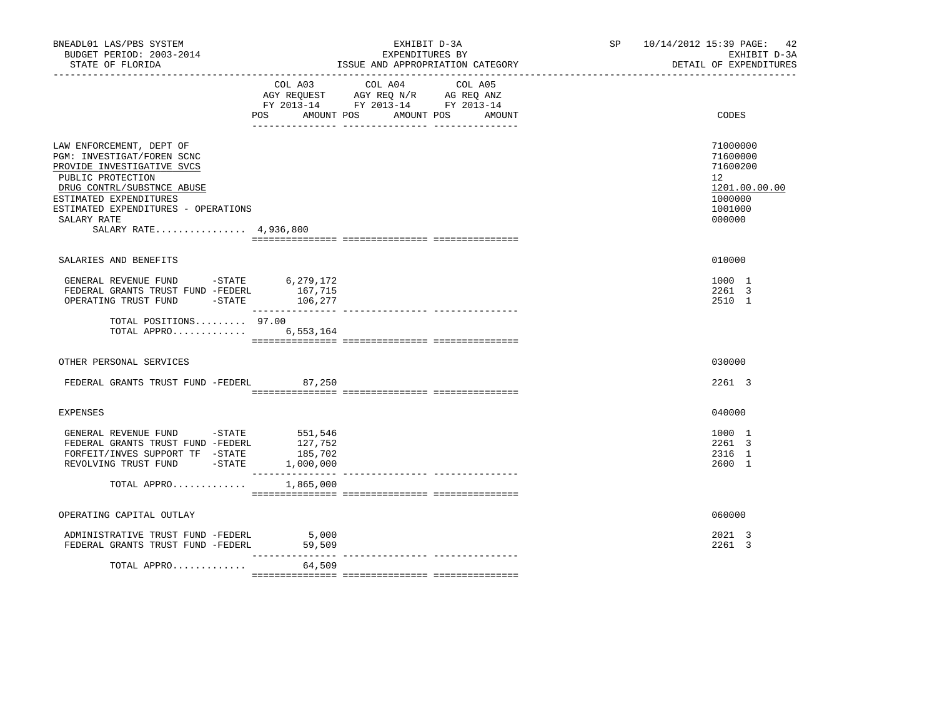| BNEADL01 LAS/PBS SYSTEM<br>BUDGET PERIOD: 2003-2014<br>STATE OF FLORIDA                                                                                                                                                                          |                                                     | EXHIBIT D-3A<br>EXPENDITURES BY<br>ISSUE AND APPROPRIATION CATEGORY                                                              | SP 10/14/2012 15:39 PAGE: 42<br>EXHIBIT D-3A<br>DETAIL OF EXPENDITURES                               |
|--------------------------------------------------------------------------------------------------------------------------------------------------------------------------------------------------------------------------------------------------|-----------------------------------------------------|----------------------------------------------------------------------------------------------------------------------------------|------------------------------------------------------------------------------------------------------|
|                                                                                                                                                                                                                                                  | COL A03                                             | COL A04<br>COL A05<br>AGY REQUEST AGY REQ N/R AG REQ ANZ<br>FY 2013-14 FY 2013-14 FY 2013-14<br>POS AMOUNT POS AMOUNT POS AMOUNT | CODES                                                                                                |
| LAW ENFORCEMENT, DEPT OF<br>PGM: INVESTIGAT/FOREN SCNC<br>PROVIDE INVESTIGATIVE SVCS<br>PUBLIC PROTECTION<br>DRUG CONTRL/SUBSTNCE ABUSE<br>ESTIMATED EXPENDITURES<br>ESTIMATED EXPENDITURES - OPERATIONS<br>SALARY RATE<br>SALARY RATE 4,936,800 |                                                     |                                                                                                                                  | 71000000<br>71600000<br>71600200<br>12 <sup>°</sup><br>1201.00.00.00<br>1000000<br>1001000<br>000000 |
| SALARIES AND BENEFITS                                                                                                                                                                                                                            |                                                     |                                                                                                                                  | 010000                                                                                               |
| GENERAL REVENUE FUND -STATE 6,279,172<br>FEDERAL GRANTS TRUST FUND -FEDERL<br>OPERATING TRUST FUND -STATE 106,277                                                                                                                                | 167,715                                             |                                                                                                                                  | 1000 1<br>2261 3<br>2510 1                                                                           |
| TOTAL POSITIONS $97.00$<br>TOTAL APPRO                                                                                                                                                                                                           | 6,553,164                                           |                                                                                                                                  |                                                                                                      |
| OTHER PERSONAL SERVICES                                                                                                                                                                                                                          |                                                     |                                                                                                                                  | 030000                                                                                               |
| FEDERAL GRANTS TRUST FUND -FEDERL 87,250                                                                                                                                                                                                         |                                                     |                                                                                                                                  | 2261 3                                                                                               |
| EXPENSES                                                                                                                                                                                                                                         |                                                     |                                                                                                                                  | 040000                                                                                               |
| GENERAL REVENUE FUND -STATE 551,546<br>FEDERAL GRANTS TRUST FUND -FEDERL<br>FORFEIT/INVES SUPPORT TF -STATE<br>REVOLVING TRUST FUND -STATE                                                                                                       | 127,752<br>185,702<br>1,000,000<br>________________ |                                                                                                                                  | 1000 1<br>2261 3<br>2316 1<br>2600 1                                                                 |
| TOTAL APPRO                                                                                                                                                                                                                                      | 1,865,000                                           | --------------- ---------------                                                                                                  |                                                                                                      |
| OPERATING CAPITAL OUTLAY                                                                                                                                                                                                                         |                                                     |                                                                                                                                  | 060000                                                                                               |
| ADMINISTRATIVE TRUST FUND -FEDERL<br>FEDERAL GRANTS TRUST FUND -FEDERL                                                                                                                                                                           | 5,000<br>59,509                                     |                                                                                                                                  | 2021 3<br>2261 3                                                                                     |
| TOTAL APPRO                                                                                                                                                                                                                                      | ____________<br>64,509                              |                                                                                                                                  |                                                                                                      |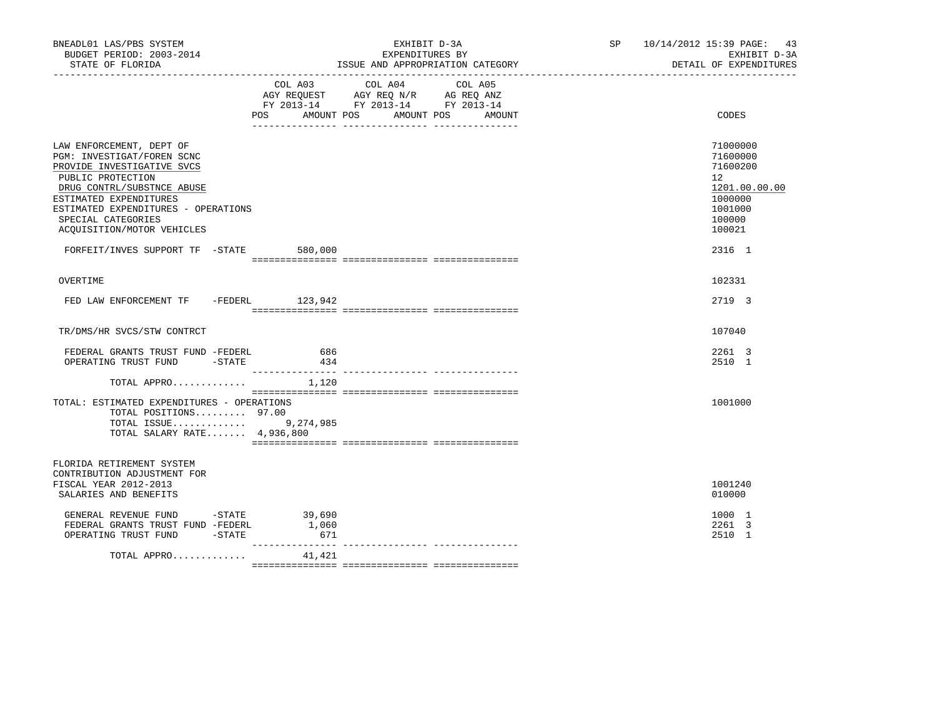| BNEADL01 LAS/PBS SYSTEM<br>BUDGET PERIOD: 2003-2014<br>STATE OF FLORIDA                                                                                                                                                                                      |                            | EXHIBIT D-3A<br>EXPENDITURES BY<br>ISSUE AND APPROPRIATION CATEGORY                                                       | SP 10/14/2012 15:39 PAGE: 43<br>EXHIBIT D-3A<br>DETAIL OF EXPENDITURES                            |
|--------------------------------------------------------------------------------------------------------------------------------------------------------------------------------------------------------------------------------------------------------------|----------------------------|---------------------------------------------------------------------------------------------------------------------------|---------------------------------------------------------------------------------------------------|
|                                                                                                                                                                                                                                                              | POS AMOUNT POS             | COL A03 COL A04 COL A05<br>AGY REQUEST AGY REQ N/R AG REQ ANZ<br>FY 2013-14 FY 2013-14 FY 2013-14<br>AMOUNT POS<br>AMOUNT | CODES                                                                                             |
| LAW ENFORCEMENT, DEPT OF<br>PGM: INVESTIGAT/FOREN SCNC<br>PROVIDE INVESTIGATIVE SVCS<br>PUBLIC PROTECTION<br>DRUG CONTRL/SUBSTNCE ABUSE<br>ESTIMATED EXPENDITURES<br>ESTIMATED EXPENDITURES - OPERATIONS<br>SPECIAL CATEGORIES<br>ACQUISITION/MOTOR VEHICLES |                            |                                                                                                                           | 71000000<br>71600000<br>71600200<br>12<br>1201.00.00.00<br>1000000<br>1001000<br>100000<br>100021 |
| FORFEIT/INVES SUPPORT TF -STATE 580,000                                                                                                                                                                                                                      |                            |                                                                                                                           | 2316 1                                                                                            |
| OVERTIME                                                                                                                                                                                                                                                     |                            |                                                                                                                           | 102331                                                                                            |
| FED LAW ENFORCEMENT TF -FEDERL 123,942                                                                                                                                                                                                                       |                            |                                                                                                                           | 2719 3                                                                                            |
| TR/DMS/HR SVCS/STW CONTRCT                                                                                                                                                                                                                                   |                            |                                                                                                                           | 107040                                                                                            |
| FEDERAL GRANTS TRUST FUND -FEDERL<br>OPERATING TRUST FUND -STATE                                                                                                                                                                                             | 686<br>434                 |                                                                                                                           | 2261 3<br>2510 1                                                                                  |
| TOTAL APPRO $1,120$                                                                                                                                                                                                                                          |                            |                                                                                                                           |                                                                                                   |
| TOTAL: ESTIMATED EXPENDITURES - OPERATIONS<br>TOTAL POSITIONS 97.00<br>TOTAL ISSUE 9,274,985<br>TOTAL SALARY RATE 4,936,800                                                                                                                                  |                            |                                                                                                                           | 1001000                                                                                           |
| FLORIDA RETIREMENT SYSTEM<br>CONTRIBUTION ADJUSTMENT FOR<br>FISCAL YEAR 2012-2013<br>SALARIES AND BENEFITS                                                                                                                                                   |                            |                                                                                                                           | 1001240<br>010000                                                                                 |
| GENERAL REVENUE FUND -STATE<br>FEDERAL GRANTS TRUST FUND -FEDERL<br>OPERATING TRUST FUND -STATE                                                                                                                                                              | 39,690<br>1,060<br>671     |                                                                                                                           | 1000 1<br>2261 3<br>2510 1                                                                        |
| TOTAL APPRO                                                                                                                                                                                                                                                  | ________________<br>41,421 |                                                                                                                           |                                                                                                   |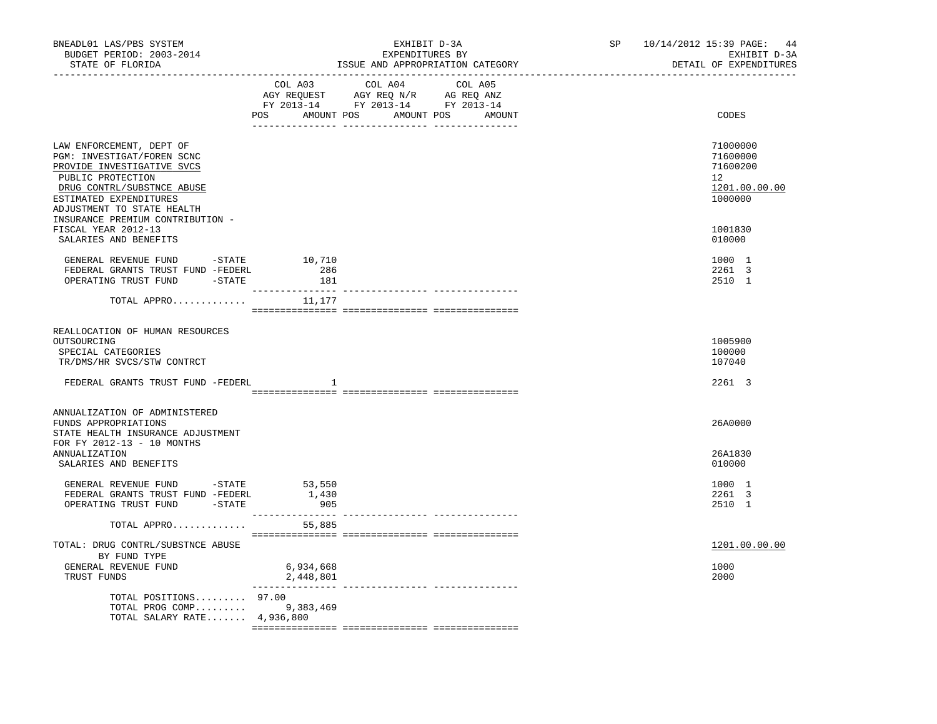| BNEADL01 LAS/PBS SYSTEM<br>BUDGET PERIOD: 2003-2014<br>STATE OF FLORIDA                                                                                                                         |                                     | EXHIBIT D-3A<br>EXPENDITURES BY<br>ISSUE AND APPROPRIATION CATEGORY                                                                   | SP and the set of the set of the set of the set of the set of the set of the set of the set of the set of the set of the set of the set of the set of the set of the set of the set of the set of the set of the set of the se | 10/14/2012 15:39 PAGE:<br>44<br>EXHIBIT D-3A<br>DETAIL OF EXPENDITURES          |
|-------------------------------------------------------------------------------------------------------------------------------------------------------------------------------------------------|-------------------------------------|---------------------------------------------------------------------------------------------------------------------------------------|--------------------------------------------------------------------------------------------------------------------------------------------------------------------------------------------------------------------------------|---------------------------------------------------------------------------------|
|                                                                                                                                                                                                 |                                     | COL A03 COL A04 COL A05<br>AGY REQUEST AGY REQ N/R AG REQ ANZ<br>FY 2013-14 FY 2013-14 FY 2013-14<br>POS AMOUNT POS AMOUNT POS AMOUNT |                                                                                                                                                                                                                                | CODES                                                                           |
| LAW ENFORCEMENT, DEPT OF<br>PGM: INVESTIGAT/FOREN SCNC<br>PROVIDE INVESTIGATIVE SVCS<br>PUBLIC PROTECTION<br>DRUG CONTRL/SUBSTNCE ABUSE<br>ESTIMATED EXPENDITURES<br>ADJUSTMENT TO STATE HEALTH |                                     |                                                                                                                                       |                                                                                                                                                                                                                                | 71000000<br>71600000<br>71600200<br>12 <sup>°</sup><br>1201.00.00.00<br>1000000 |
| INSURANCE PREMIUM CONTRIBUTION -<br>FISCAL YEAR 2012-13<br>SALARIES AND BENEFITS                                                                                                                |                                     |                                                                                                                                       |                                                                                                                                                                                                                                | 1001830<br>010000                                                               |
| GENERAL REVENUE FUND $-$ STATE 10,710<br>FEDERAL GRANTS TRUST FUND -FEDERL<br>OPERATING TRUST FUND -STATE                                                                                       | 286<br>181                          |                                                                                                                                       |                                                                                                                                                                                                                                | 1000 1<br>2261 3<br>2510 1                                                      |
| TOTAL APPRO $11,177$                                                                                                                                                                            |                                     |                                                                                                                                       |                                                                                                                                                                                                                                |                                                                                 |
| REALLOCATION OF HUMAN RESOURCES<br>OUTSOURCING<br>SPECIAL CATEGORIES<br>TR/DMS/HR SVCS/STW CONTRCT                                                                                              |                                     |                                                                                                                                       |                                                                                                                                                                                                                                | 1005900<br>100000<br>107040                                                     |
| FEDERAL GRANTS TRUST FUND -FEDERL                                                                                                                                                               | -1.                                 |                                                                                                                                       |                                                                                                                                                                                                                                | 2261 3                                                                          |
| ANNUALIZATION OF ADMINISTERED<br>FUNDS APPROPRIATIONS<br>STATE HEALTH INSURANCE ADJUSTMENT<br>FOR FY 2012-13 - 10 MONTHS                                                                        |                                     |                                                                                                                                       |                                                                                                                                                                                                                                | 26A0000                                                                         |
| ANNUALIZATION<br>SALARIES AND BENEFITS                                                                                                                                                          |                                     |                                                                                                                                       |                                                                                                                                                                                                                                | 26A1830<br>010000                                                               |
| GENERAL REVENUE FUND -STATE 53,550<br>FEDERAL GRANTS TRUST FUND -FEDERL 1,430<br>OPERATING TRUST FUND -STATE                                                                                    | 905                                 |                                                                                                                                       |                                                                                                                                                                                                                                | 1000 1<br>2261 3<br>2510 1                                                      |
| TOTAL APPRO                                                                                                                                                                                     | 55,885                              |                                                                                                                                       |                                                                                                                                                                                                                                |                                                                                 |
| TOTAL: DRUG CONTRL/SUBSTNCE ABUSE<br>BY FUND TYPE                                                                                                                                               |                                     |                                                                                                                                       |                                                                                                                                                                                                                                | 1201.00.00.00                                                                   |
| GENERAL REVENUE FUND<br>TRUST FUNDS                                                                                                                                                             | 6,934,668<br>2,448,801<br>_________ |                                                                                                                                       |                                                                                                                                                                                                                                | 1000<br>2000                                                                    |
| TOTAL POSITIONS 97.00<br>TOTAL PROG COMP 9,383,469<br>TOTAL SALARY RATE 4,936,800                                                                                                               |                                     |                                                                                                                                       |                                                                                                                                                                                                                                |                                                                                 |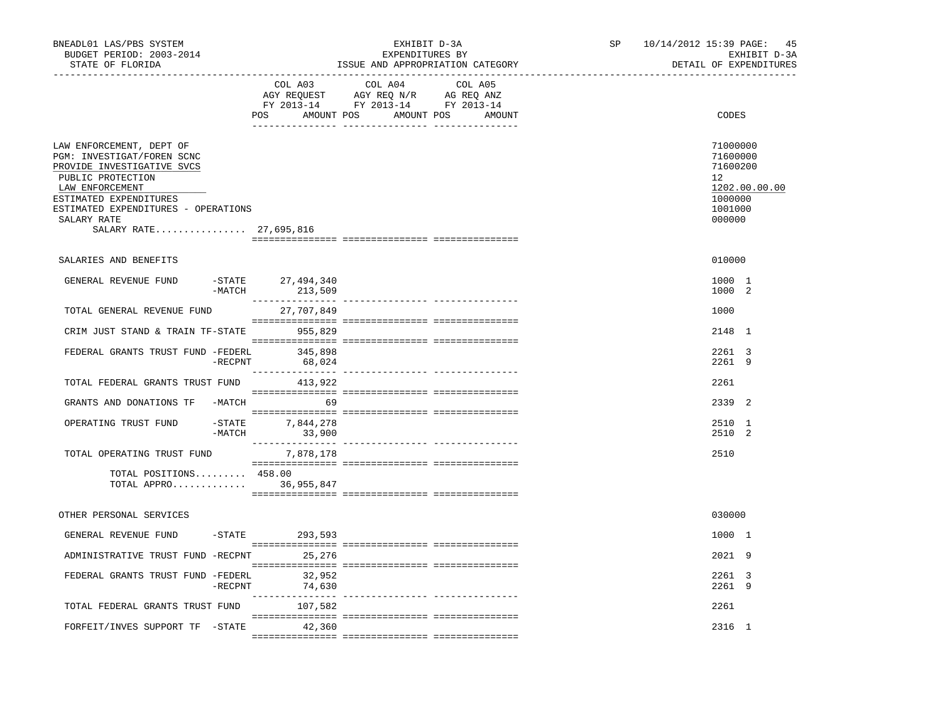| BNEADL01 LAS/PBS SYSTEM<br>BUDGET PERIOD: 2003-2014<br>STATE OF FLORIDA                                                                                                                                                                |                                     | EXHIBIT D-3A<br>EXPENDITURES BY<br>ISSUE AND APPROPRIATION CATEGORY                                                                                                                                                                                                                                                                                                                  | SP | 10/14/2012 15:39 PAGE: 45<br>EXHIBIT D-3A<br>DETAIL OF EXPENDITURES                                  |
|----------------------------------------------------------------------------------------------------------------------------------------------------------------------------------------------------------------------------------------|-------------------------------------|--------------------------------------------------------------------------------------------------------------------------------------------------------------------------------------------------------------------------------------------------------------------------------------------------------------------------------------------------------------------------------------|----|------------------------------------------------------------------------------------------------------|
|                                                                                                                                                                                                                                        | COL A03                             | COL A04<br>COL A05<br>$\begin{tabular}{lllllllll} \multicolumn{2}{l}{{\bf AGY}} & {\bf RcQUEST} & {\bf AGY} & {\bf RcQ} & {\bf N/R} & {\bf AGEQ} & {\bf ANZ} \\ \multicolumn{2}{l}{{\bf AGY}} & {\bf RcQUEST} & {\bf AGY} & {\bf RcQ} & {\bf N} \\ {\bf FY} & {\bf 2013-14} & {\bf FY} & {\bf 2013-14} & {\bf FY} & {\bf 2013-14} \end{tabular}$<br>POS AMOUNT POS AMOUNT POS AMOUNT |    | CODES                                                                                                |
| LAW ENFORCEMENT, DEPT OF<br>PGM: INVESTIGAT/FOREN SCNC<br>PROVIDE INVESTIGATIVE SVCS<br>PUBLIC PROTECTION<br>LAW ENFORCEMENT<br>ESTIMATED EXPENDITURES<br>ESTIMATED EXPENDITURES - OPERATIONS<br>SALARY RATE<br>SALARY RATE 27,695,816 |                                     |                                                                                                                                                                                                                                                                                                                                                                                      |    | 71000000<br>71600000<br>71600200<br>12 <sup>7</sup><br>1202.00.00.00<br>1000000<br>1001000<br>000000 |
| SALARIES AND BENEFITS                                                                                                                                                                                                                  |                                     |                                                                                                                                                                                                                                                                                                                                                                                      |    | 010000                                                                                               |
| GENERAL REVENUE FUND                                                                                                                                                                                                                   | -STATE 27,494,340<br>-MATCH 213,509 |                                                                                                                                                                                                                                                                                                                                                                                      |    | 1000 1<br>1000 2                                                                                     |
| TOTAL GENERAL REVENUE FUND                                                                                                                                                                                                             | 27,707,849                          |                                                                                                                                                                                                                                                                                                                                                                                      |    | 1000                                                                                                 |
| CRIM JUST STAND & TRAIN TF-STATE                                                                                                                                                                                                       | 955,829                             |                                                                                                                                                                                                                                                                                                                                                                                      |    | 2148 1                                                                                               |
| FEDERAL GRANTS TRUST FUND -FEDERL<br>$-$ RECPNT                                                                                                                                                                                        | 345,898<br>68,024                   |                                                                                                                                                                                                                                                                                                                                                                                      |    | 2261 3<br>2261 9                                                                                     |
| TOTAL FEDERAL GRANTS TRUST FUND                                                                                                                                                                                                        | 413,922                             |                                                                                                                                                                                                                                                                                                                                                                                      |    | 2261                                                                                                 |
| GRANTS AND DONATIONS TF -MATCH                                                                                                                                                                                                         | 69                                  |                                                                                                                                                                                                                                                                                                                                                                                      |    | 2339 2                                                                                               |
| OPERATING TRUST FUND                                                                                                                                                                                                                   | -STATE 7,844,278<br>$-MATCH$ 33,900 |                                                                                                                                                                                                                                                                                                                                                                                      |    | 2510 1<br>2510 2                                                                                     |
| TOTAL OPERATING TRUST FUND                                                                                                                                                                                                             | 7,878,178                           |                                                                                                                                                                                                                                                                                                                                                                                      |    | 2510                                                                                                 |
| TOTAL POSITIONS 458.00<br>TOTAL APPRO 36,955,847                                                                                                                                                                                       |                                     |                                                                                                                                                                                                                                                                                                                                                                                      |    |                                                                                                      |
| OTHER PERSONAL SERVICES                                                                                                                                                                                                                |                                     |                                                                                                                                                                                                                                                                                                                                                                                      |    | 030000                                                                                               |
| GENERAL REVENUE FUND -STATE 293,593                                                                                                                                                                                                    |                                     |                                                                                                                                                                                                                                                                                                                                                                                      |    | 1000 1                                                                                               |
| ADMINISTRATIVE TRUST FUND -RECPNT                                                                                                                                                                                                      | 25,276                              |                                                                                                                                                                                                                                                                                                                                                                                      |    | 2021 9                                                                                               |
| FEDERAL GRANTS TRUST FUND -FEDERL<br>$-$ RECPNT                                                                                                                                                                                        | 32,952<br>74,630                    |                                                                                                                                                                                                                                                                                                                                                                                      |    | 2261 3<br>2261 9                                                                                     |
| TOTAL FEDERAL GRANTS TRUST FUND                                                                                                                                                                                                        | 107,582                             |                                                                                                                                                                                                                                                                                                                                                                                      |    | 2261                                                                                                 |
| FORFEIT/INVES SUPPORT TF -STATE 42,360                                                                                                                                                                                                 |                                     |                                                                                                                                                                                                                                                                                                                                                                                      |    | 2316 1                                                                                               |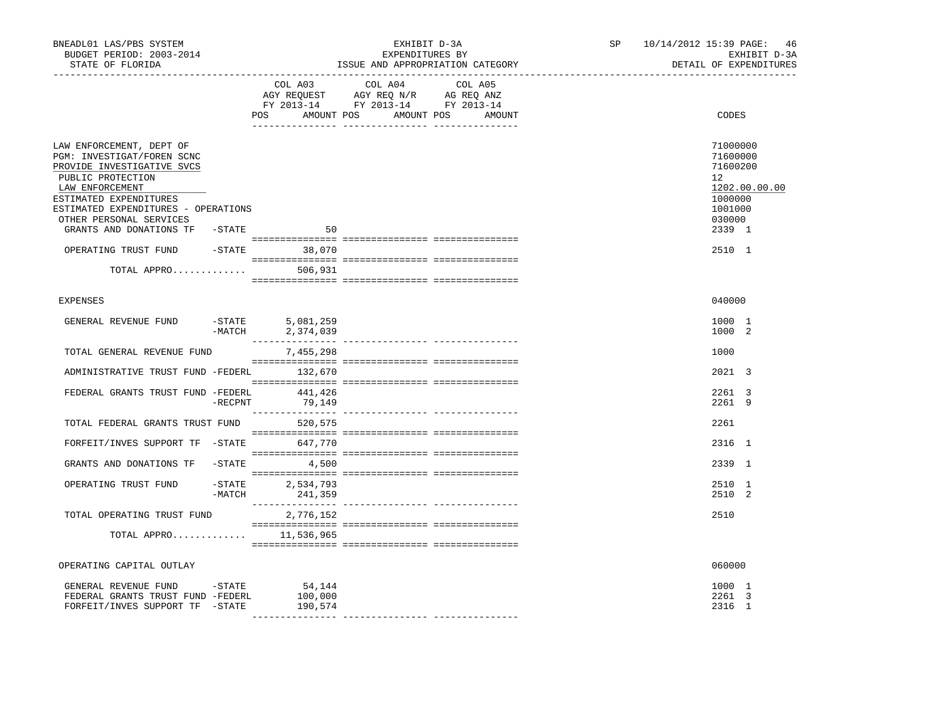| BNEADL01 LAS/PBS SYSTEM<br>BUDGET PERIOD: 2003-2014<br>STATE OF FLORIDA                                                                                                                                                  |                  | ______________________________     | EXHIBIT D-3A<br>EXPENDITURES BY<br>ISSUE AND APPROPRIATION CATEGORY                                                              | SP | 10/14/2012 15:39 PAGE: 46<br>EXHIBIT D-3A<br>DETAIL OF EXPENDITURES                                  |
|--------------------------------------------------------------------------------------------------------------------------------------------------------------------------------------------------------------------------|------------------|------------------------------------|----------------------------------------------------------------------------------------------------------------------------------|----|------------------------------------------------------------------------------------------------------|
|                                                                                                                                                                                                                          |                  | COL A03                            | COL A04<br>COL A05<br>AGY REQUEST AGY REQ N/R AG REQ ANZ<br>FY 2013-14 FY 2013-14 FY 2013-14<br>POS AMOUNT POS AMOUNT POS AMOUNT |    | CODES                                                                                                |
| LAW ENFORCEMENT, DEPT OF<br>PGM: INVESTIGAT/FOREN SCNC<br>PROVIDE INVESTIGATIVE SVCS<br>PUBLIC PROTECTION<br>LAW ENFORCEMENT<br>ESTIMATED EXPENDITURES<br>ESTIMATED EXPENDITURES - OPERATIONS<br>OTHER PERSONAL SERVICES |                  |                                    |                                                                                                                                  |    | 71000000<br>71600000<br>71600200<br>12 <sup>°</sup><br>1202.00.00.00<br>1000000<br>1001000<br>030000 |
| GRANTS AND DONATIONS TF -STATE                                                                                                                                                                                           |                  | 50                                 |                                                                                                                                  |    | 2339 1                                                                                               |
| OPERATING TRUST FUND -STATE 38,070                                                                                                                                                                                       |                  |                                    |                                                                                                                                  |    | 2510 1                                                                                               |
| TOTAL APPRO $506,931$                                                                                                                                                                                                    |                  |                                    |                                                                                                                                  |    |                                                                                                      |
| <b>EXPENSES</b>                                                                                                                                                                                                          |                  |                                    |                                                                                                                                  |    | 040000                                                                                               |
| GENERAL REVENUE FUND                                                                                                                                                                                                     | -STATE<br>-MATCH | 5,081,259<br>2,374,039             |                                                                                                                                  |    | 1000 1<br>1000 2                                                                                     |
| TOTAL GENERAL REVENUE FUND                                                                                                                                                                                               |                  | 7,455,298                          |                                                                                                                                  |    | 1000                                                                                                 |
| ADMINISTRATIVE TRUST FUND -FEDERL 132,670                                                                                                                                                                                |                  |                                    |                                                                                                                                  |    | 2021 3                                                                                               |
| FEDERAL GRANTS TRUST FUND -FEDERL 441,426                                                                                                                                                                                | $-$ RECPNT       | 79,149                             |                                                                                                                                  |    | 2261 3<br>2261 9                                                                                     |
| TOTAL FEDERAL GRANTS TRUST FUND 520,575                                                                                                                                                                                  |                  |                                    |                                                                                                                                  |    | 2261                                                                                                 |
| FORFEIT/INVES SUPPORT TF -STATE 647,770                                                                                                                                                                                  |                  |                                    |                                                                                                                                  |    | 2316 1                                                                                               |
| GRANTS AND DONATIONS TF                                                                                                                                                                                                  |                  | $-$ STATE 4,500                    |                                                                                                                                  |    | 2339 1                                                                                               |
| OPERATING TRUST FUND                                                                                                                                                                                                     |                  | -STATE 2,534,793<br>-MATCH 241,359 |                                                                                                                                  |    | 2510 1<br>2510 2                                                                                     |
| TOTAL OPERATING TRUST FUND                                                                                                                                                                                               |                  | 2,776,152                          |                                                                                                                                  |    | 2510                                                                                                 |
| TOTAL APPRO $11,536,965$                                                                                                                                                                                                 |                  |                                    |                                                                                                                                  |    |                                                                                                      |
| OPERATING CAPITAL OUTLAY                                                                                                                                                                                                 |                  |                                    |                                                                                                                                  |    | 060000                                                                                               |
| GENERAL REVENUE FUND -STATE<br>FEDERAL GRANTS TRUST FUND -FEDERL<br>FORFEIT/INVES SUPPORT TF -STATE                                                                                                                      |                  | 54,144<br>100,000<br>190,574       |                                                                                                                                  |    | 1000 1<br>2261 3<br>2316 1                                                                           |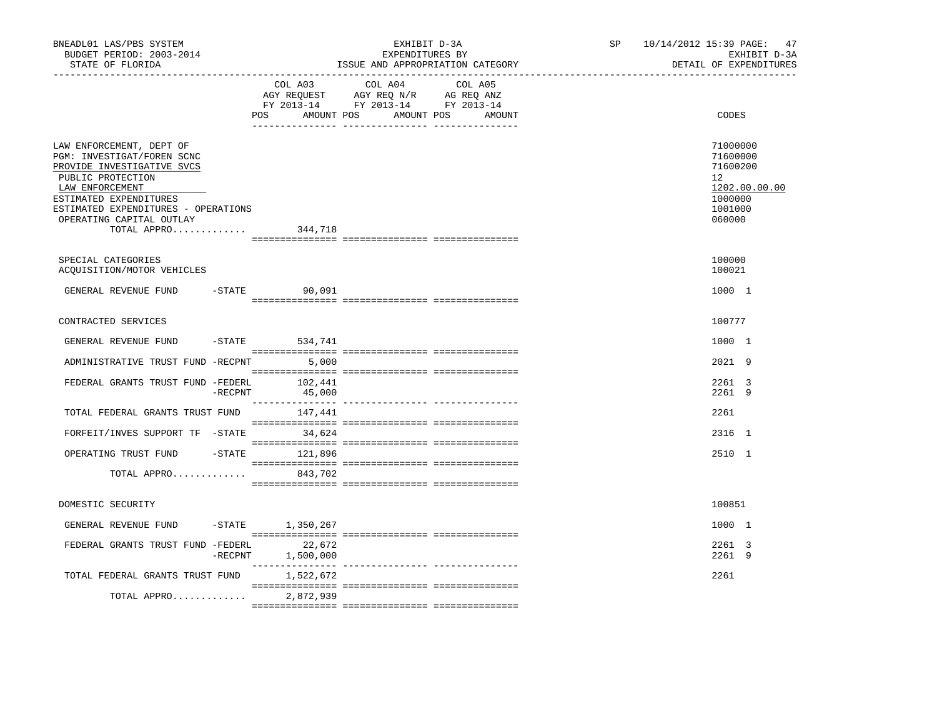| BNEADL01 LAS/PBS SYSTEM<br>BUDGET PERIOD: 2003-2014<br>STATE OF FLORIDA                                                                                                                                                                          |                                   | EXHIBIT D-3A<br>EXPENDITURES BY<br>ISSUE AND APPROPRIATION CATEGORY                                                                                                                                                                                                                                                                                                                                                                 | SP <sub>2</sub> | 10/14/2012 15:39 PAGE: 47<br>EXHIBIT D-3A<br>DETAIL OF EXPENDITURES                                  |
|--------------------------------------------------------------------------------------------------------------------------------------------------------------------------------------------------------------------------------------------------|-----------------------------------|-------------------------------------------------------------------------------------------------------------------------------------------------------------------------------------------------------------------------------------------------------------------------------------------------------------------------------------------------------------------------------------------------------------------------------------|-----------------|------------------------------------------------------------------------------------------------------|
|                                                                                                                                                                                                                                                  | POS                               | COL A03 COL A04 COL A05<br>AGY REQUEST AGY REQ N/R AG REQ ANZ<br>FY 2013-14 FY 2013-14 FY 2013-14<br>AMOUNT POS AMOUNT POS AMOUNT                                                                                                                                                                                                                                                                                                   |                 | CODES                                                                                                |
| LAW ENFORCEMENT, DEPT OF<br>PGM: INVESTIGAT/FOREN SCNC<br>PROVIDE INVESTIGATIVE SVCS<br>PUBLIC PROTECTION<br>LAW ENFORCEMENT<br>ESTIMATED EXPENDITURES<br>ESTIMATED EXPENDITURES - OPERATIONS<br>OPERATING CAPITAL OUTLAY<br>TOTAL APPRO 344,718 |                                   |                                                                                                                                                                                                                                                                                                                                                                                                                                     |                 | 71000000<br>71600000<br>71600200<br>12 <sup>°</sup><br>1202.00.00.00<br>1000000<br>1001000<br>060000 |
| SPECIAL CATEGORIES                                                                                                                                                                                                                               |                                   |                                                                                                                                                                                                                                                                                                                                                                                                                                     |                 | 100000                                                                                               |
| ACOUISITION/MOTOR VEHICLES                                                                                                                                                                                                                       |                                   |                                                                                                                                                                                                                                                                                                                                                                                                                                     |                 | 100021                                                                                               |
| GENERAL REVENUE FUND                                                                                                                                                                                                                             | $-STATE$<br>90,091                |                                                                                                                                                                                                                                                                                                                                                                                                                                     |                 | 1000 1                                                                                               |
| CONTRACTED SERVICES                                                                                                                                                                                                                              |                                   |                                                                                                                                                                                                                                                                                                                                                                                                                                     |                 | 100777                                                                                               |
| GENERAL REVENUE FUND                                                                                                                                                                                                                             | $-$ STATE 534, 741                |                                                                                                                                                                                                                                                                                                                                                                                                                                     |                 | 1000 1                                                                                               |
| ADMINISTRATIVE TRUST FUND -RECPNT 5,000                                                                                                                                                                                                          |                                   |                                                                                                                                                                                                                                                                                                                                                                                                                                     |                 | 2021 9                                                                                               |
| FEDERAL GRANTS TRUST FUND -FEDERL                                                                                                                                                                                                                | 102,441<br>$-$ RECPNT<br>45,000   |                                                                                                                                                                                                                                                                                                                                                                                                                                     |                 | 2261 3<br>2261 9                                                                                     |
| TOTAL FEDERAL GRANTS TRUST FUND 147,441                                                                                                                                                                                                          |                                   |                                                                                                                                                                                                                                                                                                                                                                                                                                     |                 | 2261                                                                                                 |
| FORFEIT/INVES SUPPORT TF -STATE 34,624                                                                                                                                                                                                           |                                   |                                                                                                                                                                                                                                                                                                                                                                                                                                     |                 | 2316 1                                                                                               |
| OPERATING TRUST FUND                                                                                                                                                                                                                             | -STATE 121,896                    |                                                                                                                                                                                                                                                                                                                                                                                                                                     |                 | 2510 1                                                                                               |
| TOTAL APPRO                                                                                                                                                                                                                                      | 843,702                           | $\begin{minipage}{0.03\textwidth} \begin{tabular}{l} \textbf{1} & \textbf{2} & \textbf{3} & \textbf{5} & \textbf{5} & \textbf{6} & \textbf{6} & \textbf{7} & \textbf{8} & \textbf{8} & \textbf{9} & \textbf{9} & \textbf{9} & \textbf{9} & \textbf{9} & \textbf{9} & \textbf{9} & \textbf{9} & \textbf{9} & \textbf{9} & \textbf{9} & \textbf{9} & \textbf{9} & \textbf{9} & \textbf{9} & \textbf{9} & \textbf{9} & \textbf{9} & \$ |                 |                                                                                                      |
| DOMESTIC SECURITY                                                                                                                                                                                                                                |                                   |                                                                                                                                                                                                                                                                                                                                                                                                                                     |                 | 100851                                                                                               |
| GENERAL REVENUE FUND                                                                                                                                                                                                                             | $-$ STATE $1, 350, 267$           |                                                                                                                                                                                                                                                                                                                                                                                                                                     |                 | 1000 1                                                                                               |
| FEDERAL GRANTS TRUST FUND -FEDERL                                                                                                                                                                                                                | 22,672<br>$-$ RECPNT<br>1,500,000 |                                                                                                                                                                                                                                                                                                                                                                                                                                     |                 | 2261 3<br>2261 9                                                                                     |
| TOTAL FEDERAL GRANTS TRUST FUND                                                                                                                                                                                                                  | 1,522,672                         |                                                                                                                                                                                                                                                                                                                                                                                                                                     |                 | 2261                                                                                                 |
| TOTAL APPRO                                                                                                                                                                                                                                      | 2,872,939                         |                                                                                                                                                                                                                                                                                                                                                                                                                                     |                 |                                                                                                      |
|                                                                                                                                                                                                                                                  |                                   |                                                                                                                                                                                                                                                                                                                                                                                                                                     |                 |                                                                                                      |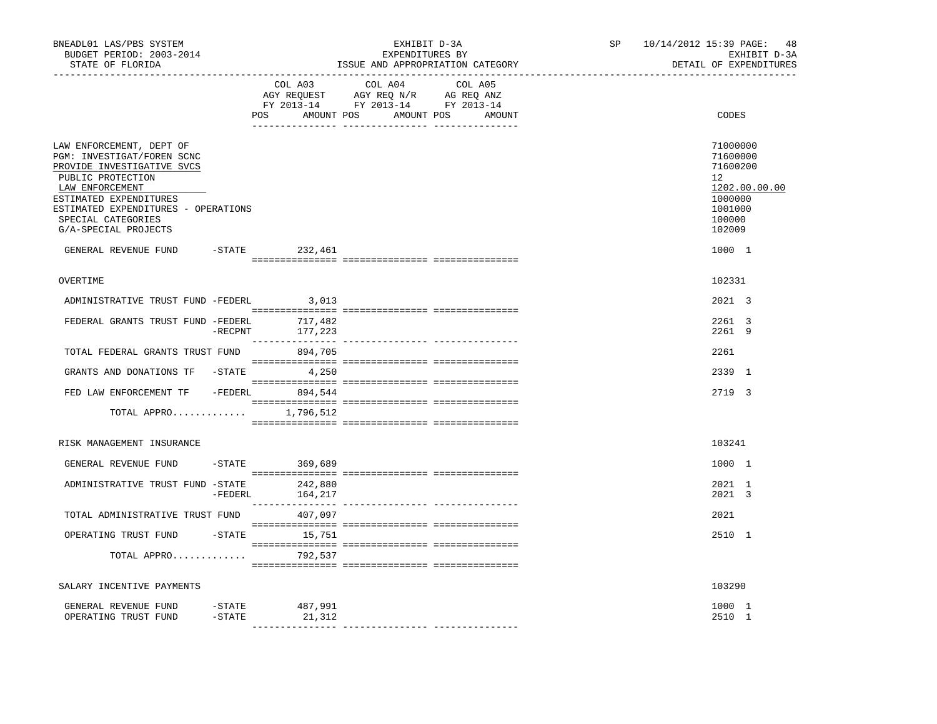| BNEADL01 LAS/PBS SYSTEM<br>BUDGET PERIOD: 2003-2014<br>STATE OF FLORIDA                                                                                                                                                                     |           |                               | EXHIBIT D-3A<br>EXPENDITURES BY<br>ISSUE AND APPROPRIATION CATEGORY                                                                                                                                                                                          | SP                                        | 10/14/2012 15:39 PAGE:<br>-48<br>EXHIBIT D-3A<br>DETAIL OF EXPENDITURES |                                                                                                   |
|---------------------------------------------------------------------------------------------------------------------------------------------------------------------------------------------------------------------------------------------|-----------|-------------------------------|--------------------------------------------------------------------------------------------------------------------------------------------------------------------------------------------------------------------------------------------------------------|-------------------------------------------|-------------------------------------------------------------------------|---------------------------------------------------------------------------------------------------|
|                                                                                                                                                                                                                                             |           | COL A03<br>AMOUNT POS<br>POS  | COL A04<br>$\begin{tabular}{lllllll} \bf AGY \;\; RegUEST\hspace{1cm}AGY \;\; REG\;\; N/R\hspace{1cm}AG \;\; REG \;\; ANZ \\ \hline \texttt{FY} \;\; 2013\text{--}14 & \texttt{FY} \;\; 2013\text{--}14 & \texttt{FY} \;\; 2013\text{--}14 \\ \end{tabular}$ | COL A05<br>AMOUNT POS<br>AMOUNT           |                                                                         | CODES                                                                                             |
| LAW ENFORCEMENT, DEPT OF<br>PGM: INVESTIGAT/FOREN SCNC<br>PROVIDE INVESTIGATIVE SVCS<br>PUBLIC PROTECTION<br>LAW ENFORCEMENT<br>ESTIMATED EXPENDITURES<br>ESTIMATED EXPENDITURES - OPERATIONS<br>SPECIAL CATEGORIES<br>G/A-SPECIAL PROJECTS |           |                               |                                                                                                                                                                                                                                                              |                                           |                                                                         | 71000000<br>71600000<br>71600200<br>12<br>1202.00.00.00<br>1000000<br>1001000<br>100000<br>102009 |
| GENERAL REVENUE FUND                                                                                                                                                                                                                        |           | -STATE 232,461                |                                                                                                                                                                                                                                                              |                                           |                                                                         | 1000 1                                                                                            |
| OVERTIME                                                                                                                                                                                                                                    |           |                               |                                                                                                                                                                                                                                                              |                                           |                                                                         | 102331                                                                                            |
| ADMINISTRATIVE TRUST FUND -FEDERL                                                                                                                                                                                                           |           | 3,013                         |                                                                                                                                                                                                                                                              |                                           |                                                                         | 2021 3                                                                                            |
| FEDERAL GRANTS TRUST FUND -FEDERL                                                                                                                                                                                                           | -RECPNT   | 717,482<br>177,223            |                                                                                                                                                                                                                                                              |                                           |                                                                         | 2261 3<br>2261 9                                                                                  |
| TOTAL FEDERAL GRANTS TRUST FUND                                                                                                                                                                                                             |           | 894,705                       |                                                                                                                                                                                                                                                              |                                           |                                                                         | 2261                                                                                              |
| GRANTS AND DONATIONS TF -STATE 4,250                                                                                                                                                                                                        |           |                               |                                                                                                                                                                                                                                                              |                                           |                                                                         | 2339 1                                                                                            |
| FED LAW ENFORCEMENT TF -FEDERL 894,544                                                                                                                                                                                                      |           |                               |                                                                                                                                                                                                                                                              | $\begin{array}{l} \texttt{--}\end{array}$ |                                                                         | 2719 3                                                                                            |
| TOTAL APPRO $1,796,512$                                                                                                                                                                                                                     |           |                               |                                                                                                                                                                                                                                                              |                                           |                                                                         |                                                                                                   |
| RISK MANAGEMENT INSURANCE                                                                                                                                                                                                                   |           |                               |                                                                                                                                                                                                                                                              |                                           |                                                                         | 103241                                                                                            |
| GENERAL REVENUE FUND                                                                                                                                                                                                                        |           | $-$ STATE 369,689             |                                                                                                                                                                                                                                                              |                                           |                                                                         | 1000 1                                                                                            |
| ADMINISTRATIVE TRUST FUND -STATE                                                                                                                                                                                                            |           | 242,880<br>$-FEDERL$ 164, 217 |                                                                                                                                                                                                                                                              |                                           |                                                                         | 2021 1<br>2021 3                                                                                  |
| TOTAL ADMINISTRATIVE TRUST FUND 407,097                                                                                                                                                                                                     |           |                               |                                                                                                                                                                                                                                                              |                                           |                                                                         | 2021                                                                                              |
| OPERATING TRUST FUND<br>TOTAL APPRO                                                                                                                                                                                                         |           | $-$ STATE $15,751$<br>792,537 |                                                                                                                                                                                                                                                              |                                           |                                                                         | 2510 1                                                                                            |
|                                                                                                                                                                                                                                             |           |                               |                                                                                                                                                                                                                                                              |                                           |                                                                         |                                                                                                   |
| SALARY INCENTIVE PAYMENTS                                                                                                                                                                                                                   |           |                               |                                                                                                                                                                                                                                                              |                                           |                                                                         | 103290                                                                                            |
| GENERAL REVENUE FUND<br>OPERATING TRUST FUND                                                                                                                                                                                                | $-$ STATE | $-$ STATE 487,991<br>21,312   |                                                                                                                                                                                                                                                              |                                           |                                                                         | 1000 1<br>2510 1                                                                                  |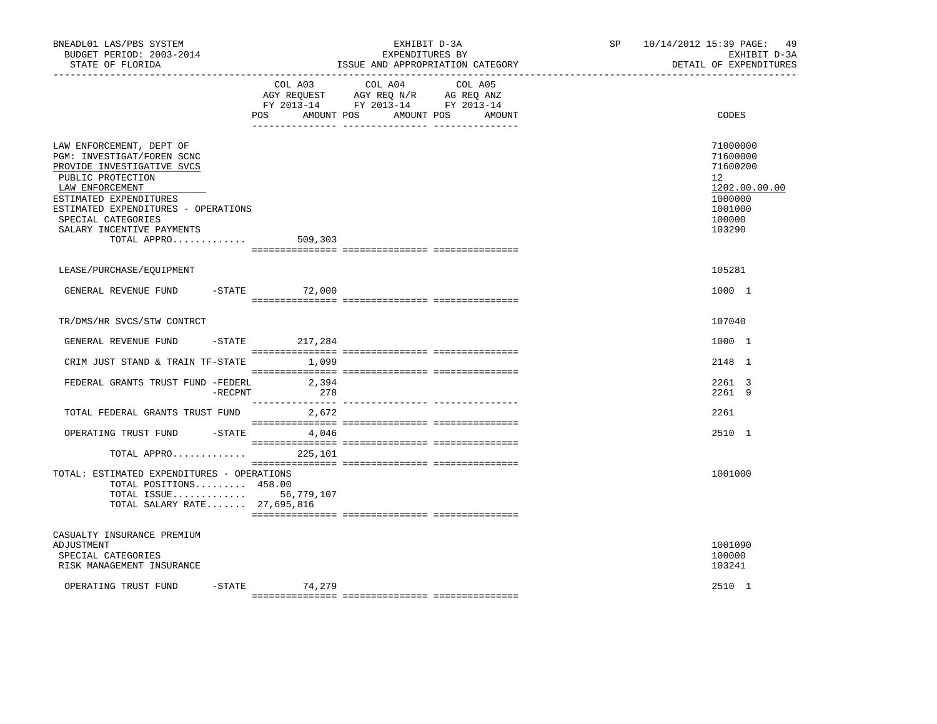| BNEADL01 LAS/PBS SYSTEM<br>BUDGET PERIOD: 2003-2014<br>STATE OF FLORIDA                                                                                                                                                                                         |                    | EXHIBIT D-3A<br>EXPENDITURES BY<br>ISSUE AND APPROPRIATION CATEGORY                                                          | SP <sub>2</sub> | 10/14/2012 15:39 PAGE: 49<br>EXHIBIT D-3A<br>DETAIL OF EXPENDITURES                               |
|-----------------------------------------------------------------------------------------------------------------------------------------------------------------------------------------------------------------------------------------------------------------|--------------------|------------------------------------------------------------------------------------------------------------------------------|-----------------|---------------------------------------------------------------------------------------------------|
|                                                                                                                                                                                                                                                                 | POS<br>AMOUNT POS  | COL A03 COL A04<br>COL A05<br>AGY REQUEST AGY REQ N/R AG REQ ANZ<br>FY 2013-14 FY 2013-14 FY 2013-14<br>AMOUNT POS<br>AMOUNT |                 | CODES                                                                                             |
| LAW ENFORCEMENT, DEPT OF<br>PGM: INVESTIGAT/FOREN SCNC<br>PROVIDE INVESTIGATIVE SVCS<br>PUBLIC PROTECTION<br>LAW ENFORCEMENT<br>ESTIMATED EXPENDITURES<br>ESTIMATED EXPENDITURES - OPERATIONS<br>SPECIAL CATEGORIES<br>SALARY INCENTIVE PAYMENTS<br>TOTAL APPRO | 509,303            |                                                                                                                              |                 | 71000000<br>71600000<br>71600200<br>12<br>1202.00.00.00<br>1000000<br>1001000<br>100000<br>103290 |
| LEASE/PURCHASE/EQUIPMENT                                                                                                                                                                                                                                        |                    |                                                                                                                              |                 | 105281                                                                                            |
| GENERAL REVENUE FUND                                                                                                                                                                                                                                            | $-STATE$ 72,000    |                                                                                                                              |                 | 1000 1                                                                                            |
| TR/DMS/HR SVCS/STW CONTRCT                                                                                                                                                                                                                                      |                    |                                                                                                                              |                 | 107040                                                                                            |
| GENERAL REVENUE FUND                                                                                                                                                                                                                                            | $-$ STATE 217, 284 |                                                                                                                              |                 | 1000 1                                                                                            |
| CRIM JUST STAND & TRAIN TF-STATE                                                                                                                                                                                                                                | 1,099              |                                                                                                                              |                 | 2148 1                                                                                            |
| FEDERAL GRANTS TRUST FUND -FEDERL<br>$-$ RECPNT                                                                                                                                                                                                                 | 2,394<br>278       |                                                                                                                              |                 | 2261 3<br>2261 9                                                                                  |
| TOTAL FEDERAL GRANTS TRUST FUND                                                                                                                                                                                                                                 | 2,672              |                                                                                                                              |                 | 2261                                                                                              |
| OPERATING TRUST FUND -STATE 4,046                                                                                                                                                                                                                               |                    |                                                                                                                              |                 | 2510 1                                                                                            |
| TOTAL APPRO                                                                                                                                                                                                                                                     | 225,101            |                                                                                                                              |                 |                                                                                                   |
| TOTAL: ESTIMATED EXPENDITURES - OPERATIONS<br>TOTAL POSITIONS 458.00<br>TOTAL ISSUE 56,779,107<br>TOTAL SALARY RATE 27,695,816                                                                                                                                  |                    |                                                                                                                              |                 | 1001000                                                                                           |
| CASUALTY INSURANCE PREMIUM<br>ADJUSTMENT<br>SPECIAL CATEGORIES<br>RISK MANAGEMENT INSURANCE                                                                                                                                                                     |                    |                                                                                                                              |                 | 1001090<br>100000<br>103241                                                                       |
| OPERATING TRUST FUND                                                                                                                                                                                                                                            | $-STATE$ 74,279    |                                                                                                                              |                 | 2510 1                                                                                            |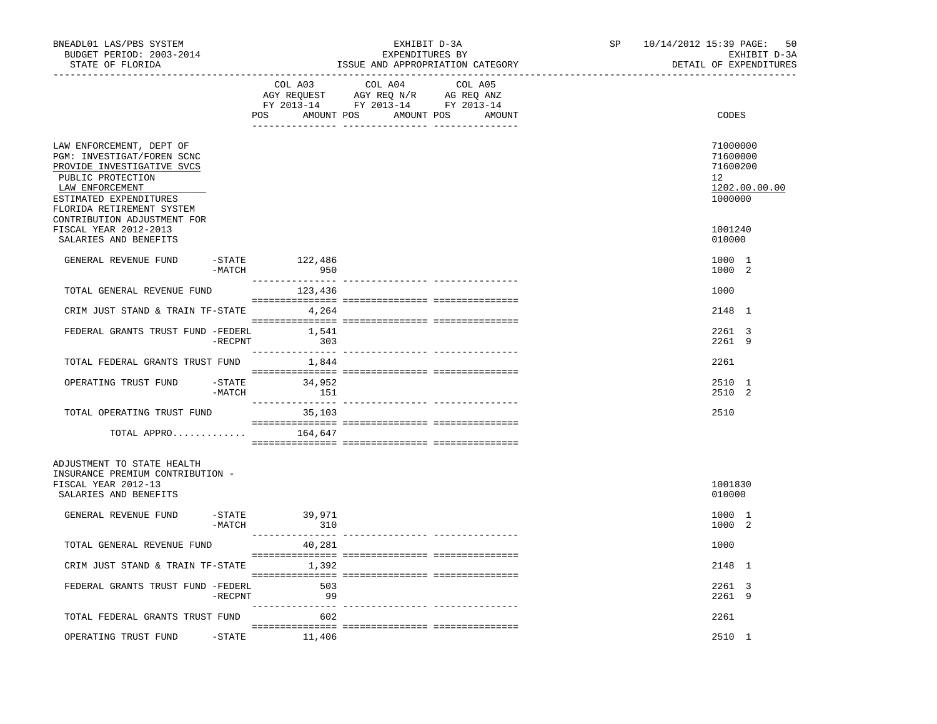| BNEADL01 LAS/PBS SYSTEM<br>BUDGET PERIOD: 2003-2014<br>STATE OF FLORIDA<br>. _ _ _ _ _ _ _ _ _ _ _ _ _ _ _ _                                                                                                       |                     |                      | EXHIBIT D-3A<br>EXPENDITURES BY<br>ISSUE AND APPROPRIATION CATEGORY                                                   | SP <sub>2</sub><br>----------------------- | 10/14/2012 15:39 PAGE: 50<br>EXHIBIT D-3A<br>DETAIL OF EXPENDITURES |  |                                                                    |
|--------------------------------------------------------------------------------------------------------------------------------------------------------------------------------------------------------------------|---------------------|----------------------|-----------------------------------------------------------------------------------------------------------------------|--------------------------------------------|---------------------------------------------------------------------|--|--------------------------------------------------------------------|
|                                                                                                                                                                                                                    |                     | COL A03              | COL A04<br>AGY REQUEST AGY REQ N/R AG REQ ANZ<br>FY 2013-14 FY 2013-14 FY 2013-14<br>POS AMOUNT POS AMOUNT POS AMOUNT | COL A05                                    |                                                                     |  | CODES                                                              |
| LAW ENFORCEMENT, DEPT OF<br>PGM: INVESTIGAT/FOREN SCNC<br>PROVIDE INVESTIGATIVE SVCS<br>PUBLIC PROTECTION<br>LAW ENFORCEMENT<br>ESTIMATED EXPENDITURES<br>FLORIDA RETIREMENT SYSTEM<br>CONTRIBUTION ADJUSTMENT FOR |                     |                      |                                                                                                                       |                                            |                                                                     |  | 71000000<br>71600000<br>71600200<br>12<br>1202.00.00.00<br>1000000 |
| FISCAL YEAR 2012-2013<br>SALARIES AND BENEFITS                                                                                                                                                                     |                     |                      |                                                                                                                       |                                            |                                                                     |  | 1001240<br>010000                                                  |
| GENERAL REVENUE FUND                                                                                                                                                                                               | -STATE<br>$-MATCH$  | 122,486<br>950       |                                                                                                                       |                                            |                                                                     |  | 1000 1<br>1000 2                                                   |
| TOTAL GENERAL REVENUE FUND                                                                                                                                                                                         |                     | 123,436              |                                                                                                                       |                                            |                                                                     |  | 1000                                                               |
| CRIM JUST STAND & TRAIN TF-STATE                                                                                                                                                                                   |                     | 4,264                |                                                                                                                       |                                            |                                                                     |  | 2148 1                                                             |
| FEDERAL GRANTS TRUST FUND -FEDERL                                                                                                                                                                                  | $-$ RECPNT          | 1,541<br>303         |                                                                                                                       |                                            |                                                                     |  | 2261 3<br>2261 9                                                   |
| TOTAL FEDERAL GRANTS TRUST FUND                                                                                                                                                                                    |                     | 1,844                |                                                                                                                       |                                            |                                                                     |  | 2261                                                               |
| OPERATING TRUST FUND                                                                                                                                                                                               | $-$ STATE<br>-MATCH | 34,952<br>151        |                                                                                                                       |                                            |                                                                     |  | 2510 1<br>2510 2                                                   |
| TOTAL OPERATING TRUST FUND                                                                                                                                                                                         |                     | 35,103               |                                                                                                                       |                                            |                                                                     |  | 2510                                                               |
| TOTAL APPRO $164,647$                                                                                                                                                                                              |                     |                      |                                                                                                                       |                                            |                                                                     |  |                                                                    |
| ADJUSTMENT TO STATE HEALTH<br>INSURANCE PREMIUM CONTRIBUTION -<br>FISCAL YEAR 2012-13<br>SALARIES AND BENEFITS                                                                                                     |                     |                      |                                                                                                                       |                                            |                                                                     |  | 1001830<br>010000                                                  |
| GENERAL REVENUE FUND                                                                                                                                                                                               | $-MATCH$            | -STATE 39,971<br>310 |                                                                                                                       |                                            |                                                                     |  | 1000 1<br>1000 2                                                   |
| TOTAL GENERAL REVENUE FUND                                                                                                                                                                                         |                     | 40,281               |                                                                                                                       |                                            |                                                                     |  | 1000                                                               |
| CRIM JUST STAND & TRAIN TF-STATE                                                                                                                                                                                   |                     | 1,392                |                                                                                                                       |                                            |                                                                     |  | 2148 1                                                             |
| FEDERAL GRANTS TRUST FUND -FEDERL                                                                                                                                                                                  | $-$ RECPNT          | 503<br>99            |                                                                                                                       |                                            |                                                                     |  | 2261 3<br>2261 9                                                   |
| TOTAL FEDERAL GRANTS TRUST FUND                                                                                                                                                                                    |                     | 602                  |                                                                                                                       |                                            |                                                                     |  | 2261                                                               |
| OPERATING TRUST FUND -STATE 11,406                                                                                                                                                                                 |                     |                      |                                                                                                                       |                                            |                                                                     |  | 2510 1                                                             |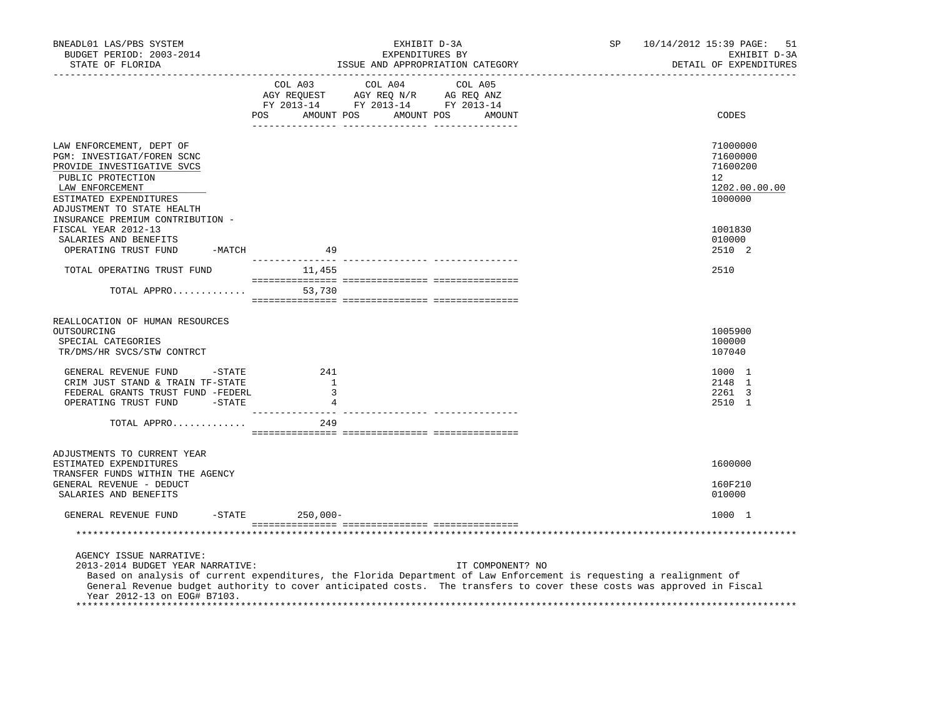| BNEADL01 LAS/PBS SYSTEM<br>BUDGET PERIOD: 2003-2014<br>STATE OF FLORIDA                                                                        |                                                 | EXHIBIT D-3A<br>EXPENDITURES BY<br>ISSUE AND APPROPRIATION CATEGORY                                                                                                                                                                                               | <b>SP</b> | 10/14/2012 15:39 PAGE:<br>51<br>EXHIBIT D-3A<br>DETAIL OF EXPENDITURES |
|------------------------------------------------------------------------------------------------------------------------------------------------|-------------------------------------------------|-------------------------------------------------------------------------------------------------------------------------------------------------------------------------------------------------------------------------------------------------------------------|-----------|------------------------------------------------------------------------|
|                                                                                                                                                |                                                 | $\begin{tabular}{lcccc} COL A03 & COL A04 & COL A05 \\ AGY REQUEST & AGY REQ N/R & AG REQ ANZ \\ FY & 2013-14 & FY & 2013-14 & FY & 2013-14 \end{tabular}$<br>POS AMOUNT POS AMOUNT POS AMOUNT                                                                    |           | CODES                                                                  |
|                                                                                                                                                |                                                 |                                                                                                                                                                                                                                                                   |           |                                                                        |
| LAW ENFORCEMENT, DEPT OF<br>PGM: INVESTIGAT/FOREN SCNC<br>PROVIDE INVESTIGATIVE SVCS                                                           |                                                 |                                                                                                                                                                                                                                                                   |           | 71000000<br>71600000<br>71600200                                       |
| PUBLIC PROTECTION<br>LAW ENFORCEMENT<br>ESTIMATED EXPENDITURES<br>ADJUSTMENT TO STATE HEALTH                                                   |                                                 |                                                                                                                                                                                                                                                                   |           | 12<br>1202.00.00.00<br>1000000                                         |
| INSURANCE PREMIUM CONTRIBUTION -<br>FISCAL YEAR 2012-13<br>SALARIES AND BENEFITS<br>OPERATING TRUST FUND<br>-MATCH                             | 49                                              |                                                                                                                                                                                                                                                                   |           | 1001830<br>010000<br>2510 2                                            |
| TOTAL OPERATING TRUST FUND                                                                                                                     | 11,455                                          |                                                                                                                                                                                                                                                                   |           | 2510                                                                   |
|                                                                                                                                                |                                                 |                                                                                                                                                                                                                                                                   |           |                                                                        |
| TOTAL APPRO                                                                                                                                    | 53,730                                          |                                                                                                                                                                                                                                                                   |           |                                                                        |
| REALLOCATION OF HUMAN RESOURCES<br>OUTSOURCING<br>SPECIAL CATEGORIES<br>TR/DMS/HR SVCS/STW CONTRCT                                             |                                                 |                                                                                                                                                                                                                                                                   |           | 1005900<br>100000<br>107040                                            |
| GENERAL REVENUE FUND<br>$-$ STATE<br>CRIM JUST STAND & TRAIN TF-STATE<br>FEDERAL GRANTS TRUST FUND -FEDERL<br>OPERATING TRUST FUND -STATE      | 241<br><sup>1</sup><br>$\overline{\phantom{a}}$ |                                                                                                                                                                                                                                                                   |           | 1000 1<br>2148 1<br>2261 3<br>2510 1                                   |
| TOTAL APPRO                                                                                                                                    | 249                                             | ------------ ----------------                                                                                                                                                                                                                                     |           |                                                                        |
| ADJUSTMENTS TO CURRENT YEAR<br>ESTIMATED EXPENDITURES<br>TRANSFER FUNDS WITHIN THE AGENCY<br>GENERAL REVENUE - DEDUCT<br>SALARIES AND BENEFITS |                                                 |                                                                                                                                                                                                                                                                   |           | 1600000<br>160F210<br>010000                                           |
| GENERAL REVENUE FUND                                                                                                                           | $-STATE$<br>$250,000-$                          |                                                                                                                                                                                                                                                                   |           | 1000 1                                                                 |
|                                                                                                                                                |                                                 |                                                                                                                                                                                                                                                                   |           |                                                                        |
|                                                                                                                                                |                                                 |                                                                                                                                                                                                                                                                   |           |                                                                        |
| AGENCY ISSUE NARRATIVE:<br>2013-2014 BUDGET YEAR NARRATIVE:<br>Year 2012-13 on EOG# B7103.                                                     |                                                 | IT COMPONENT? NO<br>Based on analysis of current expenditures, the Florida Department of Law Enforcement is requesting a realignment of<br>General Revenue budget authority to cover anticipated costs. The transfers to cover these costs was approved in Fiscal |           |                                                                        |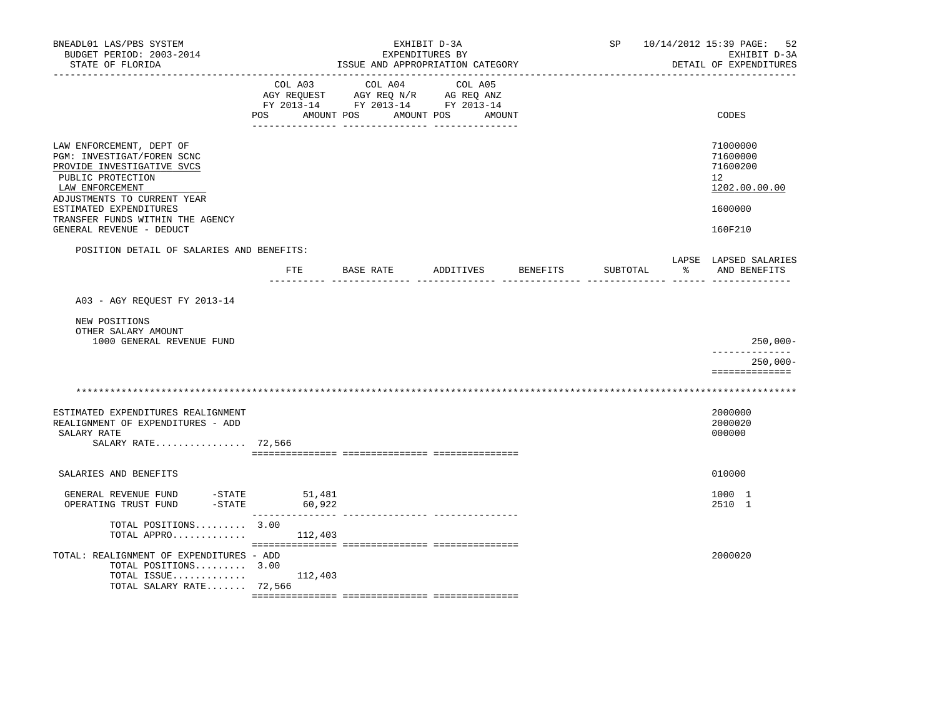| BNEADL01 LAS/PBS SYSTEM<br>BUDGET PERIOD: 2003-2014<br>STATE OF FLORIDA                                                                                                                                                   |     |                             | ISSUE AND APPROPRIATION CATEGORY                                                          | EXHIBIT D-3A | EXPENDITURES BY |        |          | SP       |    | 10/14/2012 15:39 PAGE: 52<br>EXHIBIT D-3A<br>DETAIL OF EXPENDITURES |
|---------------------------------------------------------------------------------------------------------------------------------------------------------------------------------------------------------------------------|-----|-----------------------------|-------------------------------------------------------------------------------------------|--------------|-----------------|--------|----------|----------|----|---------------------------------------------------------------------|
|                                                                                                                                                                                                                           | POS | AMOUNT POS                  | COL A03 COL A04<br>AGY REQUEST AGY REQ N/R AG REQ ANZ<br>FY 2013-14 FY 2013-14 FY 2013-14 | AMOUNT POS   | COL A05         | AMOUNT |          |          |    | CODES                                                               |
| LAW ENFORCEMENT, DEPT OF<br>PGM: INVESTIGAT/FOREN SCNC<br>PROVIDE INVESTIGATIVE SVCS<br>PUBLIC PROTECTION<br>LAW ENFORCEMENT<br>ADJUSTMENTS TO CURRENT YEAR<br>ESTIMATED EXPENDITURES<br>TRANSFER FUNDS WITHIN THE AGENCY |     |                             |                                                                                           |              |                 |        |          |          |    | 71000000<br>71600000<br>71600200<br>12<br>1202.00.00.00<br>1600000  |
| GENERAL REVENUE - DEDUCT                                                                                                                                                                                                  |     |                             |                                                                                           |              |                 |        |          |          |    | 160F210                                                             |
| POSITION DETAIL OF SALARIES AND BENEFITS:                                                                                                                                                                                 |     | ETE                         | BASE RATE                                                                                 |              | ADDITIVES       |        | BENEFITS | SUBTOTAL | ႜႂ | LAPSE LAPSED SALARIES<br>AND BENEFITS                               |
| A03 - AGY REQUEST FY 2013-14                                                                                                                                                                                              |     |                             |                                                                                           |              |                 |        |          |          |    |                                                                     |
| NEW POSITIONS<br>OTHER SALARY AMOUNT<br>1000 GENERAL REVENUE FUND                                                                                                                                                         |     |                             |                                                                                           |              |                 |        |          |          |    | $250,000 -$                                                         |
|                                                                                                                                                                                                                           |     |                             |                                                                                           |              |                 |        |          |          |    | $250,000 -$<br>==============                                       |
|                                                                                                                                                                                                                           |     |                             |                                                                                           |              |                 |        |          |          |    |                                                                     |
| ESTIMATED EXPENDITURES REALIGNMENT<br>REALIGNMENT OF EXPENDITURES - ADD<br>SALARY RATE<br>SALARY RATE 72,566                                                                                                              |     |                             |                                                                                           |              |                 |        |          |          |    | 2000000<br>2000020<br>000000                                        |
| SALARIES AND BENEFITS                                                                                                                                                                                                     |     |                             |                                                                                           |              |                 |        |          |          |    | 010000                                                              |
| $-STATE$ 51, 481<br>GENERAL REVENUE FUND<br>$-$ STATE<br>OPERATING TRUST FUND                                                                                                                                             |     | 60,922<br>_________________ |                                                                                           |              |                 |        |          |          |    | 1000 1<br>2510 1                                                    |
| TOTAL POSITIONS 3.00<br>TOTAL APPRO $112,403$                                                                                                                                                                             |     |                             |                                                                                           |              |                 |        |          |          |    |                                                                     |
| TOTAL: REALIGNMENT OF EXPENDITURES - ADD<br>TOTAL POSITIONS 3.00<br>TOTAL ISSUE<br>TOTAL SALARY RATE 72,566                                                                                                               |     | 112,403                     |                                                                                           |              |                 |        |          |          |    | 2000020                                                             |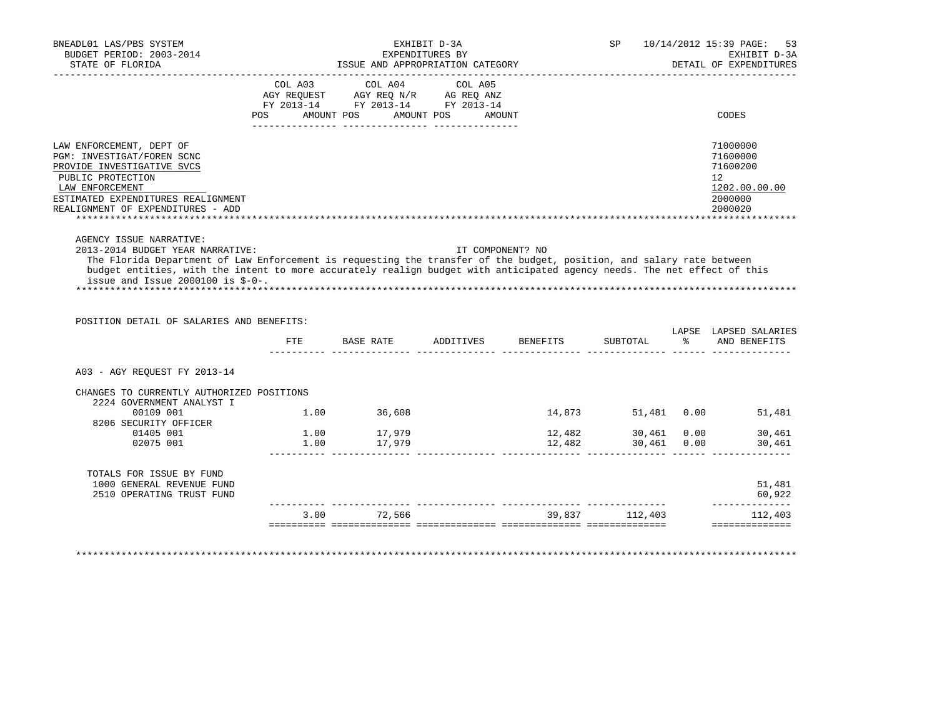| BNEADL01 LAS/PBS SYSTEM<br>BUDGET PERIOD: 2003-2014                                                                      |      |                                                                        | EXHIBIT D-3A<br>EXPENDITURES BY |        |                | SP 10/14/2012 15:39 PAGE:<br>53<br>EXHIBIT D-3A |
|--------------------------------------------------------------------------------------------------------------------------|------|------------------------------------------------------------------------|---------------------------------|--------|----------------|-------------------------------------------------|
| STATE OF FLORIDA                                                                                                         |      | ISSUE AND APPROPRIATION CATEGORY                                       |                                 |        |                | DETAIL OF EXPENDITURES                          |
|                                                                                                                          |      | COL A03 COL A04 COL A05                                                |                                 |        |                |                                                 |
|                                                                                                                          |      | AGY REQUEST AGY REQ N/R AG REQ ANZ<br>FY 2013-14 FY 2013-14 FY 2013-14 |                                 |        |                |                                                 |
|                                                                                                                          |      | POS AMOUNT POS AMOUNT POS AMOUNT                                       |                                 |        |                | CODES                                           |
|                                                                                                                          |      |                                                                        |                                 |        |                |                                                 |
| LAW ENFORCEMENT, DEPT OF                                                                                                 |      |                                                                        |                                 |        |                | 71000000                                        |
| PGM: INVESTIGAT/FOREN SCNC<br>PROVIDE INVESTIGATIVE SVCS                                                                 |      |                                                                        |                                 |        |                | 71600000<br>71600200                            |
| PUBLIC PROTECTION                                                                                                        |      |                                                                        |                                 |        |                | 12                                              |
| LAW ENFORCEMENT                                                                                                          |      |                                                                        |                                 |        |                | 1202.00.00.00                                   |
| ESTIMATED EXPENDITURES REALIGNMENT                                                                                       |      |                                                                        |                                 |        |                | 2000000                                         |
| REALIGNMENT OF EXPENDITURES - ADD                                                                                        |      |                                                                        |                                 |        |                | 2000020                                         |
|                                                                                                                          |      |                                                                        |                                 |        |                |                                                 |
| AGENCY ISSUE NARRATIVE:                                                                                                  |      |                                                                        |                                 |        |                |                                                 |
| 2013-2014 BUDGET YEAR NARRATIVE:                                                                                         |      |                                                                        | IT COMPONENT? NO                |        |                |                                                 |
|                                                                                                                          |      |                                                                        |                                 |        |                |                                                 |
| The Florida Department of Law Enforcement is requesting the transfer of the budget, position, and salary rate between    |      |                                                                        |                                 |        |                |                                                 |
| budget entities, with the intent to more accurately realign budget with anticipated agency needs. The net effect of this |      |                                                                        |                                 |        |                |                                                 |
| issue and Issue 2000100 is $$-0-$ .                                                                                      |      |                                                                        |                                 |        |                |                                                 |
|                                                                                                                          |      |                                                                        |                                 |        |                |                                                 |
|                                                                                                                          |      |                                                                        |                                 |        |                |                                                 |
| POSITION DETAIL OF SALARIES AND BENEFITS:                                                                                |      |                                                                        |                                 |        |                |                                                 |
|                                                                                                                          | FTE  | BASE RATE ADDITIVES BENEFITS                                           |                                 |        | SUBTOTAL       | LAPSE LAPSED SALARIES                           |
|                                                                                                                          |      |                                                                        |                                 |        |                | % AND BENEFITS                                  |
| A03 - AGY REOUEST FY 2013-14                                                                                             |      |                                                                        |                                 |        |                |                                                 |
| CHANGES TO CURRENTLY AUTHORIZED POSITIONS                                                                                |      |                                                                        |                                 |        |                |                                                 |
| 2224 GOVERNMENT ANALYST I                                                                                                |      |                                                                        |                                 |        |                |                                                 |
| 00109 001                                                                                                                |      | 1.00 36,608                                                            |                                 |        |                |                                                 |
| 8206 SECURITY OFFICER                                                                                                    |      |                                                                        |                                 |        |                |                                                 |
| 01405 001                                                                                                                |      | 1.00 17,979                                                            |                                 | 12,482 |                | 14,873 51,481 0.00 51,481<br>30,461 0.00 30,461 |
| 02075 001                                                                                                                | 1.00 | 17,979                                                                 |                                 | 12,482 | 30,461 0.00    | 30,461                                          |
|                                                                                                                          |      |                                                                        |                                 |        |                |                                                 |
| TOTALS FOR ISSUE BY FUND                                                                                                 |      |                                                                        |                                 |        |                |                                                 |
| 1000 GENERAL REVENUE FUND<br>2510 OPERATING TRUST FUND                                                                   |      |                                                                        |                                 |        |                |                                                 |
|                                                                                                                          | 3.00 | 72,566                                                                 |                                 |        | 39,837 112,403 | 51,481<br>60,922<br>--------------<br>112,403   |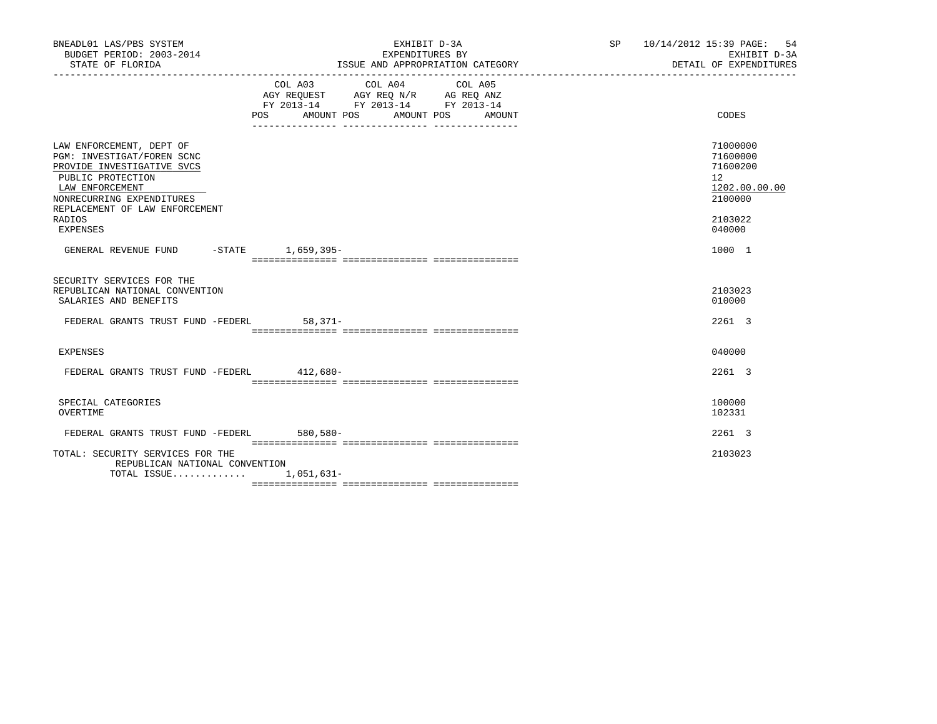| BNEADL01 LAS/PBS SYSTEM<br>BUDGET PERIOD: 2003-2014<br>STATE OF FLORIDA                                                                                                                                           | EXHIBIT D-3A<br>EXPENDITURES BY<br>ISSUE AND APPROPRIATION CATEGORY                                                                      | SP 10/14/2012 15:39 PAGE: 54<br>EXHIBIT D-3A<br>DETAIL OF EXPENDITURES                  |
|-------------------------------------------------------------------------------------------------------------------------------------------------------------------------------------------------------------------|------------------------------------------------------------------------------------------------------------------------------------------|-----------------------------------------------------------------------------------------|
|                                                                                                                                                                                                                   | COL A03 COL A04 COL A05<br>AGY REQUEST AGY REQ N/R AG REQ ANZ<br>FY 2013-14 FY 2013-14 FY 2013-14<br>POS<br>AMOUNT POS AMOUNT POS AMOUNT | CODES                                                                                   |
| LAW ENFORCEMENT, DEPT OF<br>PGM: INVESTIGAT/FOREN SCNC<br>PROVIDE INVESTIGATIVE SVCS<br>PUBLIC PROTECTION<br>LAW ENFORCEMENT<br>NONRECURRING EXPENDITURES<br>REPLACEMENT OF LAW ENFORCEMENT<br>RADIOS<br>EXPENSES |                                                                                                                                          | 71000000<br>71600000<br>71600200<br>12<br>1202.00.00.00<br>2100000<br>2103022<br>040000 |
| GENERAL REVENUE FUND -STATE 1,659,395-                                                                                                                                                                            |                                                                                                                                          | 1000 1                                                                                  |
| SECURITY SERVICES FOR THE<br>REPUBLICAN NATIONAL CONVENTION<br>SALARIES AND BENEFITS<br>FEDERAL GRANTS TRUST FUND -FEDERL                                                                                         | $58,371-$                                                                                                                                | 2103023<br>010000<br>2261 3                                                             |
| EXPENSES                                                                                                                                                                                                          |                                                                                                                                          | 040000                                                                                  |
| FEDERAL GRANTS TRUST FUND -FEDERL 412,680-                                                                                                                                                                        |                                                                                                                                          | 2261 3                                                                                  |
| SPECIAL CATEGORIES<br>OVERTIME                                                                                                                                                                                    |                                                                                                                                          | 100000<br>102331                                                                        |
| FEDERAL GRANTS TRUST FUND -FEDERL 580.580-                                                                                                                                                                        |                                                                                                                                          | 2261 3                                                                                  |
| TOTAL: SECURITY SERVICES FOR THE<br>REPUBLICAN NATIONAL CONVENTION<br>TOTAL ISSUE $1,051,631-$                                                                                                                    |                                                                                                                                          | 2103023                                                                                 |

=============== =============== ===============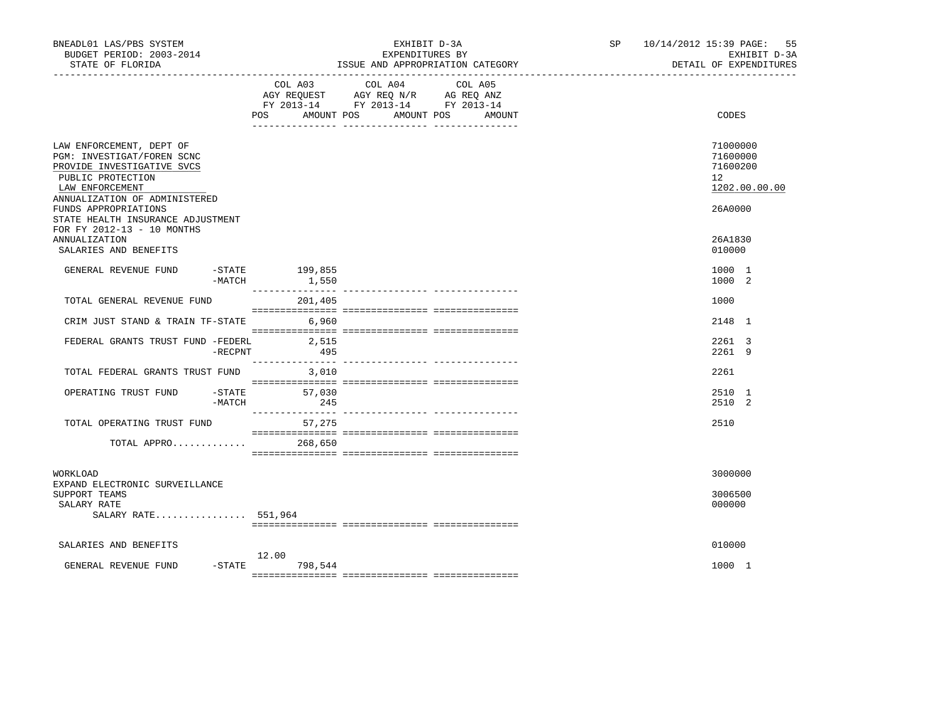| BNEADL01 LAS/PBS SYSTEM<br>BUDGET PERIOD: 2003-2014<br>STATE OF FLORIDA                                                                                       |            |                                  | EXHIBIT D-3A<br>EXPENDITURES BY                                                                   | ISSUE AND APPROPRIATION CATEGORY | SP and the set of the set of the set of the set of the set of the set of the set of the set of the set of the set of the set of the set of the set of the set of the set of the set of the set of the set of the set of the se | 10/14/2012 15:39 PAGE: 55<br>EXHIBIT D-3A<br>DETAIL OF EXPENDITURES |
|---------------------------------------------------------------------------------------------------------------------------------------------------------------|------------|----------------------------------|---------------------------------------------------------------------------------------------------|----------------------------------|--------------------------------------------------------------------------------------------------------------------------------------------------------------------------------------------------------------------------------|---------------------------------------------------------------------|
|                                                                                                                                                               |            | POS AMOUNT POS AMOUNT POS AMOUNT | COL A03 COL A04 COL A05<br>AGY REQUEST AGY REQ N/R AG REQ ANZ<br>FY 2013-14 FY 2013-14 FY 2013-14 |                                  |                                                                                                                                                                                                                                | CODES                                                               |
| LAW ENFORCEMENT, DEPT OF<br>PGM: INVESTIGAT/FOREN SCNC<br>PROVIDE INVESTIGATIVE SVCS<br>PUBLIC PROTECTION<br>LAW ENFORCEMENT<br>ANNUALIZATION OF ADMINISTERED |            |                                  |                                                                                                   |                                  |                                                                                                                                                                                                                                | 71000000<br>71600000<br>71600200<br>12<br>1202.00.00.00             |
| FUNDS APPROPRIATIONS<br>STATE HEALTH INSURANCE ADJUSTMENT<br>FOR FY 2012-13 - 10 MONTHS<br><b>ANNUALIZATION</b><br>SALARIES AND BENEFITS                      |            |                                  |                                                                                                   |                                  |                                                                                                                                                                                                                                | 26A0000<br>26A1830<br>010000                                        |
| GENERAL REVENUE FUND                                                                                                                                          | -MATCH     | -STATE 199,855<br>1,550          |                                                                                                   |                                  |                                                                                                                                                                                                                                | 1000 1<br>1000 2                                                    |
| TOTAL GENERAL REVENUE FUND                                                                                                                                    |            | 201,405                          |                                                                                                   |                                  |                                                                                                                                                                                                                                | 1000                                                                |
| CRIM JUST STAND & TRAIN TF-STATE                                                                                                                              |            | 6,960                            |                                                                                                   |                                  |                                                                                                                                                                                                                                | 2148 1                                                              |
| FEDERAL GRANTS TRUST FUND -FEDERL                                                                                                                             | $-$ RECPNT | 2,515<br>495                     |                                                                                                   |                                  |                                                                                                                                                                                                                                | 2261 3<br>2261 9                                                    |
| TOTAL FEDERAL GRANTS TRUST FUND                                                                                                                               |            | 3,010                            |                                                                                                   |                                  |                                                                                                                                                                                                                                | 2261                                                                |
| OPERATING TRUST FUND                                                                                                                                          | -MATCH     | $-$ STATE 57,030<br>245          |                                                                                                   |                                  |                                                                                                                                                                                                                                | 2510 1<br>2510 2                                                    |
| TOTAL OPERATING TRUST FUND                                                                                                                                    |            | 57,275                           |                                                                                                   |                                  |                                                                                                                                                                                                                                | 2510                                                                |
| TOTAL APPRO                                                                                                                                                   |            | 268,650                          |                                                                                                   |                                  |                                                                                                                                                                                                                                |                                                                     |
| WORKLOAD<br>EXPAND ELECTRONIC SURVEILLANCE                                                                                                                    |            |                                  |                                                                                                   |                                  |                                                                                                                                                                                                                                | 3000000                                                             |
| SUPPORT TEAMS<br>SALARY RATE<br>SALARY RATE 551,964                                                                                                           |            |                                  |                                                                                                   |                                  |                                                                                                                                                                                                                                | 3006500<br>000000                                                   |
| SALARIES AND BENEFITS                                                                                                                                         |            |                                  |                                                                                                   |                                  |                                                                                                                                                                                                                                | 010000                                                              |
| GENERAL REVENUE FUND                                                                                                                                          | $-$ STATE  | 12.00<br>798,544                 |                                                                                                   |                                  |                                                                                                                                                                                                                                | 1000 1                                                              |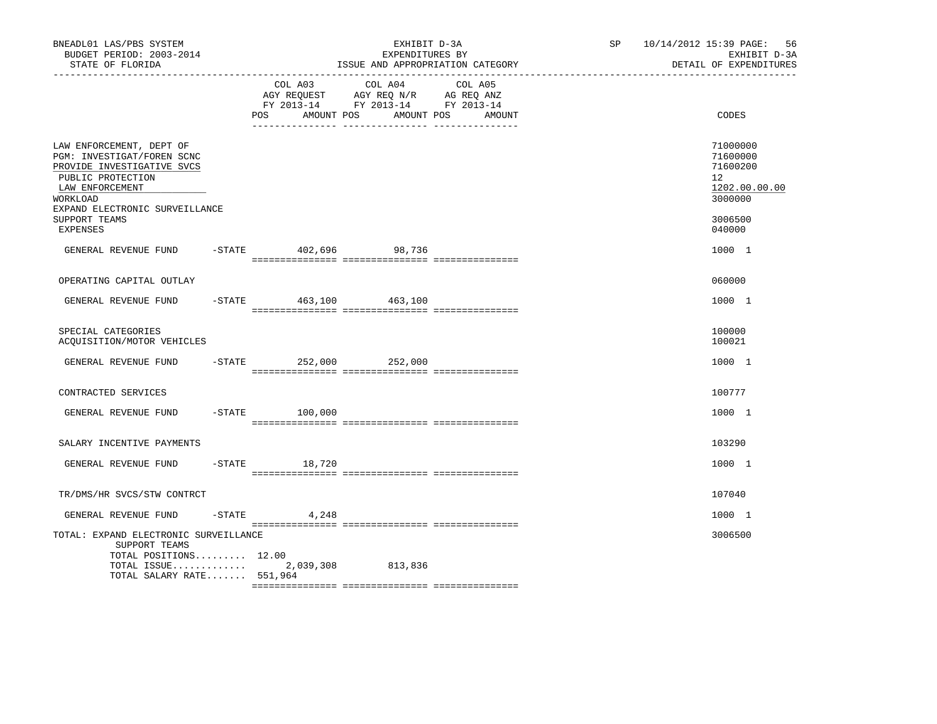| BNEADL01 LAS/PBS SYSTEM<br>BUDGET PERIOD: 2003-2014<br>STATE OF FLORIDA                                                                                                    |                        | EXHIBIT D-3A<br>EXPENDITURES BY<br>ISSUE AND APPROPRIATION CATEGORY                                                           |        | SP 10/14/2012 15:39 PAGE: 56 | EXHIBIT D-3A<br>DETAIL OF EXPENDITURES                                          |  |
|----------------------------------------------------------------------------------------------------------------------------------------------------------------------------|------------------------|-------------------------------------------------------------------------------------------------------------------------------|--------|------------------------------|---------------------------------------------------------------------------------|--|
|                                                                                                                                                                            | POS                    | COL A03 COL A04 COL A05<br>AGY REQUEST AGY REQ N/R AG REQ ANZ<br>FY 2013-14 FY 2013-14 FY 2013-14<br>AMOUNT POS<br>AMOUNT POS | AMOUNT |                              | CODES                                                                           |  |
| LAW ENFORCEMENT, DEPT OF<br>PGM: INVESTIGAT/FOREN SCNC<br>PROVIDE INVESTIGATIVE SVCS<br>PUBLIC PROTECTION<br>LAW ENFORCEMENT<br>WORKLOAD<br>EXPAND ELECTRONIC SURVEILLANCE |                        |                                                                                                                               |        |                              | 71000000<br>71600000<br>71600200<br>12 <sup>°</sup><br>1202.00.00.00<br>3000000 |  |
| SUPPORT TEAMS<br>EXPENSES                                                                                                                                                  |                        |                                                                                                                               |        |                              | 3006500<br>040000                                                               |  |
| GENERAL REVENUE FUND -STATE 402,696 98,736                                                                                                                                 |                        |                                                                                                                               |        |                              | 1000 1                                                                          |  |
| OPERATING CAPITAL OUTLAY                                                                                                                                                   |                        |                                                                                                                               |        |                              | 060000                                                                          |  |
| GENERAL REVENUE FUND -STATE 463,100 463,100                                                                                                                                |                        |                                                                                                                               |        |                              | 1000 1                                                                          |  |
| SPECIAL CATEGORIES<br>ACQUISITION/MOTOR VEHICLES                                                                                                                           |                        |                                                                                                                               |        |                              | 100000<br>100021                                                                |  |
| GENERAL REVENUE FUND                                                                                                                                                       | -STATE 252,000 252,000 |                                                                                                                               |        |                              | 1000 1                                                                          |  |
| CONTRACTED SERVICES                                                                                                                                                        |                        |                                                                                                                               |        |                              | 100777                                                                          |  |
| GENERAL REVENUE FUND                                                                                                                                                       | -STATE 100,000         |                                                                                                                               |        |                              | 1000 1                                                                          |  |
| SALARY INCENTIVE PAYMENTS                                                                                                                                                  |                        |                                                                                                                               |        |                              | 103290                                                                          |  |
| GENERAL REVENUE FUND -STATE 18,720                                                                                                                                         |                        |                                                                                                                               |        |                              | 1000 1                                                                          |  |
| TR/DMS/HR SVCS/STW CONTRCT                                                                                                                                                 |                        |                                                                                                                               |        |                              | 107040                                                                          |  |
| GENERAL REVENUE FUND                                                                                                                                                       | 4,248<br>-STATE        |                                                                                                                               |        |                              | 1000 1                                                                          |  |
| TOTAL: EXPAND ELECTRONIC SURVEILLANCE<br>SUPPORT TEAMS<br>TOTAL POSITIONS 12.00<br>TOTAL ISSUE $2,039,308$<br>TOTAL SALARY RATE 551,964                                    |                        | 813,836                                                                                                                       |        |                              | 3006500                                                                         |  |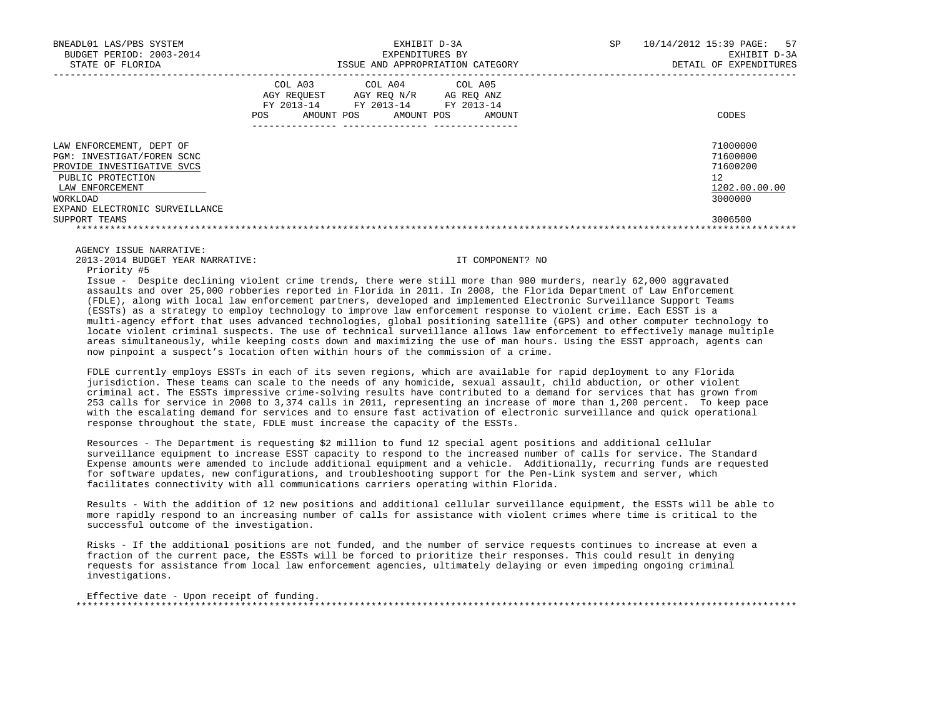| BNEADL01 LAS/PBS SYSTEM<br>BUDGET PERIOD: 2003-2014<br>STATE OF FLORIDA                                                                                                    | EXHIBIT D-3A<br>EXPENDITURES BY<br>ISSUE AND APPROPRIATION CATEGORY                                                                               | 10/14/2012 15:39 PAGE: 57<br>SP<br>EXHIBIT D-3A<br>DETAIL OF EXPENDITURES |
|----------------------------------------------------------------------------------------------------------------------------------------------------------------------------|---------------------------------------------------------------------------------------------------------------------------------------------------|---------------------------------------------------------------------------|
|                                                                                                                                                                            | COL A03<br>COL A04 COL A05<br>AGY REOUEST AGY REO N/R AG REO ANZ<br>FY 2013-14 FY 2013-14 FY 2013-14<br>AMOUNT POS<br>AMOUNT POS<br>POS<br>AMOUNT | CODES                                                                     |
| LAW ENFORCEMENT, DEPT OF<br>PGM: INVESTIGAT/FOREN SCNC<br>PROVIDE INVESTIGATIVE SVCS<br>PUBLIC PROTECTION<br>LAW ENFORCEMENT<br>WORKLOAD<br>EXPAND ELECTRONIC SURVEILLANCE |                                                                                                                                                   | 71000000<br>71600000<br>71600200<br>12<br>1202.00.00.00<br>3000000        |
| SUPPORT TEAMS                                                                                                                                                              |                                                                                                                                                   | 3006500                                                                   |

2013-2014 BUDGET YEAR NARRATIVE: IT COMPONENT? NO

Priority #5

 Issue - Despite declining violent crime trends, there were still more than 980 murders, nearly 62,000 aggravated assaults and over 25,000 robberies reported in Florida in 2011. In 2008, the Florida Department of Law Enforcement (FDLE), along with local law enforcement partners, developed and implemented Electronic Surveillance Support Teams (ESSTs) as a strategy to employ technology to improve law enforcement response to violent crime. Each ESST is a multi-agency effort that uses advanced technologies, global positioning satellite (GPS) and other computer technology to locate violent criminal suspects. The use of technical surveillance allows law enforcement to effectively manage multiple areas simultaneously, while keeping costs down and maximizing the use of man hours. Using the ESST approach, agents can now pinpoint a suspect's location often within hours of the commission of a crime.

 FDLE currently employs ESSTs in each of its seven regions, which are available for rapid deployment to any Florida jurisdiction. These teams can scale to the needs of any homicide, sexual assault, child abduction, or other violent criminal act. The ESSTs impressive crime-solving results have contributed to a demand for services that has grown from 253 calls for service in 2008 to 3,374 calls in 2011, representing an increase of more than 1,200 percent. To keep pace with the escalating demand for services and to ensure fast activation of electronic surveillance and quick operational response throughout the state, FDLE must increase the capacity of the ESSTs.

 Resources - The Department is requesting \$2 million to fund 12 special agent positions and additional cellular surveillance equipment to increase ESST capacity to respond to the increased number of calls for service. The Standard Expense amounts were amended to include additional equipment and a vehicle. Additionally, recurring funds are requested for software updates, new configurations, and troubleshooting support for the Pen-Link system and server, which facilitates connectivity with all communications carriers operating within Florida.

 Results - With the addition of 12 new positions and additional cellular surveillance equipment, the ESSTs will be able to more rapidly respond to an increasing number of calls for assistance with violent crimes where time is critical to the successful outcome of the investigation.

 Risks - If the additional positions are not funded, and the number of service requests continues to increase at even a fraction of the current pace, the ESSTs will be forced to prioritize their responses. This could result in denying requests for assistance from local law enforcement agencies, ultimately delaying or even impeding ongoing criminal investigations.

Effective date - Upon receipt of funding. \*\*\*\*\*\*\*\*\*\*\*\*\*\*\*\*\*\*\*\*\*\*\*\*\*\*\*\*\*\*\*\*\*\*\*\*\*\*\*\*\*\*\*\*\*\*\*\*\*\*\*\*\*\*\*\*\*\*\*\*\*\*\*\*\*\*\*\*\*\*\*\*\*\*\*\*\*\*\*\*\*\*\*\*\*\*\*\*\*\*\*\*\*\*\*\*\*\*\*\*\*\*\*\*\*\*\*\*\*\*\*\*\*\*\*\*\*\*\*\*\*\*\*\*\*\*\*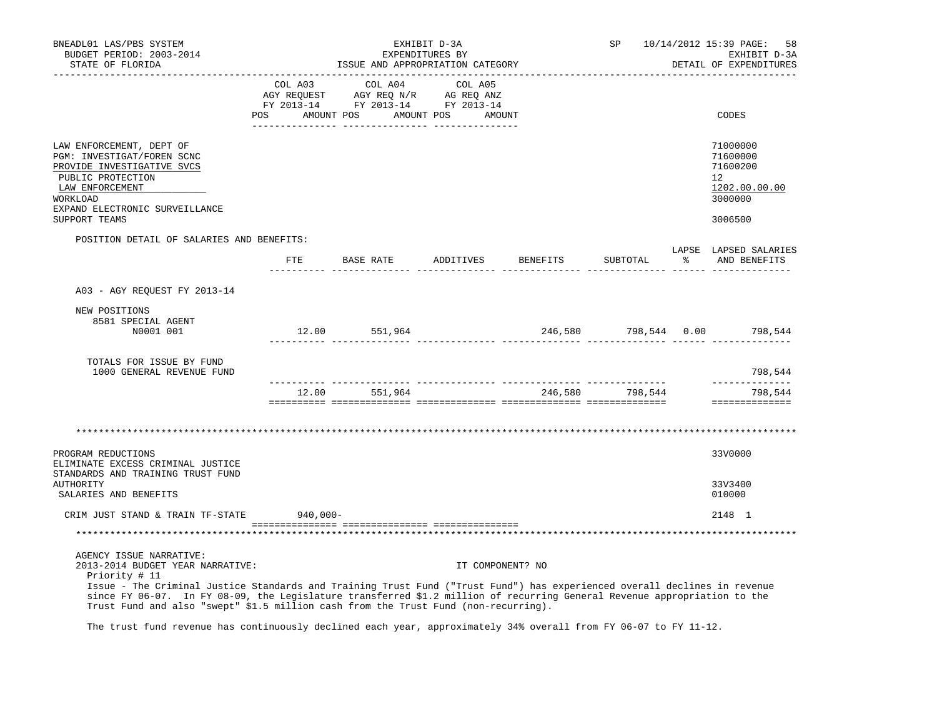| BNEADL01 LAS/PBS SYSTEM<br>BUDGET PERIOD: 2003-2014<br>STATE OF FLORIDA                                                                                                                                                                                                                                                                                                                                                      |         |             |                                                                                                                       | EXHIBIT D-3A<br>EXPENDITURES BY |                  | ISSUE AND APPROPRIATION CATEGORY | SP              |    | 10/14/2012 15:39 PAGE:<br>58<br>EXHIBIT D-3A<br>DETAIL OF EXPENDITURES                  |
|------------------------------------------------------------------------------------------------------------------------------------------------------------------------------------------------------------------------------------------------------------------------------------------------------------------------------------------------------------------------------------------------------------------------------|---------|-------------|-----------------------------------------------------------------------------------------------------------------------|---------------------------------|------------------|----------------------------------|-----------------|----|-----------------------------------------------------------------------------------------|
|                                                                                                                                                                                                                                                                                                                                                                                                                              | COL A03 |             | COL A04<br>AGY REQUEST AGY REQ N/R AG REQ ANZ<br>FY 2013-14 FY 2013-14 FY 2013-14<br>POS AMOUNT POS AMOUNT POS AMOUNT | COL A05                         |                  |                                  |                 |    | CODES                                                                                   |
| LAW ENFORCEMENT, DEPT OF<br>PGM: INVESTIGAT/FOREN SCNC<br>PROVIDE INVESTIGATIVE SVCS<br>PUBLIC PROTECTION<br>LAW ENFORCEMENT<br>WORKLOAD<br>EXPAND ELECTRONIC SURVEILLANCE<br>SUPPORT TEAMS                                                                                                                                                                                                                                  |         |             |                                                                                                                       |                                 |                  |                                  |                 |    | 71000000<br>71600000<br>71600200<br>$12^{\circ}$<br>1202.00.00.00<br>3000000<br>3006500 |
| POSITION DETAIL OF SALARIES AND BENEFITS:                                                                                                                                                                                                                                                                                                                                                                                    |         |             |                                                                                                                       |                                 |                  |                                  |                 |    |                                                                                         |
|                                                                                                                                                                                                                                                                                                                                                                                                                              |         |             | FTE BASE RATE ADDITIVES                                                                                               |                                 |                  | BENEFITS                         | SUBTOTAL        | ႜၟ | LAPSE LAPSED SALARIES<br>AND BENEFITS                                                   |
| A03 - AGY REQUEST FY 2013-14                                                                                                                                                                                                                                                                                                                                                                                                 |         |             |                                                                                                                       |                                 |                  |                                  |                 |    |                                                                                         |
| NEW POSITIONS<br>8581 SPECIAL AGENT<br>N0001 001                                                                                                                                                                                                                                                                                                                                                                             |         |             | 12.00 551,964                                                                                                         |                                 |                  |                                  |                 |    | 246,580 798,544 0.00 798,544                                                            |
| TOTALS FOR ISSUE BY FUND<br>1000 GENERAL REVENUE FUND                                                                                                                                                                                                                                                                                                                                                                        |         |             |                                                                                                                       |                                 |                  |                                  |                 |    | 798,544<br>______________                                                               |
|                                                                                                                                                                                                                                                                                                                                                                                                                              |         |             | 12.00 551,964                                                                                                         |                                 |                  |                                  | 246,580 798,544 |    | 798,544<br>==============                                                               |
|                                                                                                                                                                                                                                                                                                                                                                                                                              |         |             |                                                                                                                       |                                 |                  |                                  |                 |    |                                                                                         |
| PROGRAM REDUCTIONS<br>ELIMINATE EXCESS CRIMINAL JUSTICE<br>STANDARDS AND TRAINING TRUST FUND                                                                                                                                                                                                                                                                                                                                 |         |             |                                                                                                                       |                                 |                  |                                  |                 |    | 33V0000                                                                                 |
| <b>AUTHORITY</b><br>SALARIES AND BENEFITS                                                                                                                                                                                                                                                                                                                                                                                    |         |             |                                                                                                                       |                                 |                  |                                  |                 |    | 33V3400<br>010000                                                                       |
| CRIM JUST STAND & TRAIN TF-STATE                                                                                                                                                                                                                                                                                                                                                                                             |         | $940,000 -$ |                                                                                                                       |                                 |                  |                                  |                 |    | 2148 1                                                                                  |
|                                                                                                                                                                                                                                                                                                                                                                                                                              |         |             |                                                                                                                       |                                 |                  |                                  |                 |    |                                                                                         |
| AGENCY ISSUE NARRATIVE:<br>2013-2014 BUDGET YEAR NARRATIVE:<br>Priority # 11<br>Issue - The Criminal Justice Standards and Training Trust Fund ("Trust Fund") has experienced overall declines in revenue<br>since FY 06-07. In FY 08-09, the Legislature transferred \$1.2 million of recurring General Revenue appropriation to the<br>Trust Fund and also "swept" \$1.5 million cash from the Trust Fund (non-recurring). |         |             |                                                                                                                       |                                 | IT COMPONENT? NO |                                  |                 |    |                                                                                         |

The trust fund revenue has continuously declined each year, approximately 34% overall from FY 06-07 to FY 11-12.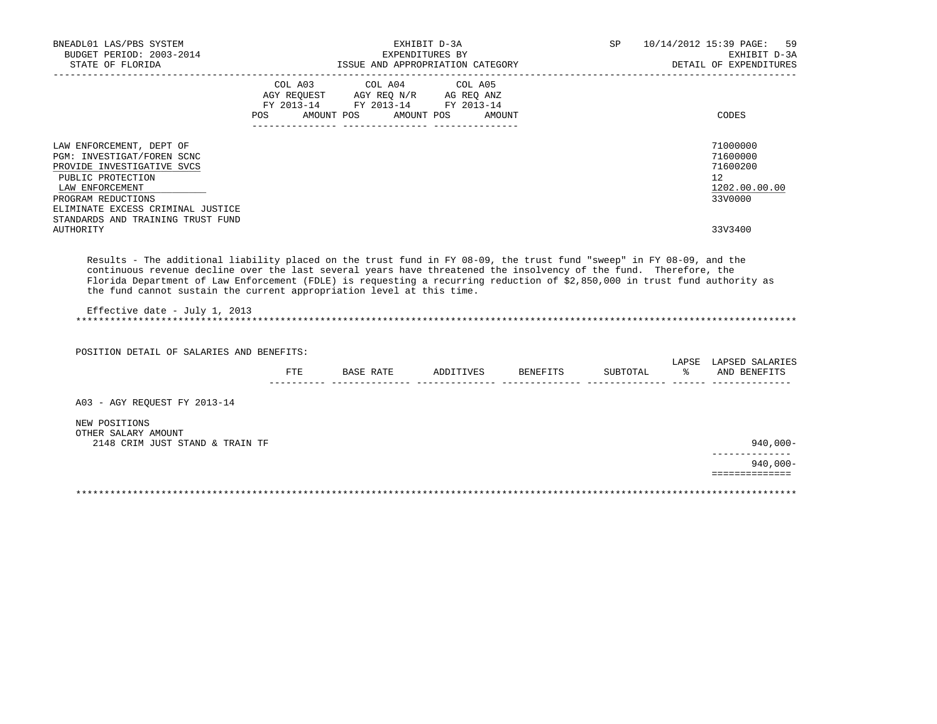| BNEADL01 LAS/PBS SYSTEM<br>BUDGET PERIOD: 2003-2014                                                                                                                                                                                  |        |                                                           | EXHIBIT D-3A<br>EXPENDITURES BY |        | SP and the set of the set of the set of the set of the set of the set of the set of the set of the set of the s | 10/14/2012 15:39 PAGE:<br>59<br>EXHIBIT D-3A                       |
|--------------------------------------------------------------------------------------------------------------------------------------------------------------------------------------------------------------------------------------|--------|-----------------------------------------------------------|---------------------------------|--------|-----------------------------------------------------------------------------------------------------------------|--------------------------------------------------------------------|
| STATE OF FLORIDA                                                                                                                                                                                                                     |        | ISSUE AND APPROPRIATION CATEGORY                          |                                 |        |                                                                                                                 | DETAIL OF EXPENDITURES                                             |
|                                                                                                                                                                                                                                      | POS DO | FY 2013-14 FY 2013-14 FY 2013-14<br>AMOUNT POS AMOUNT POS |                                 | AMOUNT |                                                                                                                 | <b>CODES</b>                                                       |
| LAW ENFORCEMENT, DEPT OF<br>PGM: INVESTIGAT/FOREN SCNC<br>PROVIDE INVESTIGATIVE SVCS<br>PUBLIC PROTECTION<br>LAW ENFORCEMENT<br>PROGRAM REDUCTIONS<br>ELIMINATE EXCESS CRIMINAL JUSTICE<br>STANDARDS AND TRAINING TRUST FUND         |        |                                                           |                                 |        |                                                                                                                 | 71000000<br>71600000<br>71600200<br>12<br>1202.00.00.00<br>33V0000 |
| <b>AUTHORITY</b>                                                                                                                                                                                                                     |        |                                                           |                                 |        |                                                                                                                 | 33V3400                                                            |
| Florida Department of Law Enforcement (FDLE) is requesting a recurring reduction of \$2,850,000 in trust fund authority as<br>the fund cannot sustain the current appropriation level at this time.<br>Effective date - July 1, 2013 |        |                                                           |                                 |        |                                                                                                                 |                                                                    |
| POSITION DETAIL OF SALARIES AND BENEFITS:                                                                                                                                                                                            |        |                                                           |                                 |        |                                                                                                                 | LAPSE LAPSED SALARIES                                              |
|                                                                                                                                                                                                                                      | FTE    | BASE RATE ADDITIVES BENEFITS                              |                                 |        | SUBTOTAL                                                                                                        | % AND BENEFITS                                                     |
| A03 - AGY REQUEST FY 2013-14                                                                                                                                                                                                         |        |                                                           |                                 |        |                                                                                                                 |                                                                    |
| NEW POSITIONS<br>OTHER SALARY AMOUNT<br>2148 CRIM JUST STAND & TRAIN TF                                                                                                                                                              |        |                                                           |                                 |        |                                                                                                                 | 940,000-                                                           |
|                                                                                                                                                                                                                                      |        |                                                           |                                 |        |                                                                                                                 | $940.000 -$<br>==============                                      |
|                                                                                                                                                                                                                                      |        |                                                           |                                 |        |                                                                                                                 |                                                                    |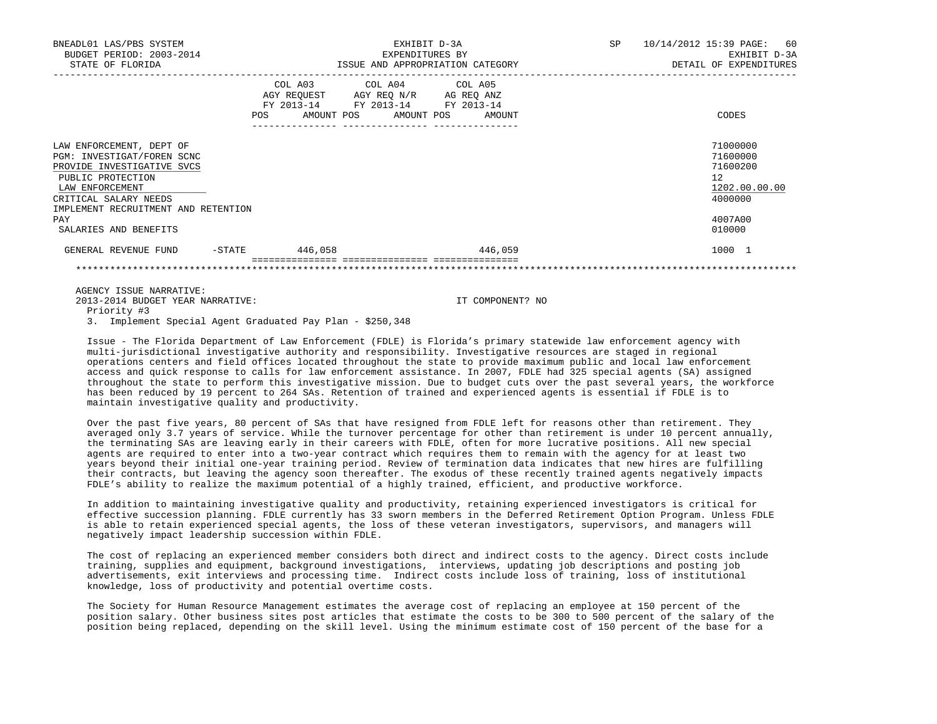| BNEADL01 LAS/PBS SYSTEM<br>BUDGET PERIOD: 2003-2014<br>STATE OF FLORIDA                                                                                                                      |                                                                  | EXHIBIT D-3A<br>EXPENDITURES BY<br>ISSUE AND APPROPRIATION CATEGORY                                               | SP | 10/14/2012 15:39 PAGE: 60<br>EXHIBIT D-3A<br>DETAIL OF EXPENDITURES             |
|----------------------------------------------------------------------------------------------------------------------------------------------------------------------------------------------|------------------------------------------------------------------|-------------------------------------------------------------------------------------------------------------------|----|---------------------------------------------------------------------------------|
|                                                                                                                                                                                              | COL A03<br>AMOUNT POS<br>POS<br>-------------- ----------------- | COL A04 COL A05<br>AGY REQUEST AGY REQ N/R AG REQ ANZ<br>FY 2013-14 FY 2013-14 FY 2013-14<br>AMOUNT POS<br>AMOUNT |    | CODES                                                                           |
| LAW ENFORCEMENT, DEPT OF<br>PGM: INVESTIGAT/FOREN SCNC<br>PROVIDE INVESTIGATIVE SVCS<br>PUBLIC PROTECTION<br>LAW ENFORCEMENT<br>CRITICAL SALARY NEEDS<br>IMPLEMENT RECRUITMENT AND RETENTION |                                                                  |                                                                                                                   |    | 71000000<br>71600000<br>71600200<br>12 <sup>°</sup><br>1202.00.00.00<br>4000000 |
| PAY<br>SALARIES AND BENEFITS                                                                                                                                                                 |                                                                  |                                                                                                                   |    | 4007A00<br>010000                                                               |
| $-$ STATE<br>GENERAL REVENUE FUND                                                                                                                                                            | 446,058                                                          | 446,059                                                                                                           |    | 1000 1                                                                          |
|                                                                                                                                                                                              |                                                                  |                                                                                                                   |    |                                                                                 |

 2013-2014 BUDGET YEAR NARRATIVE: IT COMPONENT? NO Priority #3

3. Implement Special Agent Graduated Pay Plan - \$250,348

 Issue - The Florida Department of Law Enforcement (FDLE) is Florida's primary statewide law enforcement agency with multi-jurisdictional investigative authority and responsibility. Investigative resources are staged in regional operations centers and field offices located throughout the state to provide maximum public and local law enforcement access and quick response to calls for law enforcement assistance. In 2007, FDLE had 325 special agents (SA) assigned throughout the state to perform this investigative mission. Due to budget cuts over the past several years, the workforce has been reduced by 19 percent to 264 SAs. Retention of trained and experienced agents is essential if FDLE is to maintain investigative quality and productivity.

 Over the past five years, 80 percent of SAs that have resigned from FDLE left for reasons other than retirement. They averaged only 3.7 years of service. While the turnover percentage for other than retirement is under 10 percent annually, the terminating SAs are leaving early in their careers with FDLE, often for more lucrative positions. All new special agents are required to enter into a two-year contract which requires them to remain with the agency for at least two years beyond their initial one-year training period. Review of termination data indicates that new hires are fulfilling their contracts, but leaving the agency soon thereafter. The exodus of these recently trained agents negatively impacts FDLE's ability to realize the maximum potential of a highly trained, efficient, and productive workforce.

 In addition to maintaining investigative quality and productivity, retaining experienced investigators is critical for effective succession planning. FDLE currently has 33 sworn members in the Deferred Retirement Option Program. Unless FDLE is able to retain experienced special agents, the loss of these veteran investigators, supervisors, and managers will negatively impact leadership succession within FDLE.

 The cost of replacing an experienced member considers both direct and indirect costs to the agency. Direct costs include training, supplies and equipment, background investigations, interviews, updating job descriptions and posting job advertisements, exit interviews and processing time. Indirect costs include loss of training, loss of institutional knowledge, loss of productivity and potential overtime costs.

 The Society for Human Resource Management estimates the average cost of replacing an employee at 150 percent of the position salary. Other business sites post articles that estimate the costs to be 300 to 500 percent of the salary of the position being replaced, depending on the skill level. Using the minimum estimate cost of 150 percent of the base for a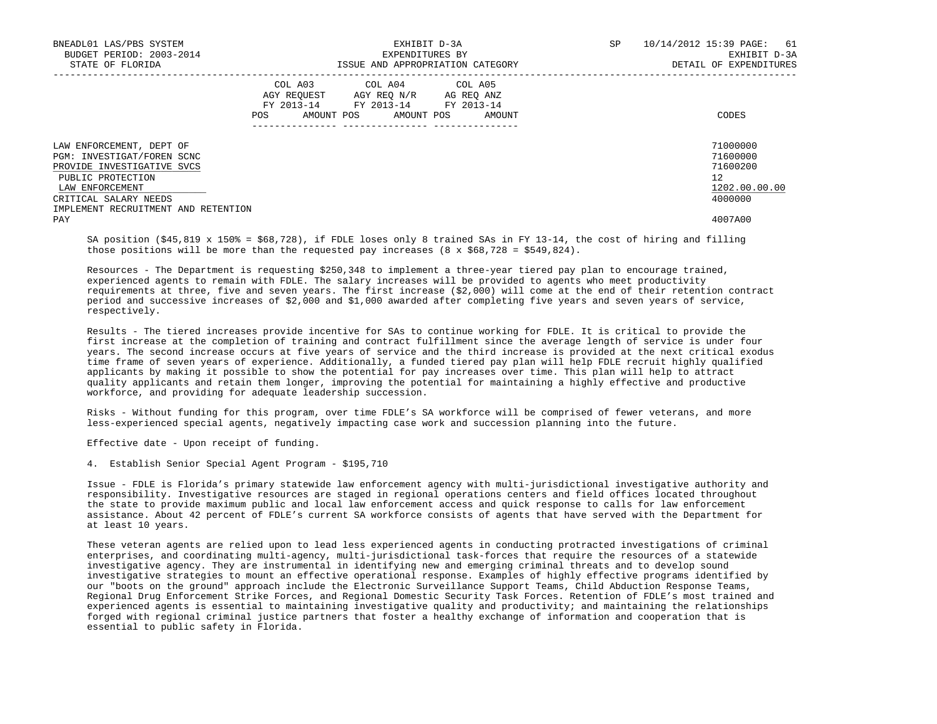| BNEADL01 LAS/PBS SYSTEM<br>BUDGET PERIOD: 2003-2014<br>STATE OF FLORIDA                                                                                                                      |            | EXHIBIT D-3A<br>EXPENDITURES BY<br>ISSUE AND APPROPRIATION CATEGORY                                                        |        | SP | 61<br>10/14/2012 15:39 PAGE:<br>EXHIBIT D-3A<br>DETAIL OF EXPENDITURES          |
|----------------------------------------------------------------------------------------------------------------------------------------------------------------------------------------------|------------|----------------------------------------------------------------------------------------------------------------------------|--------|----|---------------------------------------------------------------------------------|
|                                                                                                                                                                                              | <b>POS</b> | COL A03 COL A04 COL A05<br>AGY REQUEST AGY REQ N/R AG REQ ANZ<br>FY 2013-14 FY 2013-14 FY 2013-14<br>AMOUNT POS AMOUNT POS | AMOUNT |    | CODES                                                                           |
| LAW ENFORCEMENT, DEPT OF<br>PGM: INVESTIGAT/FOREN SCNC<br>PROVIDE INVESTIGATIVE SVCS<br>PUBLIC PROTECTION<br>LAW ENFORCEMENT<br>CRITICAL SALARY NEEDS<br>IMPLEMENT RECRUITMENT AND RETENTION |            |                                                                                                                            |        |    | 71000000<br>71600000<br>71600200<br>12 <sup>°</sup><br>1202.00.00.00<br>4000000 |
| PAY                                                                                                                                                                                          |            |                                                                                                                            |        |    | 4007A00                                                                         |

 SA position (\$45,819 x 150% = \$68,728), if FDLE loses only 8 trained SAs in FY 13-14, the cost of hiring and filling those positions will be more than the requested pay increases  $(8 \times $68,728 = $549,824)$ .

 Resources - The Department is requesting \$250,348 to implement a three-year tiered pay plan to encourage trained, experienced agents to remain with FDLE. The salary increases will be provided to agents who meet productivity requirements at three, five and seven years. The first increase (\$2,000) will come at the end of their retention contract period and successive increases of \$2,000 and \$1,000 awarded after completing five years and seven years of service, respectively.

 Results - The tiered increases provide incentive for SAs to continue working for FDLE. It is critical to provide the first increase at the completion of training and contract fulfillment since the average length of service is under four years. The second increase occurs at five years of service and the third increase is provided at the next critical exodus time frame of seven years of experience. Additionally, a funded tiered pay plan will help FDLE recruit highly qualified applicants by making it possible to show the potential for pay increases over time. This plan will help to attract quality applicants and retain them longer, improving the potential for maintaining a highly effective and productive workforce, and providing for adequate leadership succession.

 Risks - Without funding for this program, over time FDLE's SA workforce will be comprised of fewer veterans, and more less-experienced special agents, negatively impacting case work and succession planning into the future.

Effective date - Upon receipt of funding.

4. Establish Senior Special Agent Program - \$195,710

 Issue - FDLE is Florida's primary statewide law enforcement agency with multi-jurisdictional investigative authority and responsibility. Investigative resources are staged in regional operations centers and field offices located throughout the state to provide maximum public and local law enforcement access and quick response to calls for law enforcement assistance. About 42 percent of FDLE's current SA workforce consists of agents that have served with the Department for at least 10 years.

 These veteran agents are relied upon to lead less experienced agents in conducting protracted investigations of criminal enterprises, and coordinating multi-agency, multi-jurisdictional task-forces that require the resources of a statewide investigative agency. They are instrumental in identifying new and emerging criminal threats and to develop sound investigative strategies to mount an effective operational response. Examples of highly effective programs identified by our "boots on the ground" approach include the Electronic Surveillance Support Teams, Child Abduction Response Teams, Regional Drug Enforcement Strike Forces, and Regional Domestic Security Task Forces. Retention of FDLE's most trained and experienced agents is essential to maintaining investigative quality and productivity; and maintaining the relationships forged with regional criminal justice partners that foster a healthy exchange of information and cooperation that is essential to public safety in Florida.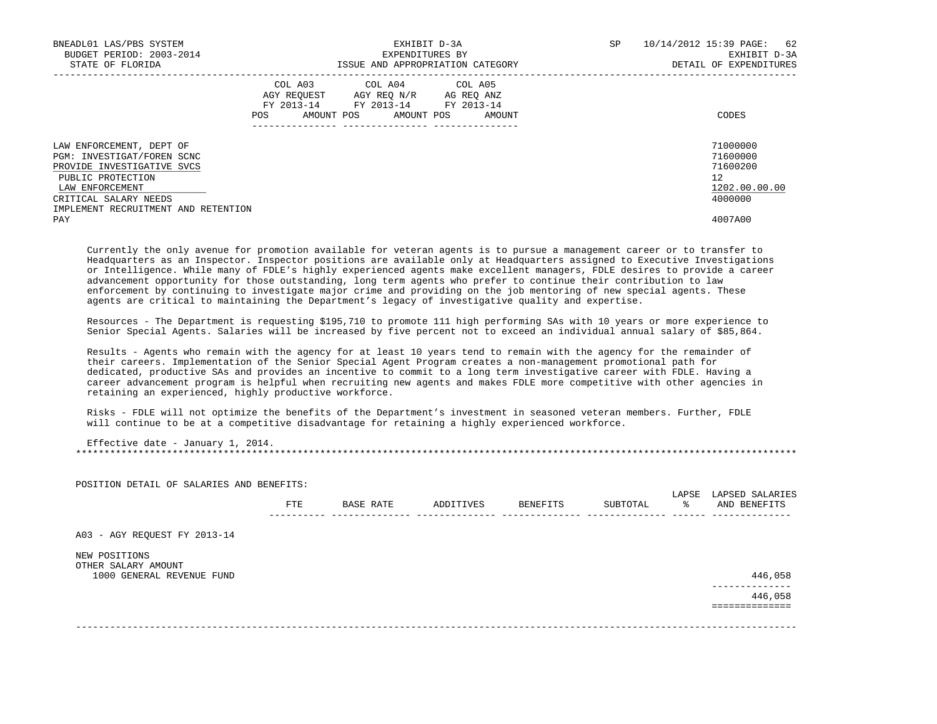| BNEADL01 LAS/PBS SYSTEM<br>BUDGET PERIOD: 2003-2014<br>STATE OF FLORIDA                                                      |     | EXHIBIT D-3A<br>EXPENDITURES BY<br>ISSUE AND APPROPRIATION CATEGORY                                                        | SP     | 10/14/2012 15:39 PAGE: 62<br>EXHIBIT D-3A<br>DETAIL OF EXPENDITURES |                                                         |
|------------------------------------------------------------------------------------------------------------------------------|-----|----------------------------------------------------------------------------------------------------------------------------|--------|---------------------------------------------------------------------|---------------------------------------------------------|
|                                                                                                                              | POS | COL A03 COL A04 COL A05<br>AGY REQUEST AGY REQ N/R AG REQ ANZ<br>FY 2013-14 FY 2013-14 FY 2013-14<br>AMOUNT POS AMOUNT POS | AMOUNT |                                                                     | CODES                                                   |
| LAW ENFORCEMENT, DEPT OF<br>PGM: INVESTIGAT/FOREN SCNC<br>PROVIDE INVESTIGATIVE SVCS<br>PUBLIC PROTECTION<br>LAW ENFORCEMENT |     |                                                                                                                            |        |                                                                     | 71000000<br>71600000<br>71600200<br>12<br>1202.00.00.00 |
| CRITICAL SALARY NEEDS<br>IMPLEMENT RECRUITMENT AND RETENTION                                                                 |     |                                                                                                                            |        |                                                                     | 4000000                                                 |
| PAY                                                                                                                          |     |                                                                                                                            |        |                                                                     | 4007A00                                                 |

 Currently the only avenue for promotion available for veteran agents is to pursue a management career or to transfer to Headquarters as an Inspector. Inspector positions are available only at Headquarters assigned to Executive Investigations or Intelligence. While many of FDLE's highly experienced agents make excellent managers, FDLE desires to provide a career advancement opportunity for those outstanding, long term agents who prefer to continue their contribution to law enforcement by continuing to investigate major crime and providing on the job mentoring of new special agents. These agents are critical to maintaining the Department's legacy of investigative quality and expertise.

 Resources - The Department is requesting \$195,710 to promote 111 high performing SAs with 10 years or more experience to Senior Special Agents. Salaries will be increased by five percent not to exceed an individual annual salary of \$85,864.

 Results - Agents who remain with the agency for at least 10 years tend to remain with the agency for the remainder of their careers. Implementation of the Senior Special Agent Program creates a non-management promotional path for dedicated, productive SAs and provides an incentive to commit to a long term investigative career with FDLE. Having a career advancement program is helpful when recruiting new agents and makes FDLE more competitive with other agencies in retaining an experienced, highly productive workforce.

 Risks - FDLE will not optimize the benefits of the Department's investment in seasoned veteran members. Further, FDLE will continue to be at a competitive disadvantage for retaining a highly experienced workforce.

POSITION DETAIL OF SALARIES AND BENEFITS:

 Effective date - January 1, 2014. \*\*\*\*\*\*\*\*\*\*\*\*\*\*\*\*\*\*\*\*\*\*\*\*\*\*\*\*\*\*\*\*\*\*\*\*\*\*\*\*\*\*\*\*\*\*\*\*\*\*\*\*\*\*\*\*\*\*\*\*\*\*\*\*\*\*\*\*\*\*\*\*\*\*\*\*\*\*\*\*\*\*\*\*\*\*\*\*\*\*\*\*\*\*\*\*\*\*\*\*\*\*\*\*\*\*\*\*\*\*\*\*\*\*\*\*\*\*\*\*\*\*\*\*\*\*\*

 LAPSE LAPSED SALARIES FTE BASE RATE ADDITIVES BENEFITS SUBTOTAL % AND BENEFITS ---------- -------------- -------------- -------------- -------------- ------ -------------- A03 - AGY REQUEST FY 2013-14 NEW POSITIONS OTHER SALARY AMOUNT 1000 GENERAL REVENUE FUND 446,058 -------------- 446,058 ============== -------------------------------------------------------------------------------------------------------------------------------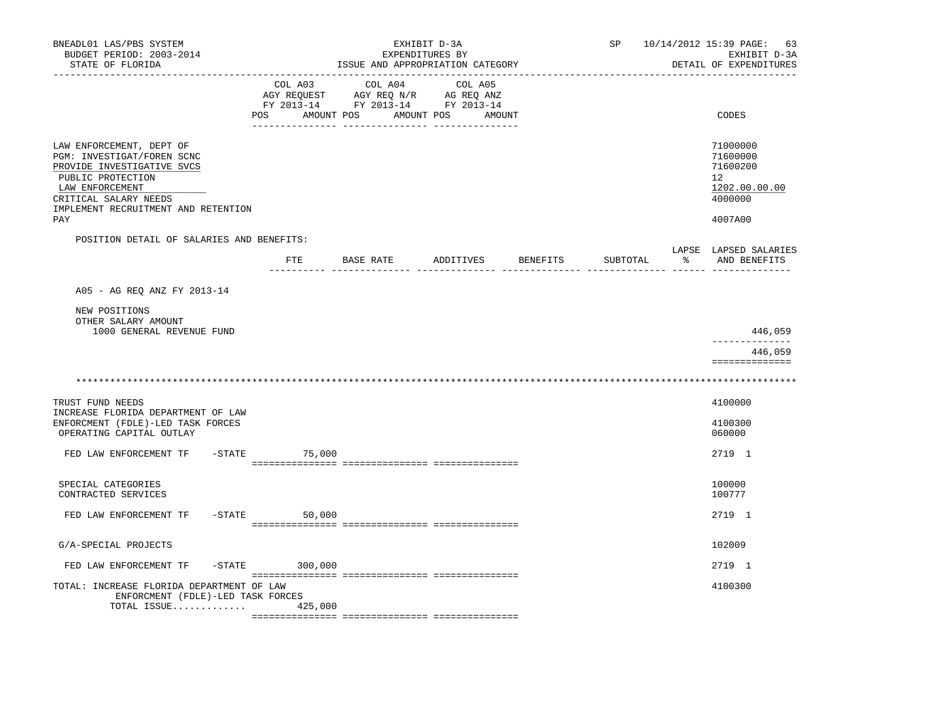| BNEADL01 LAS/PBS SYSTEM<br>BUDGET PERIOD: 2003-2014<br>STATE OF FLORIDA<br>----------------                                                                                                         |                  |                                                                                                                       | EXHIBIT D-3A<br>EXPENDITURES BY<br>ISSUE AND APPROPRIATION CATEGORY |                 | SP       |               | 10/14/2012 15:39 PAGE: 63<br>EXHIBIT D-3A<br>DETAIL OF EXPENDITURES           |
|-----------------------------------------------------------------------------------------------------------------------------------------------------------------------------------------------------|------------------|-----------------------------------------------------------------------------------------------------------------------|---------------------------------------------------------------------|-----------------|----------|---------------|-------------------------------------------------------------------------------|
|                                                                                                                                                                                                     | COL A03          | COL A04<br>AGY REQUEST AGY REQ N/R AG REQ ANZ<br>FY 2013-14 FY 2013-14 FY 2013-14<br>POS AMOUNT POS AMOUNT POS AMOUNT | COL A05                                                             |                 |          |               | CODES                                                                         |
| LAW ENFORCEMENT, DEPT OF<br>PGM: INVESTIGAT/FOREN SCNC<br>PROVIDE INVESTIGATIVE SVCS<br>PUBLIC PROTECTION<br>LAW ENFORCEMENT<br>CRITICAL SALARY NEEDS<br>IMPLEMENT RECRUITMENT AND RETENTION<br>PAY |                  |                                                                                                                       |                                                                     |                 |          |               | 71000000<br>71600000<br>71600200<br>12<br>1202.00.00.00<br>4000000<br>4007A00 |
| POSITION DETAIL OF SALARIES AND BENEFITS:                                                                                                                                                           |                  |                                                                                                                       |                                                                     |                 |          |               |                                                                               |
|                                                                                                                                                                                                     |                  | FTE BASE RATE ADDITIVES                                                                                               |                                                                     | <b>BENEFITS</b> | SUBTOTAL | $\frac{1}{6}$ | LAPSE LAPSED SALARIES<br>AND BENEFITS                                         |
| A05 - AG REQ ANZ FY 2013-14                                                                                                                                                                         |                  |                                                                                                                       |                                                                     |                 |          |               |                                                                               |
| NEW POSITIONS<br>OTHER SALARY AMOUNT<br>1000 GENERAL REVENUE FUND                                                                                                                                   |                  |                                                                                                                       |                                                                     |                 |          |               | 446,059<br>--------------                                                     |
|                                                                                                                                                                                                     |                  |                                                                                                                       |                                                                     |                 |          |               | 446,059<br>==============                                                     |
|                                                                                                                                                                                                     |                  |                                                                                                                       |                                                                     |                 |          |               |                                                                               |
| TRUST FUND NEEDS<br>INCREASE FLORIDA DEPARTMENT OF LAW<br>ENFORCMENT (FDLE)-LED TASK FORCES<br>OPERATING CAPITAL OUTLAY                                                                             |                  |                                                                                                                       |                                                                     |                 |          |               | 4100000<br>4100300<br>060000                                                  |
| FED LAW ENFORCEMENT TF                                                                                                                                                                              | $-$ STATE 75,000 |                                                                                                                       |                                                                     |                 |          |               | 2719 1                                                                        |
| SPECIAL CATEGORIES<br>CONTRACTED SERVICES                                                                                                                                                           |                  |                                                                                                                       |                                                                     |                 |          |               | 100000<br>100777                                                              |
| FED LAW ENFORCEMENT TF                                                                                                                                                                              | $-STATE$ 50,000  |                                                                                                                       |                                                                     |                 |          |               | 2719 1                                                                        |
| G/A-SPECIAL PROJECTS                                                                                                                                                                                |                  |                                                                                                                       |                                                                     |                 |          |               | 102009                                                                        |
| FED LAW ENFORCEMENT TF                                                                                                                                                                              | $-STATE$ 300,000 |                                                                                                                       |                                                                     |                 |          |               | 2719 1                                                                        |
| TOTAL: INCREASE FLORIDA DEPARTMENT OF LAW<br>ENFORCMENT (FDLE)-LED TASK FORCES<br>TOTAL ISSUE $425,000$                                                                                             |                  |                                                                                                                       |                                                                     |                 |          |               | 4100300                                                                       |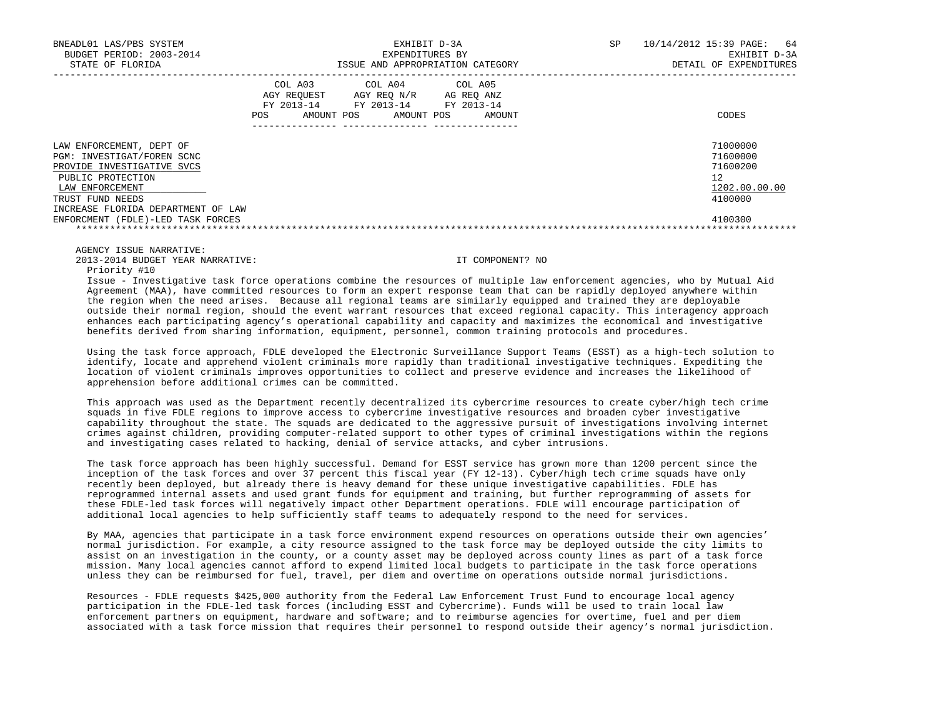| BNEADL01 LAS/PBS SYSTEM<br>BUDGET PERIOD: 2003-2014<br>STATE OF FLORIDA                                                                                                                |                | EXPENDITURES BY                                                                                                       | EXHIBIT D-3A<br>ISSUE AND APPROPRIATION CATEGORY | SP | 10/14/2012 15:39 PAGE:<br>64<br>EXHIBIT D-3A<br>DETAIL OF EXPENDITURES |
|----------------------------------------------------------------------------------------------------------------------------------------------------------------------------------------|----------------|-----------------------------------------------------------------------------------------------------------------------|--------------------------------------------------|----|------------------------------------------------------------------------|
|                                                                                                                                                                                        | COL A03<br>POS | COL A04 COL A05<br>AGY REQUEST AGY REQ N/R AG REQ ANZ<br>FY 2013-14 FY 2013-14 FY 2013-14<br>AMOUNT POS<br>AMOUNT POS | AMOUNT                                           |    | CODES                                                                  |
| LAW ENFORCEMENT, DEPT OF<br>PGM: INVESTIGAT/FOREN SCNC<br>PROVIDE INVESTIGATIVE SVCS<br>PUBLIC PROTECTION<br>LAW ENFORCEMENT<br>TRUST FUND NEEDS<br>INCREASE FLORIDA DEPARTMENT OF LAW |                |                                                                                                                       |                                                  |    | 71000000<br>71600000<br>71600200<br>12<br>1202.00.00.00<br>4100000     |
| ENFORCMENT (FDLE)-LED TASK FORCES                                                                                                                                                      |                |                                                                                                                       |                                                  |    | 4100300                                                                |

2013-2014 BUDGET YEAR NARRATIVE: IT COMPONENT? NO

Priority #10

 Issue - Investigative task force operations combine the resources of multiple law enforcement agencies, who by Mutual Aid Agreement (MAA), have committed resources to form an expert response team that can be rapidly deployed anywhere within the region when the need arises. Because all regional teams are similarly equipped and trained they are deployable outside their normal region, should the event warrant resources that exceed regional capacity. This interagency approach enhances each participating agency's operational capability and capacity and maximizes the economical and investigative benefits derived from sharing information, equipment, personnel, common training protocols and procedures.

 Using the task force approach, FDLE developed the Electronic Surveillance Support Teams (ESST) as a high-tech solution to identify, locate and apprehend violent criminals more rapidly than traditional investigative techniques. Expediting the location of violent criminals improves opportunities to collect and preserve evidence and increases the likelihood of apprehension before additional crimes can be committed.

 This approach was used as the Department recently decentralized its cybercrime resources to create cyber/high tech crime squads in five FDLE regions to improve access to cybercrime investigative resources and broaden cyber investigative capability throughout the state. The squads are dedicated to the aggressive pursuit of investigations involving internet crimes against children, providing computer-related support to other types of criminal investigations within the regions and investigating cases related to hacking, denial of service attacks, and cyber intrusions.

 The task force approach has been highly successful. Demand for ESST service has grown more than 1200 percent since the inception of the task forces and over 37 percent this fiscal year (FY 12-13). Cyber/high tech crime squads have only recently been deployed, but already there is heavy demand for these unique investigative capabilities. FDLE has reprogrammed internal assets and used grant funds for equipment and training, but further reprogramming of assets for these FDLE-led task forces will negatively impact other Department operations. FDLE will encourage participation of additional local agencies to help sufficiently staff teams to adequately respond to the need for services.

 By MAA, agencies that participate in a task force environment expend resources on operations outside their own agencies' normal jurisdiction. For example, a city resource assigned to the task force may be deployed outside the city limits to assist on an investigation in the county, or a county asset may be deployed across county lines as part of a task force mission. Many local agencies cannot afford to expend limited local budgets to participate in the task force operations unless they can be reimbursed for fuel, travel, per diem and overtime on operations outside normal jurisdictions.

 Resources - FDLE requests \$425,000 authority from the Federal Law Enforcement Trust Fund to encourage local agency participation in the FDLE-led task forces (including ESST and Cybercrime). Funds will be used to train local law enforcement partners on equipment, hardware and software; and to reimburse agencies for overtime, fuel and per diem associated with a task force mission that requires their personnel to respond outside their agency's normal jurisdiction.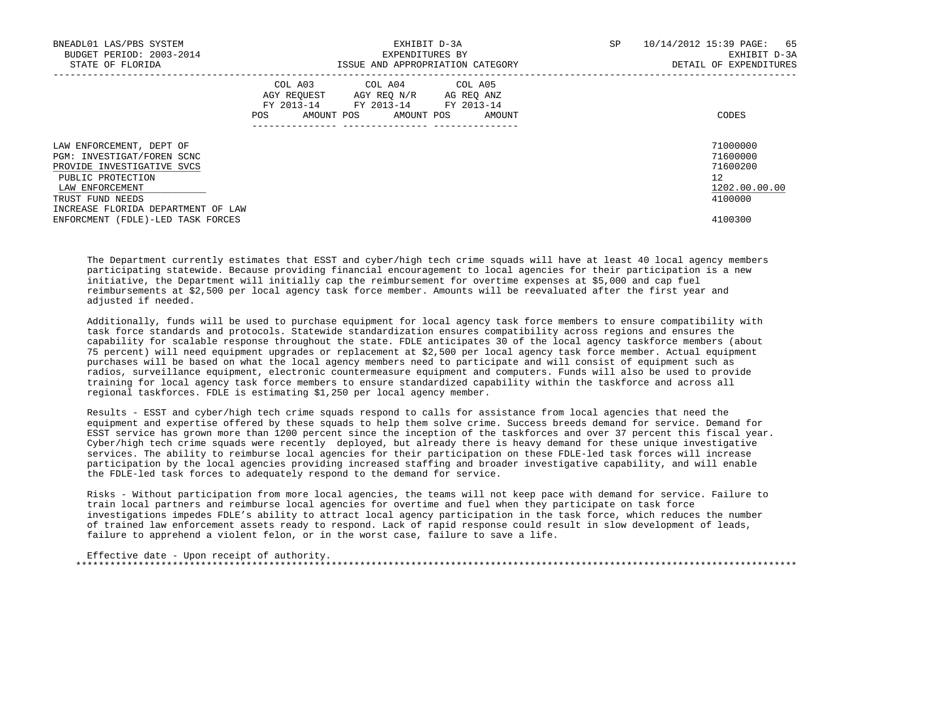| BNEADL01 LAS/PBS SYSTEM<br>BUDGET PERIOD: 2003-2014 |     | EXPENDITURES BY                                                                                   | EXHIBIT D-3A                     | SP. | 10/14/2012 15:39 PAGE: 65<br>EXHIBIT D-3A |  |
|-----------------------------------------------------|-----|---------------------------------------------------------------------------------------------------|----------------------------------|-----|-------------------------------------------|--|
| STATE OF FLORIDA                                    |     |                                                                                                   | ISSUE AND APPROPRIATION CATEGORY |     | DETAIL OF EXPENDITURES                    |  |
|                                                     |     | COL A03 COL A04 COL A05<br>AGY REQUEST AGY REQ N/R AG REQ ANZ<br>FY 2013-14 FY 2013-14 FY 2013-14 |                                  |     |                                           |  |
|                                                     | POS | AMOUNT POS AMOUNT POS                                                                             | AMOUNT                           |     | CODES                                     |  |
| LAW ENFORCEMENT, DEPT OF                            |     |                                                                                                   |                                  |     | 71000000                                  |  |
| PGM: INVESTIGAT/FOREN SCNC                          |     |                                                                                                   |                                  |     | 71600000                                  |  |
| PROVIDE INVESTIGATIVE SVCS                          |     |                                                                                                   |                                  |     | 71600200                                  |  |
| PUBLIC PROTECTION                                   |     |                                                                                                   |                                  |     | 12                                        |  |
| LAW ENFORCEMENT                                     |     |                                                                                                   |                                  |     | 1202.00.00.00                             |  |
| TRUST FUND NEEDS                                    |     |                                                                                                   |                                  |     | 4100000                                   |  |
| INCREASE FLORIDA DEPARTMENT OF LAW                  |     |                                                                                                   |                                  |     |                                           |  |
| ENFORCMENT (FDLE)-LED TASK FORCES                   |     |                                                                                                   |                                  |     | 4100300                                   |  |

 The Department currently estimates that ESST and cyber/high tech crime squads will have at least 40 local agency members participating statewide. Because providing financial encouragement to local agencies for their participation is a new initiative, the Department will initially cap the reimbursement for overtime expenses at \$5,000 and cap fuel reimbursements at \$2,500 per local agency task force member. Amounts will be reevaluated after the first year and adjusted if needed.

 Additionally, funds will be used to purchase equipment for local agency task force members to ensure compatibility with task force standards and protocols. Statewide standardization ensures compatibility across regions and ensures the capability for scalable response throughout the state. FDLE anticipates 30 of the local agency taskforce members (about 75 percent) will need equipment upgrades or replacement at \$2,500 per local agency task force member. Actual equipment purchases will be based on what the local agency members need to participate and will consist of equipment such as radios, surveillance equipment, electronic countermeasure equipment and computers. Funds will also be used to provide training for local agency task force members to ensure standardized capability within the taskforce and across all regional taskforces. FDLE is estimating \$1,250 per local agency member.

 Results - ESST and cyber/high tech crime squads respond to calls for assistance from local agencies that need the equipment and expertise offered by these squads to help them solve crime. Success breeds demand for service. Demand for ESST service has grown more than 1200 percent since the inception of the taskforces and over 37 percent this fiscal year. Cyber/high tech crime squads were recently deployed, but already there is heavy demand for these unique investigative services. The ability to reimburse local agencies for their participation on these FDLE-led task forces will increase participation by the local agencies providing increased staffing and broader investigative capability, and will enable the FDLE-led task forces to adequately respond to the demand for service.

 Risks - Without participation from more local agencies, the teams will not keep pace with demand for service. Failure to train local partners and reimburse local agencies for overtime and fuel when they participate on task force investigations impedes FDLE's ability to attract local agency participation in the task force, which reduces the number of trained law enforcement assets ready to respond. Lack of rapid response could result in slow development of leads, failure to apprehend a violent felon, or in the worst case, failure to save a life.

```
 Effective date - Upon receipt of authority.
 *******************************************************************************************************************************
```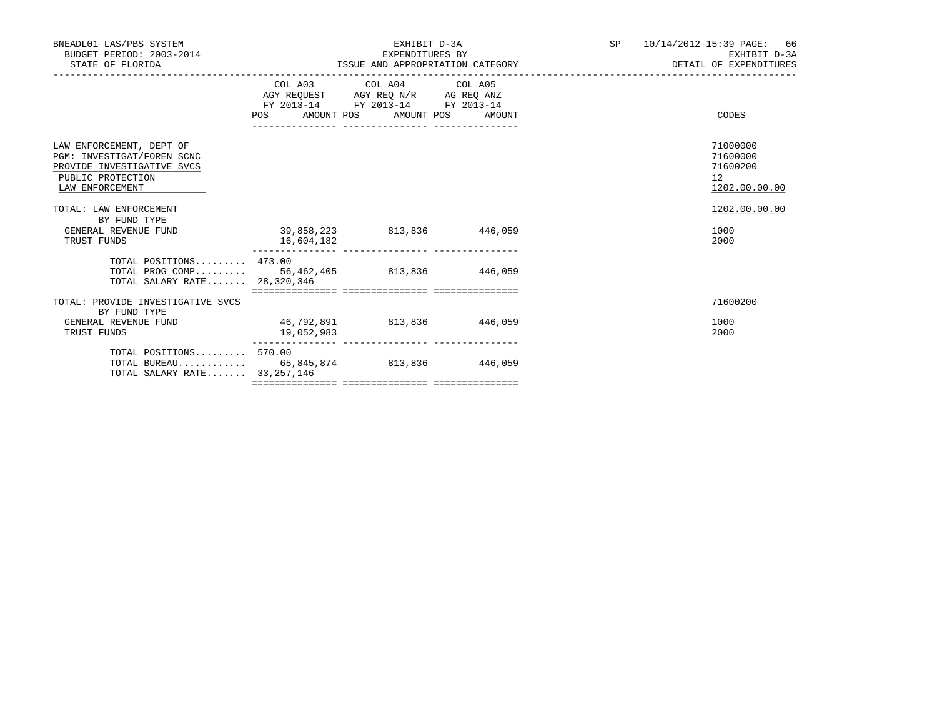| BNEADL01 LAS/PBS SYSTEM<br>BUDGET PERIOD: 2003-2014<br>STATE OF FLORIDA                                                      |                                                | EXHIBIT D-3A<br>EXPENDITURES BY                                                                   |  | SP 10/14/2012 15:39 PAGE: 66<br>EXHIBIT D-3A            |
|------------------------------------------------------------------------------------------------------------------------------|------------------------------------------------|---------------------------------------------------------------------------------------------------|--|---------------------------------------------------------|
|                                                                                                                              | POS AMOUNT POS AMOUNT POS AMOUNT               | COL A03 COL A04 COL A05<br>AGY REQUEST AGY REQ N/R AG REQ ANZ<br>FY 2013-14 FY 2013-14 FY 2013-14 |  | CODES                                                   |
| LAW ENFORCEMENT, DEPT OF<br>PGM: INVESTIGAT/FOREN SCNC<br>PROVIDE INVESTIGATIVE SVCS<br>PUBLIC PROTECTION<br>LAW ENFORCEMENT |                                                |                                                                                                   |  | 71000000<br>71600000<br>71600200<br>12<br>1202.00.00.00 |
| TOTAL: LAW ENFORCEMENT<br>BY FUND TYPE<br>GENERAL REVENUE FUND<br>TRUST FUNDS                                                | $39,858,223$ $813,836$ $446,059$<br>16,604,182 |                                                                                                   |  | 1202.00.00.00<br>1000<br>2000                           |
| TOTAL POSITIONS $473.00$<br>TOTAL PROG COMP 56,462,405 813,836 446,059<br>TOTAL SALARY RATE 28,320,346                       |                                                |                                                                                                   |  |                                                         |
| TOTAL: PROVIDE INVESTIGATIVE SVCS<br>BY FUND TYPE<br>GENERAL REVENUE FUND<br>TRUST FUNDS                                     | 46,792,891 813,836 446,059<br>19,052,983       |                                                                                                   |  | 71600200<br>1000<br>2000                                |
| TOTAL POSITIONS 570.00<br>TOTAL BUREAU 65,845,874 813,836 446,059<br>TOTAL SALARY RATE 33, 257, 146                          |                                                |                                                                                                   |  |                                                         |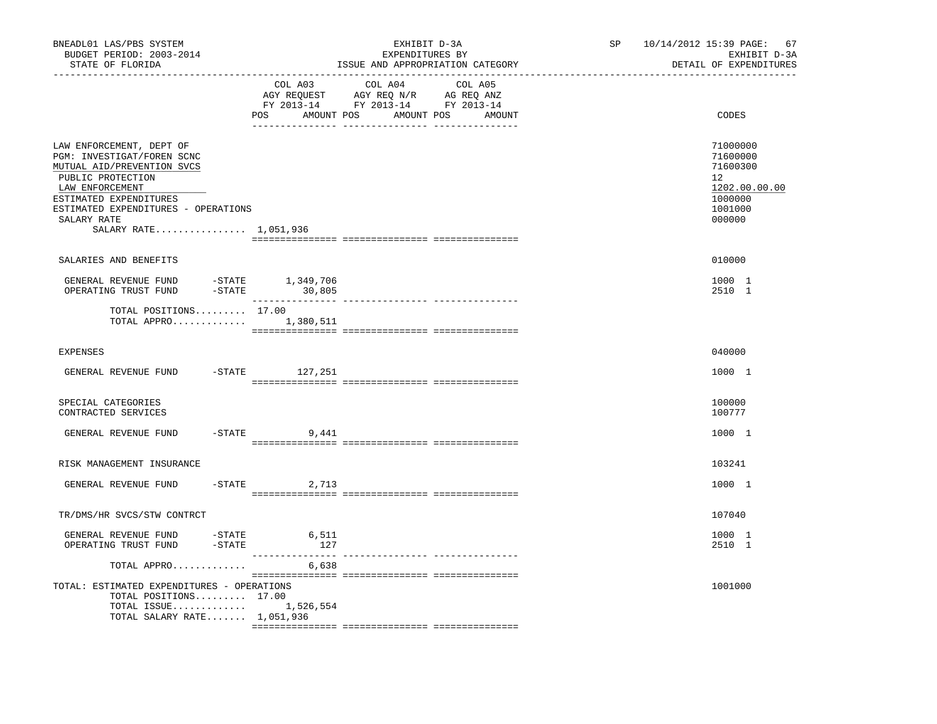| BNEADL01 LAS/PBS SYSTEM<br>BUDGET PERIOD: 2003-2014<br>STATE OF FLORIDA                                                                                                                                                               |                    | EXHIBIT D-3A<br>EXPENDITURES BY<br>ISSUE AND APPROPRIATION CATEGORY                                                              | SP | 10/14/2012 15:39 PAGE: 67<br>EXHIBIT D-3A<br>DETAIL OF EXPENDITURES                     |
|---------------------------------------------------------------------------------------------------------------------------------------------------------------------------------------------------------------------------------------|--------------------|----------------------------------------------------------------------------------------------------------------------------------|----|-----------------------------------------------------------------------------------------|
|                                                                                                                                                                                                                                       | COL A03            | COL A04<br>COL A05<br>AGY REQUEST AGY REQ N/R AG REQ ANZ<br>FY 2013-14 FY 2013-14 FY 2013-14<br>POS AMOUNT POS AMOUNT POS AMOUNT |    | CODES                                                                                   |
| LAW ENFORCEMENT, DEPT OF<br>PGM: INVESTIGAT/FOREN SCNC<br>MUTUAL AID/PREVENTION SVCS<br>PUBLIC PROTECTION<br>LAW ENFORCEMENT<br>ESTIMATED EXPENDITURES<br>ESTIMATED EXPENDITURES - OPERATIONS<br>SALARY RATE<br>SALARY RATE 1,051,936 |                    |                                                                                                                                  |    | 71000000<br>71600000<br>71600300<br>12<br>1202.00.00.00<br>1000000<br>1001000<br>000000 |
| SALARIES AND BENEFITS                                                                                                                                                                                                                 |                    |                                                                                                                                  |    | 010000                                                                                  |
| GENERAL REVENUE FUND -STATE 1,349,706<br>OPERATING TRUST FUND<br>$-STATE$                                                                                                                                                             | 30,805             |                                                                                                                                  |    | 1000 1<br>2510 1                                                                        |
| TOTAL POSITIONS 17.00<br>TOTAL APPRO $1,380,511$                                                                                                                                                                                      |                    |                                                                                                                                  |    |                                                                                         |
| <b>EXPENSES</b>                                                                                                                                                                                                                       |                    |                                                                                                                                  |    | 040000                                                                                  |
| GENERAL REVENUE FUND                                                                                                                                                                                                                  | $-$ STATE 127, 251 |                                                                                                                                  |    | 1000 1                                                                                  |
| SPECIAL CATEGORIES<br>CONTRACTED SERVICES                                                                                                                                                                                             |                    |                                                                                                                                  |    | 100000<br>100777                                                                        |
| GENERAL REVENUE FUND                                                                                                                                                                                                                  | $-$ STATE 9,441    |                                                                                                                                  |    | 1000 1                                                                                  |
| RISK MANAGEMENT INSURANCE                                                                                                                                                                                                             |                    |                                                                                                                                  |    | 103241                                                                                  |
| GENERAL REVENUE FUND                                                                                                                                                                                                                  | $-STATE$ 2,713     |                                                                                                                                  |    | 1000 1                                                                                  |
| TR/DMS/HR SVCS/STW CONTRCT                                                                                                                                                                                                            |                    |                                                                                                                                  |    | 107040                                                                                  |
| GENERAL REVENUE FUND -STATE 6,511<br>$-$ STATE<br>OPERATING TRUST FUND                                                                                                                                                                | 127                |                                                                                                                                  |    | 1000 1<br>2510 1                                                                        |
| TOTAL APPRO                                                                                                                                                                                                                           | 6,638              |                                                                                                                                  |    |                                                                                         |
| TOTAL: ESTIMATED EXPENDITURES - OPERATIONS<br>TOTAL POSITIONS 17.00<br>TOTAL ISSUE $1,526,554$<br>TOTAL SALARY RATE 1,051,936                                                                                                         |                    |                                                                                                                                  |    | 1001000                                                                                 |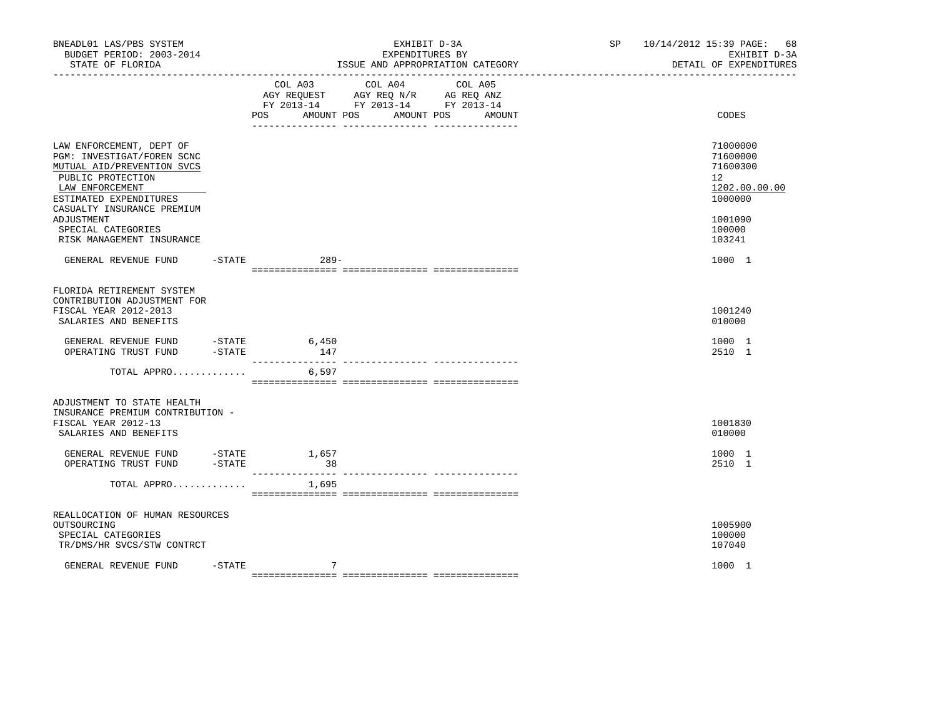| BNEADL01 LAS/PBS SYSTEM<br>BUDGET PERIOD: 2003-2014<br>STATE OF FLORIDA                                                                                                                                                                               |                      |                           | EXHIBIT D-3A<br>EXPENDITURES BY<br>ISSUE AND APPROPRIATION CATEGORY                                               | SP 10/14/2012 15:39 PAGE: 68<br>EXHIBIT D-3A<br>DETAIL OF EXPENDITURES                                         |
|-------------------------------------------------------------------------------------------------------------------------------------------------------------------------------------------------------------------------------------------------------|----------------------|---------------------------|-------------------------------------------------------------------------------------------------------------------|----------------------------------------------------------------------------------------------------------------|
|                                                                                                                                                                                                                                                       |                      | COL A03<br>POS AMOUNT POS | COL A04<br>COL A05<br>AGY REQUEST AGY REQ N/R AG REQ ANZ<br>FY 2013-14 FY 2013-14 FY 2013-14<br>AMOUNT POS AMOUNT | CODES                                                                                                          |
| LAW ENFORCEMENT, DEPT OF<br>PGM: INVESTIGAT/FOREN SCNC<br>MUTUAL AID/PREVENTION SVCS<br>PUBLIC PROTECTION<br>LAW ENFORCEMENT<br>ESTIMATED EXPENDITURES<br>CASUALTY INSURANCE PREMIUM<br>ADJUSTMENT<br>SPECIAL CATEGORIES<br>RISK MANAGEMENT INSURANCE |                      |                           |                                                                                                                   | 71000000<br>71600000<br>71600300<br>12 <sup>°</sup><br>1202.00.00.00<br>1000000<br>1001090<br>100000<br>103241 |
| GENERAL REVENUE FUND -STATE 6289-                                                                                                                                                                                                                     |                      |                           |                                                                                                                   | 1000 1                                                                                                         |
| FLORIDA RETIREMENT SYSTEM<br>CONTRIBUTION ADJUSTMENT FOR<br>FISCAL YEAR 2012-2013<br>SALARIES AND BENEFITS<br>GENERAL REVENUE FUND -STATE<br>OPERATING TRUST FUND                                                                                     | $-STATE$             | 6,450<br>147              |                                                                                                                   | 1001240<br>010000<br>1000 1<br>2510 1                                                                          |
| TOTAL APPRO                                                                                                                                                                                                                                           |                      | 6,597                     |                                                                                                                   |                                                                                                                |
| ADJUSTMENT TO STATE HEALTH<br>INSURANCE PREMIUM CONTRIBUTION -<br>FISCAL YEAR 2012-13<br>SALARIES AND BENEFITS                                                                                                                                        |                      |                           |                                                                                                                   | 1001830<br>010000                                                                                              |
| GENERAL REVENUE FUND<br>OPERATING TRUST FUND                                                                                                                                                                                                          | $-STATE$<br>$-STATE$ | 1,657<br>$\overline{38}$  |                                                                                                                   | 1000 1<br>2510 1                                                                                               |
| TOTAL APPRO                                                                                                                                                                                                                                           |                      | 1,695                     |                                                                                                                   |                                                                                                                |
| REALLOCATION OF HUMAN RESOURCES<br>OUTSOURCING<br>SPECIAL CATEGORIES<br>TR/DMS/HR SVCS/STW CONTRCT                                                                                                                                                    |                      |                           |                                                                                                                   | 1005900<br>100000<br>107040                                                                                    |
| GENERAL REVENUE FUND                                                                                                                                                                                                                                  | $-$ STATE            | 7                         |                                                                                                                   | 1000 1                                                                                                         |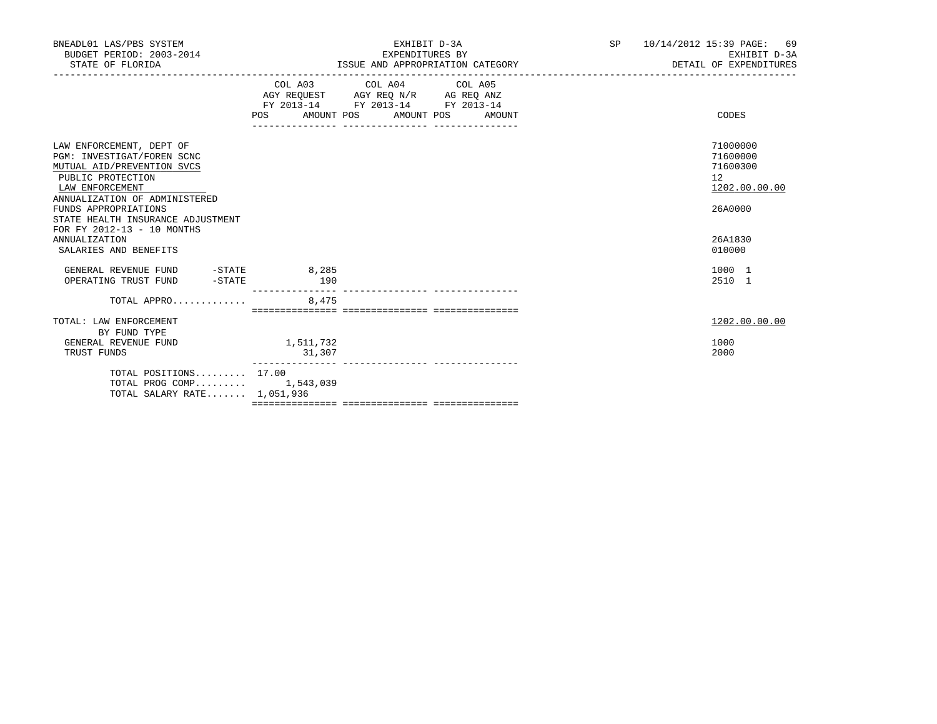| BNEADL01 LAS/PBS SYSTEM<br>BUDGET PERIOD: 2003-2014<br>STATE OF FLORIDA                                                                                                                                                                                                                                   |                     | EXHIBIT D-3A<br>EXPENDITURES BY<br>ISSUE AND APPROPRIATION CATEGORY                                                                   | SP <sub>2</sub> | 10/14/2012 15:39 PAGE: 69<br>EXHIBIT D-3A<br>DETAIL OF EXPENDITURES                     |
|-----------------------------------------------------------------------------------------------------------------------------------------------------------------------------------------------------------------------------------------------------------------------------------------------------------|---------------------|---------------------------------------------------------------------------------------------------------------------------------------|-----------------|-----------------------------------------------------------------------------------------|
|                                                                                                                                                                                                                                                                                                           |                     | COL A03 COL A04 COL A05<br>AGY REQUEST AGY REQ N/R AG REQ ANZ<br>FY 2013-14 FY 2013-14 FY 2013-14<br>POS AMOUNT POS AMOUNT POS AMOUNT |                 | CODES                                                                                   |
| LAW ENFORCEMENT, DEPT OF<br>PGM: INVESTIGAT/FOREN SCNC<br>MUTUAL AID/PREVENTION SVCS<br>PUBLIC PROTECTION<br>LAW ENFORCEMENT<br>ANNUALIZATION OF ADMINISTERED<br>FUNDS APPROPRIATIONS<br>STATE HEALTH INSURANCE ADJUSTMENT<br>FOR FY 2012-13 - 10 MONTHS<br><b>ANNUALIZATION</b><br>SALARIES AND BENEFITS |                     |                                                                                                                                       |                 | 71000000<br>71600000<br>71600300<br>12<br>1202.00.00.00<br>26A0000<br>26A1830<br>010000 |
|                                                                                                                                                                                                                                                                                                           |                     |                                                                                                                                       |                 | 1000 1<br>2510 1                                                                        |
| TOTAL APPRO                                                                                                                                                                                                                                                                                               | 8,475               |                                                                                                                                       |                 |                                                                                         |
| TOTAL: LAW ENFORCEMENT<br>BY FUND TYPE                                                                                                                                                                                                                                                                    |                     |                                                                                                                                       |                 | 1202.00.00.00                                                                           |
| GENERAL REVENUE FUND<br>TRUST FUNDS                                                                                                                                                                                                                                                                       | 1,511,732<br>31,307 |                                                                                                                                       |                 | 1000<br>2000                                                                            |
| TOTAL POSITIONS 17.00<br>TOTAL PROG COMP 1,543,039<br>TOTAL SALARY RATE 1,051,936                                                                                                                                                                                                                         |                     |                                                                                                                                       |                 |                                                                                         |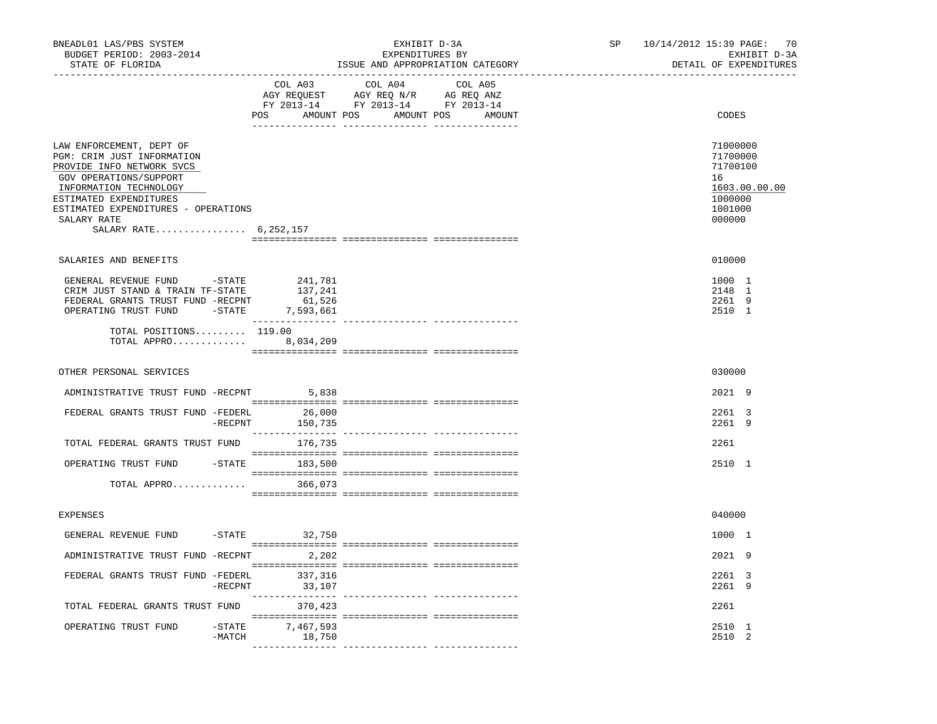| BNEADL01 LAS/PBS SYSTEM<br>BUDGET PERIOD: 2003-2014<br>STATE OF FLORIDA                                                                                                                                                                          |            |                                   | EXHIBIT D-3A<br>EXPENDITURES BY                                                                                                                                                                                                                                                                                                                                                                                                                                                                                 | ISSUE AND APPROPRIATION CATEGORY | SP | 10/14/2012 15:39 PAGE: 70<br>EXHIBIT D-3A<br>DETAIL OF EXPENDITURES                     |
|--------------------------------------------------------------------------------------------------------------------------------------------------------------------------------------------------------------------------------------------------|------------|-----------------------------------|-----------------------------------------------------------------------------------------------------------------------------------------------------------------------------------------------------------------------------------------------------------------------------------------------------------------------------------------------------------------------------------------------------------------------------------------------------------------------------------------------------------------|----------------------------------|----|-----------------------------------------------------------------------------------------|
| _________________________________<br>---------------                                                                                                                                                                                             |            | COL A03                           | COL A04<br>$\begin{array}{ccccccccc} \text{C}\cup\text{C}\cup\text{C}\cup\text{C}\cup\text{C}\cup\text{C}\cup\text{C}\cup\text{C}\cup\text{C}\cup\text{C}\cup\text{C}\cup\text{C}\cup\text{C}\cup\text{C}\cup\text{C}\cup\text{C}\cup\text{C}\cup\text{C}\cup\text{C}\cup\text{C}\cup\text{C}\cup\text{C}\cup\text{C}\cup\text{C}\cup\text{C}\cup\text{C}\cup\text{C}\cup\text{C}\cup\text{C}\cup\text{C}\cup\text{C}\cup\text{C}\cup\text{C}\cup\text{C}\cup\text{C}\cup\$<br>POS AMOUNT POS AMOUNT POS AMOUNT | COL A05                          |    | CODES                                                                                   |
| LAW ENFORCEMENT, DEPT OF<br>PGM: CRIM JUST INFORMATION<br>PROVIDE INFO NETWORK SVCS<br>GOV OPERATIONS/SUPPORT<br>INFORMATION TECHNOLOGY<br>ESTIMATED EXPENDITURES<br>ESTIMATED EXPENDITURES - OPERATIONS<br>SALARY RATE<br>SALARY RATE 6,252,157 |            |                                   |                                                                                                                                                                                                                                                                                                                                                                                                                                                                                                                 |                                  |    | 71000000<br>71700000<br>71700100<br>16<br>1603.00.00.00<br>1000000<br>1001000<br>000000 |
| SALARIES AND BENEFITS                                                                                                                                                                                                                            |            |                                   |                                                                                                                                                                                                                                                                                                                                                                                                                                                                                                                 |                                  |    | 010000                                                                                  |
| GENERAL REVENUE FUND - STATE<br>CRIM JUST STAND & TRAIN TF-STATE<br>FEDERAL GRANTS TRUST FUND -RECPNT<br>OPERATING TRUST FUND -STATE 7,593,661<br>TOTAL POSITIONS 119.00<br>TOTAL APPRO 8,034,209                                                |            | 241,781<br>137,241<br>61,526      |                                                                                                                                                                                                                                                                                                                                                                                                                                                                                                                 |                                  |    | 1000 1<br>2148 1<br>2261 9<br>2510 1                                                    |
|                                                                                                                                                                                                                                                  |            |                                   |                                                                                                                                                                                                                                                                                                                                                                                                                                                                                                                 |                                  |    |                                                                                         |
| OTHER PERSONAL SERVICES                                                                                                                                                                                                                          |            |                                   |                                                                                                                                                                                                                                                                                                                                                                                                                                                                                                                 |                                  |    | 030000                                                                                  |
| ADMINISTRATIVE TRUST FUND -RECPNT 5,838                                                                                                                                                                                                          |            |                                   |                                                                                                                                                                                                                                                                                                                                                                                                                                                                                                                 |                                  |    | 2021 9                                                                                  |
| FEDERAL GRANTS TRUST FUND -FEDERL 26,000                                                                                                                                                                                                         | -RECPNT    | 150,735                           |                                                                                                                                                                                                                                                                                                                                                                                                                                                                                                                 |                                  |    | 2261 3<br>2261 9                                                                        |
| TOTAL FEDERAL GRANTS TRUST FUND 176,735                                                                                                                                                                                                          |            |                                   |                                                                                                                                                                                                                                                                                                                                                                                                                                                                                                                 |                                  |    | 2261                                                                                    |
| OPERATING TRUST FUND                                                                                                                                                                                                                             |            | $-$ STATE 183,500                 |                                                                                                                                                                                                                                                                                                                                                                                                                                                                                                                 |                                  |    | 2510 1                                                                                  |
| TOTAL APPRO 366,073                                                                                                                                                                                                                              |            |                                   |                                                                                                                                                                                                                                                                                                                                                                                                                                                                                                                 |                                  |    |                                                                                         |
| <b>EXPENSES</b>                                                                                                                                                                                                                                  |            |                                   |                                                                                                                                                                                                                                                                                                                                                                                                                                                                                                                 |                                  |    | 040000                                                                                  |
| GENERAL REVENUE FUND                                                                                                                                                                                                                             |            | -STATE 32,750                     |                                                                                                                                                                                                                                                                                                                                                                                                                                                                                                                 |                                  |    | 1000 1                                                                                  |
| ADMINISTRATIVE TRUST FUND -RECPNT 2,202                                                                                                                                                                                                          |            |                                   |                                                                                                                                                                                                                                                                                                                                                                                                                                                                                                                 |                                  |    | 2021 9                                                                                  |
| FEDERAL GRANTS TRUST FUND -FEDERL                                                                                                                                                                                                                | $-$ RECPNT | 337,316<br>33,107                 |                                                                                                                                                                                                                                                                                                                                                                                                                                                                                                                 |                                  |    | 2261 3<br>2261 9                                                                        |
| TOTAL FEDERAL GRANTS TRUST FUND                                                                                                                                                                                                                  |            | 370,423                           |                                                                                                                                                                                                                                                                                                                                                                                                                                                                                                                 |                                  |    | 2261                                                                                    |
| OPERATING TRUST FUND                                                                                                                                                                                                                             | -MATCH     | $-$ STATE $7, 467, 593$<br>18,750 |                                                                                                                                                                                                                                                                                                                                                                                                                                                                                                                 |                                  |    | 2510 1<br>2510 2                                                                        |
|                                                                                                                                                                                                                                                  |            |                                   |                                                                                                                                                                                                                                                                                                                                                                                                                                                                                                                 |                                  |    |                                                                                         |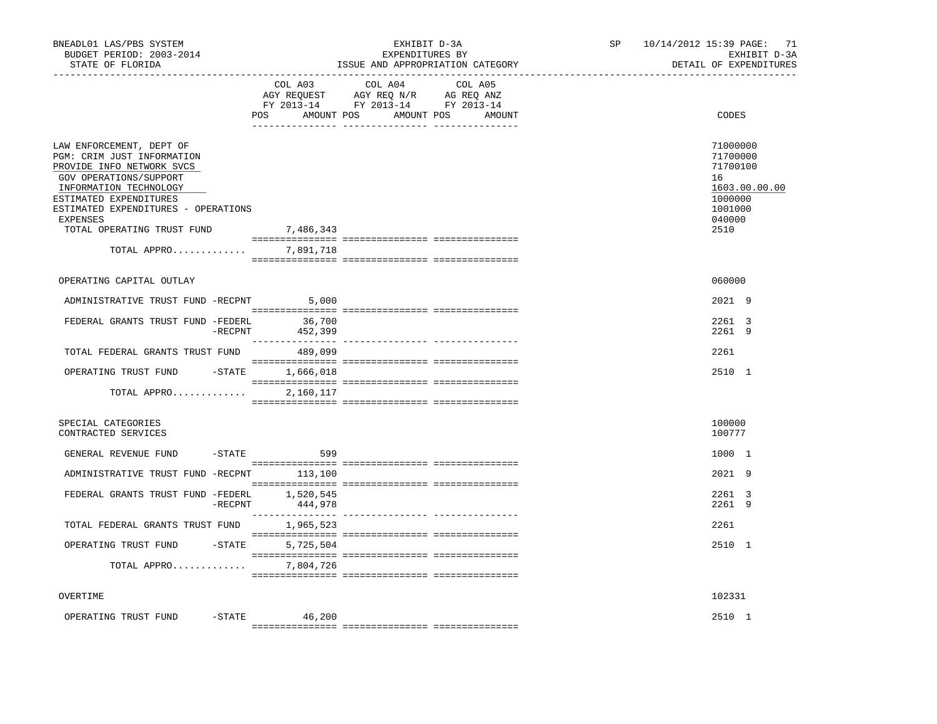| BNEADL01 LAS/PBS SYSTEM<br>BUDGET PERIOD: 2003-2014<br>STATE OF FLORIDA                                                                                                                                                                                           | EXHIBIT D-3A<br>EXPENDITURES BY<br>ISSUE AND APPROPRIATION CATEGORY |                                                                                                                                                                                                                                                                                                                                                                           |         | SP | 71<br>10/14/2012 15:39 PAGE:<br>EXHIBIT D-3A<br>DETAIL OF EXPENDITURES                          |  |
|-------------------------------------------------------------------------------------------------------------------------------------------------------------------------------------------------------------------------------------------------------------------|---------------------------------------------------------------------|---------------------------------------------------------------------------------------------------------------------------------------------------------------------------------------------------------------------------------------------------------------------------------------------------------------------------------------------------------------------------|---------|----|-------------------------------------------------------------------------------------------------|--|
|                                                                                                                                                                                                                                                                   | COL A03                                                             | COL A04<br>$\begin{tabular}{lllllllll} \multicolumn{2}{l}{{\bf AGY}} & {\bf RcQUEST} & {\bf AGY} & {\bf RcQ} & {\bf N/R} & {\bf AGEQ} & {\bf ANZ} \\ \multicolumn{2}{l}{{\bf AGY}} & {\bf RcQUEST} & {\bf AGY} & {\bf RcQ} & {\bf N} \\ {\bf FY} & {\bf 2013-14} & {\bf FY} & {\bf 2013-14} & {\bf FY} & {\bf 2013-14} \end{tabular}$<br>POS AMOUNT POS AMOUNT POS AMOUNT | COL A05 |    | CODES                                                                                           |  |
| LAW ENFORCEMENT, DEPT OF<br>PGM: CRIM JUST INFORMATION<br>PROVIDE INFO NETWORK SVCS<br>GOV OPERATIONS/SUPPORT<br>INFORMATION TECHNOLOGY<br>ESTIMATED EXPENDITURES<br>ESTIMATED EXPENDITURES - OPERATIONS<br>EXPENSES<br>TOTAL OPERATING TRUST FUND<br>TOTAL APPRO | 7,486,343<br>7,891,718                                              |                                                                                                                                                                                                                                                                                                                                                                           |         |    | 71000000<br>71700000<br>71700100<br>16<br>1603.00.00.00<br>1000000<br>1001000<br>040000<br>2510 |  |
|                                                                                                                                                                                                                                                                   |                                                                     |                                                                                                                                                                                                                                                                                                                                                                           |         |    |                                                                                                 |  |
| OPERATING CAPITAL OUTLAY                                                                                                                                                                                                                                          |                                                                     |                                                                                                                                                                                                                                                                                                                                                                           |         |    | 060000                                                                                          |  |
| ADMINISTRATIVE TRUST FUND -RECPNT                                                                                                                                                                                                                                 | 5.000                                                               |                                                                                                                                                                                                                                                                                                                                                                           |         |    | 2021 9                                                                                          |  |
| FEDERAL GRANTS TRUST FUND -FEDERL 36,700                                                                                                                                                                                                                          | $-$ RECPNT 452,399                                                  |                                                                                                                                                                                                                                                                                                                                                                           |         |    | $2261 \quad 3$<br>2261 9                                                                        |  |
| TOTAL FEDERAL GRANTS TRUST FUND                                                                                                                                                                                                                                   | 489,099                                                             |                                                                                                                                                                                                                                                                                                                                                                           |         |    | 2261                                                                                            |  |
| OPERATING TRUST FUND -STATE 1,666,018                                                                                                                                                                                                                             |                                                                     |                                                                                                                                                                                                                                                                                                                                                                           |         |    | 2510 1                                                                                          |  |
| TOTAL APPRO                                                                                                                                                                                                                                                       | 2,160,117                                                           |                                                                                                                                                                                                                                                                                                                                                                           |         |    |                                                                                                 |  |
| SPECIAL CATEGORIES<br>CONTRACTED SERVICES                                                                                                                                                                                                                         |                                                                     |                                                                                                                                                                                                                                                                                                                                                                           |         |    | 100000<br>100777                                                                                |  |
| GENERAL REVENUE FUND -STATE                                                                                                                                                                                                                                       | 599                                                                 |                                                                                                                                                                                                                                                                                                                                                                           |         |    | 1000 1                                                                                          |  |
| ADMINISTRATIVE TRUST FUND -RECPNT 113,100                                                                                                                                                                                                                         |                                                                     |                                                                                                                                                                                                                                                                                                                                                                           |         |    | $2021$ 9                                                                                        |  |
| FEDERAL GRANTS TRUST FUND -FEDERL 1,520,545                                                                                                                                                                                                                       | $-$ RECPNT $444,978$                                                |                                                                                                                                                                                                                                                                                                                                                                           |         |    | 2261 3<br>2261 9                                                                                |  |
| TOTAL FEDERAL GRANTS TRUST FUND                                                                                                                                                                                                                                   | 1,965,523                                                           |                                                                                                                                                                                                                                                                                                                                                                           |         |    | 2261                                                                                            |  |
| OPERATING TRUST FUND -STATE                                                                                                                                                                                                                                       | 5,725,504                                                           |                                                                                                                                                                                                                                                                                                                                                                           |         |    | 2510 1                                                                                          |  |
| TOTAL APPRO                                                                                                                                                                                                                                                       | 7,804,726                                                           |                                                                                                                                                                                                                                                                                                                                                                           |         |    |                                                                                                 |  |
| OVERTIME                                                                                                                                                                                                                                                          |                                                                     |                                                                                                                                                                                                                                                                                                                                                                           |         |    | 102331                                                                                          |  |
| OPERATING TRUST FUND                                                                                                                                                                                                                                              | $-$ STATE<br>46,200                                                 |                                                                                                                                                                                                                                                                                                                                                                           |         |    | 2510 1                                                                                          |  |
|                                                                                                                                                                                                                                                                   |                                                                     |                                                                                                                                                                                                                                                                                                                                                                           |         |    |                                                                                                 |  |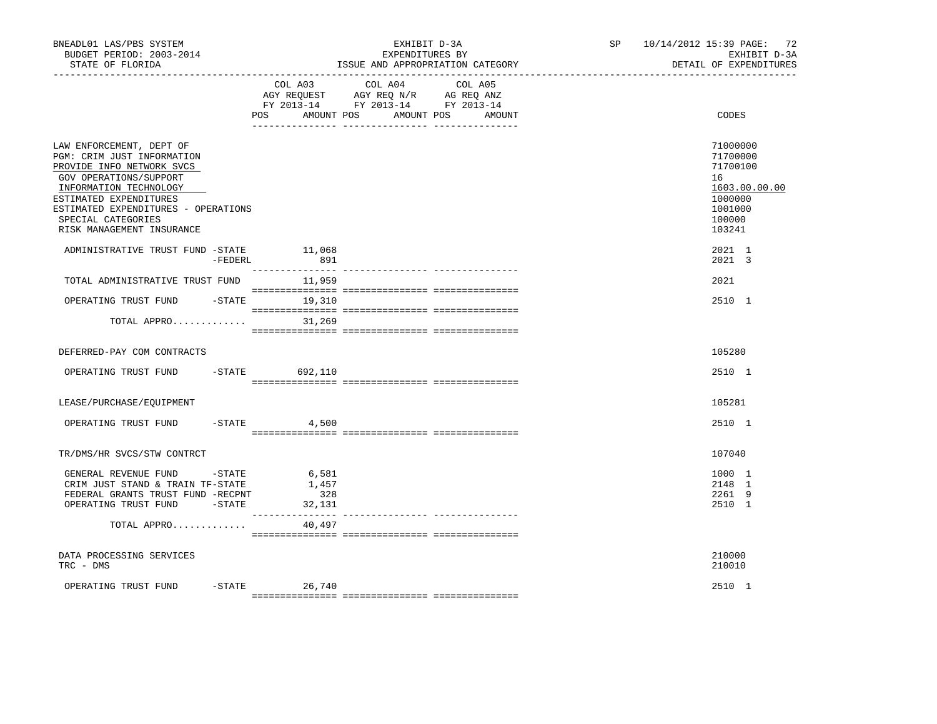| BNEADL01 LAS/PBS SYSTEM<br>BUDGET PERIOD: 2003-2014<br>STATE OF FLORIDA<br>------------------                                                                                                                                                               |           |                     | EXHIBIT D-3A<br>EXPENDITURES BY<br>ISSUE AND APPROPRIATION CATEGORY                                                                  | SP 10/14/2012 15:39 PAGE: 72<br>EXHIBIT D-3A<br>DETAIL OF EXPENDITURES                            |
|-------------------------------------------------------------------------------------------------------------------------------------------------------------------------------------------------------------------------------------------------------------|-----------|---------------------|--------------------------------------------------------------------------------------------------------------------------------------|---------------------------------------------------------------------------------------------------|
|                                                                                                                                                                                                                                                             |           | POS                 | COL A03 COL A04<br>COL A05<br>AGY REQUEST AGY REQ N/R AG REQ ANZ<br>FY 2013-14 FY 2013-14 FY 2013-14<br>AMOUNT POS AMOUNT POS AMOUNT | CODES                                                                                             |
|                                                                                                                                                                                                                                                             |           |                     |                                                                                                                                      |                                                                                                   |
| LAW ENFORCEMENT, DEPT OF<br>PGM: CRIM JUST INFORMATION<br>PROVIDE INFO NETWORK SVCS<br>GOV OPERATIONS/SUPPORT<br>INFORMATION TECHNOLOGY<br>ESTIMATED EXPENDITURES<br>ESTIMATED EXPENDITURES - OPERATIONS<br>SPECIAL CATEGORIES<br>RISK MANAGEMENT INSURANCE |           |                     |                                                                                                                                      | 71000000<br>71700000<br>71700100<br>16<br>1603.00.00.00<br>1000000<br>1001000<br>100000<br>103241 |
| ADMINISTRATIVE TRUST FUND -STATE                                                                                                                                                                                                                            |           | 11,068              |                                                                                                                                      | 2021 1                                                                                            |
|                                                                                                                                                                                                                                                             | -FEDERL   | 891                 |                                                                                                                                      | 2021 3                                                                                            |
| TOTAL ADMINISTRATIVE TRUST FUND 11,959                                                                                                                                                                                                                      |           |                     |                                                                                                                                      | 2021                                                                                              |
| OPERATING TRUST FUND                                                                                                                                                                                                                                        |           | $-$ STATE $19, 310$ |                                                                                                                                      | 2510 1                                                                                            |
| TOTAL APPRO                                                                                                                                                                                                                                                 |           | 31,269              |                                                                                                                                      |                                                                                                   |
|                                                                                                                                                                                                                                                             |           |                     |                                                                                                                                      |                                                                                                   |
| DEFERRED-PAY COM CONTRACTS                                                                                                                                                                                                                                  |           |                     |                                                                                                                                      | 105280                                                                                            |
| OPERATING TRUST FUND                                                                                                                                                                                                                                        |           | $-STATE$ 692, 110   |                                                                                                                                      | 2510 1                                                                                            |
|                                                                                                                                                                                                                                                             |           |                     |                                                                                                                                      |                                                                                                   |
| LEASE/PURCHASE/EOUIPMENT                                                                                                                                                                                                                                    |           |                     |                                                                                                                                      | 105281                                                                                            |
| OPERATING TRUST FUND                                                                                                                                                                                                                                        | $-$ STATE | 4,500               |                                                                                                                                      | 2510 1                                                                                            |
|                                                                                                                                                                                                                                                             |           |                     |                                                                                                                                      |                                                                                                   |
| TR/DMS/HR SVCS/STW CONTRCT                                                                                                                                                                                                                                  |           |                     |                                                                                                                                      | 107040                                                                                            |
| GENERAL REVENUE FUND - STATE                                                                                                                                                                                                                                |           | 6,581               |                                                                                                                                      | 1000 1                                                                                            |
| CRIM JUST STAND & TRAIN TF-STATE                                                                                                                                                                                                                            |           | 1,457               |                                                                                                                                      | 2148 1                                                                                            |
| FEDERAL GRANTS TRUST FUND -RECPNT<br>OPERATING TRUST FUND -STATE                                                                                                                                                                                            |           | 328<br>32,131       |                                                                                                                                      | 2261 9<br>2510 1                                                                                  |
|                                                                                                                                                                                                                                                             |           |                     |                                                                                                                                      |                                                                                                   |
| TOTAL APPRO                                                                                                                                                                                                                                                 |           | 40,497              |                                                                                                                                      |                                                                                                   |
| DATA PROCESSING SERVICES<br>TRC - DMS                                                                                                                                                                                                                       |           |                     |                                                                                                                                      | 210000<br>210010                                                                                  |
| OPERATING TRUST FUND                                                                                                                                                                                                                                        |           | $-$ STATE 26,740    |                                                                                                                                      | 2510 1                                                                                            |
|                                                                                                                                                                                                                                                             |           |                     |                                                                                                                                      |                                                                                                   |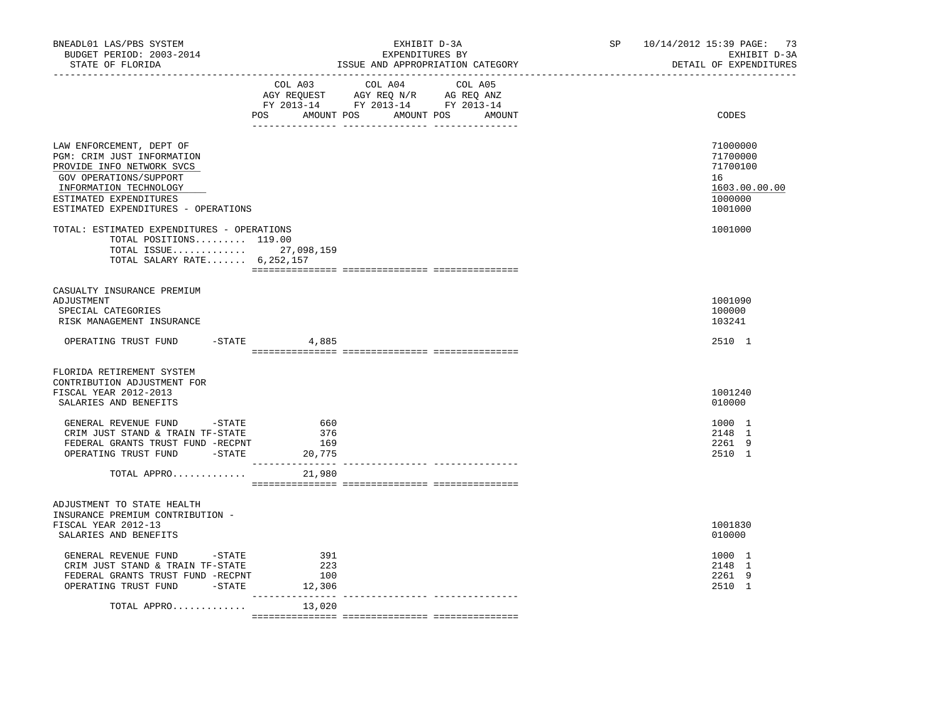| BNEADL01 LAS/PBS SYSTEM<br>BUDGET PERIOD: 2003-2014<br>STATE OF FLORIDA                                                                                                                                  | _____________________________ | EXHIBIT D-3A<br>EXPENDITURES BY<br>ISSUE AND APPROPRIATION CATEGORY                                                           | SP | 10/14/2012 15:39 PAGE: 73<br>EXHIBIT D-3A<br>DETAIL OF EXPENDITURES           |
|----------------------------------------------------------------------------------------------------------------------------------------------------------------------------------------------------------|-------------------------------|-------------------------------------------------------------------------------------------------------------------------------|----|-------------------------------------------------------------------------------|
|                                                                                                                                                                                                          | COL A03                       | COL A04 COL A05<br>AGY REQUEST AGY REQ N/R AG REQ ANZ<br>FY 2013-14 FY 2013-14 FY 2013-14<br>POS AMOUNT POS AMOUNT POS AMOUNT |    | CODES                                                                         |
| LAW ENFORCEMENT, DEPT OF<br>PGM: CRIM JUST INFORMATION<br>PROVIDE INFO NETWORK SVCS<br>GOV OPERATIONS/SUPPORT<br>INFORMATION TECHNOLOGY<br>ESTIMATED EXPENDITURES<br>ESTIMATED EXPENDITURES - OPERATIONS |                               |                                                                                                                               |    | 71000000<br>71700000<br>71700100<br>16<br>1603.00.00.00<br>1000000<br>1001000 |
| TOTAL: ESTIMATED EXPENDITURES - OPERATIONS<br>TOTAL POSITIONS 119.00<br>TOTAL ISSUE 27,098,159<br>TOTAL SALARY RATE 6,252,157                                                                            |                               |                                                                                                                               |    | 1001000                                                                       |
| CASUALTY INSURANCE PREMIUM<br>ADJUSTMENT<br>SPECIAL CATEGORIES<br>RISK MANAGEMENT INSURANCE                                                                                                              |                               |                                                                                                                               |    | 1001090<br>100000<br>103241                                                   |
| OPERATING TRUST FUND                                                                                                                                                                                     | $-STATE$<br>4,885             |                                                                                                                               |    | 2510 1                                                                        |
| FLORIDA RETIREMENT SYSTEM<br>CONTRIBUTION ADJUSTMENT FOR<br>FISCAL YEAR 2012-2013<br>SALARIES AND BENEFITS                                                                                               |                               |                                                                                                                               |    | 1001240<br>010000                                                             |
| GENERAL REVENUE FUND -STATE<br>CRIM JUST STAND & TRAIN TF-STATE<br>FEDERAL GRANTS TRUST FUND -RECPNT<br>OPERATING TRUST FUND -STATE 20,775                                                               | 660<br>376<br>169             |                                                                                                                               |    | 1000 1<br>2148 1<br>2261 9<br>2510 1                                          |
| TOTAL APPRO                                                                                                                                                                                              | 21,980                        |                                                                                                                               |    |                                                                               |
| ADJUSTMENT TO STATE HEALTH<br>INSURANCE PREMIUM CONTRIBUTION -<br>FISCAL YEAR 2012-13<br>SALARIES AND BENEFITS                                                                                           |                               |                                                                                                                               |    | 1001830<br>010000                                                             |
| GENERAL REVENUE FUND - STATE<br>CRIM JUST STAND & TRAIN TF-STATE<br>FEDERAL GRANTS TRUST FUND -RECPNT<br>OPERATING TRUST FUND -STATE                                                                     | 391<br>223<br>100<br>12,306   |                                                                                                                               |    | 1000 1<br>2148 1<br>2261 9<br>2510 1                                          |
| TOTAL APPRO                                                                                                                                                                                              | 13,020                        |                                                                                                                               |    |                                                                               |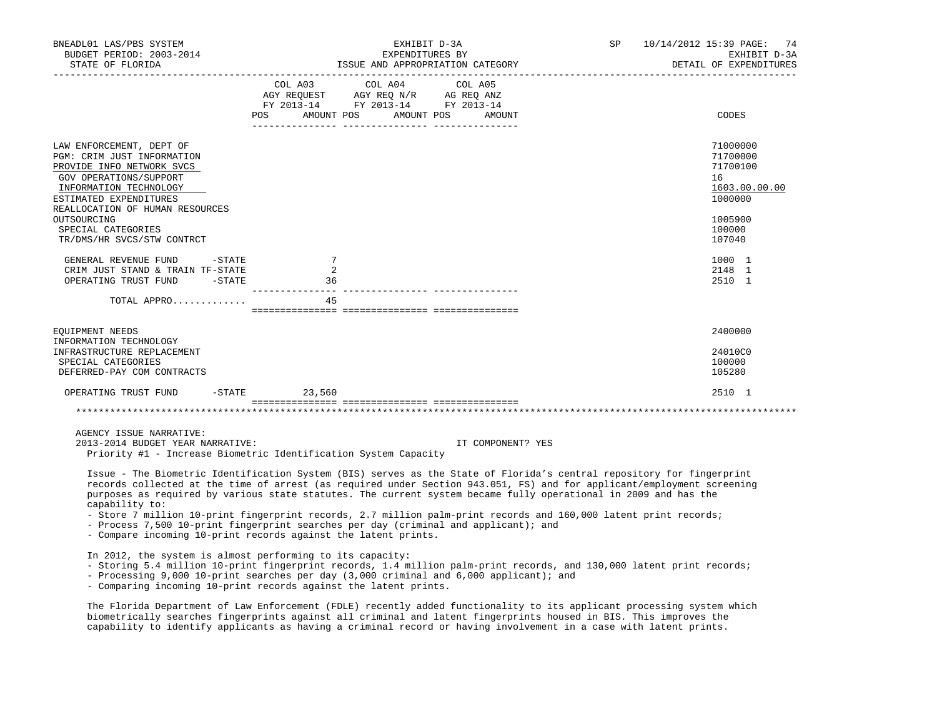| BNEADL01 LAS/PBS SYSTEM<br>BUDGET PERIOD: 2003-2014                                                                                                                                                  |                                  | EXHIBIT D-3A<br>EXPENDITURES BY                                                                                                                                                                                                                                                 | SP 10/14/2012 15:39 PAGE: 74<br>EXHIBIT D-3A |                                                                    |
|------------------------------------------------------------------------------------------------------------------------------------------------------------------------------------------------------|----------------------------------|---------------------------------------------------------------------------------------------------------------------------------------------------------------------------------------------------------------------------------------------------------------------------------|----------------------------------------------|--------------------------------------------------------------------|
| STATE OF FLORIDA                                                                                                                                                                                     |                                  |                                                                                                                                                                                                                                                                                 | ISSUE AND APPROPRIATION CATEGORY             | DETAIL OF EXPENDITURES                                             |
|                                                                                                                                                                                                      |                                  | COL A03 COL A04 COL A05<br>$\begin{tabular}{lllllll} \bf AGY \,\, &\bf REQUEST \,\, &\bf AGY \,\, &\bf REQ \,\, &\bf N/R \,\, &\bf AG \,\, &\bf REQ \,\, &\bf ANZ \,\, \\ \bf FY \,\, &\bf 2013-14 \,\, &\bf FY \,\, &\bf 2013-14 \,\, &\bf FY \,\, &\bf 2013-14 \end{tabular}$ |                                              |                                                                    |
|                                                                                                                                                                                                      | POS AMOUNT POS AMOUNT POS AMOUNT |                                                                                                                                                                                                                                                                                 |                                              | CODES                                                              |
| LAW ENFORCEMENT, DEPT OF<br>PGM: CRIM JUST INFORMATION<br>PROVIDE INFO NETWORK SVCS<br>GOV OPERATIONS/SUPPORT<br>INFORMATION TECHNOLOGY<br>ESTIMATED EXPENDITURES<br>REALLOCATION OF HUMAN RESOURCES |                                  |                                                                                                                                                                                                                                                                                 |                                              | 71000000<br>71700000<br>71700100<br>16<br>1603.00.00.00<br>1000000 |
| OUTSOURCING<br>SPECIAL CATEGORIES<br>TR/DMS/HR SVCS/STW CONTRCT                                                                                                                                      |                                  |                                                                                                                                                                                                                                                                                 |                                              | 1005900<br>100000<br>107040                                        |
| $-STATE$<br>GENERAL REVENUE FUND<br>CRIM JUST STAND & TRAIN TF-STATE<br>OPERATING TRUST FUND<br>$-$ STATE                                                                                            | 7<br>2<br>36                     |                                                                                                                                                                                                                                                                                 |                                              | 1000 1<br>2148 1<br>2510 1                                         |
| TOTAL APPRO                                                                                                                                                                                          | 45                               |                                                                                                                                                                                                                                                                                 |                                              |                                                                    |
| EOUIPMENT NEEDS<br>INFORMATION TECHNOLOGY<br>INFRASTRUCTURE REPLACEMENT<br>SPECIAL CATEGORIES<br>DEFERRED-PAY COM CONTRACTS                                                                          |                                  |                                                                                                                                                                                                                                                                                 |                                              | 2400000<br>24010C0<br>100000<br>105280                             |
| OPERATING TRUST FUND                                                                                                                                                                                 | $-STATE$<br>23,560               |                                                                                                                                                                                                                                                                                 |                                              | 2510 1                                                             |
|                                                                                                                                                                                                      |                                  |                                                                                                                                                                                                                                                                                 |                                              |                                                                    |
| AGENCY ISSUE NARRATIVE:<br>2013-2014 BUDGET YEAR NARRATIVE:<br>Priority #1 - Increase Biometric Identification System Capacity                                                                       |                                  |                                                                                                                                                                                                                                                                                 | IT COMPONENT? YES                            |                                                                    |

 Issue - The Biometric Identification System (BIS) serves as the State of Florida's central repository for fingerprint records collected at the time of arrest (as required under Section 943.051, FS) and for applicant/employment screening purposes as required by various state statutes. The current system became fully operational in 2009 and has the capability to:

- Store 7 million 10-print fingerprint records, 2.7 million palm-print records and 160,000 latent print records;

- Process 7,500 10-print fingerprint searches per day (criminal and applicant); and

- Compare incoming 10-print records against the latent prints.

In 2012, the system is almost performing to its capacity:

- Storing 5.4 million 10-print fingerprint records, 1.4 million palm-print records, and 130,000 latent print records;
- Processing 9,000 10-print searches per day (3,000 criminal and 6,000 applicant); and

- Comparing incoming 10-print records against the latent prints.

 The Florida Department of Law Enforcement (FDLE) recently added functionality to its applicant processing system which biometrically searches fingerprints against all criminal and latent fingerprints housed in BIS. This improves the capability to identify applicants as having a criminal record or having involvement in a case with latent prints.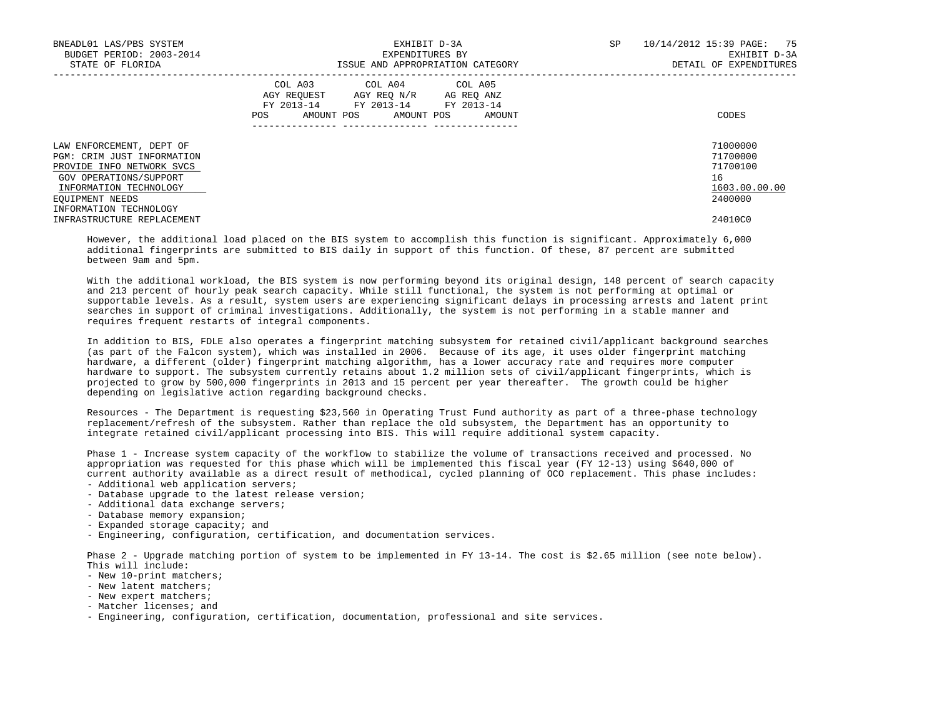| BNEADL01 LAS/PBS SYSTEM<br>BUDGET PERIOD: 2003-2014<br>STATE OF FLORIDA                                                                                    | EXHIBIT D-3A<br>EXPENDITURES BY<br>ISSUE AND APPROPRIATION CATEGORY                                                                         | SP<br>10/14/2012 15:39 PAGE: 75<br>EXHIBIT D-3A<br>DETAIL OF EXPENDITURES |
|------------------------------------------------------------------------------------------------------------------------------------------------------------|---------------------------------------------------------------------------------------------------------------------------------------------|---------------------------------------------------------------------------|
|                                                                                                                                                            | COL A03 COL A04 COL A05<br>AGY REOUEST AGY REO N/R AG REO ANZ<br>FY 2013-14 FY 2013-14 FY 2013-14<br>AMOUNT POS AMOUNT POS<br>POS<br>AMOUNT | CODES                                                                     |
| LAW ENFORCEMENT, DEPT OF<br>PGM: CRIM JUST INFORMATION<br>PROVIDE INFO NETWORK SVCS<br>GOV OPERATIONS/SUPPORT<br>INFORMATION TECHNOLOGY<br>EQUIPMENT NEEDS |                                                                                                                                             | 71000000<br>71700000<br>71700100<br>16<br>1603.00.00.00<br>2400000        |
| INFORMATION TECHNOLOGY<br>INFRASTRUCTURE REPLACEMENT                                                                                                       |                                                                                                                                             | 24010C0                                                                   |

 However, the additional load placed on the BIS system to accomplish this function is significant. Approximately 6,000 additional fingerprints are submitted to BIS daily in support of this function. Of these, 87 percent are submitted between 9am and 5pm.

 With the additional workload, the BIS system is now performing beyond its original design, 148 percent of search capacity and 213 percent of hourly peak search capacity. While still functional, the system is not performing at optimal or supportable levels. As a result, system users are experiencing significant delays in processing arrests and latent print searches in support of criminal investigations. Additionally, the system is not performing in a stable manner and requires frequent restarts of integral components.

 In addition to BIS, FDLE also operates a fingerprint matching subsystem for retained civil/applicant background searches (as part of the Falcon system), which was installed in 2006. Because of its age, it uses older fingerprint matching hardware, a different (older) fingerprint matching algorithm, has a lower accuracy rate and requires more computer hardware to support. The subsystem currently retains about 1.2 million sets of civil/applicant fingerprints, which is projected to grow by 500,000 fingerprints in 2013 and 15 percent per year thereafter. The growth could be higher depending on legislative action regarding background checks.

 Resources - The Department is requesting \$23,560 in Operating Trust Fund authority as part of a three-phase technology replacement/refresh of the subsystem. Rather than replace the old subsystem, the Department has an opportunity to integrate retained civil/applicant processing into BIS. This will require additional system capacity.

 Phase 1 - Increase system capacity of the workflow to stabilize the volume of transactions received and processed. No appropriation was requested for this phase which will be implemented this fiscal year (FY 12-13) using \$640,000 of current authority available as a direct result of methodical, cycled planning of OCO replacement. This phase includes: - Additional web application servers;

- Database upgrade to the latest release version;
- Additional data exchange servers;
- Database memory expansion;
- Expanded storage capacity; and
- Engineering, configuration, certification, and documentation services.

 Phase 2 - Upgrade matching portion of system to be implemented in FY 13-14. The cost is \$2.65 million (see note below). This will include:

- New 10-print matchers;
- New latent matchers;
- New expert matchers;
- Matcher licenses; and
- Engineering, configuration, certification, documentation, professional and site services.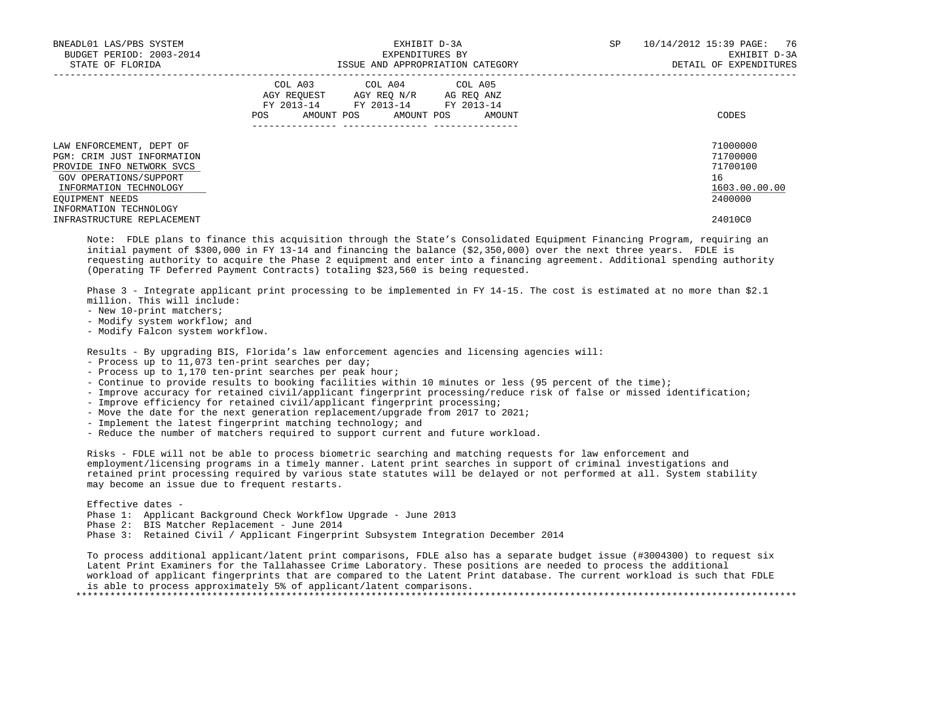| BNEADL01 LAS/PBS SYSTEM<br>BUDGET PERIOD: 2003-2014<br>STATE OF FLORIDA                                                                                    | EXHIBIT D-3A<br>EXPENDITURES BY<br>ISSUE AND APPROPRIATION CATEGORY                                                                                      | 76<br>SP<br>10/14/2012 15:39 PAGE:<br>EXHIBIT D-3A<br>DETAIL OF EXPENDITURES |
|------------------------------------------------------------------------------------------------------------------------------------------------------------|----------------------------------------------------------------------------------------------------------------------------------------------------------|------------------------------------------------------------------------------|
|                                                                                                                                                            | COL A03 COL A04 COL A05<br>AGY REOUEST<br>AGY REO N/R<br>AG REO ANZ<br>FY 2013-14<br>FY 2013-14 FY 2013-14<br>AMOUNT POS<br>POS.<br>AMOUNT POS<br>AMOUNT | CODES                                                                        |
| LAW ENFORCEMENT, DEPT OF<br>PGM: CRIM JUST INFORMATION<br>PROVIDE INFO NETWORK SVCS<br>GOV OPERATIONS/SUPPORT<br>INFORMATION TECHNOLOGY<br>EOUIPMENT NEEDS |                                                                                                                                                          | 71000000<br>71700000<br>71700100<br>16<br>1603.00.00.00<br>2400000           |
| INFORMATION TECHNOLOGY<br>INFRASTRUCTURE REPLACEMENT                                                                                                       |                                                                                                                                                          | 24010C0                                                                      |

 Note: FDLE plans to finance this acquisition through the State's Consolidated Equipment Financing Program, requiring an initial payment of \$300,000 in FY 13-14 and financing the balance (\$2,350,000) over the next three years. FDLE is requesting authority to acquire the Phase 2 equipment and enter into a financing agreement. Additional spending authority (Operating TF Deferred Payment Contracts) totaling \$23,560 is being requested.

 Phase 3 - Integrate applicant print processing to be implemented in FY 14-15. The cost is estimated at no more than \$2.1 million. This will include:

- New 10-print matchers;
- Modify system workflow; and
- Modify Falcon system workflow.

Results - By upgrading BIS, Florida's law enforcement agencies and licensing agencies will:

- Process up to 11,073 ten-print searches per day;
- Process up to 1,170 ten-print searches per peak hour;
- Continue to provide results to booking facilities within 10 minutes or less (95 percent of the time);
- Improve accuracy for retained civil/applicant fingerprint processing/reduce risk of false or missed identification;
- Improve efficiency for retained civil/applicant fingerprint processing;
- Move the date for the next generation replacement/upgrade from 2017 to 2021;
- Implement the latest fingerprint matching technology; and
- Reduce the number of matchers required to support current and future workload.

 Risks - FDLE will not be able to process biometric searching and matching requests for law enforcement and employment/licensing programs in a timely manner. Latent print searches in support of criminal investigations and retained print processing required by various state statutes will be delayed or not performed at all. System stability may become an issue due to frequent restarts.

Effective dates -

- Phase 1: Applicant Background Check Workflow Upgrade June 2013
- Phase 2: BIS Matcher Replacement June 2014
- Phase 3: Retained Civil / Applicant Fingerprint Subsystem Integration December 2014

 To process additional applicant/latent print comparisons, FDLE also has a separate budget issue (#3004300) to request six Latent Print Examiners for the Tallahassee Crime Laboratory. These positions are needed to process the additional workload of applicant fingerprints that are compared to the Latent Print database. The current workload is such that FDLE is able to process approximately 5% of applicant/latent comparisons. \*\*\*\*\*\*\*\*\*\*\*\*\*\*\*\*\*\*\*\*\*\*\*\*\*\*\*\*\*\*\*\*\*\*\*\*\*\*\*\*\*\*\*\*\*\*\*\*\*\*\*\*\*\*\*\*\*\*\*\*\*\*\*\*\*\*\*\*\*\*\*\*\*\*\*\*\*\*\*\*\*\*\*\*\*\*\*\*\*\*\*\*\*\*\*\*\*\*\*\*\*\*\*\*\*\*\*\*\*\*\*\*\*\*\*\*\*\*\*\*\*\*\*\*\*\*\*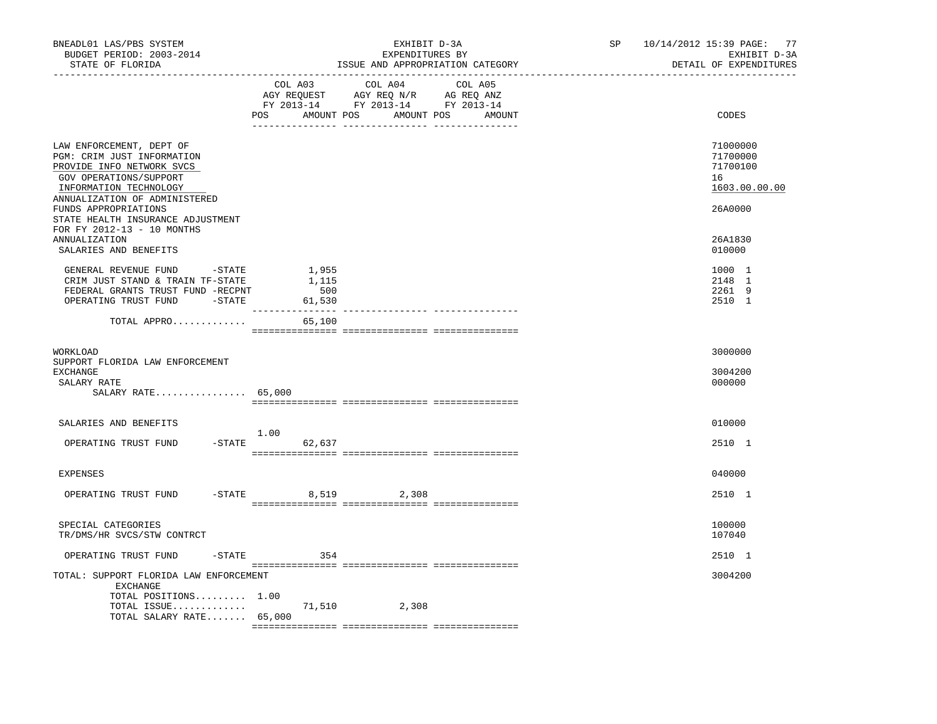| BNEADL01 LAS/PBS SYSTEM<br>BUDGET PERIOD: 2003-2014<br>STATE OF FLORIDA<br>----------------                                                                                                                                           |                       | EXHIBIT D-3A<br>EXPENDITURES BY<br>ISSUE AND APPROPRIATION CATEGORY                                                                   | SP | 10/14/2012 15:39 PAGE: 77<br>EXHIBIT D-3A<br>DETAIL OF EXPENDITURES |
|---------------------------------------------------------------------------------------------------------------------------------------------------------------------------------------------------------------------------------------|-----------------------|---------------------------------------------------------------------------------------------------------------------------------------|----|---------------------------------------------------------------------|
|                                                                                                                                                                                                                                       |                       | COL A03 COL A04 COL A05<br>AGY REQUEST AGY REQ N/R AG REQ ANZ<br>FY 2013-14 FY 2013-14 FY 2013-14<br>POS AMOUNT POS AMOUNT POS AMOUNT |    | CODES                                                               |
| LAW ENFORCEMENT, DEPT OF<br>PGM: CRIM JUST INFORMATION<br>PROVIDE INFO NETWORK SVCS<br>GOV OPERATIONS/SUPPORT<br>INFORMATION TECHNOLOGY<br>ANNUALIZATION OF ADMINISTERED<br>FUNDS APPROPRIATIONS<br>STATE HEALTH INSURANCE ADJUSTMENT |                       |                                                                                                                                       |    | 71000000<br>71700000<br>71700100<br>16<br>1603.00.00.00<br>26A0000  |
| FOR FY 2012-13 - 10 MONTHS<br>ANNUALIZATION<br>SALARIES AND BENEFITS                                                                                                                                                                  |                       |                                                                                                                                       |    | 26A1830<br>010000                                                   |
| GENERAL REVENUE FUND -STATE<br>CRIM JUST STAND & TRAIN TF-STATE<br>FEDERAL GRANTS TRUST FUND -RECPNT<br>OPERATING TRUST FUND -STATE 61,530                                                                                            | 1,955<br>1,115<br>500 |                                                                                                                                       |    | 1000 1<br>2148 1<br>2261 9<br>2510 1                                |
| TOTAL APPRO                                                                                                                                                                                                                           | 65,100                |                                                                                                                                       |    |                                                                     |
| WORKLOAD<br>SUPPORT FLORIDA LAW ENFORCEMENT<br>EXCHANGE<br>SALARY RATE<br>SALARY RATE 65,000                                                                                                                                          |                       |                                                                                                                                       |    | 3000000<br>3004200<br>000000                                        |
| SALARIES AND BENEFITS<br>$-STATE$<br>OPERATING TRUST FUND                                                                                                                                                                             | 1.00<br>62,637        |                                                                                                                                       |    | 010000<br>2510 1                                                    |
| <b>EXPENSES</b>                                                                                                                                                                                                                       |                       |                                                                                                                                       |    | 040000                                                              |
| OPERATING TRUST FUND                                                                                                                                                                                                                  | -STATE 8,519 2,308    |                                                                                                                                       |    | 2510 1                                                              |
| SPECIAL CATEGORIES<br>TR/DMS/HR SVCS/STW CONTRCT                                                                                                                                                                                      |                       |                                                                                                                                       |    | 100000<br>107040                                                    |
| $-$ STATE<br>OPERATING TRUST FUND                                                                                                                                                                                                     | 354                   |                                                                                                                                       |    | 2510 1                                                              |
| TOTAL: SUPPORT FLORIDA LAW ENFORCEMENT<br>EXCHANGE<br>TOTAL POSITIONS 1.00<br>TOTAL ISSUE $71,510$<br>TOTAL SALARY RATE $65,000$                                                                                                      |                       | 2,308                                                                                                                                 |    | 3004200                                                             |
|                                                                                                                                                                                                                                       |                       |                                                                                                                                       |    |                                                                     |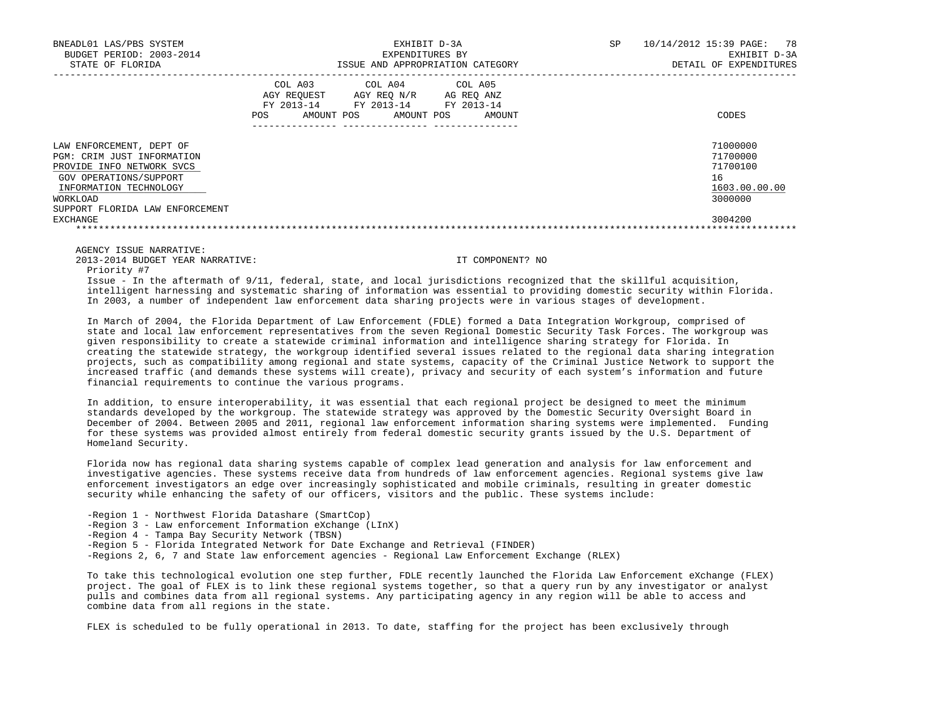| BNEADL01 LAS/PBS SYSTEM<br>BUDGET PERIOD: 2003-2014<br>STATE OF FLORIDA                                                                                                                |                                             | EXHIBIT D-3A<br>EXPENDITURES BY                                                  | ISSUE AND APPROPRIATION CATEGORY | SP | 10/14/2012 15:39 PAGE:<br>78<br>EXHIBIT D-3A<br>DETAIL OF EXPENDITURES |
|----------------------------------------------------------------------------------------------------------------------------------------------------------------------------------------|---------------------------------------------|----------------------------------------------------------------------------------|----------------------------------|----|------------------------------------------------------------------------|
|                                                                                                                                                                                        | COL A03<br>AGY REOUEST<br>AMOUNT POS<br>POS | COL A04 COL A05<br>AGY REO N/R<br>FY 2013-14 FY 2013-14 FY 2013-14<br>AMOUNT POS | AG REO ANZ<br>AMOUNT             |    | CODES                                                                  |
| LAW ENFORCEMENT, DEPT OF<br>PGM: CRIM JUST INFORMATION<br>PROVIDE INFO NETWORK SVCS<br>GOV OPERATIONS/SUPPORT<br>INFORMATION TECHNOLOGY<br>WORKLOAD<br>SUPPORT FLORIDA LAW ENFORCEMENT |                                             |                                                                                  |                                  |    | 71000000<br>71700000<br>71700100<br>16<br>1603.00.00.00<br>3000000     |
| EXCHANGE                                                                                                                                                                               |                                             |                                                                                  |                                  |    | 3004200                                                                |

AGENCY ISSUE NARRATIVE:

2013-2014 BUDGET YEAR NARRATIVE: IT COMPONENT? NO

Priority #7

 Issue - In the aftermath of 9/11, federal, state, and local jurisdictions recognized that the skillful acquisition, intelligent harnessing and systematic sharing of information was essential to providing domestic security within Florida. In 2003, a number of independent law enforcement data sharing projects were in various stages of development.

 In March of 2004, the Florida Department of Law Enforcement (FDLE) formed a Data Integration Workgroup, comprised of state and local law enforcement representatives from the seven Regional Domestic Security Task Forces. The workgroup was given responsibility to create a statewide criminal information and intelligence sharing strategy for Florida. In creating the statewide strategy, the workgroup identified several issues related to the regional data sharing integration projects, such as compatibility among regional and state systems, capacity of the Criminal Justice Network to support the increased traffic (and demands these systems will create), privacy and security of each system's information and future financial requirements to continue the various programs.

 In addition, to ensure interoperability, it was essential that each regional project be designed to meet the minimum standards developed by the workgroup. The statewide strategy was approved by the Domestic Security Oversight Board in December of 2004. Between 2005 and 2011, regional law enforcement information sharing systems were implemented. Funding for these systems was provided almost entirely from federal domestic security grants issued by the U.S. Department of Homeland Security.

 Florida now has regional data sharing systems capable of complex lead generation and analysis for law enforcement and investigative agencies. These systems receive data from hundreds of law enforcement agencies. Regional systems give law enforcement investigators an edge over increasingly sophisticated and mobile criminals, resulting in greater domestic security while enhancing the safety of our officers, visitors and the public. These systems include:

- -Region 1 Northwest Florida Datashare (SmartCop)
- -Region 3 Law enforcement Information eXchange (LInX)
- -Region 4 Tampa Bay Security Network (TBSN)
- -Region 5 Florida Integrated Network for Date Exchange and Retrieval (FINDER)
- -Regions 2, 6, 7 and State law enforcement agencies Regional Law Enforcement Exchange (RLEX)

 To take this technological evolution one step further, FDLE recently launched the Florida Law Enforcement eXchange (FLEX) project. The goal of FLEX is to link these regional systems together, so that a query run by any investigator or analyst pulls and combines data from all regional systems. Any participating agency in any region will be able to access and combine data from all regions in the state.

FLEX is scheduled to be fully operational in 2013. To date, staffing for the project has been exclusively through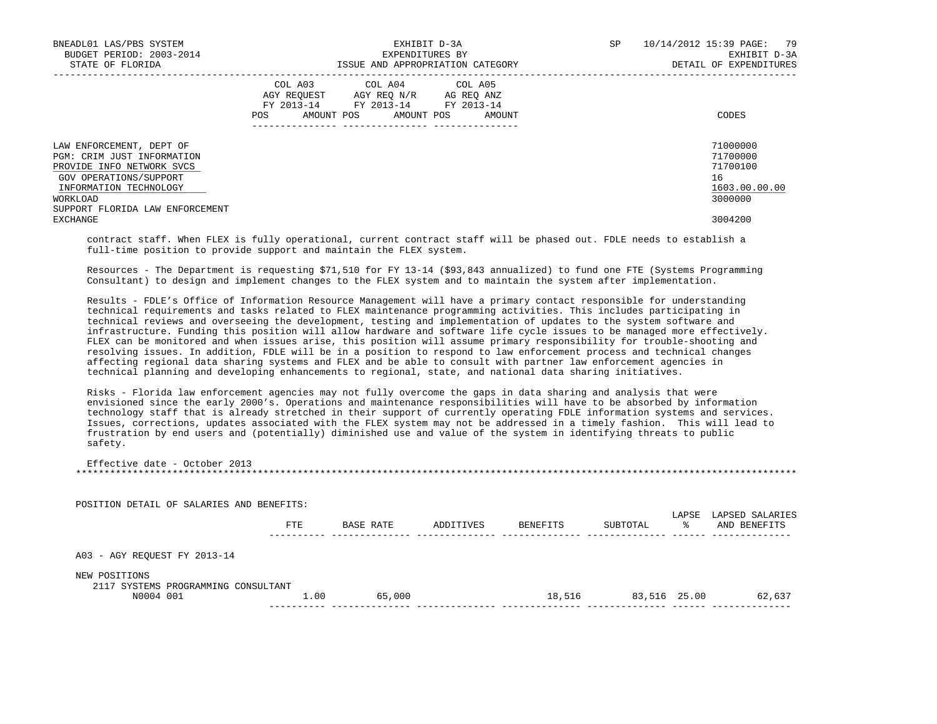| BNEADL01 LAS/PBS SYSTEM<br>BUDGET PERIOD: 2003-2014<br>STATE OF FLORIDA                                                                                                                | EXHIBIT D-3A<br>EXPENDITURES BY<br>ISSUE AND APPROPRIATION CATEGORY                                                                             | 10/14/2012 15:39 PAGE: 79<br><b>SP</b><br>EXHIBIT D-3A<br>DETAIL OF EXPENDITURES |
|----------------------------------------------------------------------------------------------------------------------------------------------------------------------------------------|-------------------------------------------------------------------------------------------------------------------------------------------------|----------------------------------------------------------------------------------|
|                                                                                                                                                                                        | COL A03 COL A04 COL A05<br>AGY REOUEST AGY REO N/R AG REO ANZ<br>FY 2013-14 FY 2013-14 FY 2013-14<br><b>POS</b><br>AMOUNT POS AMOUNT POS AMOUNT | CODES                                                                            |
| LAW ENFORCEMENT, DEPT OF<br>PGM: CRIM JUST INFORMATION<br>PROVIDE INFO NETWORK SVCS<br>GOV OPERATIONS/SUPPORT<br>INFORMATION TECHNOLOGY<br>WORKLOAD<br>SUPPORT FLORIDA LAW ENFORCEMENT |                                                                                                                                                 | 71000000<br>71700000<br>71700100<br>16<br>1603.00.00.00<br>3000000               |
| EXCHANGE                                                                                                                                                                               |                                                                                                                                                 | 3004200                                                                          |

 contract staff. When FLEX is fully operational, current contract staff will be phased out. FDLE needs to establish a full-time position to provide support and maintain the FLEX system.

 Resources - The Department is requesting \$71,510 for FY 13-14 (\$93,843 annualized) to fund one FTE (Systems Programming Consultant) to design and implement changes to the FLEX system and to maintain the system after implementation.

 Results - FDLE's Office of Information Resource Management will have a primary contact responsible for understanding technical requirements and tasks related to FLEX maintenance programming activities. This includes participating in technical reviews and overseeing the development, testing and implementation of updates to the system software and infrastructure. Funding this position will allow hardware and software life cycle issues to be managed more effectively. FLEX can be monitored and when issues arise, this position will assume primary responsibility for trouble-shooting and resolving issues. In addition, FDLE will be in a position to respond to law enforcement process and technical changes affecting regional data sharing systems and FLEX and be able to consult with partner law enforcement agencies in technical planning and developing enhancements to regional, state, and national data sharing initiatives.

 Risks - Florida law enforcement agencies may not fully overcome the gaps in data sharing and analysis that were envisioned since the early 2000's. Operations and maintenance responsibilities will have to be absorbed by information technology staff that is already stretched in their support of currently operating FDLE information systems and services. Issues, corrections, updates associated with the FLEX system may not be addressed in a timely fashion. This will lead to frustration by end users and (potentially) diminished use and value of the system in identifying threats to public safety.

 Effective date - October 2013 \*\*\*\*\*\*\*\*\*\*\*\*\*\*\*\*\*\*\*\*\*\*\*\*\*\*\*\*\*\*\*\*\*\*\*\*\*\*\*\*\*\*\*\*\*\*\*\*\*\*\*\*\*\*\*\*\*\*\*\*\*\*\*\*\*\*\*\*\*\*\*\*\*\*\*\*\*\*\*\*\*\*\*\*\*\*\*\*\*\*\*\*\*\*\*\*\*\*\*\*\*\*\*\*\*\*\*\*\*\*\*\*\*\*\*\*\*\*\*\*\*\*\*\*\*\*\*

| POSITION DETAIL OF SALARIES AND BENEFITS: |                                             |           |          |          |        | LAPSED SALARIES       |
|-------------------------------------------|---------------------------------------------|-----------|----------|----------|--------|-----------------------|
| FTE                                       | BASE RATE                                   | ADDITIVES | BENEFITS | SUBTOTAL | °≈     | AND BENEFITS          |
|                                           |                                             |           |          |          |        |                       |
|                                           |                                             |           |          |          |        |                       |
|                                           | 65,000                                      |           |          |          |        | 62,637                |
|                                           | 2117 SYSTEMS PROGRAMMING CONSULTANT<br>1.00 |           |          |          | 18,516 | LAPSE<br>83,516 25.00 |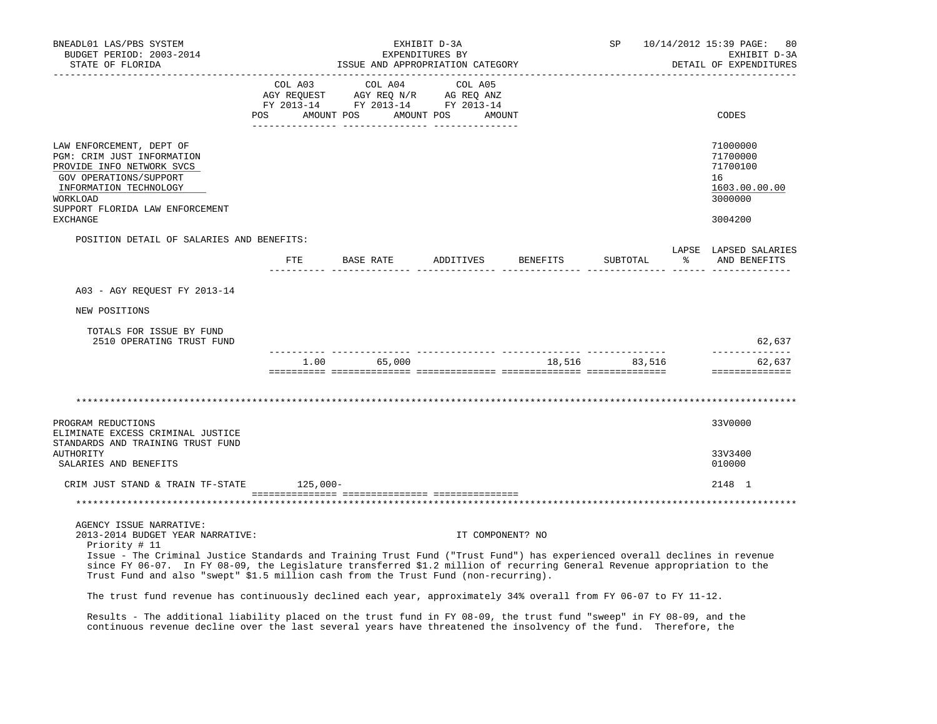| BNEADL01 LAS/PBS SYSTEM<br>BUDGET PERIOD: 2003-2014<br>STATE OF FLORIDA                                                                                                                                                                                                                                                                                                                                                      |              |                                                                                                                                                                                                                                                                                                             | EXHIBIT D-3A<br>EXPENDITURES BY | ISSUE AND APPROPRIATION CATEGORY | SP            |    | 10/14/2012 15:39 PAGE:<br>80<br>EXHIBIT D-3A<br>DETAIL OF EXPENDITURES        |
|------------------------------------------------------------------------------------------------------------------------------------------------------------------------------------------------------------------------------------------------------------------------------------------------------------------------------------------------------------------------------------------------------------------------------|--------------|-------------------------------------------------------------------------------------------------------------------------------------------------------------------------------------------------------------------------------------------------------------------------------------------------------------|---------------------------------|----------------------------------|---------------|----|-------------------------------------------------------------------------------|
|                                                                                                                                                                                                                                                                                                                                                                                                                              | COL A03      | COL A04<br>$\begin{array}{ccccccccc}\n\text{AGY} & \text{REQUEST} & \text{AGY} & \text{REQ} & \text{N/R} & \text{AG} & \text{REQ} & \text{ANZ} \\ \text{AGY} & \text{REQUEST} & \text{AGY} & \text{REQ} & \text{ANZ} & \text{PY} & 2013-14 & \text{FY} & 2013-14\n\end{array}$<br>POS AMOUNT POS AMOUNT POS | COL A05<br>AMOUNT               |                                  |               |    | CODES                                                                         |
| LAW ENFORCEMENT, DEPT OF<br>PGM: CRIM JUST INFORMATION<br>PROVIDE INFO NETWORK SVCS<br>GOV OPERATIONS/SUPPORT<br>INFORMATION TECHNOLOGY<br>WORKLOAD<br>SUPPORT FLORIDA LAW ENFORCEMENT<br><b>EXCHANGE</b>                                                                                                                                                                                                                    |              |                                                                                                                                                                                                                                                                                                             |                                 |                                  |               |    | 71000000<br>71700000<br>71700100<br>16<br>1603.00.00.00<br>3000000<br>3004200 |
| POSITION DETAIL OF SALARIES AND BENEFITS:                                                                                                                                                                                                                                                                                                                                                                                    | $_{\rm FTE}$ | BASE RATE ADDITIVES BENEFITS                                                                                                                                                                                                                                                                                |                                 |                                  | SUBTOTAL      | ႜႜ | LAPSE LAPSED SALARIES<br>AND BENEFITS                                         |
|                                                                                                                                                                                                                                                                                                                                                                                                                              |              |                                                                                                                                                                                                                                                                                                             |                                 |                                  |               |    |                                                                               |
| A03 - AGY REQUEST FY 2013-14                                                                                                                                                                                                                                                                                                                                                                                                 |              |                                                                                                                                                                                                                                                                                                             |                                 |                                  |               |    |                                                                               |
| NEW POSITIONS                                                                                                                                                                                                                                                                                                                                                                                                                |              |                                                                                                                                                                                                                                                                                                             |                                 |                                  |               |    |                                                                               |
| TOTALS FOR ISSUE BY FUND<br>2510 OPERATING TRUST FUND                                                                                                                                                                                                                                                                                                                                                                        |              |                                                                                                                                                                                                                                                                                                             |                                 |                                  |               |    | 62,637                                                                        |
|                                                                                                                                                                                                                                                                                                                                                                                                                              |              | 1.00 65,000                                                                                                                                                                                                                                                                                                 |                                 |                                  | 18,516 83,516 |    | ______________<br>62,637<br>==============                                    |
|                                                                                                                                                                                                                                                                                                                                                                                                                              |              |                                                                                                                                                                                                                                                                                                             |                                 |                                  |               |    |                                                                               |
| PROGRAM REDUCTIONS<br>ELIMINATE EXCESS CRIMINAL JUSTICE<br>STANDARDS AND TRAINING TRUST FUND                                                                                                                                                                                                                                                                                                                                 |              |                                                                                                                                                                                                                                                                                                             |                                 |                                  |               |    | 33V0000                                                                       |
| AUTHORITY<br>SALARIES AND BENEFITS                                                                                                                                                                                                                                                                                                                                                                                           |              |                                                                                                                                                                                                                                                                                                             |                                 |                                  |               |    | 33V3400<br>010000                                                             |
| CRIM JUST STAND & TRAIN TF-STATE 125,000-                                                                                                                                                                                                                                                                                                                                                                                    |              |                                                                                                                                                                                                                                                                                                             |                                 |                                  |               |    | 2148 1                                                                        |
|                                                                                                                                                                                                                                                                                                                                                                                                                              |              |                                                                                                                                                                                                                                                                                                             |                                 |                                  |               |    |                                                                               |
| AGENCY ISSUE NARRATIVE:<br>2013-2014 BUDGET YEAR NARRATIVE:<br>Priority # 11<br>Issue - The Criminal Justice Standards and Training Trust Fund ("Trust Fund") has experienced overall declines in revenue<br>since FY 06-07. In FY 08-09, the Legislature transferred \$1.2 million of recurring General Revenue appropriation to the<br>Trust Fund and also "swept" \$1.5 million cash from the Trust Fund (non-recurring). |              |                                                                                                                                                                                                                                                                                                             | IT COMPONENT? NO                |                                  |               |    |                                                                               |
| The trust fund revenue has continuously declined each year, approximately 34% overall from FY 06-07 to FY 11-12.                                                                                                                                                                                                                                                                                                             |              |                                                                                                                                                                                                                                                                                                             |                                 |                                  |               |    |                                                                               |

 Results - The additional liability placed on the trust fund in FY 08-09, the trust fund "sweep" in FY 08-09, and the continuous revenue decline over the last several years have threatened the insolvency of the fund. Therefore, the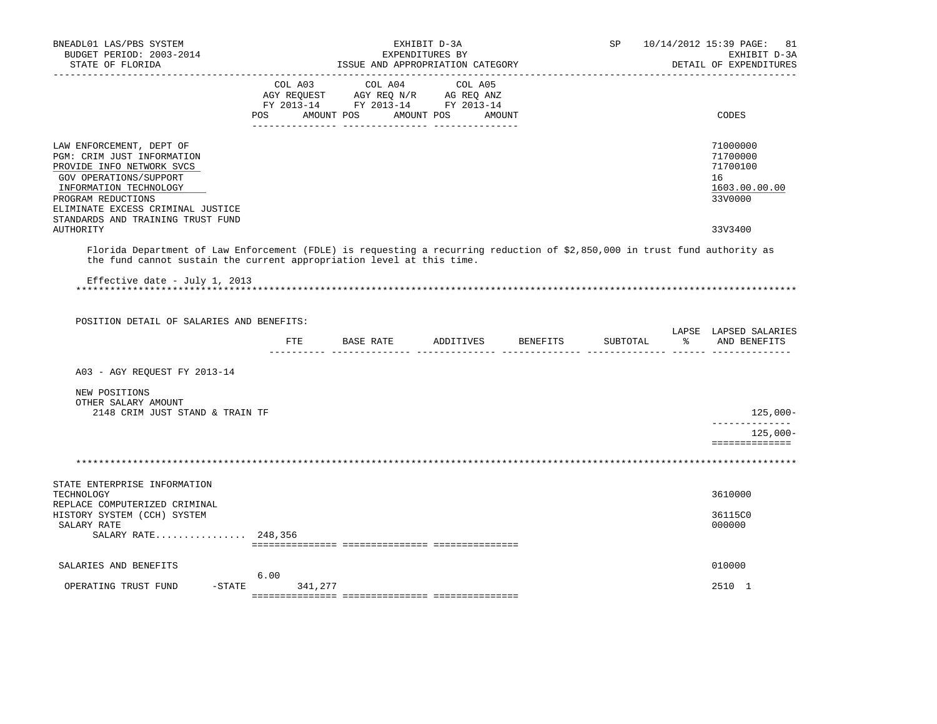| BNEADL01 LAS/PBS SYSTEM<br>BUDGET PERIOD: 2003-2014<br>STATE OF FLORIDA                                                                                                                                                              |         | ISSUE AND APPROPRIATION CATEGORY                                     | EXHIBIT D-3A<br>EXPENDITURES BY | SP | 10/14/2012 15:39 PAGE: 81<br>EXHIBIT D-3A<br>DETAIL OF EXPENDITURES |
|--------------------------------------------------------------------------------------------------------------------------------------------------------------------------------------------------------------------------------------|---------|----------------------------------------------------------------------|---------------------------------|----|---------------------------------------------------------------------|
| ------------------                                                                                                                                                                                                                   |         | FY 2013-14 FY 2013-14 FY 2013-14<br>POS AMOUNT POS AMOUNT POS AMOUNT |                                 |    | CODES                                                               |
|                                                                                                                                                                                                                                      |         |                                                                      |                                 |    |                                                                     |
| LAW ENFORCEMENT, DEPT OF<br>PGM: CRIM JUST INFORMATION<br>PROVIDE INFO NETWORK SVCS<br>GOV OPERATIONS/SUPPORT<br>INFORMATION TECHNOLOGY<br>PROGRAM REDUCTIONS<br>ELIMINATE EXCESS CRIMINAL JUSTICE                                   |         |                                                                      |                                 |    | 71000000<br>71700000<br>71700100<br>16<br>1603.00.00.00<br>33V0000  |
| STANDARDS AND TRAINING TRUST FUND<br>AUTHORITY                                                                                                                                                                                       |         |                                                                      |                                 |    | 33V3400                                                             |
| Florida Department of Law Enforcement (FDLE) is requesting a recurring reduction of \$2,850,000 in trust fund authority as<br>the fund cannot sustain the current appropriation level at this time.<br>Effective date - July 1, 2013 |         |                                                                      |                                 |    |                                                                     |
| POSITION DETAIL OF SALARIES AND BENEFITS:                                                                                                                                                                                            |         |                                                                      |                                 |    |                                                                     |
|                                                                                                                                                                                                                                      |         | FTE BASE RATE ADDITIVES BENEFITS<br>__________ ________________      |                                 |    | LAPSE LAPSED SALARIES<br>SUBTOTAL % AND BENEFITS                    |
| A03 - AGY REQUEST FY 2013-14                                                                                                                                                                                                         |         |                                                                      |                                 |    |                                                                     |
| NEW POSITIONS<br>OTHER SALARY AMOUNT<br>2148 CRIM JUST STAND & TRAIN TF                                                                                                                                                              |         |                                                                      |                                 |    | 125,000-                                                            |
|                                                                                                                                                                                                                                      |         |                                                                      |                                 |    | --------------<br>$125,000-$<br>==============                      |
|                                                                                                                                                                                                                                      |         |                                                                      |                                 |    |                                                                     |
| STATE ENTERPRISE INFORMATION<br>TECHNOLOGY                                                                                                                                                                                           |         |                                                                      |                                 |    | 3610000                                                             |
| REPLACE COMPUTERIZED CRIMINAL<br>HISTORY SYSTEM (CCH) SYSTEM<br>SALARY RATE<br>SALARY RATE 248,356                                                                                                                                   |         |                                                                      |                                 |    | 36115C0<br>000000                                                   |
|                                                                                                                                                                                                                                      |         |                                                                      |                                 |    |                                                                     |
| SALARIES AND BENEFITS                                                                                                                                                                                                                | 6.00    |                                                                      |                                 |    | 010000                                                              |
| OPERATING TRUST FUND<br>$-$ STATE                                                                                                                                                                                                    | 341,277 |                                                                      |                                 |    | 2510 1                                                              |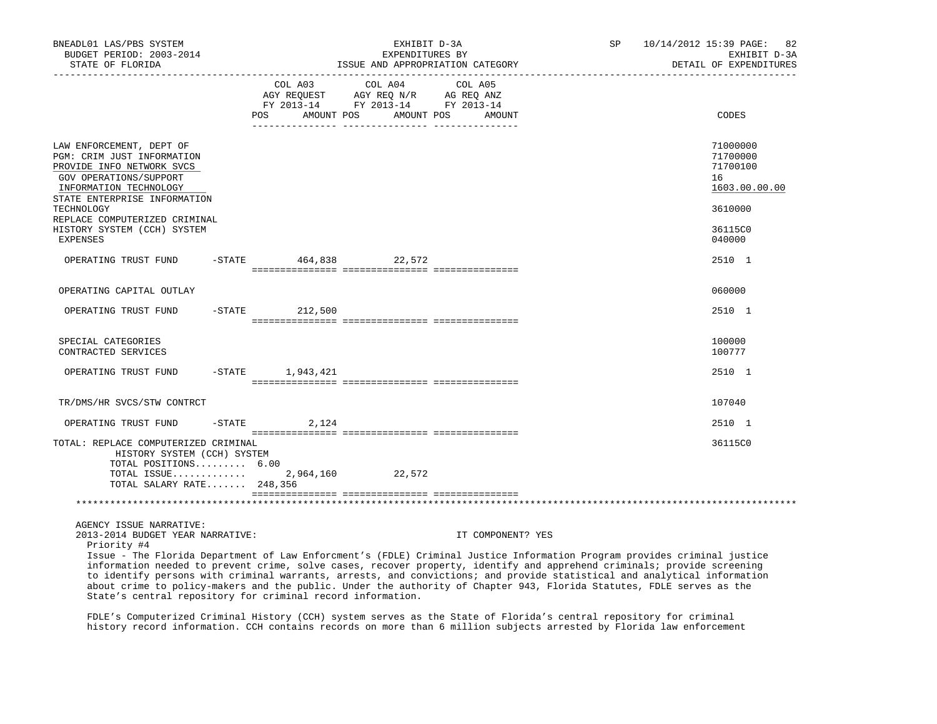| BNEADL01 LAS/PBS SYSTEM<br>BUDGET PERIOD: 2003-2014<br>STATE OF FLORIDA                                                                                                 |        |                                             | EXHIBIT D-3A<br>EXPENDITURES BY                                                     | ISSUE AND APPROPRIATION CATEGORY | SP                                                                                                                                                                                                                                                  | 10/14/2012 15:39 PAGE:<br>82<br>EXHIBIT D-3A<br>DETAIL OF EXPENDITURES |
|-------------------------------------------------------------------------------------------------------------------------------------------------------------------------|--------|---------------------------------------------|-------------------------------------------------------------------------------------|----------------------------------|-----------------------------------------------------------------------------------------------------------------------------------------------------------------------------------------------------------------------------------------------------|------------------------------------------------------------------------|
|                                                                                                                                                                         |        | COL A03<br>AGY REQUEST<br>AMOUNT POS<br>POS | COL A04<br>AGY REQ N/R AG REQ ANZ<br>FY 2013-14 FY 2013-14 FY 2013-14<br>AMOUNT POS | COL A05<br>AMOUNT                |                                                                                                                                                                                                                                                     | CODES                                                                  |
| LAW ENFORCEMENT, DEPT OF<br>PGM: CRIM JUST INFORMATION<br>PROVIDE INFO NETWORK SVCS<br>GOV OPERATIONS/SUPPORT<br>INFORMATION TECHNOLOGY<br>STATE ENTERPRISE INFORMATION |        |                                             |                                                                                     |                                  |                                                                                                                                                                                                                                                     | 71000000<br>71700000<br>71700100<br>16<br>1603.00.00.00<br>3610000     |
| TECHNOLOGY<br>REPLACE COMPUTERIZED CRIMINAL<br>HISTORY SYSTEM (CCH) SYSTEM<br>EXPENSES                                                                                  |        |                                             |                                                                                     |                                  |                                                                                                                                                                                                                                                     | 36115C0<br>040000                                                      |
| OPERATING TRUST FUND                                                                                                                                                    |        | -STATE 464,838 22,572                       |                                                                                     |                                  |                                                                                                                                                                                                                                                     | 2510 1                                                                 |
| OPERATING CAPITAL OUTLAY                                                                                                                                                |        |                                             |                                                                                     |                                  |                                                                                                                                                                                                                                                     | 060000                                                                 |
| OPERATING TRUST FUND                                                                                                                                                    |        | $-$ STATE 212,500                           |                                                                                     |                                  |                                                                                                                                                                                                                                                     | 2510 1                                                                 |
| SPECIAL CATEGORIES<br>CONTRACTED SERVICES                                                                                                                               |        |                                             |                                                                                     |                                  |                                                                                                                                                                                                                                                     | 100000<br>100777                                                       |
| OPERATING TRUST FUND                                                                                                                                                    |        | $-STATE$ 1,943,421                          |                                                                                     |                                  |                                                                                                                                                                                                                                                     | 2510 1                                                                 |
| TR/DMS/HR SVCS/STW CONTRCT                                                                                                                                              |        |                                             |                                                                                     |                                  |                                                                                                                                                                                                                                                     | 107040                                                                 |
| OPERATING TRUST FUND                                                                                                                                                    | -STATE | 2,124                                       |                                                                                     |                                  |                                                                                                                                                                                                                                                     | 2510 1                                                                 |
| TOTAL: REPLACE COMPUTERIZED CRIMINAL<br>HISTORY SYSTEM (CCH) SYSTEM<br>TOTAL POSITIONS 6.00<br>TOTAL ISSUE<br>TOTAL SALARY RATE 248,356                                 |        |                                             | 2,964,160 22,572                                                                    |                                  |                                                                                                                                                                                                                                                     | 36115C0                                                                |
|                                                                                                                                                                         |        |                                             |                                                                                     |                                  |                                                                                                                                                                                                                                                     |                                                                        |
| AGENCY ISSUE NARRATIVE:<br>2013-2014 BUDGET YEAR NARRATIVE:<br>Priority #4                                                                                              |        |                                             |                                                                                     | IT COMPONENT? YES                | Issue - The Florida Department of Law Enforcment's (FDLE) Criminal Justice Information Program provides criminal justice<br>information needed to prevent crime, solve cases, recover property, identify and apprehend criminals; provide screening |                                                                        |

 to identify persons with criminal warrants, arrests, and convictions; and provide statistical and analytical information about crime to policy-makers and the public. Under the authority of Chapter 943, Florida Statutes, FDLE serves as the State's central repository for criminal record information.

 FDLE's Computerized Criminal History (CCH) system serves as the State of Florida's central repository for criminal history record information. CCH contains records on more than 6 million subjects arrested by Florida law enforcement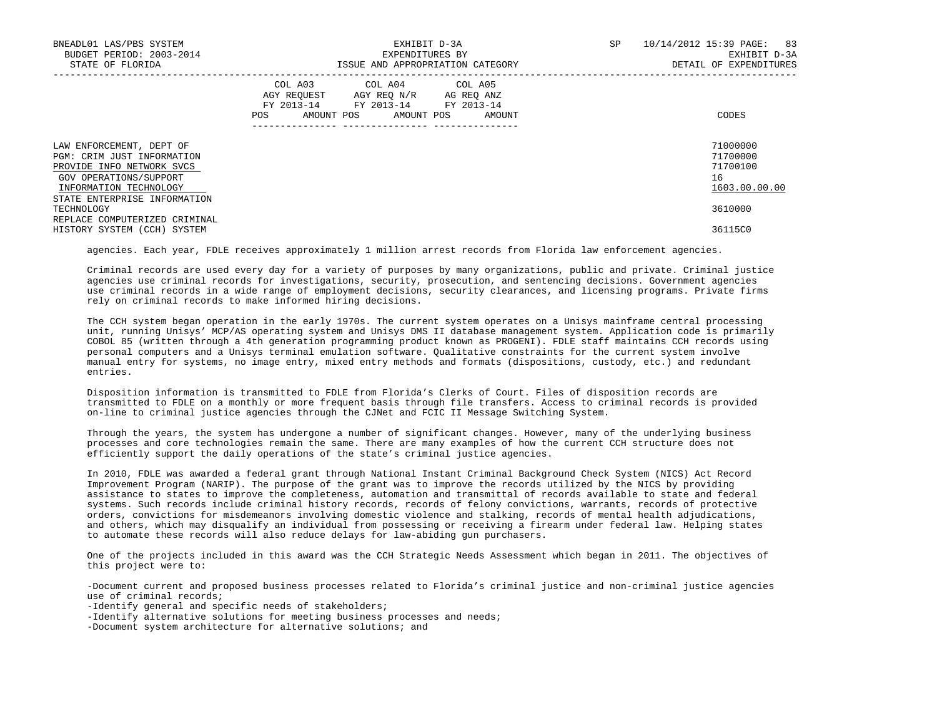| BNEADL01 LAS/PBS SYSTEM<br>BUDGET PERIOD: 2003-2014<br>STATE OF FLORIDA                                                                 | EXHIBIT D-3A<br>EXPENDITURES BY<br>ISSUE AND APPROPRIATION CATEGORY                                                                         | SP<br>10/14/2012 15:39 PAGE:<br>83<br>EXHIBIT D-3A<br>DETAIL OF EXPENDITURES |
|-----------------------------------------------------------------------------------------------------------------------------------------|---------------------------------------------------------------------------------------------------------------------------------------------|------------------------------------------------------------------------------|
|                                                                                                                                         | COL A03 COL A04 COL A05<br>AGY REOUEST AGY REO N/R AG REO ANZ<br>FY 2013-14 FY 2013-14 FY 2013-14<br>POS<br>AMOUNT POS AMOUNT POS<br>AMOUNT | CODES                                                                        |
| LAW ENFORCEMENT, DEPT OF<br>PGM: CRIM JUST INFORMATION<br>PROVIDE INFO NETWORK SVCS<br>GOV OPERATIONS/SUPPORT<br>INFORMATION TECHNOLOGY |                                                                                                                                             | 71000000<br>71700000<br>71700100<br>16<br>1603.00.00.00                      |
| STATE ENTERPRISE INFORMATION<br>TECHNOLOGY<br>REPLACE COMPUTERIZED CRIMINAL<br>HISTORY SYSTEM (CCH) SYSTEM                              |                                                                                                                                             | 3610000<br>36115C0                                                           |

agencies. Each year, FDLE receives approximately 1 million arrest records from Florida law enforcement agencies.

 Criminal records are used every day for a variety of purposes by many organizations, public and private. Criminal justice agencies use criminal records for investigations, security, prosecution, and sentencing decisions. Government agencies use criminal records in a wide range of employment decisions, security clearances, and licensing programs. Private firms rely on criminal records to make informed hiring decisions.

 The CCH system began operation in the early 1970s. The current system operates on a Unisys mainframe central processing unit, running Unisys' MCP/AS operating system and Unisys DMS II database management system. Application code is primarily COBOL 85 (written through a 4th generation programming product known as PROGENI). FDLE staff maintains CCH records using personal computers and a Unisys terminal emulation software. Qualitative constraints for the current system involve manual entry for systems, no image entry, mixed entry methods and formats (dispositions, custody, etc.) and redundant entries.

 Disposition information is transmitted to FDLE from Florida's Clerks of Court. Files of disposition records are transmitted to FDLE on a monthly or more frequent basis through file transfers. Access to criminal records is provided on-line to criminal justice agencies through the CJNet and FCIC II Message Switching System.

 Through the years, the system has undergone a number of significant changes. However, many of the underlying business processes and core technologies remain the same. There are many examples of how the current CCH structure does not efficiently support the daily operations of the state's criminal justice agencies.

 In 2010, FDLE was awarded a federal grant through National Instant Criminal Background Check System (NICS) Act Record Improvement Program (NARIP). The purpose of the grant was to improve the records utilized by the NICS by providing assistance to states to improve the completeness, automation and transmittal of records available to state and federal systems. Such records include criminal history records, records of felony convictions, warrants, records of protective orders, convictions for misdemeanors involving domestic violence and stalking, records of mental health adjudications, and others, which may disqualify an individual from possessing or receiving a firearm under federal law. Helping states to automate these records will also reduce delays for law-abiding gun purchasers.

 One of the projects included in this award was the CCH Strategic Needs Assessment which began in 2011. The objectives of this project were to:

 -Document current and proposed business processes related to Florida's criminal justice and non-criminal justice agencies use of criminal records;

-Identify general and specific needs of stakeholders;

-Identify alternative solutions for meeting business processes and needs;

-Document system architecture for alternative solutions; and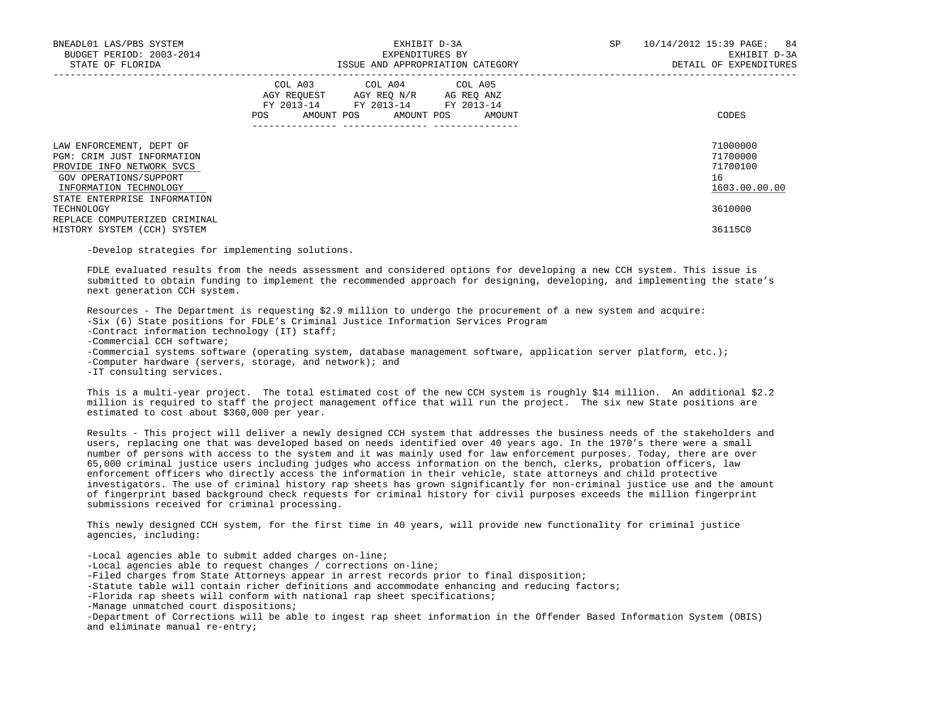| BNEADL01 LAS/PBS SYSTEM<br>BUDGET PERIOD: 2003-2014<br>STATE OF FLORIDA                                                                 | EXHIBIT D-3A<br>EXPENDITURES BY<br>ISSUE AND APPROPRIATION CATEGORY                                                                          | 10/14/2012 15:39 PAGE: 84<br>SP<br>EXHIBIT D-3A<br>DETAIL OF EXPENDITURES |
|-----------------------------------------------------------------------------------------------------------------------------------------|----------------------------------------------------------------------------------------------------------------------------------------------|---------------------------------------------------------------------------|
|                                                                                                                                         | COL A03 COL A04 COL A05<br>AGY REQUEST AGY REQ N/R AG REQ ANZ<br>FY 2013-14 FY 2013-14 FY 2013-14<br>AMOUNT POS AMOUNT POS AMOUNT<br>POS FOR | CODES                                                                     |
| LAW ENFORCEMENT, DEPT OF<br>PGM: CRIM JUST INFORMATION<br>PROVIDE INFO NETWORK SVCS<br>GOV OPERATIONS/SUPPORT<br>INFORMATION TECHNOLOGY |                                                                                                                                              | 71000000<br>71700000<br>71700100<br>16<br>1603.00.00.00                   |
| STATE ENTERPRISE INFORMATION<br>TECHNOLOGY<br>REPLACE COMPUTERIZED CRIMINAL<br>HISTORY SYSTEM (CCH) SYSTEM                              |                                                                                                                                              | 3610000<br>36115C0                                                        |

-Develop strategies for implementing solutions.

 FDLE evaluated results from the needs assessment and considered options for developing a new CCH system. This issue is submitted to obtain funding to implement the recommended approach for designing, developing, and implementing the state's next generation CCH system.

 Resources - The Department is requesting \$2.9 million to undergo the procurement of a new system and acquire: -Six (6) State positions for FDLE's Criminal Justice Information Services Program -Contract information technology (IT) staff; -Commercial CCH software; -Commercial systems software (operating system, database management software, application server platform, etc.); -Computer hardware (servers, storage, and network); and

-IT consulting services.

 This is a multi-year project. The total estimated cost of the new CCH system is roughly \$14 million. An additional \$2.2 million is required to staff the project management office that will run the project. The six new State positions are estimated to cost about \$360,000 per year.

 Results - This project will deliver a newly designed CCH system that addresses the business needs of the stakeholders and users, replacing one that was developed based on needs identified over 40 years ago. In the 1970's there were a small number of persons with access to the system and it was mainly used for law enforcement purposes. Today, there are over 65,000 criminal justice users including judges who access information on the bench, clerks, probation officers, law enforcement officers who directly access the information in their vehicle, state attorneys and child protective investigators. The use of criminal history rap sheets has grown significantly for non-criminal justice use and the amount of fingerprint based background check requests for criminal history for civil purposes exceeds the million fingerprint submissions received for criminal processing.

 This newly designed CCH system, for the first time in 40 years, will provide new functionality for criminal justice agencies, including:

 -Local agencies able to submit added charges on-line; -Local agencies able to request changes / corrections on-line; -Filed charges from State Attorneys appear in arrest records prior to final disposition; -Statute table will contain richer definitions and accommodate enhancing and reducing factors; -Florida rap sheets will conform with national rap sheet specifications; -Manage unmatched court dispositions; -Department of Corrections will be able to ingest rap sheet information in the Offender Based Information System (OBIS) and eliminate manual re-entry;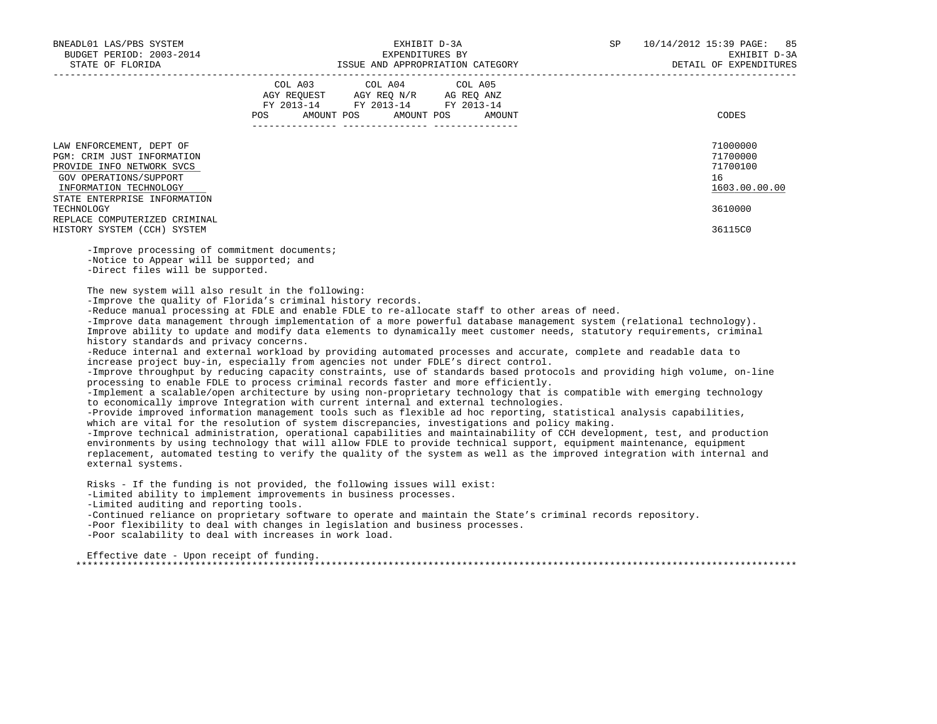| BNEADL01 LAS/PBS SYSTEM<br>BUDGET PERIOD: 2003-2014<br>STATE OF FLORIDA                                                                                                 | EXHIBIT D-3A<br>EXPENDITURES BY<br>ISSUE AND APPROPRIATION CATEGORY                                                                         | 10/14/2012 15:39 PAGE: 85<br>SP<br>EXHIBIT D-3A<br>DETAIL OF EXPENDITURES |
|-------------------------------------------------------------------------------------------------------------------------------------------------------------------------|---------------------------------------------------------------------------------------------------------------------------------------------|---------------------------------------------------------------------------|
|                                                                                                                                                                         | COL A03 COL A04 COL A05<br>AGY REQUEST AGY REQ N/R AG REQ ANZ<br>FY 2013-14 FY 2013-14 FY 2013-14<br>AMOUNT POS AMOUNT POS<br>POS<br>AMOUNT | CODES                                                                     |
| LAW ENFORCEMENT, DEPT OF<br>PGM: CRIM JUST INFORMATION<br>PROVIDE INFO NETWORK SVCS<br>GOV OPERATIONS/SUPPORT<br>INFORMATION TECHNOLOGY<br>STATE ENTERPRISE INFORMATION |                                                                                                                                             | 71000000<br>71700000<br>71700100<br>16<br>1603.00.00.00                   |
| TECHNOLOGY<br>REPLACE COMPUTERIZED CRIMINAL                                                                                                                             |                                                                                                                                             | 3610000                                                                   |
| HISTORY SYSTEM (CCH) SYSTEM                                                                                                                                             |                                                                                                                                             | 36115C0                                                                   |

 -Improve processing of commitment documents; -Notice to Appear will be supported; and -Direct files will be supported.

The new system will also result in the following:

-Improve the quality of Florida's criminal history records.

-Reduce manual processing at FDLE and enable FDLE to re-allocate staff to other areas of need.

 -Improve data management through implementation of a more powerful database management system (relational technology). Improve ability to update and modify data elements to dynamically meet customer needs, statutory requirements, criminal history standards and privacy concerns.

 -Reduce internal and external workload by providing automated processes and accurate, complete and readable data to increase project buy-in, especially from agencies not under FDLE's direct control.

 -Improve throughput by reducing capacity constraints, use of standards based protocols and providing high volume, on-line processing to enable FDLE to process criminal records faster and more efficiently.

 -Implement a scalable/open architecture by using non-proprietary technology that is compatible with emerging technology to economically improve Integration with current internal and external technologies.

 -Provide improved information management tools such as flexible ad hoc reporting, statistical analysis capabilities, which are vital for the resolution of system discrepancies, investigations and policy making.

 -Improve technical administration, operational capabilities and maintainability of CCH development, test, and production environments by using technology that will allow FDLE to provide technical support, equipment maintenance, equipment replacement, automated testing to verify the quality of the system as well as the improved integration with internal and external systems.

 Risks - If the funding is not provided, the following issues will exist: -Limited ability to implement improvements in business processes. -Limited auditing and reporting tools. -Continued reliance on proprietary software to operate and maintain the State's criminal records repository. -Poor flexibility to deal with changes in legislation and business processes. -Poor scalability to deal with increases in work load.

 Effective date - Upon receipt of funding. \*\*\*\*\*\*\*\*\*\*\*\*\*\*\*\*\*\*\*\*\*\*\*\*\*\*\*\*\*\*\*\*\*\*\*\*\*\*\*\*\*\*\*\*\*\*\*\*\*\*\*\*\*\*\*\*\*\*\*\*\*\*\*\*\*\*\*\*\*\*\*\*\*\*\*\*\*\*\*\*\*\*\*\*\*\*\*\*\*\*\*\*\*\*\*\*\*\*\*\*\*\*\*\*\*\*\*\*\*\*\*\*\*\*\*\*\*\*\*\*\*\*\*\*\*\*\*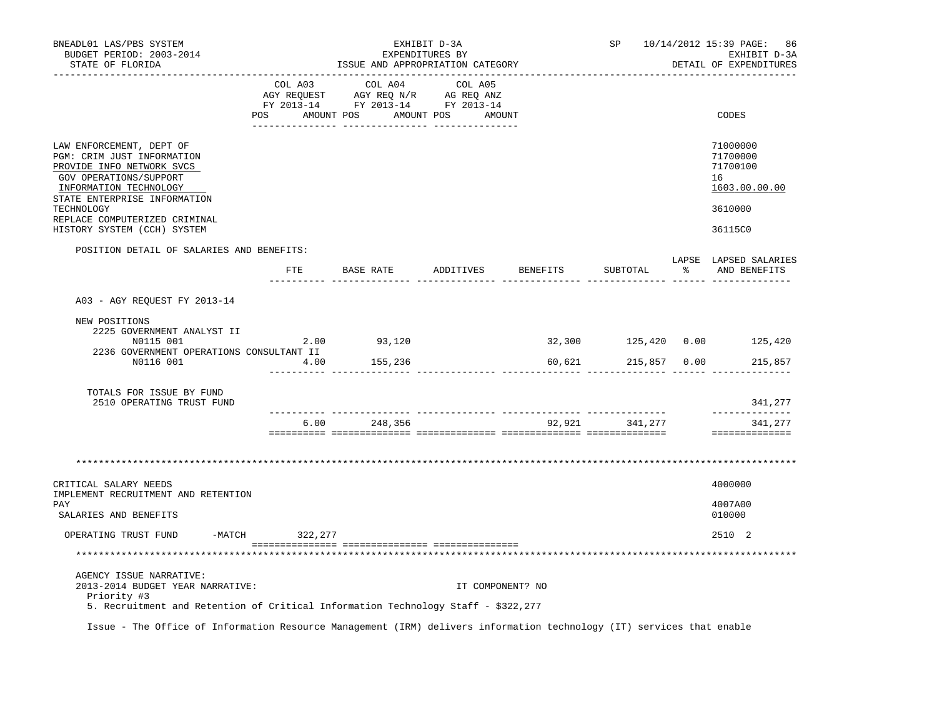| BNEADL01 LAS/PBS SYSTEM<br>BUDGET PERIOD: 2003-2014<br>STATE OF FLORIDA                                                                                                                                                                                                                  |              | ISSUE AND APPROPRIATION CATEGORY                                                                                      | EXHIBIT D-3A<br>EXPENDITURES BY |        |                | SP 10/14/2012 15:39 PAGE: 86<br>EXHIBIT D-3A<br>DETAIL OF EXPENDITURES        |
|------------------------------------------------------------------------------------------------------------------------------------------------------------------------------------------------------------------------------------------------------------------------------------------|--------------|-----------------------------------------------------------------------------------------------------------------------|---------------------------------|--------|----------------|-------------------------------------------------------------------------------|
|                                                                                                                                                                                                                                                                                          | COL A03      | COL A04<br>AGY REQUEST AGY REQ N/R AG REQ ANZ<br>FY 2013-14 FY 2013-14 FY 2013-14<br>POS AMOUNT POS AMOUNT POS AMOUNT | COL A05                         |        |                | CODES                                                                         |
| LAW ENFORCEMENT, DEPT OF<br>PGM: CRIM JUST INFORMATION<br>PROVIDE INFO NETWORK SVCS<br>GOV OPERATIONS/SUPPORT<br>INFORMATION TECHNOLOGY<br>STATE ENTERPRISE INFORMATION<br>TECHNOLOGY<br>REPLACE COMPUTERIZED CRIMINAL<br>HISTORY SYSTEM (CCH) SYSTEM                                    |              |                                                                                                                       |                                 |        |                | 71000000<br>71700000<br>71700100<br>16<br>1603.00.00.00<br>3610000<br>36115C0 |
| POSITION DETAIL OF SALARIES AND BENEFITS:                                                                                                                                                                                                                                                |              |                                                                                                                       |                                 |        |                | LAPSE LAPSED SALARIES                                                         |
|                                                                                                                                                                                                                                                                                          |              | FTE BASE RATE ADDITIVES BENEFITS                                                                                      |                                 |        | SUBTOTAL       | % AND BENEFITS                                                                |
| A03 - AGY REQUEST FY 2013-14                                                                                                                                                                                                                                                             |              |                                                                                                                       |                                 |        |                |                                                                               |
| NEW POSITIONS<br>2225 GOVERNMENT ANALYST II<br>N0115 001<br>2236 GOVERNMENT OPERATIONS CONSULTANT II<br>N0116 001                                                                                                                                                                        | 2.00<br>4.00 | 93,120<br>155,236                                                                                                     |                                 | 60,621 | 215,857 0.00   | 32,300 125,420 0.00 125,420<br>215,857                                        |
| TOTALS FOR ISSUE BY FUND<br>2510 OPERATING TRUST FUND                                                                                                                                                                                                                                    |              |                                                                                                                       |                                 |        |                | 341,277                                                                       |
|                                                                                                                                                                                                                                                                                          |              | 6.00 248,356                                                                                                          |                                 |        | 92,921 341,277 | _____________<br>341,277<br>==============                                    |
| CRITICAL SALARY NEEDS<br>IMPLEMENT RECRUITMENT AND RETENTION                                                                                                                                                                                                                             |              |                                                                                                                       |                                 |        |                | 4000000                                                                       |
| PAY<br>SALARIES AND BENEFITS                                                                                                                                                                                                                                                             |              |                                                                                                                       |                                 |        |                | 4007A00<br>010000                                                             |
| -MATCH 322, 277<br>OPERATING TRUST FUND                                                                                                                                                                                                                                                  |              |                                                                                                                       |                                 |        |                | 2510 2                                                                        |
|                                                                                                                                                                                                                                                                                          |              |                                                                                                                       |                                 |        |                |                                                                               |
| AGENCY ISSUE NARRATIVE:<br>2013-2014 BUDGET YEAR NARRATIVE:<br>Priority #3<br>5. Recruitment and Retention of Critical Information Technology Staff - \$322,277<br>Issue - The Office of Information Resource Management (IRM) delivers information technology (IT) services that enable |              |                                                                                                                       | IT COMPONENT? NO                |        |                |                                                                               |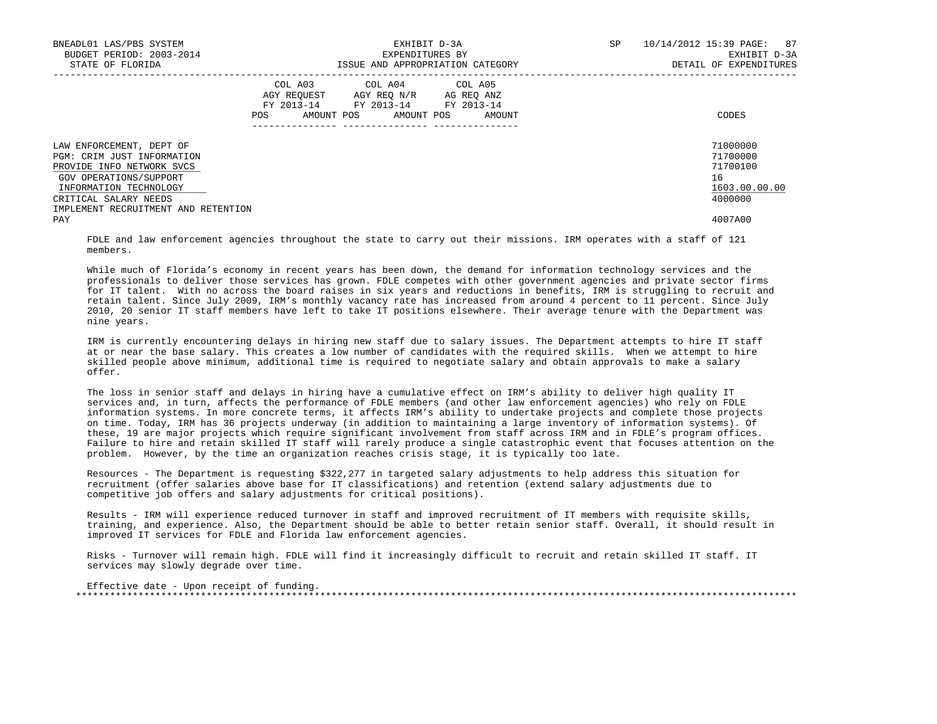| BNEADL01 LAS/PBS SYSTEM<br>BUDGET PERIOD: 2003-2014<br>STATE OF FLORIDA                                                                                                                                 | EXHIBIT D-3A<br>EXPENDITURES BY<br>ISSUE AND APPROPRIATION CATEGORY                                                                         | SP<br>10/14/2012 15:39 PAGE: 87<br>EXHIBIT D-3A<br>DETAIL OF EXPENDITURES |
|---------------------------------------------------------------------------------------------------------------------------------------------------------------------------------------------------------|---------------------------------------------------------------------------------------------------------------------------------------------|---------------------------------------------------------------------------|
|                                                                                                                                                                                                         | COL A03 COL A04 COL A05<br>AGY REQUEST AGY REQ N/R AG REQ ANZ<br>FY 2013-14 FY 2013-14 FY 2013-14<br>AMOUNT POS AMOUNT POS<br>POS<br>AMOUNT | CODES                                                                     |
| LAW ENFORCEMENT, DEPT OF<br>PGM: CRIM JUST INFORMATION<br>PROVIDE INFO NETWORK SVCS<br>GOV OPERATIONS/SUPPORT<br>INFORMATION TECHNOLOGY<br>CRITICAL SALARY NEEDS<br>IMPLEMENT RECRUITMENT AND RETENTION |                                                                                                                                             | 71000000<br>71700000<br>71700100<br>16<br>1603.00.00.00<br>4000000        |
| PAY                                                                                                                                                                                                     |                                                                                                                                             | 4007A00                                                                   |

 FDLE and law enforcement agencies throughout the state to carry out their missions. IRM operates with a staff of 121 members.

While much of Florida's economy in recent years has been down, the demand for information technology services and the professionals to deliver those services has grown. FDLE competes with other government agencies and private sector firms for IT talent. With no across the board raises in six years and reductions in benefits, IRM is struggling to recruit and retain talent. Since July 2009, IRM's monthly vacancy rate has increased from around 4 percent to 11 percent. Since July 2010, 20 senior IT staff members have left to take IT positions elsewhere. Their average tenure with the Department was nine years.

 IRM is currently encountering delays in hiring new staff due to salary issues. The Department attempts to hire IT staff at or near the base salary. This creates a low number of candidates with the required skills. When we attempt to hire skilled people above minimum, additional time is required to negotiate salary and obtain approvals to make a salary offer.

 The loss in senior staff and delays in hiring have a cumulative effect on IRM's ability to deliver high quality IT services and, in turn, affects the performance of FDLE members (and other law enforcement agencies) who rely on FDLE information systems. In more concrete terms, it affects IRM's ability to undertake projects and complete those projects on time. Today, IRM has 36 projects underway (in addition to maintaining a large inventory of information systems). Of these, 19 are major projects which require significant involvement from staff across IRM and in FDLE's program offices. Failure to hire and retain skilled IT staff will rarely produce a single catastrophic event that focuses attention on the problem. However, by the time an organization reaches crisis stage, it is typically too late.

 Resources - The Department is requesting \$322,277 in targeted salary adjustments to help address this situation for recruitment (offer salaries above base for IT classifications) and retention (extend salary adjustments due to competitive job offers and salary adjustments for critical positions).

 Results - IRM will experience reduced turnover in staff and improved recruitment of IT members with requisite skills, training, and experience. Also, the Department should be able to better retain senior staff. Overall, it should result in improved IT services for FDLE and Florida law enforcement agencies.

 Risks - Turnover will remain high. FDLE will find it increasingly difficult to recruit and retain skilled IT staff. IT services may slowly degrade over time.

 Effective date - Upon receipt of funding. \*\*\*\*\*\*\*\*\*\*\*\*\*\*\*\*\*\*\*\*\*\*\*\*\*\*\*\*\*\*\*\*\*\*\*\*\*\*\*\*\*\*\*\*\*\*\*\*\*\*\*\*\*\*\*\*\*\*\*\*\*\*\*\*\*\*\*\*\*\*\*\*\*\*\*\*\*\*\*\*\*\*\*\*\*\*\*\*\*\*\*\*\*\*\*\*\*\*\*\*\*\*\*\*\*\*\*\*\*\*\*\*\*\*\*\*\*\*\*\*\*\*\*\*\*\*\*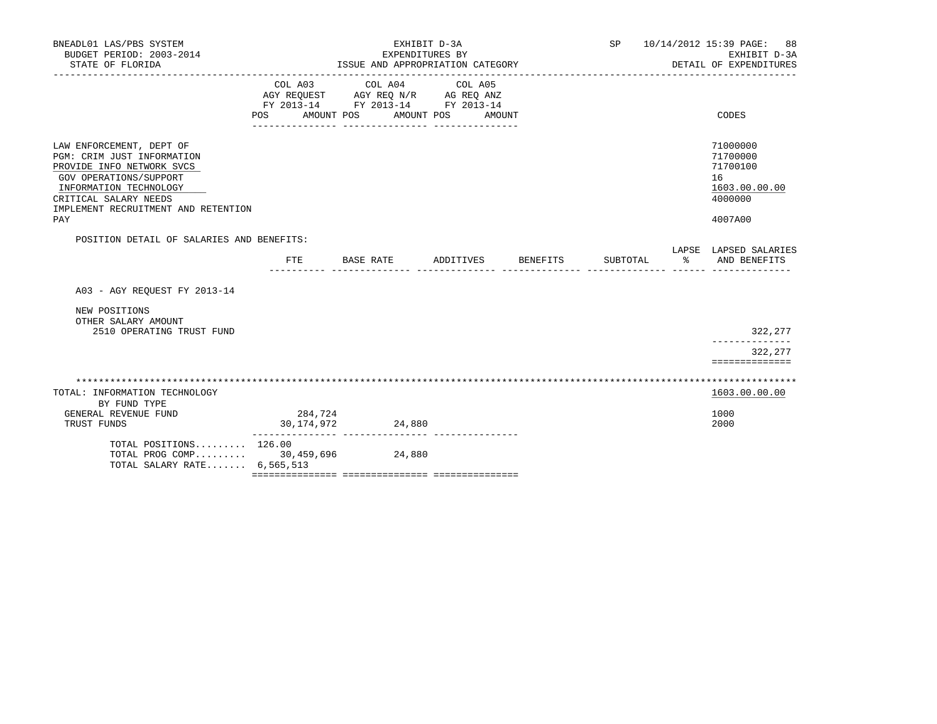| BNEADL01 LAS/PBS SYSTEM<br>BUDGET PERIOD: 2003-2014<br>STATE OF FLORIDA                                                                                                                                        |                           | EXHIBIT D-3A<br>EXPENDITURES BY<br>ISSUE AND APPROPRIATION CATEGORY                       |                    |            | SP 10/14/2012 15:39 PAGE: 88<br>EXHIBIT D-3A<br>DETAIL OF EXPENDITURES        |
|----------------------------------------------------------------------------------------------------------------------------------------------------------------------------------------------------------------|---------------------------|-------------------------------------------------------------------------------------------|--------------------|------------|-------------------------------------------------------------------------------|
|                                                                                                                                                                                                                | COL A03<br>POS AMOUNT POS | COL A04 COL A05<br>AGY REQUEST AGY REQ N/R AG REQ ANZ<br>FY 2013-14 FY 2013-14 FY 2013-14 | AMOUNT POS AMOUNT  |            | CODES                                                                         |
| LAW ENFORCEMENT, DEPT OF<br>PGM: CRIM JUST INFORMATION<br>PROVIDE INFO NETWORK SVCS<br>GOV OPERATIONS/SUPPORT<br>INFORMATION TECHNOLOGY<br>CRITICAL SALARY NEEDS<br>IMPLEMENT RECRUITMENT AND RETENTION<br>PAY |                           |                                                                                           |                    |            | 71000000<br>71700000<br>71700100<br>16<br>1603.00.00.00<br>4000000<br>4007A00 |
| POSITION DETAIL OF SALARIES AND BENEFITS:                                                                                                                                                                      |                           |                                                                                           |                    |            | LAPSE LAPSED SALARIES                                                         |
|                                                                                                                                                                                                                | FTE.                      | BASE RATE                                                                                 | ADDITIVES BENEFITS | SUBTOTAL % | AND BENEFITS                                                                  |
| A03 - AGY REOUEST FY 2013-14                                                                                                                                                                                   |                           |                                                                                           |                    |            |                                                                               |
| NEW POSITIONS<br>OTHER SALARY AMOUNT<br>2510 OPERATING TRUST FUND                                                                                                                                              |                           |                                                                                           |                    |            | 322,277                                                                       |
|                                                                                                                                                                                                                |                           |                                                                                           |                    |            | 322,277<br>==============                                                     |
|                                                                                                                                                                                                                |                           |                                                                                           |                    |            |                                                                               |
| TOTAL: INFORMATION TECHNOLOGY<br>BY FUND TYPE                                                                                                                                                                  |                           |                                                                                           |                    |            | 1603.00.00.00                                                                 |
| GENERAL REVENUE FUND<br>TRUST FUNDS                                                                                                                                                                            | 284,724<br>30,174,972     | 24,880                                                                                    |                    |            | 1000<br>2000                                                                  |
| TOTAL POSITIONS 126.00<br>TOTAL PROG COMP 30,459,696 24,880<br>TOTAL SALARY RATE 6,565,513                                                                                                                     |                           |                                                                                           |                    |            |                                                                               |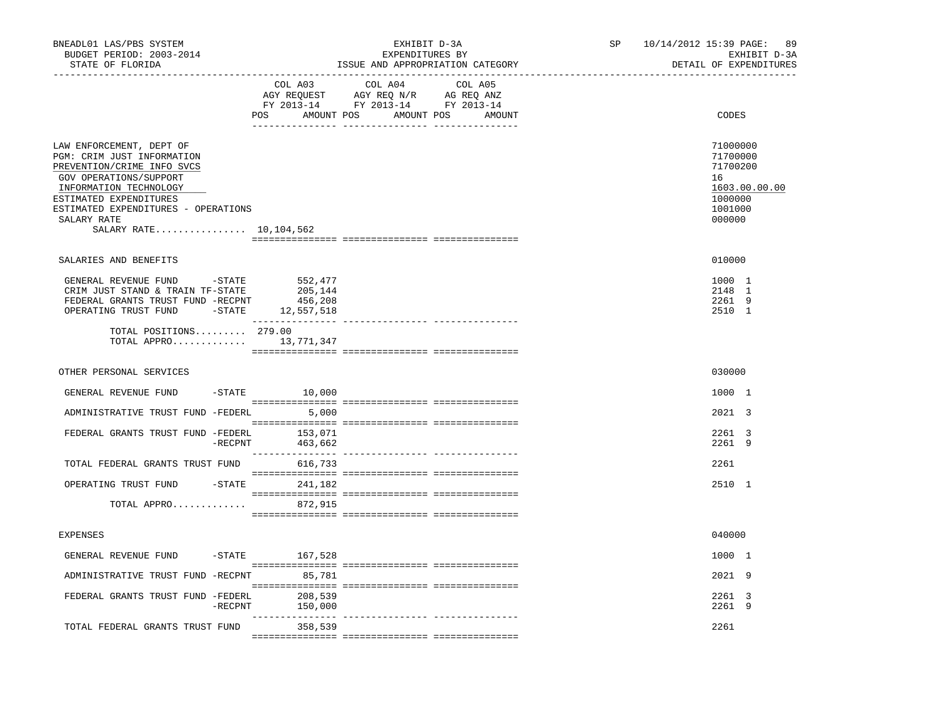| BNEADL01 LAS/PBS SYSTEM<br>BUDGET PERIOD: 2003-2014<br>STATE OF FLORIDA                                                                                                                                                                              |                               | EXHIBIT D-3A<br>EXPENDITURES BY<br>ISSUE AND APPROPRIATION CATEGORY                                                                                                                                                                                                                                                                                                                                                                 | SP | 10/14/2012 15:39 PAGE:<br>89<br>EXHIBIT D-3A<br>DETAIL OF EXPENDITURES                  |
|------------------------------------------------------------------------------------------------------------------------------------------------------------------------------------------------------------------------------------------------------|-------------------------------|-------------------------------------------------------------------------------------------------------------------------------------------------------------------------------------------------------------------------------------------------------------------------------------------------------------------------------------------------------------------------------------------------------------------------------------|----|-----------------------------------------------------------------------------------------|
|                                                                                                                                                                                                                                                      | COL A03                       | COL A04 COL A05<br>$\begin{tabular}{lllllll} \bf AGY \;\; RegUEST \hspace{1cm} AGY \;\; REG \;\; N/R \hspace{1cm} \bf AG \;\; REG \;\; ANZ \end{tabular}$ $\begin{tabular}{lllllllllll} \bf FY \;\; 2013-14 \hspace{1cm} FY \;\; 2013-14 \end{tabular}$<br>POS AMOUNT POS AMOUNT POS AMOUNT                                                                                                                                         |    | CODES                                                                                   |
| LAW ENFORCEMENT, DEPT OF<br>PGM: CRIM JUST INFORMATION<br>PREVENTION/CRIME INFO SVCS<br>GOV OPERATIONS/SUPPORT<br>INFORMATION TECHNOLOGY<br>ESTIMATED EXPENDITURES<br>ESTIMATED EXPENDITURES - OPERATIONS<br>SALARY RATE<br>SALARY RATE $10,104,562$ |                               |                                                                                                                                                                                                                                                                                                                                                                                                                                     |    | 71000000<br>71700000<br>71700200<br>16<br>1603.00.00.00<br>1000000<br>1001000<br>000000 |
| SALARIES AND BENEFITS                                                                                                                                                                                                                                |                               |                                                                                                                                                                                                                                                                                                                                                                                                                                     |    | 010000                                                                                  |
| GENERAL REVENUE FUND -STATE<br>CRIM JUST STAND & TRAIN TF-STATE<br>FEDERAL GRANTS TRUST FUND -RECPNT<br>OPERATING TRUST FUND -STATE 12,557,518<br>TOTAL POSITIONS 279.00<br>TOTAL APPRO 13,771,347                                                   | 552,477<br>205,144<br>456,208 |                                                                                                                                                                                                                                                                                                                                                                                                                                     |    | 1000 1<br>2148 1<br>2261 9<br>2510 1                                                    |
|                                                                                                                                                                                                                                                      |                               |                                                                                                                                                                                                                                                                                                                                                                                                                                     |    |                                                                                         |
| OTHER PERSONAL SERVICES                                                                                                                                                                                                                              |                               |                                                                                                                                                                                                                                                                                                                                                                                                                                     |    | 030000                                                                                  |
| GENERAL REVENUE FUND<br>ADMINISTRATIVE TRUST FUND -FEDERL                                                                                                                                                                                            | $-STATE$ 10,000<br>5,000      |                                                                                                                                                                                                                                                                                                                                                                                                                                     |    | 1000 1<br>2021 3                                                                        |
| FEDERAL GRANTS TRUST FUND -FEDERL 153,071                                                                                                                                                                                                            | -RECPNT<br>463,662            |                                                                                                                                                                                                                                                                                                                                                                                                                                     |    | 2261 3<br>2261 9                                                                        |
| TOTAL FEDERAL GRANTS TRUST FUND 616,733                                                                                                                                                                                                              |                               |                                                                                                                                                                                                                                                                                                                                                                                                                                     |    | 2261                                                                                    |
| OPERATING TRUST FUND                                                                                                                                                                                                                                 | -STATE 241,182                | $\begin{minipage}{0.03\textwidth} \begin{tabular}{l} \textbf{1} & \textbf{2} & \textbf{3} & \textbf{5} & \textbf{5} & \textbf{6} & \textbf{6} & \textbf{7} & \textbf{8} & \textbf{9} & \textbf{9} & \textbf{9} & \textbf{1} & \textbf{1} & \textbf{1} & \textbf{1} & \textbf{1} & \textbf{1} & \textbf{1} & \textbf{1} & \textbf{1} & \textbf{1} & \textbf{1} & \textbf{1} & \textbf{1} & \textbf{1} & \textbf{1} & \textbf{1} & \$ |    | 2510 1                                                                                  |
| TOTAL APPRO                                                                                                                                                                                                                                          | 872,915                       |                                                                                                                                                                                                                                                                                                                                                                                                                                     |    |                                                                                         |
| EXPENSES                                                                                                                                                                                                                                             |                               |                                                                                                                                                                                                                                                                                                                                                                                                                                     |    | 040000                                                                                  |
| GENERAL REVENUE FUND                                                                                                                                                                                                                                 | $-$ STATE 167,528             |                                                                                                                                                                                                                                                                                                                                                                                                                                     |    | 1000 1                                                                                  |
| ADMINISTRATIVE TRUST FUND -RECPNT 85,781                                                                                                                                                                                                             |                               |                                                                                                                                                                                                                                                                                                                                                                                                                                     |    | 2021 9                                                                                  |
| FEDERAL GRANTS TRUST FUND -FEDERL<br>$-$ RECPNT                                                                                                                                                                                                      | 208,539<br>150,000            |                                                                                                                                                                                                                                                                                                                                                                                                                                     |    | 2261 3<br>2261 9                                                                        |
| TOTAL FEDERAL GRANTS TRUST FUND                                                                                                                                                                                                                      | 358,539                       |                                                                                                                                                                                                                                                                                                                                                                                                                                     |    | 2261                                                                                    |
|                                                                                                                                                                                                                                                      |                               |                                                                                                                                                                                                                                                                                                                                                                                                                                     |    |                                                                                         |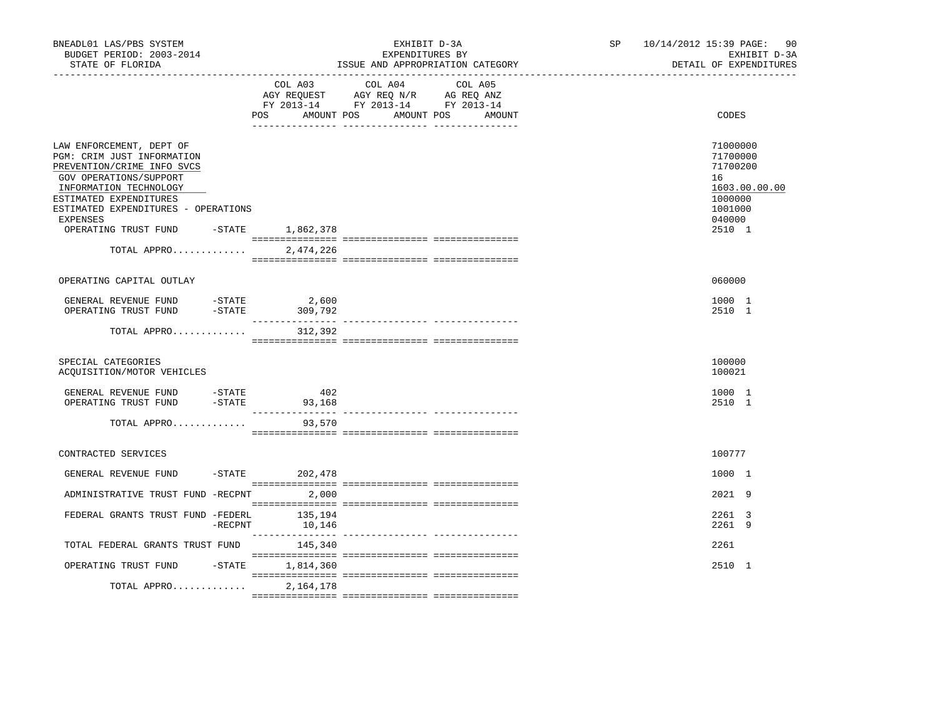| BNEADL01 LAS/PBS SYSTEM<br>BUDGET PERIOD: 2003-2014<br>STATE OF FLORIDA                                                                                                                                                                                                       |            |                   | EXHIBIT D-3A<br>EXPENDITURES BY<br>ISSUE AND APPROPRIATION CATEGORY                                                       | SP 10/14/2012 15:39 PAGE: 90<br>EXHIBIT D-3A<br>DETAIL OF EXPENDITURES                            |
|-------------------------------------------------------------------------------------------------------------------------------------------------------------------------------------------------------------------------------------------------------------------------------|------------|-------------------|---------------------------------------------------------------------------------------------------------------------------|---------------------------------------------------------------------------------------------------|
|                                                                                                                                                                                                                                                                               |            | AMOUNT POS<br>POS | COL A03 COL A04 COL A05<br>AGY REQUEST AGY REQ N/R AG REQ ANZ<br>FY 2013-14 FY 2013-14 FY 2013-14<br>AMOUNT POS<br>AMOUNT | CODES                                                                                             |
| LAW ENFORCEMENT, DEPT OF<br>PGM: CRIM JUST INFORMATION<br>PREVENTION/CRIME INFO SVCS<br>GOV OPERATIONS/SUPPORT<br>INFORMATION TECHNOLOGY<br>ESTIMATED EXPENDITURES<br>ESTIMATED EXPENDITURES - OPERATIONS<br>EXPENSES<br>OPERATING TRUST FUND -STATE 1,862,378<br>TOTAL APPRO |            | 2,474,226         |                                                                                                                           | 71000000<br>71700000<br>71700200<br>16<br>1603.00.00.00<br>1000000<br>1001000<br>040000<br>2510 1 |
| OPERATING CAPITAL OUTLAY                                                                                                                                                                                                                                                      |            |                   |                                                                                                                           | 060000                                                                                            |
| GENERAL REVENUE FUND -STATE<br>OPERATING TRUST FUND                                                                                                                                                                                                                           | $-$ STATE  | 2,600<br>309,792  |                                                                                                                           | 1000 1<br>2510 1                                                                                  |
| TOTAL APPRO                                                                                                                                                                                                                                                                   |            | 312,392           |                                                                                                                           |                                                                                                   |
| SPECIAL CATEGORIES<br>ACOUISITION/MOTOR VEHICLES                                                                                                                                                                                                                              |            |                   |                                                                                                                           | 100000<br>100021                                                                                  |
| GENERAL REVENUE FUND -STATE<br>OPERATING TRUST FUND                                                                                                                                                                                                                           | $-$ STATE  | 402<br>93,168     |                                                                                                                           | 1000 1<br>2510 1                                                                                  |
| TOTAL APPRO                                                                                                                                                                                                                                                                   |            | 93,570            |                                                                                                                           |                                                                                                   |
| CONTRACTED SERVICES                                                                                                                                                                                                                                                           |            |                   |                                                                                                                           | 100777                                                                                            |
| GENERAL REVENUE FUND                                                                                                                                                                                                                                                          |            | $-STATE$ 202,478  |                                                                                                                           | 1000 1                                                                                            |
| ADMINISTRATIVE TRUST FUND -RECPNT 2,000                                                                                                                                                                                                                                       |            |                   |                                                                                                                           | $2021$ 9                                                                                          |
| FEDERAL GRANTS TRUST FUND -FEDERL                                                                                                                                                                                                                                             | $-$ RECPNT | 135,194<br>10,146 |                                                                                                                           | 2261 3<br>2261 9                                                                                  |
| TOTAL FEDERAL GRANTS TRUST FUND                                                                                                                                                                                                                                               |            | 145,340           |                                                                                                                           | 2261                                                                                              |
| OPERATING TRUST FUND                                                                                                                                                                                                                                                          | $-$ STATE  | 1,814,360         |                                                                                                                           | 2510 1                                                                                            |
| TOTAL APPRO                                                                                                                                                                                                                                                                   |            | 2,164,178         |                                                                                                                           |                                                                                                   |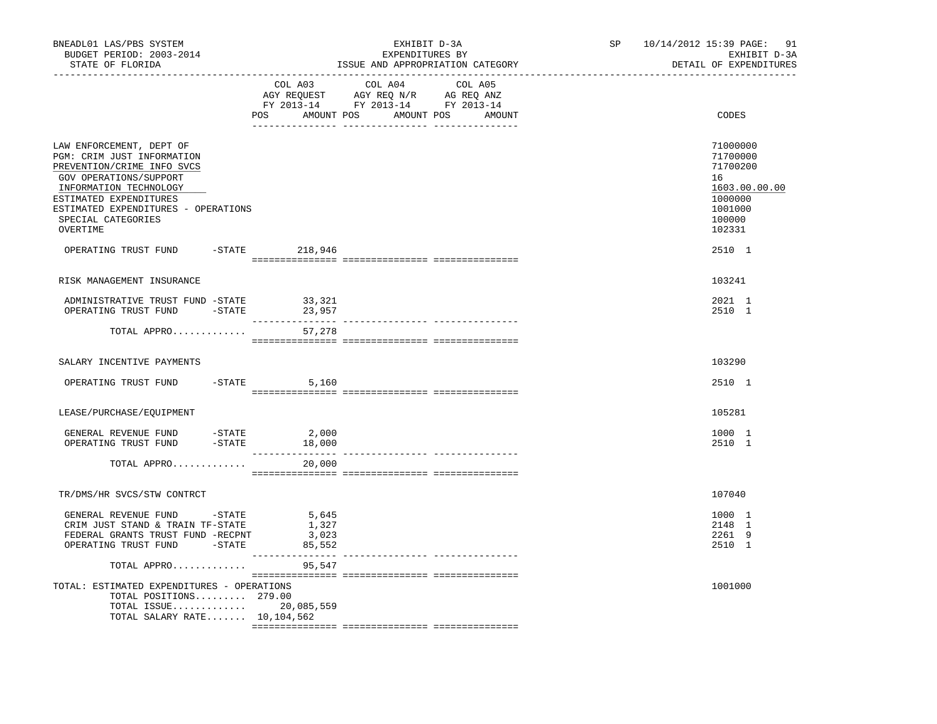| BNEADL01 LAS/PBS SYSTEM<br>BUDGET PERIOD: 2003-2014<br>STATE OF FLORIDA                                                                                                                                                                     |                                   | EXHIBIT D-3A<br>EXPENDITURES BY<br>ISSUE AND APPROPRIATION CATEGORY                                                                                                                                                                                                                         | SP 10/14/2012 15:39 PAGE: 91<br>EXHIBIT D-3A<br>DETAIL OF EXPENDITURES                            |
|---------------------------------------------------------------------------------------------------------------------------------------------------------------------------------------------------------------------------------------------|-----------------------------------|---------------------------------------------------------------------------------------------------------------------------------------------------------------------------------------------------------------------------------------------------------------------------------------------|---------------------------------------------------------------------------------------------------|
|                                                                                                                                                                                                                                             |                                   | COL A03 COL A04 COL A05<br>$\begin{array}{ccccccccc}\n\text{AGY} & \text{REQUEST} & & \text{AGY} & \text{REQ} & \text{N/R} & & \text{AG} & \text{REQ} & \text{ANZ} \\ \text{RY} & 2013-14 & & \text{FY} & 2013-14 & & \text{FY} & 2013-14\n\end{array}$<br>POS AMOUNT POS AMOUNT POS AMOUNT | CODES                                                                                             |
| LAW ENFORCEMENT, DEPT OF<br>PGM: CRIM JUST INFORMATION<br>PREVENTION/CRIME INFO SVCS<br>GOV OPERATIONS/SUPPORT<br>INFORMATION TECHNOLOGY<br>ESTIMATED EXPENDITURES<br>ESTIMATED EXPENDITURES - OPERATIONS<br>SPECIAL CATEGORIES<br>OVERTIME |                                   |                                                                                                                                                                                                                                                                                             | 71000000<br>71700000<br>71700200<br>16<br>1603.00.00.00<br>1000000<br>1001000<br>100000<br>102331 |
| OPERATING TRUST FUND -STATE 218,946                                                                                                                                                                                                         |                                   |                                                                                                                                                                                                                                                                                             | 2510 1                                                                                            |
| RISK MANAGEMENT INSURANCE                                                                                                                                                                                                                   |                                   |                                                                                                                                                                                                                                                                                             | 103241                                                                                            |
| ADMINISTRATIVE TRUST FUND -STATE<br>OPERATING TRUST FUND<br>$-$ STATE                                                                                                                                                                       | 33,321<br>23,957                  |                                                                                                                                                                                                                                                                                             | 2021 1<br>2510 1                                                                                  |
| TOTAL APPRO                                                                                                                                                                                                                                 | 57,278                            |                                                                                                                                                                                                                                                                                             |                                                                                                   |
| SALARY INCENTIVE PAYMENTS                                                                                                                                                                                                                   |                                   |                                                                                                                                                                                                                                                                                             | 103290                                                                                            |
| OPERATING TRUST FUND -STATE 5,160                                                                                                                                                                                                           |                                   |                                                                                                                                                                                                                                                                                             | 2510 1                                                                                            |
| LEASE/PURCHASE/EQUIPMENT                                                                                                                                                                                                                    |                                   |                                                                                                                                                                                                                                                                                             | 105281                                                                                            |
| GENERAL REVENUE FUND -STATE 2,000<br>OPERATING TRUST FUND -STATE 18,000                                                                                                                                                                     | 18,000                            |                                                                                                                                                                                                                                                                                             | 1000 1<br>2510 1                                                                                  |
| TOTAL APPRO                                                                                                                                                                                                                                 | 20,000                            |                                                                                                                                                                                                                                                                                             |                                                                                                   |
| TR/DMS/HR SVCS/STW CONTRCT                                                                                                                                                                                                                  |                                   |                                                                                                                                                                                                                                                                                             | 107040                                                                                            |
| GENERAL REVENUE FUND -STATE<br>CRIM JUST STAND & TRAIN TF-STATE<br>FEDERAL GRANTS TRUST FUND -RECPNT<br>OPERATING TRUST FUND -STATE                                                                                                         | 5,645<br>1,327<br>3,023<br>85,552 |                                                                                                                                                                                                                                                                                             | 1000 1<br>2148 1<br>2261 9<br>2510 1                                                              |
| TOTAL APPRO                                                                                                                                                                                                                                 | 95,547                            |                                                                                                                                                                                                                                                                                             |                                                                                                   |
| TOTAL: ESTIMATED EXPENDITURES - OPERATIONS<br>TOTAL POSITIONS 279.00<br>TOTAL SALARY RATE 10,104,562                                                                                                                                        |                                   |                                                                                                                                                                                                                                                                                             | 1001000                                                                                           |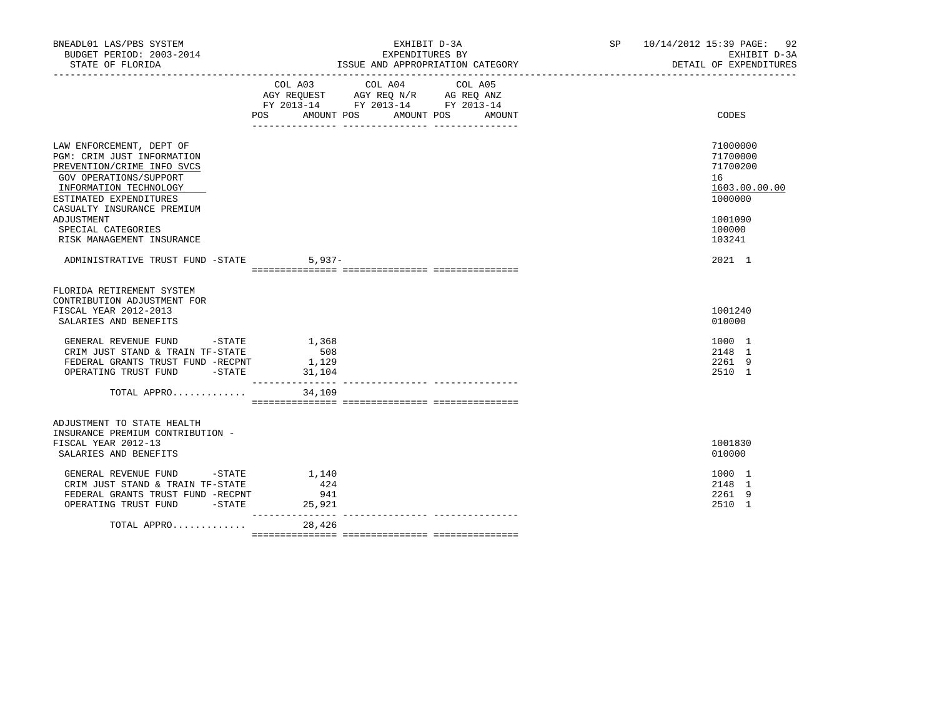| BNEADL01 LAS/PBS SYSTEM<br>BUDGET PERIOD: 2003-2014<br>STATE OF FLORIDA                                                                                                                          | EXHIBIT D-3A<br>EXPENDITURES BY<br>ISSUE AND APPROPRIATION CATEGORY                                                                            | SP 10/14/2012 15:39 PAGE: 92<br>EXHIBIT D-3A<br>DETAIL OF EXPENDITURES |
|--------------------------------------------------------------------------------------------------------------------------------------------------------------------------------------------------|------------------------------------------------------------------------------------------------------------------------------------------------|------------------------------------------------------------------------|
|                                                                                                                                                                                                  | COL A03<br>COL A04<br>COL A05<br>AGY REQUEST AGY REQ N/R AG REQ ANZ<br>FY 2013-14 FY 2013-14 FY 2013-14<br>POS AMOUNT POS AMOUNT POS<br>AMOUNT | CODES                                                                  |
| LAW ENFORCEMENT, DEPT OF<br>PGM: CRIM JUST INFORMATION<br>PREVENTION/CRIME INFO SVCS<br>GOV OPERATIONS/SUPPORT<br>INFORMATION TECHNOLOGY<br>ESTIMATED EXPENDITURES<br>CASUALTY INSURANCE PREMIUM |                                                                                                                                                | 71000000<br>71700000<br>71700200<br>16<br>1603.00.00.00<br>1000000     |
| ADJUSTMENT<br>SPECIAL CATEGORIES<br>RISK MANAGEMENT INSURANCE                                                                                                                                    |                                                                                                                                                | 1001090<br>100000<br>103241                                            |
| ADMINISTRATIVE TRUST FUND -STATE                                                                                                                                                                 | $5.937-$                                                                                                                                       | 2021 1                                                                 |
| FLORIDA RETIREMENT SYSTEM<br>CONTRIBUTION ADJUSTMENT FOR<br>FISCAL YEAR 2012-2013<br>SALARIES AND BENEFITS                                                                                       |                                                                                                                                                | 1001240<br>010000                                                      |
| GENERAL REVENUE FUND -STATE<br>CRIM JUST STAND & TRAIN TF-STATE<br>FEDERAL GRANTS TRUST FUND -RECPNT<br>OPERATING TRUST FUND -STATE                                                              | 1,368<br>508<br>1,129<br>31,104                                                                                                                | 1000 1<br>2148 1<br>2261 9<br>2510 1                                   |
| TOTAL APPRO                                                                                                                                                                                      | 34,109                                                                                                                                         |                                                                        |
| ADJUSTMENT TO STATE HEALTH<br>INSURANCE PREMIUM CONTRIBUTION -<br>FISCAL YEAR 2012-13<br>SALARIES AND BENEFITS                                                                                   |                                                                                                                                                | 1001830<br>010000                                                      |
| GENERAL REVENUE FUND -STATE<br>CRIM JUST STAND & TRAIN TF-STATE<br>FEDERAL GRANTS TRUST FUND -RECPNT<br>OPERATING TRUST FUND -STATE                                                              | 1,140<br>424<br>941<br>25,921                                                                                                                  | 1000 1<br>2148 1<br>2261 9<br>2510 1                                   |
| TOTAL APPRO                                                                                                                                                                                      | ---------------<br>28,426                                                                                                                      |                                                                        |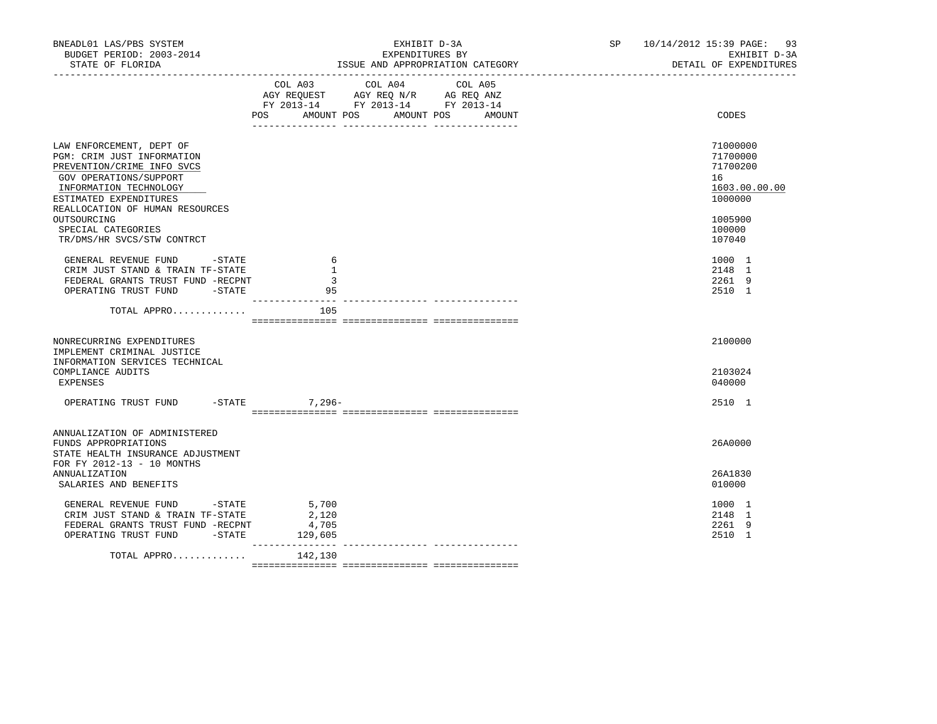| BNEADL01 LAS/PBS SYSTEM<br>BUDGET PERIOD: 2003-2014<br>STATE OF FLORIDA                                                                                                                                                                                                  | EXHIBIT D-3A<br>EXPENDITURES BY<br>ISSUE AND APPROPRIATION CATEGORY                                                                            | SP 10/14/2012 15:39 PAGE: 93<br>EXHIBIT D-3A<br>DETAIL OF EXPENDITURES                            |
|--------------------------------------------------------------------------------------------------------------------------------------------------------------------------------------------------------------------------------------------------------------------------|------------------------------------------------------------------------------------------------------------------------------------------------|---------------------------------------------------------------------------------------------------|
|                                                                                                                                                                                                                                                                          | COL A04<br>COL A03<br>COL A05<br>AGY REQUEST AGY REQ N/R AG REQ ANZ<br>FY 2013-14 FY 2013-14 FY 2013-14<br>POS<br>AMOUNT POS AMOUNT POS AMOUNT | CODES                                                                                             |
| LAW ENFORCEMENT, DEPT OF<br>PGM: CRIM JUST INFORMATION<br>PREVENTION/CRIME INFO SVCS<br>GOV OPERATIONS/SUPPORT<br>INFORMATION TECHNOLOGY<br>ESTIMATED EXPENDITURES<br>REALLOCATION OF HUMAN RESOURCES<br>OUTSOURCING<br>SPECIAL CATEGORIES<br>TR/DMS/HR SVCS/STW CONTRCT |                                                                                                                                                | 71000000<br>71700000<br>71700200<br>16<br>1603.00.00.00<br>1000000<br>1005900<br>100000<br>107040 |
| GENERAL REVENUE FUND -STATE<br>CRIM JUST STAND & TRAIN TF-STATE<br>FEDERAL GRANTS TRUST FUND -RECPNT<br>OPERATING TRUST FUND -STATE                                                                                                                                      | 6<br>-1<br>-3<br>95                                                                                                                            | 1000 1<br>2148 1<br>2261 9<br>2510 1                                                              |
| TOTAL APPRO                                                                                                                                                                                                                                                              | 105                                                                                                                                            |                                                                                                   |
| NONRECURRING EXPENDITURES<br>IMPLEMENT CRIMINAL JUSTICE<br>INFORMATION SERVICES TECHNICAL<br>COMPLIANCE AUDITS<br>EXPENSES                                                                                                                                               |                                                                                                                                                | 2100000<br>2103024<br>040000                                                                      |
| $-$ STATE<br>OPERATING TRUST FUND                                                                                                                                                                                                                                        | 7,296-                                                                                                                                         | 2510 1                                                                                            |
| ANNUALIZATION OF ADMINISTERED<br>FUNDS APPROPRIATIONS<br>STATE HEALTH INSURANCE ADJUSTMENT<br>FOR FY 2012-13 - 10 MONTHS                                                                                                                                                 |                                                                                                                                                | 26A0000                                                                                           |
| ANNUALIZATION<br>SALARIES AND BENEFITS                                                                                                                                                                                                                                   |                                                                                                                                                | 26A1830<br>010000                                                                                 |
| GENERAL REVENUE FUND -STATE<br>CRIM JUST STAND & TRAIN TF-STATE<br>FEDERAL GRANTS TRUST FUND -RECPNT<br>OPERATING TRUST FUND -STATE 129,605                                                                                                                              | 5,700<br>2,120<br>4,705<br>___________                                                                                                         | 1000 1<br>2148 1<br>2261 9<br>2510 1                                                              |
| TOTAL APPRO                                                                                                                                                                                                                                                              | 142,130                                                                                                                                        |                                                                                                   |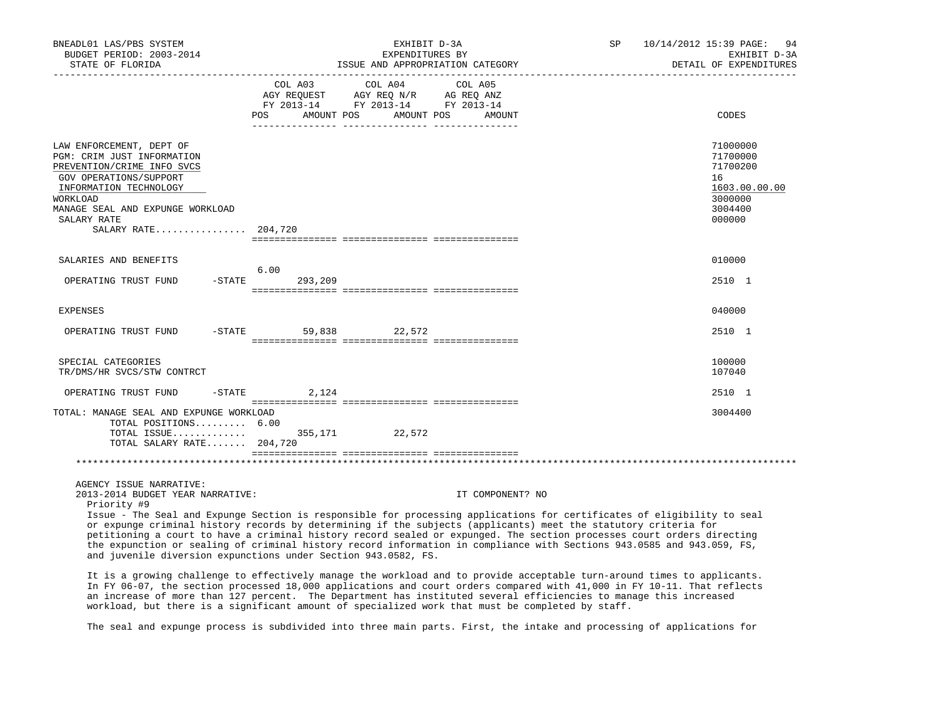| BNEADL01 LAS/PBS SYSTEM<br>BUDGET PERIOD: 2003-2014<br>STATE OF FLORIDA                                                                                                                                                        |                              | EXHIBIT D-3A<br>EXPENDITURES BY<br>ISSUE AND APPROPRIATION CATEGORY                                                                                                                                                                                                                                                                                                                                                                                                                                                | SP | 10/14/2012 15:39 PAGE:<br>94<br>EXHIBIT D-3A<br>DETAIL OF EXPENDITURES                  |
|--------------------------------------------------------------------------------------------------------------------------------------------------------------------------------------------------------------------------------|------------------------------|--------------------------------------------------------------------------------------------------------------------------------------------------------------------------------------------------------------------------------------------------------------------------------------------------------------------------------------------------------------------------------------------------------------------------------------------------------------------------------------------------------------------|----|-----------------------------------------------------------------------------------------|
|                                                                                                                                                                                                                                | COL A03<br>AMOUNT POS<br>POS | COL A04<br>COL A05<br>AGY REQUEST AGY REQ N/R AG REQ ANZ<br>FY 2013-14 FY 2013-14 FY 2013-14<br>AMOUNT POS<br>AMOUNT                                                                                                                                                                                                                                                                                                                                                                                               |    | CODES                                                                                   |
| LAW ENFORCEMENT, DEPT OF<br>PGM: CRIM JUST INFORMATION<br>PREVENTION/CRIME INFO SVCS<br>GOV OPERATIONS/SUPPORT<br>INFORMATION TECHNOLOGY<br>WORKLOAD<br>MANAGE SEAL AND EXPUNGE WORKLOAD<br>SALARY RATE<br>SALARY RATE 204,720 |                              |                                                                                                                                                                                                                                                                                                                                                                                                                                                                                                                    |    | 71000000<br>71700000<br>71700200<br>16<br>1603.00.00.00<br>3000000<br>3004400<br>000000 |
| SALARIES AND BENEFITS                                                                                                                                                                                                          |                              |                                                                                                                                                                                                                                                                                                                                                                                                                                                                                                                    |    | 010000                                                                                  |
| OPERATING TRUST FUND<br>-STATE                                                                                                                                                                                                 | 6.00<br>293,209              |                                                                                                                                                                                                                                                                                                                                                                                                                                                                                                                    |    | 2510 1                                                                                  |
| <b>EXPENSES</b>                                                                                                                                                                                                                |                              |                                                                                                                                                                                                                                                                                                                                                                                                                                                                                                                    |    | 040000                                                                                  |
| OPERATING TRUST FUND                                                                                                                                                                                                           | $-STATE$                     | 59,838 22,572                                                                                                                                                                                                                                                                                                                                                                                                                                                                                                      |    | 2510 1                                                                                  |
| SPECIAL CATEGORIES<br>TR/DMS/HR SVCS/STW CONTRCT                                                                                                                                                                               |                              |                                                                                                                                                                                                                                                                                                                                                                                                                                                                                                                    |    | 100000<br>107040                                                                        |
| OPERATING TRUST FUND<br>$-$ STATE                                                                                                                                                                                              | 2,124                        |                                                                                                                                                                                                                                                                                                                                                                                                                                                                                                                    |    | 2510 1                                                                                  |
| TOTAL: MANAGE SEAL AND EXPUNGE WORKLOAD<br>TOTAL POSITIONS 6.00<br>TOTAL ISSUE<br>TOTAL SALARY RATE 204,720                                                                                                                    |                              | 355,171 22,572                                                                                                                                                                                                                                                                                                                                                                                                                                                                                                     |    | 3004400                                                                                 |
|                                                                                                                                                                                                                                |                              |                                                                                                                                                                                                                                                                                                                                                                                                                                                                                                                    |    |                                                                                         |
| AGENCY ISSUE NARRATIVE:<br>2013-2014 BUDGET YEAR NARRATIVE:<br>Priority #9<br>and juvenile diversion expunctions under Section 943.0582, FS.                                                                                   |                              | IT COMPONENT? NO<br>Issue - The Seal and Expunge Section is responsible for processing applications for certificates of eligibility to seal<br>or expunge criminal history records by determining if the subjects (applicants) meet the statutory criteria for<br>petitioning a court to have a criminal history record sealed or expunged. The section processes court orders directing<br>the expunction or sealing of criminal history record information in compliance with Sections 943.0585 and 943.059, FS, |    |                                                                                         |
|                                                                                                                                                                                                                                |                              | It is a growing challenge to effectively manage the workload and to provide acceptable turn-around times to applicants.<br>In FY 06-07, the section processed 18,000 applications and court orders compared with 41,000 in FY 10-11. That reflects                                                                                                                                                                                                                                                                 |    |                                                                                         |

The seal and expunge process is subdivided into three main parts. First, the intake and processing of applications for

an increase of more than 127 percent. The Department has instituted several efficiencies to manage this increased

workload, but there is a significant amount of specialized work that must be completed by staff.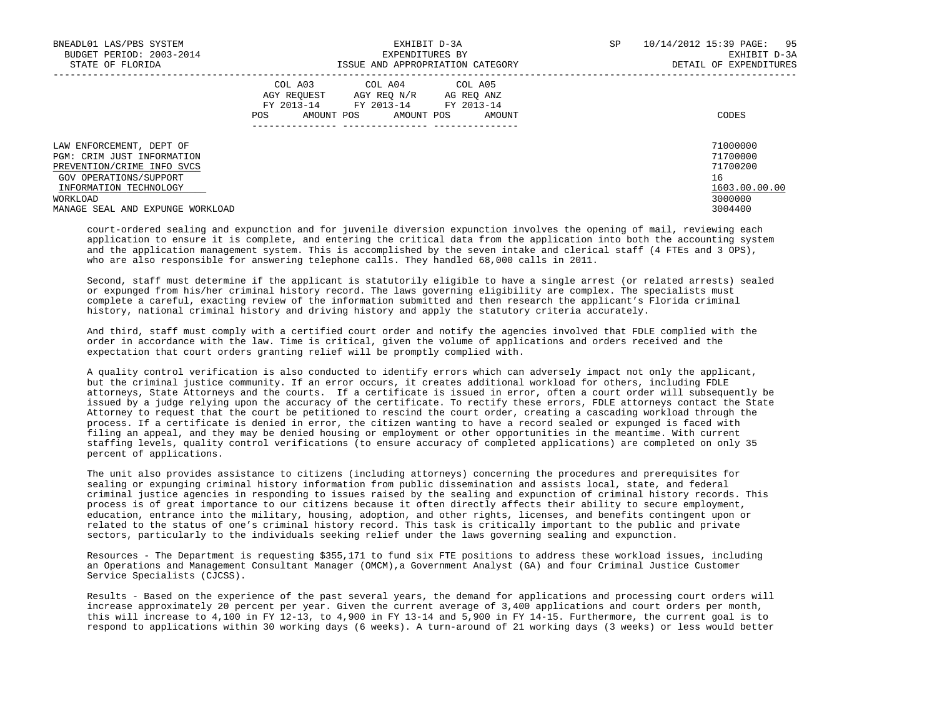| BNEADL01 LAS/PBS SYSTEM<br>BUDGET PERIOD: 2003-2014<br>STATE OF FLORIDA                                                                              | EXHIBIT D-3A<br>EXPENDITURES BY<br>ISSUE AND APPROPRIATION CATEGORY                                                                                        | 95<br><b>SP</b><br>10/14/2012 15:39 PAGE:<br>EXHIBIT D-3A<br>DETAIL OF EXPENDITURES |
|------------------------------------------------------------------------------------------------------------------------------------------------------|------------------------------------------------------------------------------------------------------------------------------------------------------------|-------------------------------------------------------------------------------------|
|                                                                                                                                                      | COL A03<br>COL A04 COL A05<br>AGY REOUEST<br>AGY REO N/R<br>AG REO ANZ<br>FY 2013-14<br>FY 2013-14 FY 2013-14<br>AMOUNT POS<br>AMOUNT POS<br>POS<br>AMOUNT | CODES                                                                               |
| LAW ENFORCEMENT, DEPT OF<br>PGM: CRIM JUST INFORMATION<br>PREVENTION/CRIME INFO SVCS<br>GOV OPERATIONS/SUPPORT<br>INFORMATION TECHNOLOGY<br>WORKLOAD |                                                                                                                                                            | 71000000<br>71700000<br>71700200<br>16<br>1603.00.00.00<br>3000000                  |
| MANAGE SEAL AND EXPINGE WORKLOAD                                                                                                                     |                                                                                                                                                            | 3004400                                                                             |

 court-ordered sealing and expunction and for juvenile diversion expunction involves the opening of mail, reviewing each application to ensure it is complete, and entering the critical data from the application into both the accounting system and the application management system. This is accomplished by the seven intake and clerical staff (4 FTEs and 3 OPS), who are also responsible for answering telephone calls. They handled 68,000 calls in 2011.

 Second, staff must determine if the applicant is statutorily eligible to have a single arrest (or related arrests) sealed or expunged from his/her criminal history record. The laws governing eligibility are complex. The specialists must complete a careful, exacting review of the information submitted and then research the applicant's Florida criminal history, national criminal history and driving history and apply the statutory criteria accurately.

 And third, staff must comply with a certified court order and notify the agencies involved that FDLE complied with the order in accordance with the law. Time is critical, given the volume of applications and orders received and the expectation that court orders granting relief will be promptly complied with.

 A quality control verification is also conducted to identify errors which can adversely impact not only the applicant, but the criminal justice community. If an error occurs, it creates additional workload for others, including FDLE attorneys, State Attorneys and the courts. If a certificate is issued in error, often a court order will subsequently be issued by a judge relying upon the accuracy of the certificate. To rectify these errors, FDLE attorneys contact the State Attorney to request that the court be petitioned to rescind the court order, creating a cascading workload through the process. If a certificate is denied in error, the citizen wanting to have a record sealed or expunged is faced with filing an appeal, and they may be denied housing or employment or other opportunities in the meantime. With current staffing levels, quality control verifications (to ensure accuracy of completed applications) are completed on only 35 percent of applications.

 The unit also provides assistance to citizens (including attorneys) concerning the procedures and prerequisites for sealing or expunging criminal history information from public dissemination and assists local, state, and federal criminal justice agencies in responding to issues raised by the sealing and expunction of criminal history records. This process is of great importance to our citizens because it often directly affects their ability to secure employment, education, entrance into the military, housing, adoption, and other rights, licenses, and benefits contingent upon or related to the status of one's criminal history record. This task is critically important to the public and private sectors, particularly to the individuals seeking relief under the laws governing sealing and expunction.

 Resources - The Department is requesting \$355,171 to fund six FTE positions to address these workload issues, including an Operations and Management Consultant Manager (OMCM),a Government Analyst (GA) and four Criminal Justice Customer Service Specialists (CJCSS).

 Results - Based on the experience of the past several years, the demand for applications and processing court orders will increase approximately 20 percent per year. Given the current average of 3,400 applications and court orders per month, this will increase to 4,100 in FY 12-13, to 4,900 in FY 13-14 and 5,900 in FY 14-15. Furthermore, the current goal is to respond to applications within 30 working days (6 weeks). A turn-around of 21 working days (3 weeks) or less would better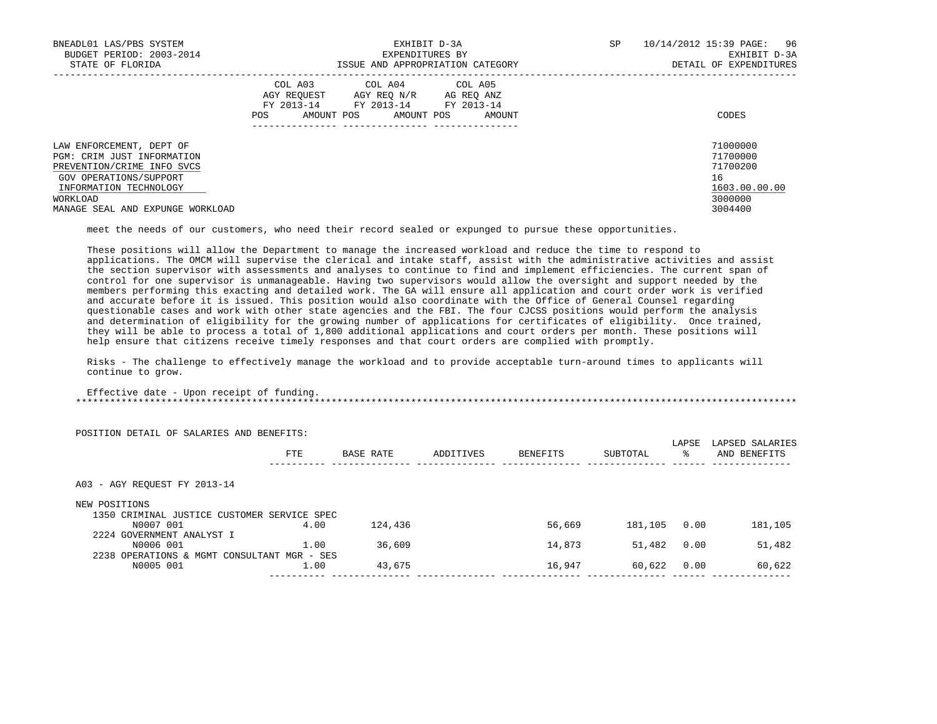| BNEADL01 LAS/PBS SYSTEM<br>BUDGET PERIOD: 2003-2014<br>STATE OF FLORIDA                                                                  | EXHIBIT D-3A<br>EXPENDITURES BY<br>ISSUE AND APPROPRIATION CATEGORY                                                                                        | 10/14/2012 15:39 PAGE: 96<br>SP<br>EXHIBIT D-3A<br>DETAIL OF EXPENDITURES |
|------------------------------------------------------------------------------------------------------------------------------------------|------------------------------------------------------------------------------------------------------------------------------------------------------------|---------------------------------------------------------------------------|
|                                                                                                                                          | COL A03 COL A04 COL A05<br>AGY REOUEST<br>AGY REO N/R<br>AG REO ANZ<br>FY 2013-14<br>FY 2013-14<br>FY 2013-14<br>AMOUNT POS<br>AMOUNT POS<br>POS<br>AMOUNT | CODES                                                                     |
| LAW ENFORCEMENT, DEPT OF<br>PGM: CRIM JUST INFORMATION<br>PREVENTION/CRIME INFO SVCS<br>GOV OPERATIONS/SUPPORT<br>INFORMATION TECHNOLOGY |                                                                                                                                                            | 71000000<br>71700000<br>71700200<br>16<br>1603.00.00.00                   |
| WORKLOAD<br>MANAGE SEAL AND EXPUNGE WORKLOAD                                                                                             |                                                                                                                                                            | 3000000<br>3004400                                                        |

meet the needs of our customers, who need their record sealed or expunged to pursue these opportunities.

 These positions will allow the Department to manage the increased workload and reduce the time to respond to applications. The OMCM will supervise the clerical and intake staff, assist with the administrative activities and assist the section supervisor with assessments and analyses to continue to find and implement efficiencies. The current span of control for one supervisor is unmanageable. Having two supervisors would allow the oversight and support needed by the members performing this exacting and detailed work. The GA will ensure all application and court order work is verified and accurate before it is issued. This position would also coordinate with the Office of General Counsel regarding questionable cases and work with other state agencies and the FBI. The four CJCSS positions would perform the analysis and determination of eligibility for the growing number of applications for certificates of eligibility. Once trained, they will be able to process a total of 1,800 additional applications and court orders per month. These positions will help ensure that citizens receive timely responses and that court orders are complied with promptly.

 Risks - The challenge to effectively manage the workload and to provide acceptable turn-around times to applicants will continue to grow.

 Effective date - Upon receipt of funding. \*\*\*\*\*\*\*\*\*\*\*\*\*\*\*\*\*\*\*\*\*\*\*\*\*\*\*\*\*\*\*\*\*\*\*\*\*\*\*\*\*\*\*\*\*\*\*\*\*\*\*\*\*\*\*\*\*\*\*\*\*\*\*\*\*\*\*\*\*\*\*\*\*\*\*\*\*\*\*\*\*\*\*\*\*\*\*\*\*\*\*\*\*\*\*\*\*\*\*\*\*\*\*\*\*\*\*\*\*\*\*\*\*\*\*\*\*\*\*\*\*\*\*\*\*\*\*

| POSITION DETAIL OF SALARIES AND BENEFITS:   |            |           |           |          |          | LAPSE | LAPSED SALARIES |
|---------------------------------------------|------------|-----------|-----------|----------|----------|-------|-----------------|
|                                             | <b>FTE</b> | BASE RATE | ADDITIVES | BENEFITS | SUBTOTAL | °≈    | AND BENEFITS    |
| A03 - AGY REOUEST FY 2013-14                |            |           |           |          |          |       |                 |
| NEW POSITIONS                               |            |           |           |          |          |       |                 |
| 1350 CRIMINAL JUSTICE CUSTOMER SERVICE SPEC |            |           |           |          |          |       |                 |
| N0007 001                                   | 4.00       | 124,436   |           | 56,669   | 181,105  | 0.00  | 181,105         |
| 2224 GOVERNMENT ANALYST I                   |            |           |           |          |          |       |                 |
| N0006 001                                   | 1.00       | 36,609    |           | 14,873   | 51,482   | 0.00  | 51,482          |
| 2238 OPERATIONS & MGMT CONSULTANT MGR - SES |            |           |           |          |          |       |                 |
| N0005 001                                   | 1.00       | 43,675    |           | 16,947   | 60,622   | 0.00  | 60,622          |
|                                             |            |           |           |          |          |       |                 |

POSITION DETAIL OF SALARIES AND BENEFITS: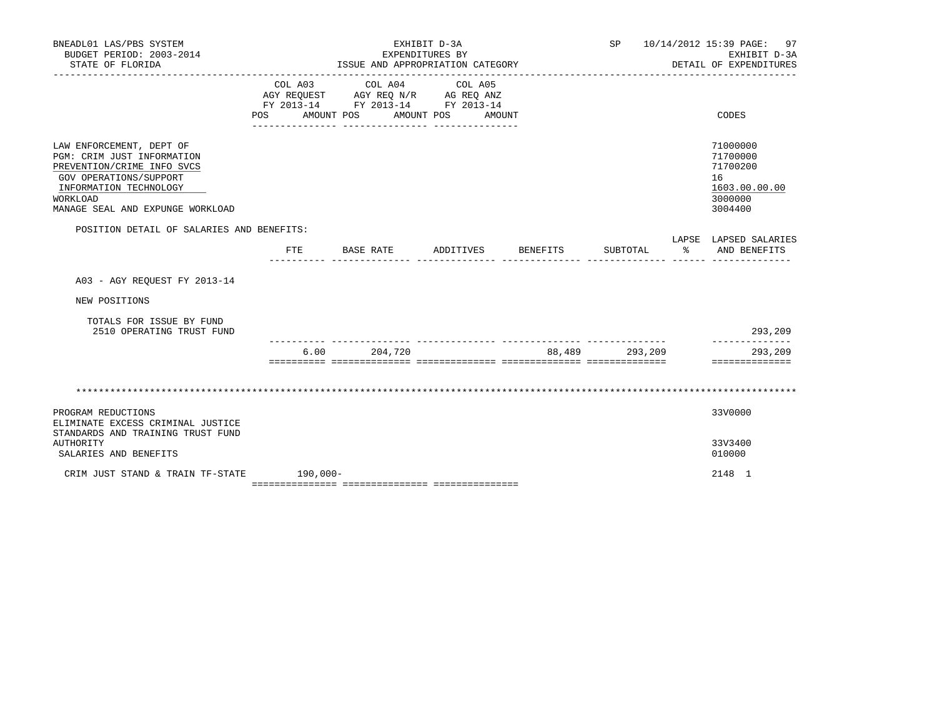| BNEADL01 LAS/PBS SYSTEM<br>BUDGET PERIOD: 2003-2014<br>STATE OF FLORIDA                                                                                                                         |              |      | EXHIBIT D-3A<br>ISSUE AND APPROPRIATION CATEGORY                                                                                                                     | EXPENDITURES BY |                 |        |          | SP 10/14/2012 15:39 PAGE: 97<br>EXHIBIT D-3A<br>DETAIL OF EXPENDITURES        |
|-------------------------------------------------------------------------------------------------------------------------------------------------------------------------------------------------|--------------|------|----------------------------------------------------------------------------------------------------------------------------------------------------------------------|-----------------|-----------------|--------|----------|-------------------------------------------------------------------------------|
|                                                                                                                                                                                                 | COL A03      |      | COL A04 COL A05<br>AGY REQUEST AGY REQ N/R AG REQ ANZ<br>FY 2013-14 FY 2013-14 FY 2013-14<br>POS AMOUNT POS AMOUNT POS AMOUNT<br>___ ________________ ______________ |                 |                 |        |          | CODES                                                                         |
| LAW ENFORCEMENT, DEPT OF<br>PGM: CRIM JUST INFORMATION<br>PREVENTION/CRIME INFO SVCS<br>GOV OPERATIONS/SUPPORT<br>INFORMATION TECHNOLOGY<br><b>WORKLOAD</b><br>MANAGE SEAL AND EXPUNGE WORKLOAD |              |      |                                                                                                                                                                      |                 |                 |        |          | 71000000<br>71700000<br>71700200<br>16<br>1603.00.00.00<br>3000000<br>3004400 |
| POSITION DETAIL OF SALARIES AND BENEFITS:                                                                                                                                                       | $_{\rm FTE}$ |      | BASE RATE                                                                                                                                                            | ADDITIVES       | <b>BENEFITS</b> |        | SUBTOTAL | LAPSE LAPSED SALARIES<br>% AND BENEFITS                                       |
| A03 - AGY REQUEST FY 2013-14                                                                                                                                                                    |              |      |                                                                                                                                                                      |                 |                 |        |          |                                                                               |
| NEW POSITIONS                                                                                                                                                                                   |              |      |                                                                                                                                                                      |                 |                 |        |          |                                                                               |
| TOTALS FOR ISSUE BY FUND<br>2510 OPERATING TRUST FUND                                                                                                                                           |              |      |                                                                                                                                                                      |                 |                 |        |          | 293,209                                                                       |
|                                                                                                                                                                                                 |              | 6.00 | 204,720                                                                                                                                                              |                 |                 | 88,489 | 293,209  | 293,209<br>==============                                                     |
|                                                                                                                                                                                                 |              |      |                                                                                                                                                                      |                 |                 |        |          |                                                                               |
| PROGRAM REDUCTIONS<br>ELIMINATE EXCESS CRIMINAL JUSTICE                                                                                                                                         |              |      |                                                                                                                                                                      |                 |                 |        |          | 33V0000                                                                       |
| STANDARDS AND TRAINING TRUST FUND<br><b>AUTHORITY</b><br>SALARIES AND BENEFITS                                                                                                                  |              |      |                                                                                                                                                                      |                 |                 |        |          | 33V3400<br>010000                                                             |
| CRIM JUST STAND & TRAIN TF-STATE                                                                                                                                                                | $190,000 -$  |      |                                                                                                                                                                      |                 |                 |        |          | 2148 1                                                                        |

=============== =============== ===============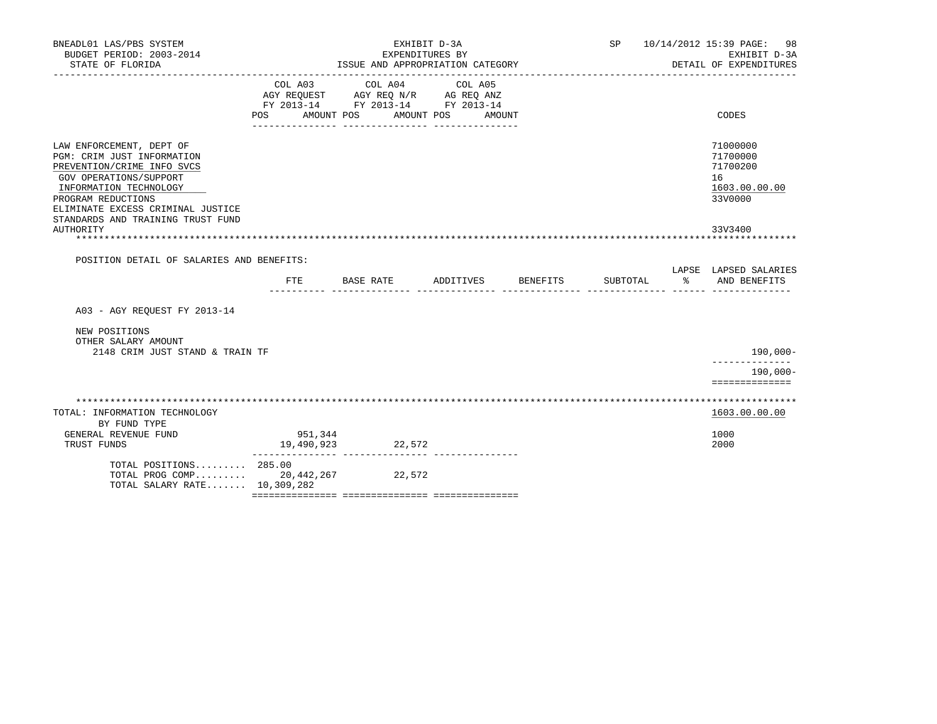| BNEADL01 LAS/PBS SYSTEM<br>BUDGET PERIOD: 2003-2014<br>STATE OF FLORIDA                                                                                                                                                                  |                       | EXPENDITURES BY<br>ISSUE AND APPROPRIATION CATEGORY                                                                                                                                                                                      | EXHIBIT D-3A      |                    | <b>SP</b> | 10/14/2012 15:39 PAGE: 98<br>EXHIBIT D-3A<br>DETAIL OF EXPENDITURES |
|------------------------------------------------------------------------------------------------------------------------------------------------------------------------------------------------------------------------------------------|-----------------------|------------------------------------------------------------------------------------------------------------------------------------------------------------------------------------------------------------------------------------------|-------------------|--------------------|-----------|---------------------------------------------------------------------|
|                                                                                                                                                                                                                                          | COL A03<br>POS        | COL A04<br>$\begin{tabular}{lllllll} \bf AGY \;\; RegUEST & \tt AGY \;\; REG \;\; N/R & \tt AG \;\; REG \;\; ANZ \\ \hline \tt FY \;\; 2013-14 & \tt FY \;\; 2013-14 & \tt FY \;\; 2013-14 \\ \end{tabular}$<br>AMOUNT POS<br>AMOUNT POS | COL A05<br>AMOUNT |                    |           | CODES                                                               |
| LAW ENFORCEMENT, DEPT OF<br>PGM: CRIM JUST INFORMATION<br>PREVENTION/CRIME INFO SVCS<br>GOV OPERATIONS/SUPPORT<br>INFORMATION TECHNOLOGY<br>PROGRAM REDUCTIONS<br>ELIMINATE EXCESS CRIMINAL JUSTICE<br>STANDARDS AND TRAINING TRUST FUND |                       |                                                                                                                                                                                                                                          |                   |                    |           | 71000000<br>71700000<br>71700200<br>16<br>1603.00.00.00<br>33V0000  |
| AUTHORITY<br>POSITION DETAIL OF SALARIES AND BENEFITS:                                                                                                                                                                                   |                       |                                                                                                                                                                                                                                          |                   |                    |           | 33V3400                                                             |
|                                                                                                                                                                                                                                          | FTE.                  | <b>BASE RATE</b>                                                                                                                                                                                                                         |                   | ADDITIVES BENEFITS | SUBTOTAL  | LAPSE LAPSED SALARIES<br>ႜ<br>AND BENEFITS                          |
| A03 - AGY REQUEST FY 2013-14                                                                                                                                                                                                             |                       |                                                                                                                                                                                                                                          |                   |                    |           |                                                                     |
| NEW POSITIONS<br>OTHER SALARY AMOUNT<br>2148 CRIM JUST STAND & TRAIN TF                                                                                                                                                                  |                       |                                                                                                                                                                                                                                          |                   |                    |           | 190,000-                                                            |
|                                                                                                                                                                                                                                          |                       |                                                                                                                                                                                                                                          |                   |                    |           | --------------<br>$190.000 -$<br>==============                     |
| TOTAL: INFORMATION TECHNOLOGY<br>BY FUND TYPE                                                                                                                                                                                            |                       |                                                                                                                                                                                                                                          |                   |                    |           | 1603.00.00.00                                                       |
| GENERAL REVENUE FUND<br>TRUST FUNDS                                                                                                                                                                                                      | 951,344<br>19,490,923 | 22,572                                                                                                                                                                                                                                   |                   |                    |           | 1000<br>2000                                                        |
| TOTAL POSITIONS 285.00<br>TOTAL PROG COMP $20,442,267$<br>TOTAL SALARY RATE 10,309,282                                                                                                                                                   |                       | 22,572                                                                                                                                                                                                                                   |                   |                    |           |                                                                     |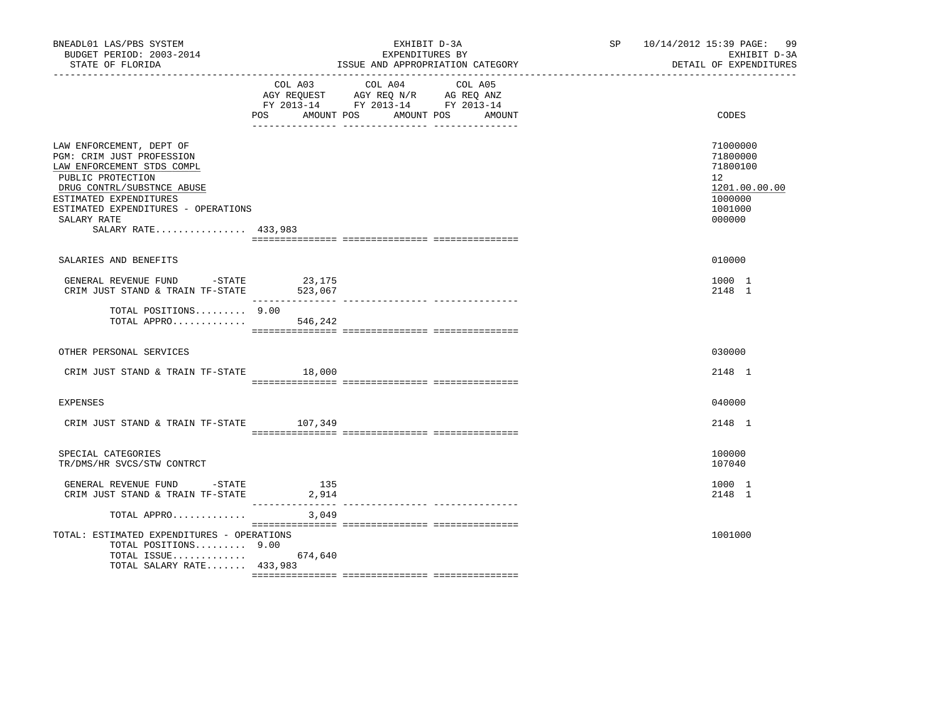| BNEADL01 LAS/PBS SYSTEM<br>BUDGET PERIOD: 2003-2014<br>STATE OF FLORIDA                                                                                                                                                                       |                   | EXHIBIT D-3A<br>EXPENDITURES BY<br>ISSUE AND APPROPRIATION CATEGORY                                                                 | SP 10/14/2012 15:39 PAGE: 99<br>EXHIBIT D-3A<br>DETAIL OF EXPENDITURES                               |
|-----------------------------------------------------------------------------------------------------------------------------------------------------------------------------------------------------------------------------------------------|-------------------|-------------------------------------------------------------------------------------------------------------------------------------|------------------------------------------------------------------------------------------------------|
|                                                                                                                                                                                                                                               | COL A03           | COL A04<br>COL A05<br>AGY REQUEST AGY REQ N/R AG REQ ANZ<br>FY 2013-14 FY 2013-14 FY 2013-14<br>POS AMOUNT POS AMOUNT POS<br>AMOUNT | CODES                                                                                                |
| LAW ENFORCEMENT, DEPT OF<br>PGM: CRIM JUST PROFESSION<br>LAW ENFORCEMENT STDS COMPL<br>PUBLIC PROTECTION<br>DRUG CONTRL/SUBSTNCE ABUSE<br>ESTIMATED EXPENDITURES<br>ESTIMATED EXPENDITURES - OPERATIONS<br>SALARY RATE<br>SALARY RATE 433,983 |                   |                                                                                                                                     | 71000000<br>71800000<br>71800100<br>12 <sup>°</sup><br>1201.00.00.00<br>1000000<br>1001000<br>000000 |
| SALARIES AND BENEFITS                                                                                                                                                                                                                         |                   |                                                                                                                                     | 010000                                                                                               |
| GENERAL REVENUE FUND -STATE<br>CRIM JUST STAND & TRAIN TF-STATE                                                                                                                                                                               | 23,175<br>523,067 |                                                                                                                                     | 1000 1<br>2148 1                                                                                     |
| TOTAL POSITIONS 9.00<br>TOTAL APPRO                                                                                                                                                                                                           | 546,242           |                                                                                                                                     |                                                                                                      |
| OTHER PERSONAL SERVICES                                                                                                                                                                                                                       |                   |                                                                                                                                     | 030000                                                                                               |
| CRIM JUST STAND & TRAIN TF-STATE 18,000                                                                                                                                                                                                       |                   |                                                                                                                                     | 2148 1                                                                                               |
| <b>EXPENSES</b>                                                                                                                                                                                                                               |                   |                                                                                                                                     | 040000                                                                                               |
| CRIM JUST STAND & TRAIN TF-STATE 107,349                                                                                                                                                                                                      |                   |                                                                                                                                     | 2148 1                                                                                               |
| SPECIAL CATEGORIES<br>TR/DMS/HR SVCS/STW CONTRCT                                                                                                                                                                                              |                   |                                                                                                                                     | 100000<br>107040                                                                                     |
| GENERAL REVENUE FUND -STATE<br>CRIM JUST STAND & TRAIN TF-STATE                                                                                                                                                                               | 135<br>2,914      |                                                                                                                                     | 1000 1<br>2148 1                                                                                     |
| TOTAL APPRO                                                                                                                                                                                                                                   | 3,049             |                                                                                                                                     |                                                                                                      |
| TOTAL: ESTIMATED EXPENDITURES - OPERATIONS<br>TOTAL POSITIONS 9.00<br>TOTAL ISSUE 674,640<br>TOTAL SALARY RATE 433,983                                                                                                                        |                   |                                                                                                                                     | 1001000                                                                                              |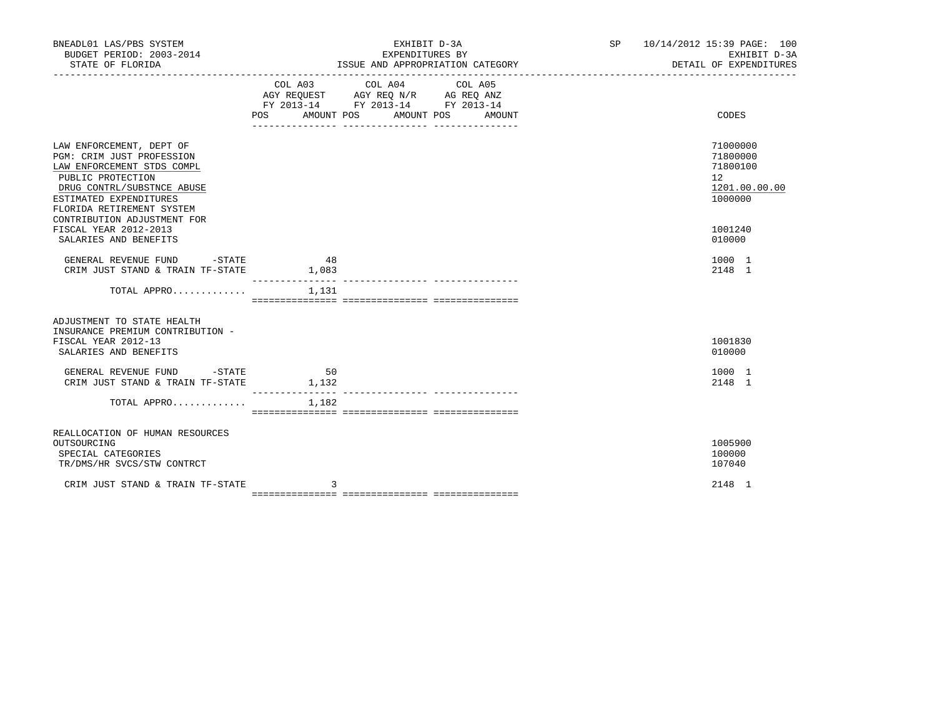| BNEADL01 LAS/PBS SYSTEM<br>BUDGET PERIOD: 2003-2014<br>STATE OF FLORIDA                                                                                                                                                      | EXHIBIT D-3A<br>EXPENDITURES BY<br>ISSUE AND APPROPRIATION CATEGORY                                                                                      | SP 10/14/2012 15:39 PAGE: 100<br>EXHIBIT D-3A<br>DETAIL OF EXPENDITURES |
|------------------------------------------------------------------------------------------------------------------------------------------------------------------------------------------------------------------------------|----------------------------------------------------------------------------------------------------------------------------------------------------------|-------------------------------------------------------------------------|
|                                                                                                                                                                                                                              | COL A03 COL A04<br>COL A05<br>AGY REQUEST AGY REQ N/R AG REQ ANZ<br>FY 2013-14 FY 2013-14 FY 2013-14<br><b>POS</b><br>AMOUNT POS<br>AMOUNT POS<br>AMOUNT | CODES                                                                   |
| LAW ENFORCEMENT, DEPT OF<br>PGM: CRIM JUST PROFESSION<br>LAW ENFORCEMENT STDS COMPL<br>PUBLIC PROTECTION<br>DRUG CONTRL/SUBSTNCE ABUSE<br>ESTIMATED EXPENDITURES<br>FLORIDA RETIREMENT SYSTEM<br>CONTRIBUTION ADJUSTMENT FOR |                                                                                                                                                          | 71000000<br>71800000<br>71800100<br>12<br>1201.00.00.00<br>1000000      |
| FISCAL YEAR 2012-2013<br>SALARIES AND BENEFITS<br>GENERAL REVENUE FUND -STATE                                                                                                                                                | 48                                                                                                                                                       | 1001240<br>010000<br>1000 1                                             |
| CRIM JUST STAND & TRAIN TF-STATE                                                                                                                                                                                             | 1,083<br>________________                                                                                                                                | 2148 1                                                                  |
| TOTAL APPRO                                                                                                                                                                                                                  | 1,131                                                                                                                                                    |                                                                         |
| ADJUSTMENT TO STATE HEALTH<br>INSURANCE PREMIUM CONTRIBUTION -<br>FISCAL YEAR 2012-13<br>SALARIES AND BENEFITS                                                                                                               |                                                                                                                                                          | 1001830<br>010000                                                       |
| GENERAL REVENUE FUND -STATE<br>CRIM JUST STAND & TRAIN TF-STATE                                                                                                                                                              | 50<br>1,132<br>________________                                                                                                                          | 1000 1<br>2148 1                                                        |
| TOTAL APPRO                                                                                                                                                                                                                  | 1,182                                                                                                                                                    |                                                                         |
| REALLOCATION OF HUMAN RESOURCES<br>OUTSOURCING<br>SPECIAL CATEGORIES<br>TR/DMS/HR SVCS/STW CONTRCT                                                                                                                           |                                                                                                                                                          | 1005900<br>100000<br>107040                                             |
| CRIM JUST STAND & TRAIN TF-STATE                                                                                                                                                                                             | 3                                                                                                                                                        | 2148 1                                                                  |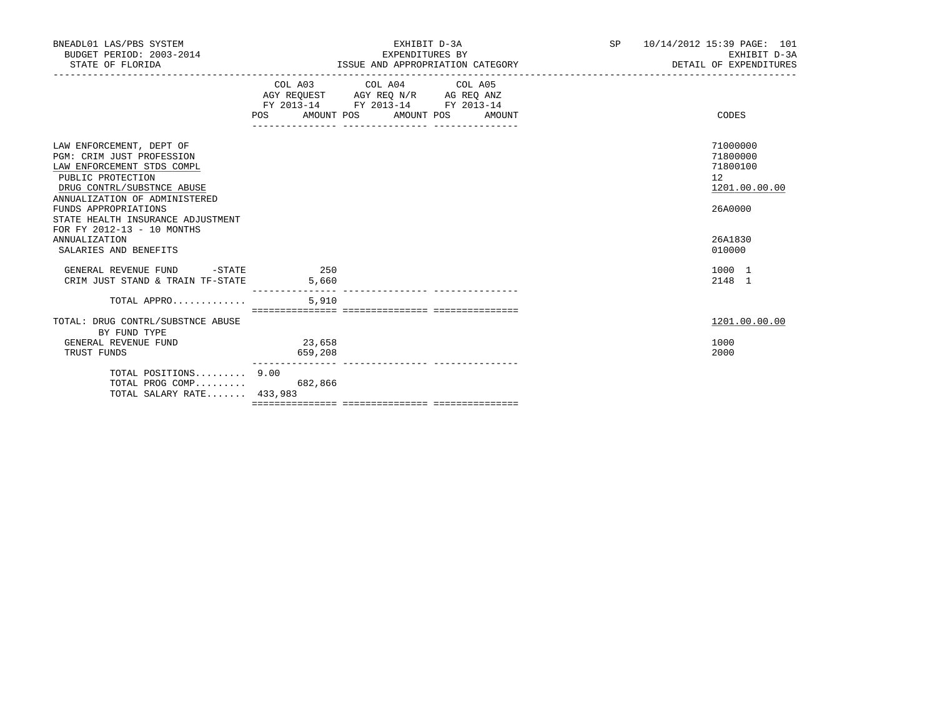| BNEADL01 LAS/PBS SYSTEM<br>BUDGET PERIOD: 2003-2014<br>STATE OF FLORIDA                                                                                                                                                                                                                                             |                   | EXHIBIT D-3A<br>EXPENDITURES BY                                                                                                       | ISSUE AND APPROPRIATION CATEGORY | SP | 10/14/2012 15:39 PAGE: 101<br>EXHIBIT D-3A<br>DETAIL OF EXPENDITURES                    |
|---------------------------------------------------------------------------------------------------------------------------------------------------------------------------------------------------------------------------------------------------------------------------------------------------------------------|-------------------|---------------------------------------------------------------------------------------------------------------------------------------|----------------------------------|----|-----------------------------------------------------------------------------------------|
|                                                                                                                                                                                                                                                                                                                     |                   | COL A03 COL A04 COL A05<br>AGY REQUEST AGY REQ N/R AG REQ ANZ<br>FY 2013-14 FY 2013-14 FY 2013-14<br>POS AMOUNT POS AMOUNT POS AMOUNT |                                  |    | CODES                                                                                   |
| LAW ENFORCEMENT, DEPT OF<br>PGM: CRIM JUST PROFESSION<br>LAW ENFORCEMENT STDS COMPL<br>PUBLIC PROTECTION<br>DRUG CONTRL/SUBSTNCE ABUSE<br>ANNUALIZATION OF ADMINISTERED<br>FUNDS APPROPRIATIONS<br>STATE HEALTH INSURANCE ADJUSTMENT<br>FOR FY 2012-13 - 10 MONTHS<br><b>ANNUALIZATION</b><br>SALARIES AND BENEFITS |                   |                                                                                                                                       |                                  |    | 71000000<br>71800000<br>71800100<br>12<br>1201.00.00.00<br>26A0000<br>26A1830<br>010000 |
| GENERAL REVENUE FUND -STATE 250<br>CRIM JUST STAND & TRAIN TF-STATE                                                                                                                                                                                                                                                 | 5,660             |                                                                                                                                       |                                  |    | 1000 1<br>2148 1                                                                        |
| TOTAL APPRO<br>TOTAL: DRUG CONTRL/SUBSTNCE ABUSE                                                                                                                                                                                                                                                                    | 5,910             |                                                                                                                                       |                                  |    | 1201.00.00.00                                                                           |
| BY FUND TYPE<br>GENERAL REVENUE FUND<br>TRUST FUNDS                                                                                                                                                                                                                                                                 | 23,658<br>659,208 |                                                                                                                                       |                                  |    | 1000<br>2000                                                                            |
| TOTAL POSITIONS 9.00<br>TOTAL PROG COMP<br>TOTAL SALARY RATE 433,983                                                                                                                                                                                                                                                | 682,866           |                                                                                                                                       |                                  |    |                                                                                         |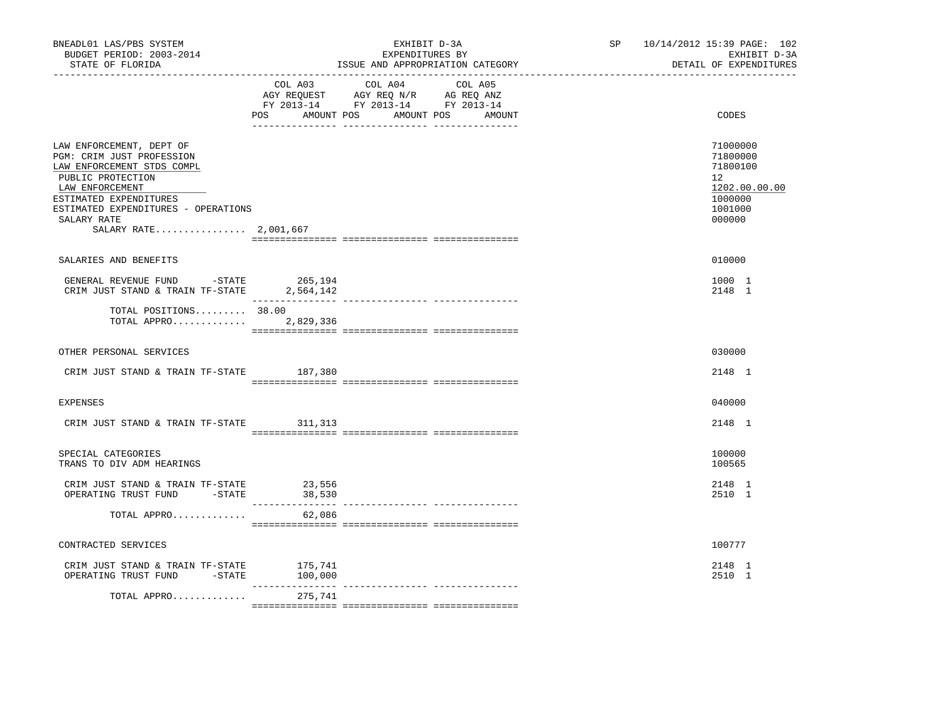| BNEADL01 LAS/PBS SYSTEM<br>BUDGET PERIOD: 2003-2014<br>STATE OF FLORIDA                                                                                                                                                              |           | EXHIBIT D-3A<br>EXPENDITURES BY<br>ISSUE AND APPROPRIATION CATEGORY                                                               | SP 10/14/2012 15:39 PAGE: 102<br>EXHIBIT D-3A<br>DETAIL OF EXPENDITURES                 |
|--------------------------------------------------------------------------------------------------------------------------------------------------------------------------------------------------------------------------------------|-----------|-----------------------------------------------------------------------------------------------------------------------------------|-----------------------------------------------------------------------------------------|
|                                                                                                                                                                                                                                      | POS       | COL A03 COL A04 COL A05<br>AGY REQUEST AGY REQ N/R AG REQ ANZ<br>FY 2013-14 FY 2013-14 FY 2013-14<br>AMOUNT POS AMOUNT POS AMOUNT | CODES                                                                                   |
| LAW ENFORCEMENT, DEPT OF<br>PGM: CRIM JUST PROFESSION<br>LAW ENFORCEMENT STDS COMPL<br>PUBLIC PROTECTION<br>LAW ENFORCEMENT<br>ESTIMATED EXPENDITURES<br>ESTIMATED EXPENDITURES - OPERATIONS<br>SALARY RATE<br>SALARY RATE 2,001,667 |           |                                                                                                                                   | 71000000<br>71800000<br>71800100<br>12<br>1202.00.00.00<br>1000000<br>1001000<br>000000 |
|                                                                                                                                                                                                                                      |           |                                                                                                                                   |                                                                                         |
| SALARIES AND BENEFITS                                                                                                                                                                                                                |           |                                                                                                                                   | 010000                                                                                  |
| GENERAL REVENUE FUND -STATE 265,194<br>CRIM JUST STAND & TRAIN TF-STATE 2,564,142                                                                                                                                                    |           |                                                                                                                                   | 1000 1<br>2148 1                                                                        |
| TOTAL POSITIONS 38.00<br>TOTAL APPRO                                                                                                                                                                                                 | 2,829,336 |                                                                                                                                   |                                                                                         |
| OTHER PERSONAL SERVICES                                                                                                                                                                                                              |           |                                                                                                                                   | 030000                                                                                  |
| CRIM JUST STAND & TRAIN TF-STATE 187,380                                                                                                                                                                                             |           |                                                                                                                                   | 2148 1                                                                                  |
| <b>EXPENSES</b>                                                                                                                                                                                                                      |           |                                                                                                                                   | 040000                                                                                  |
| CRIM JUST STAND & TRAIN TF-STATE 311,313                                                                                                                                                                                             |           |                                                                                                                                   | 2148 1                                                                                  |
| SPECIAL CATEGORIES<br>TRANS TO DIV ADM HEARINGS                                                                                                                                                                                      |           |                                                                                                                                   | 100000<br>100565                                                                        |
| CRIM JUST STAND & TRAIN TF-STATE 23,556<br>OPERATING TRUST FUND -STATE                                                                                                                                                               | 38,530    |                                                                                                                                   | 2148 1<br>2510 1                                                                        |
| TOTAL APPRO                                                                                                                                                                                                                          | 62,086    |                                                                                                                                   |                                                                                         |
| CONTRACTED SERVICES                                                                                                                                                                                                                  |           |                                                                                                                                   | 100777                                                                                  |
| CRIM JUST STAND & TRAIN TF-STATE<br>OPERATING TRUST FUND -STATE 100,000                                                                                                                                                              | 175,741   |                                                                                                                                   | 2148 1<br>2510 1                                                                        |
| TOTAL APPRO                                                                                                                                                                                                                          | 275,741   |                                                                                                                                   |                                                                                         |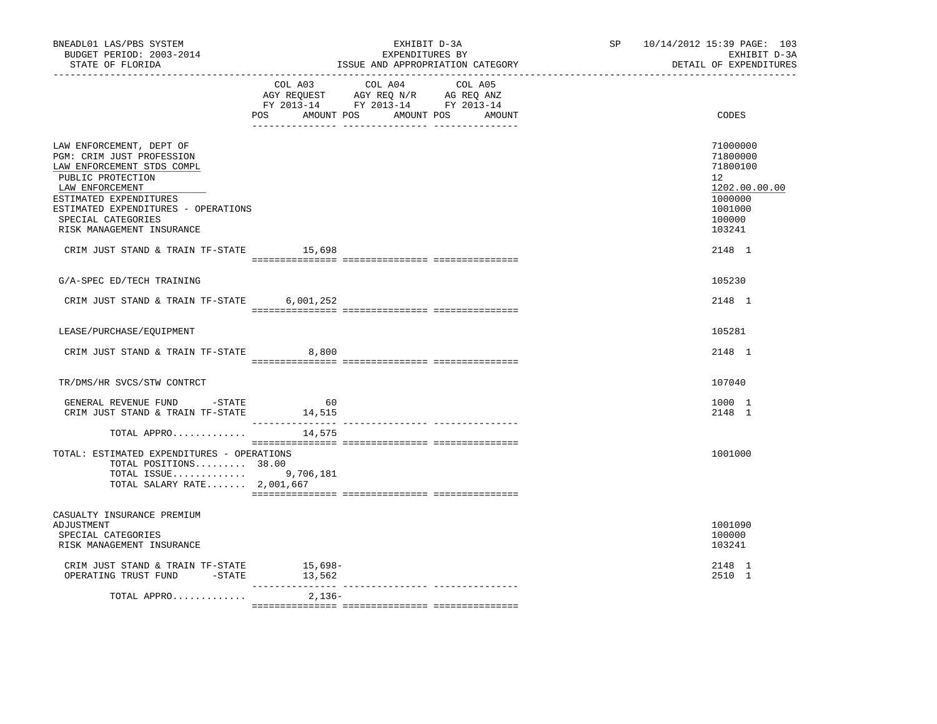| BNEADL01 LAS/PBS SYSTEM<br>BUDGET PERIOD: 2003-2014<br>STATE OF FLORIDA<br>----------------                                                                                                                                                                                                |           | EXHIBIT D-3A<br>EXPENDITURES BY<br>ISSUE AND APPROPRIATION CATEGORY                                                                                                                                                                                                                                                                                                                                                                 | SP 10/14/2012 15:39 PAGE: 103<br>EXHIBIT D-3A<br>DETAIL OF EXPENDITURES                                     |
|--------------------------------------------------------------------------------------------------------------------------------------------------------------------------------------------------------------------------------------------------------------------------------------------|-----------|-------------------------------------------------------------------------------------------------------------------------------------------------------------------------------------------------------------------------------------------------------------------------------------------------------------------------------------------------------------------------------------------------------------------------------------|-------------------------------------------------------------------------------------------------------------|
|                                                                                                                                                                                                                                                                                            | COL A03   | COL A04<br>COL A05<br>AGY REQUEST AGY REQ N/R AG REQ ANZ<br>FY 2013-14 FY 2013-14 FY 2013-14<br>POS AMOUNT POS AMOUNT POS AMOUNT                                                                                                                                                                                                                                                                                                    | CODES                                                                                                       |
| LAW ENFORCEMENT, DEPT OF<br>PGM: CRIM JUST PROFESSION<br>LAW ENFORCEMENT STDS COMPL<br>PUBLIC PROTECTION<br>LAW ENFORCEMENT<br>ESTIMATED EXPENDITURES<br>ESTIMATED EXPENDITURES - OPERATIONS<br>SPECIAL CATEGORIES<br>RISK MANAGEMENT INSURANCE<br>CRIM JUST STAND & TRAIN TF-STATE 15,698 |           |                                                                                                                                                                                                                                                                                                                                                                                                                                     | 71000000<br>71800000<br>71800100<br>12<br>1202.00.00.00<br>1000000<br>1001000<br>100000<br>103241<br>2148 1 |
| G/A-SPEC ED/TECH TRAINING                                                                                                                                                                                                                                                                  |           |                                                                                                                                                                                                                                                                                                                                                                                                                                     | 105230                                                                                                      |
| CRIM JUST STAND & TRAIN TF-STATE                                                                                                                                                                                                                                                           | 6,001,252 |                                                                                                                                                                                                                                                                                                                                                                                                                                     | 2148 1                                                                                                      |
| LEASE/PURCHASE/EQUIPMENT                                                                                                                                                                                                                                                                   |           |                                                                                                                                                                                                                                                                                                                                                                                                                                     | 105281                                                                                                      |
| CRIM JUST STAND & TRAIN TF-STATE 8,800                                                                                                                                                                                                                                                     |           | $\begin{minipage}{0.03\textwidth} \begin{tabular}{l} \textbf{1} & \textbf{2} & \textbf{3} & \textbf{5} & \textbf{6} & \textbf{7} & \textbf{8} & \textbf{9} & \textbf{9} & \textbf{1} & \textbf{1} & \textbf{1} & \textbf{1} & \textbf{1} & \textbf{1} & \textbf{1} & \textbf{1} & \textbf{1} & \textbf{1} & \textbf{1} & \textbf{1} & \textbf{1} & \textbf{1} & \textbf{1} & \textbf{1} & \textbf{1} & \textbf{1} & \textbf{1} & \$ | 2148 1                                                                                                      |
| TR/DMS/HR SVCS/STW CONTRCT                                                                                                                                                                                                                                                                 |           |                                                                                                                                                                                                                                                                                                                                                                                                                                     | 107040                                                                                                      |
| GENERAL REVENUE FUND -STATE<br>CRIM JUST STAND & TRAIN TF-STATE 14,515                                                                                                                                                                                                                     | 60        |                                                                                                                                                                                                                                                                                                                                                                                                                                     | 1000 1<br>2148 1                                                                                            |
| TOTAL APPRO                                                                                                                                                                                                                                                                                | 14,575    |                                                                                                                                                                                                                                                                                                                                                                                                                                     |                                                                                                             |
| TOTAL: ESTIMATED EXPENDITURES - OPERATIONS<br>TOTAL POSITIONS 38.00<br>TOTAL ISSUE 9,706,181<br>TOTAL SALARY RATE 2,001,667                                                                                                                                                                |           |                                                                                                                                                                                                                                                                                                                                                                                                                                     | 1001000                                                                                                     |
| CASUALTY INSURANCE PREMIUM<br>ADJUSTMENT<br>SPECIAL CATEGORIES<br>RISK MANAGEMENT INSURANCE                                                                                                                                                                                                |           |                                                                                                                                                                                                                                                                                                                                                                                                                                     | 1001090<br>100000<br>103241                                                                                 |
| CRIM JUST STAND & TRAIN TF-STATE 15,698-<br>OPERATING TRUST FUND -STATE                                                                                                                                                                                                                    | 13,562    |                                                                                                                                                                                                                                                                                                                                                                                                                                     | 2148 1<br>2510 1                                                                                            |
| TOTAL APPRO                                                                                                                                                                                                                                                                                | 2,136-    |                                                                                                                                                                                                                                                                                                                                                                                                                                     |                                                                                                             |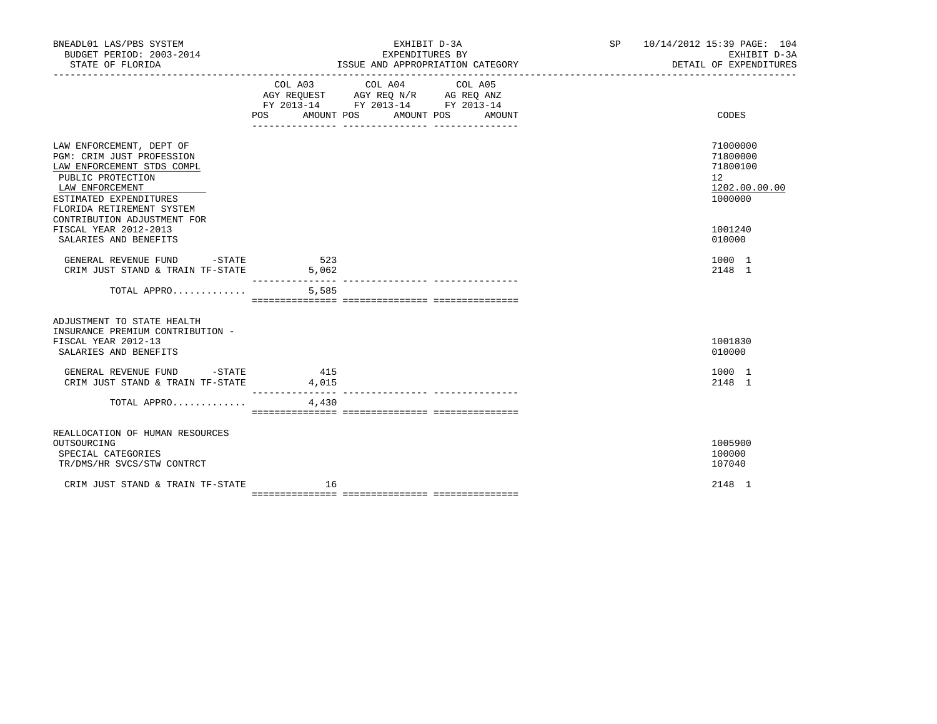| BNEADL01 LAS/PBS SYSTEM<br>BUDGET PERIOD: 2003-2014<br>STATE OF FLORIDA                                                                                                                                           |                                  | EXHIBIT D-3A<br>EXPENDITURES BY                                                                                    | ISSUE AND APPROPRIATION CATEGORY | SP <sub>2</sub> | 10/14/2012 15:39 PAGE: 104<br>EXHIBIT D-3A<br>DETAIL OF EXPENDITURES            |
|-------------------------------------------------------------------------------------------------------------------------------------------------------------------------------------------------------------------|----------------------------------|--------------------------------------------------------------------------------------------------------------------|----------------------------------|-----------------|---------------------------------------------------------------------------------|
|                                                                                                                                                                                                                   | POS                              | COL A03 COL A04<br>AGY REQUEST AGY REQ N/R AG REQ ANZ<br>FY 2013-14 FY 2013-14 FY 2013-14<br>AMOUNT POS AMOUNT POS | COL A05<br>AMOUNT                |                 | CODES                                                                           |
| LAW ENFORCEMENT, DEPT OF<br>PGM: CRIM JUST PROFESSION<br>LAW ENFORCEMENT STDS COMPL<br>PUBLIC PROTECTION<br>LAW ENFORCEMENT<br>ESTIMATED EXPENDITURES<br>FLORIDA RETIREMENT SYSTEM<br>CONTRIBUTION ADJUSTMENT FOR |                                  |                                                                                                                    |                                  |                 | 71000000<br>71800000<br>71800100<br>12 <sup>°</sup><br>1202.00.00.00<br>1000000 |
| FISCAL YEAR 2012-2013<br>SALARIES AND BENEFITS                                                                                                                                                                    |                                  |                                                                                                                    |                                  |                 | 1001240<br>010000                                                               |
| GENERAL REVENUE FUND - STATE<br>CRIM JUST STAND & TRAIN TF-STATE                                                                                                                                                  | 523<br>5,062<br>________________ |                                                                                                                    |                                  |                 | 1000 1<br>2148 1                                                                |
| TOTAL APPRO                                                                                                                                                                                                       | 5,585                            |                                                                                                                    |                                  |                 |                                                                                 |
| ADJUSTMENT TO STATE HEALTH<br>INSURANCE PREMIUM CONTRIBUTION -<br>FISCAL YEAR 2012-13<br>SALARIES AND BENEFITS                                                                                                    |                                  |                                                                                                                    |                                  |                 | 1001830<br>010000                                                               |
| GENERAL REVENUE FUND -STATE 415<br>CRIM JUST STAND & TRAIN TF-STATE                                                                                                                                               | 4,015                            |                                                                                                                    |                                  |                 | 1000 1<br>2148 1                                                                |
| TOTAL APPRO                                                                                                                                                                                                       | 4,430                            |                                                                                                                    |                                  |                 |                                                                                 |
| REALLOCATION OF HUMAN RESOURCES<br>OUTSOURCING<br>SPECIAL CATEGORIES<br>TR/DMS/HR SVCS/STW CONTRCT                                                                                                                |                                  |                                                                                                                    |                                  |                 | 1005900<br>100000<br>107040                                                     |
| CRIM JUST STAND & TRAIN TF-STATE                                                                                                                                                                                  | 16                               |                                                                                                                    |                                  |                 | 2148 1                                                                          |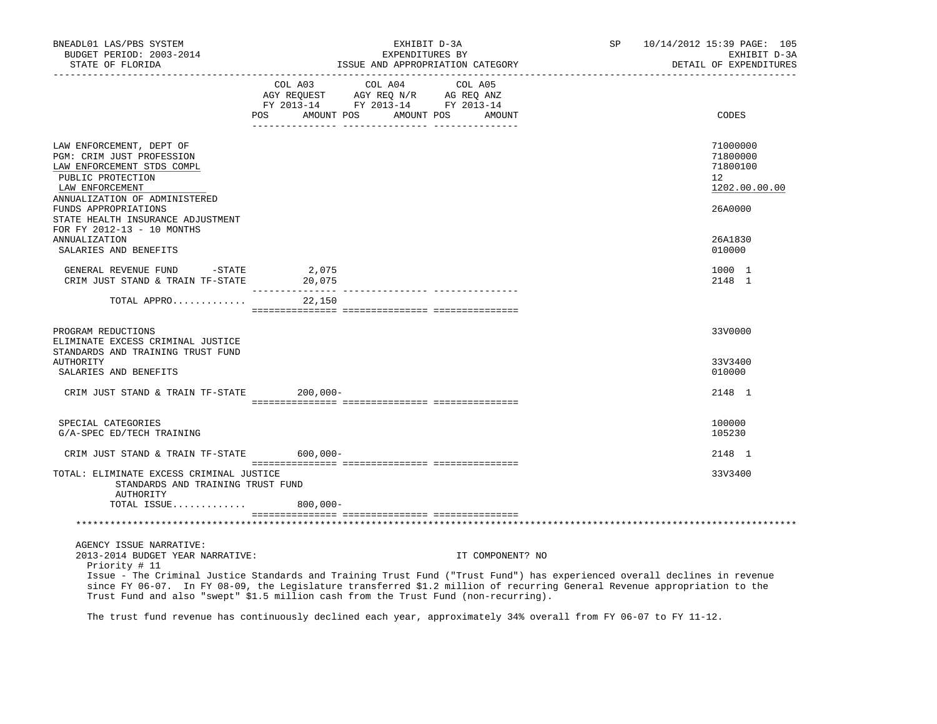| BNEADL01 LAS/PBS SYSTEM<br>BUDGET PERIOD: 2003-2014<br>STATE OF FLORIDA<br>------------------                               |             | EXHIBIT D-3A<br>EXPENDITURES BY<br>ISSUE AND APPROPRIATION CATEGORY                                                | SP                | 10/14/2012 15:39 PAGE: 105<br>EXHIBIT D-3A<br>DETAIL OF EXPENDITURES                                                                                                                                                                                  |                                                                   |
|-----------------------------------------------------------------------------------------------------------------------------|-------------|--------------------------------------------------------------------------------------------------------------------|-------------------|-------------------------------------------------------------------------------------------------------------------------------------------------------------------------------------------------------------------------------------------------------|-------------------------------------------------------------------|
|                                                                                                                             | <b>POS</b>  | COL A03 COL A04<br>AGY REQUEST AGY REQ N/R AG REQ ANZ<br>FY 2013-14 FY 2013-14 FY 2013-14<br>AMOUNT POS AMOUNT POS | COL A05<br>AMOUNT |                                                                                                                                                                                                                                                       | CODES                                                             |
|                                                                                                                             |             |                                                                                                                    |                   |                                                                                                                                                                                                                                                       |                                                                   |
| LAW ENFORCEMENT, DEPT OF<br>PGM: CRIM JUST PROFESSION<br>LAW ENFORCEMENT STDS COMPL<br>PUBLIC PROTECTION<br>LAW ENFORCEMENT |             |                                                                                                                    |                   |                                                                                                                                                                                                                                                       | 71000000<br>71800000<br>71800100<br>$12^{\circ}$<br>1202.00.00.00 |
| ANNUALIZATION OF ADMINISTERED<br>FUNDS APPROPRIATIONS<br>STATE HEALTH INSURANCE ADJUSTMENT<br>FOR FY 2012-13 - 10 MONTHS    |             |                                                                                                                    |                   |                                                                                                                                                                                                                                                       | 26A0000                                                           |
| <b>ANNUALIZATION</b><br>SALARIES AND BENEFITS                                                                               |             |                                                                                                                    |                   |                                                                                                                                                                                                                                                       | 26A1830<br>010000                                                 |
| GENERAL REVENUE FUND -STATE<br>CRIM JUST STAND & TRAIN TF-STATE 20,075                                                      | 2,075       |                                                                                                                    |                   |                                                                                                                                                                                                                                                       | 1000 1<br>2148 1                                                  |
| TOTAL APPRO                                                                                                                 | 22,150      |                                                                                                                    |                   |                                                                                                                                                                                                                                                       |                                                                   |
| PROGRAM REDUCTIONS<br>ELIMINATE EXCESS CRIMINAL JUSTICE<br>STANDARDS AND TRAINING TRUST FUND                                |             |                                                                                                                    |                   |                                                                                                                                                                                                                                                       | 33V0000                                                           |
| AUTHORITY<br>SALARIES AND BENEFITS                                                                                          |             |                                                                                                                    |                   |                                                                                                                                                                                                                                                       | 33V3400<br>010000                                                 |
| CRIM JUST STAND & TRAIN TF-STATE 200,000-                                                                                   |             |                                                                                                                    |                   |                                                                                                                                                                                                                                                       | 2148 1                                                            |
| SPECIAL CATEGORIES<br>G/A-SPEC ED/TECH TRAINING                                                                             |             |                                                                                                                    |                   |                                                                                                                                                                                                                                                       | 100000<br>105230                                                  |
| CRIM JUST STAND & TRAIN TF-STATE 600,000-                                                                                   |             |                                                                                                                    |                   |                                                                                                                                                                                                                                                       | 2148 1                                                            |
| TOTAL: ELIMINATE EXCESS CRIMINAL JUSTICE<br>STANDARDS AND TRAINING TRUST FUND<br>AUTHORITY                                  |             |                                                                                                                    |                   |                                                                                                                                                                                                                                                       | 33V3400                                                           |
| TOTAL ISSUE                                                                                                                 | $800,000 -$ |                                                                                                                    |                   |                                                                                                                                                                                                                                                       |                                                                   |
|                                                                                                                             |             |                                                                                                                    |                   |                                                                                                                                                                                                                                                       |                                                                   |
| AGENCY ISSUE NARRATIVE:<br>2013-2014 BUDGET YEAR NARRATIVE:<br>Priority # 11                                                |             |                                                                                                                    | IT COMPONENT? NO  | Issue - The Criminal Justice Standards and Training Trust Fund ("Trust Fund") has experienced overall declines in revenue<br>since FY 06-07. In FY 08-09, the Legislature transferred \$1.2 million of recurring General Revenue appropriation to the |                                                                   |
| Trust Fund and also "swept" \$1.5 million cash from the Trust Fund (non-recurring).                                         |             |                                                                                                                    |                   |                                                                                                                                                                                                                                                       |                                                                   |

The trust fund revenue has continuously declined each year, approximately 34% overall from FY 06-07 to FY 11-12.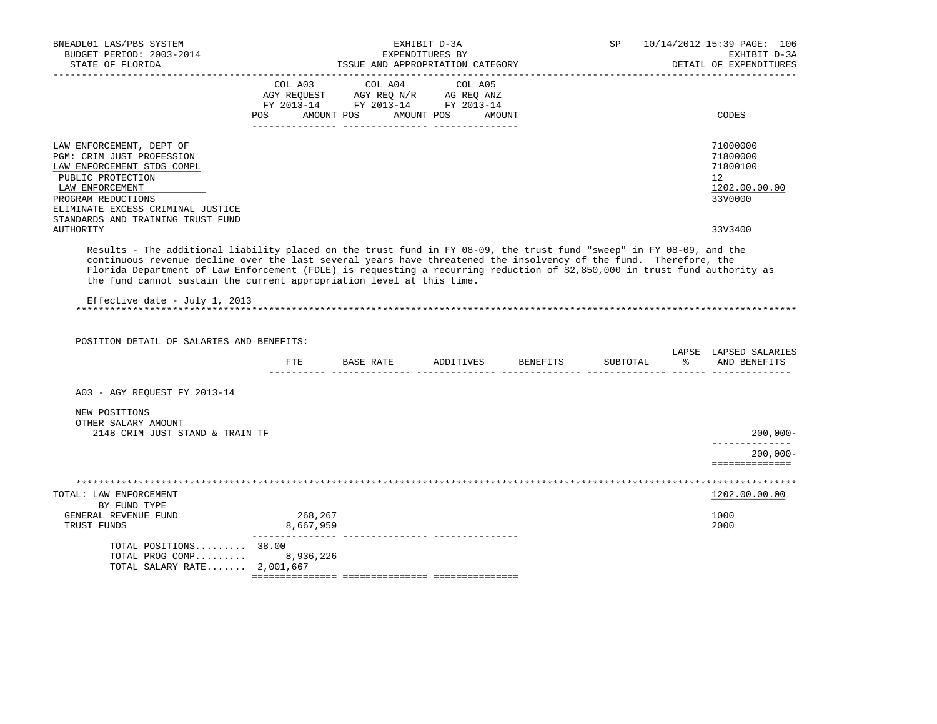| BNEADL01 LAS/PBS SYSTEM<br>BUDGET PERIOD: 2003-2014<br>STATE OF FLORIDA                                                                                                                                                                                                                                                  |                      | ISSUE AND APPROPRIATION CATEGORY                                                                        | EXHIBIT D-3A<br>EXPENDITURES BY | SP       | 10/14/2012 15:39 PAGE: 106<br>EXHIBIT D-3A<br>DETAIL OF EXPENDITURES            |
|--------------------------------------------------------------------------------------------------------------------------------------------------------------------------------------------------------------------------------------------------------------------------------------------------------------------------|----------------------|---------------------------------------------------------------------------------------------------------|---------------------------------|----------|---------------------------------------------------------------------------------|
|                                                                                                                                                                                                                                                                                                                          | POS DO               | COL A03 COL A04<br>AGY REQUEST AGY REQ N/R AG REQ ANZ<br>FY 2013-14 FY 2013-14 FY 2013-14<br>AMOUNT POS | COL A05<br>AMOUNT POS<br>AMOUNT |          | CODES                                                                           |
| LAW ENFORCEMENT, DEPT OF<br>PGM: CRIM JUST PROFESSION<br>LAW ENFORCEMENT STDS COMPL<br>PUBLIC PROTECTION<br>LAW ENFORCEMENT<br>PROGRAM REDUCTIONS<br>ELIMINATE EXCESS CRIMINAL JUSTICE<br>STANDARDS AND TRAINING TRUST FUND                                                                                              |                      |                                                                                                         |                                 |          | 71000000<br>71800000<br>71800100<br>12 <sup>°</sup><br>1202.00.00.00<br>33V0000 |
| AUTHORITY<br>Results - The additional liability placed on the trust fund in FY 08-09, the trust fund "sweep" in FY 08-09, and the                                                                                                                                                                                        |                      |                                                                                                         |                                 |          | 33V3400                                                                         |
| continuous revenue decline over the last several years have threatened the insolvency of the fund. Therefore, the<br>Florida Department of Law Enforcement (FDLE) is requesting a recurring reduction of \$2,850,000 in trust fund authority as<br>the fund cannot sustain the current appropriation level at this time. |                      |                                                                                                         |                                 |          |                                                                                 |
| Effective date - July 1, 2013                                                                                                                                                                                                                                                                                            |                      |                                                                                                         |                                 |          |                                                                                 |
| POSITION DETAIL OF SALARIES AND BENEFITS:                                                                                                                                                                                                                                                                                | ETE                  | BASE RATE ADDITIVES BENEFITS                                                                            |                                 | SUBTOTAL | LAPSE LAPSED SALARIES<br>% AND BENEFITS                                         |
|                                                                                                                                                                                                                                                                                                                          |                      |                                                                                                         |                                 |          |                                                                                 |
| A03 - AGY REOUEST FY 2013-14                                                                                                                                                                                                                                                                                             |                      |                                                                                                         |                                 |          |                                                                                 |
| NEW POSITIONS<br>OTHER SALARY AMOUNT<br>2148 CRIM JUST STAND & TRAIN TF                                                                                                                                                                                                                                                  |                      |                                                                                                         |                                 |          | $200,000 -$                                                                     |
|                                                                                                                                                                                                                                                                                                                          |                      |                                                                                                         |                                 |          | ______________<br>$200.000 -$<br>==============                                 |
| TOTAL: LAW ENFORCEMENT                                                                                                                                                                                                                                                                                                   |                      |                                                                                                         |                                 |          | 1202.00.00.00                                                                   |
| BY FUND TYPE<br>GENERAL REVENUE FUND<br>TRUST FUNDS                                                                                                                                                                                                                                                                      | 268,267<br>8,667,959 |                                                                                                         |                                 |          | 1000                                                                            |
|                                                                                                                                                                                                                                                                                                                          |                      |                                                                                                         |                                 |          | 2000                                                                            |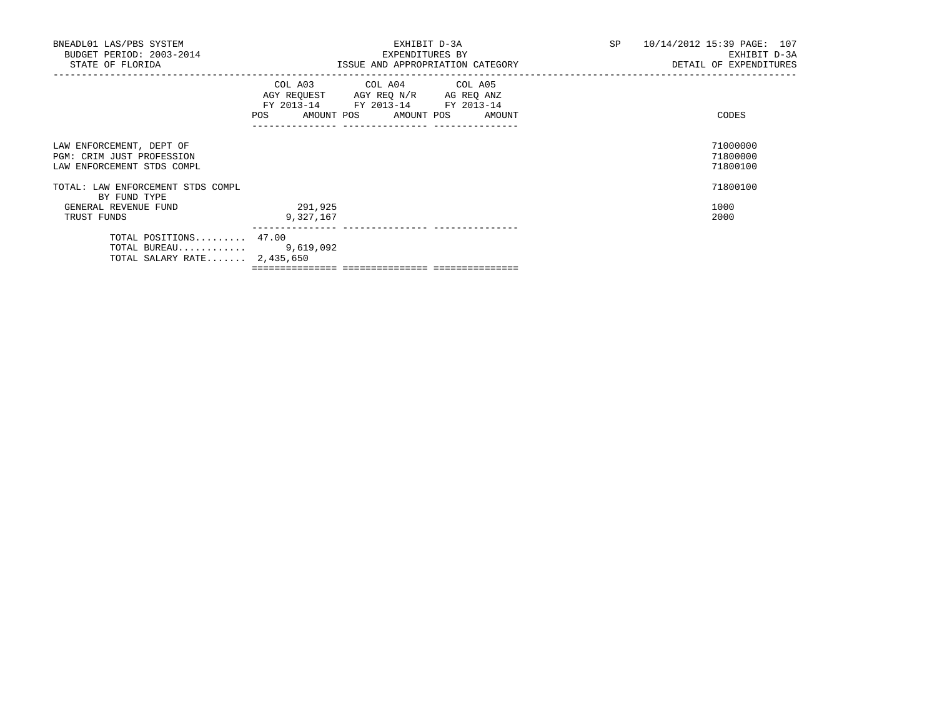| BNEADL01 LAS/PBS SYSTEM<br>BUDGET PERIOD: 2003-2014<br>STATE OF FLORIDA             | EXHIBIT D-3A<br>EXPENDITURES BY<br>ISSUE AND APPROPRIATION CATEGORY                                                                   | SP 10/14/2012 15:39 PAGE: 107<br>EXHIBIT D-3A<br>DETAIL OF EXPENDITURES |
|-------------------------------------------------------------------------------------|---------------------------------------------------------------------------------------------------------------------------------------|-------------------------------------------------------------------------|
|                                                                                     | COL A03 COL A04 COL A05<br>AGY REQUEST AGY REQ N/R AG REQ ANZ<br>FY 2013-14 FY 2013-14 FY 2013-14<br>POS AMOUNT POS AMOUNT POS AMOUNT | CODES                                                                   |
| LAW ENFORCEMENT, DEPT OF<br>PGM: CRIM JUST PROFESSION<br>LAW ENFORCEMENT STDS COMPL |                                                                                                                                       | 71000000<br>71800000<br>71800100                                        |
| TOTAL: LAW ENFORCEMENT STDS COMPL<br>BY FUND TYPE                                   |                                                                                                                                       | 71800100                                                                |
| GENERAL REVENUE FUND<br>TRUST FUNDS                                                 | 291,925<br>9,327,167                                                                                                                  | 1000<br>2000                                                            |
| TOTAL POSITIONS 47.00<br>TOTAL BUREAU $9,619,092$<br>TOTAL SALARY RATE $2,435,650$  |                                                                                                                                       |                                                                         |

=============== =============== ===============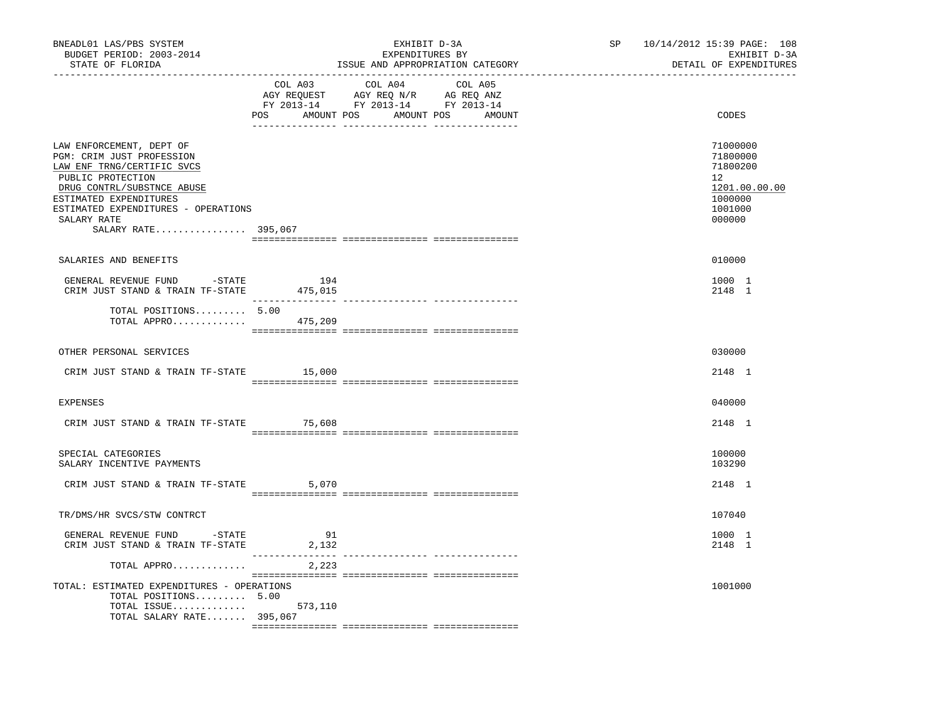| BNEADL01 LAS/PBS SYSTEM<br>BUDGET PERIOD: 2003-2014<br>STATE OF FLORIDA                                                                                                                                                                       | EXHIBIT D-3A<br>EXPENDITURES BY<br>ISSUE AND APPROPRIATION CATEGORY |                                                                                                                                                                                                                                                                                                                                                                                                                                                               | SP 10/14/2012 15:39 PAGE: 108<br>EXHIBIT D-3A<br>DETAIL OF EXPENDITURES                 |  |
|-----------------------------------------------------------------------------------------------------------------------------------------------------------------------------------------------------------------------------------------------|---------------------------------------------------------------------|---------------------------------------------------------------------------------------------------------------------------------------------------------------------------------------------------------------------------------------------------------------------------------------------------------------------------------------------------------------------------------------------------------------------------------------------------------------|-----------------------------------------------------------------------------------------|--|
|                                                                                                                                                                                                                                               | COL A03                                                             | COL A04<br>COL A05<br>AGY REQUEST AGY REQ N/R AG REQ ANZ<br>FY 2013-14 FY 2013-14 FY 2013-14<br>POS AMOUNT POS AMOUNT POS AMOUNT                                                                                                                                                                                                                                                                                                                              | CODES                                                                                   |  |
| LAW ENFORCEMENT, DEPT OF<br>PGM: CRIM JUST PROFESSION<br>LAW ENF TRNG/CERTIFIC SVCS<br>PUBLIC PROTECTION<br>DRUG CONTRL/SUBSTNCE ABUSE<br>ESTIMATED EXPENDITURES<br>ESTIMATED EXPENDITURES - OPERATIONS<br>SALARY RATE<br>SALARY RATE 395,067 |                                                                     |                                                                                                                                                                                                                                                                                                                                                                                                                                                               | 71000000<br>71800000<br>71800200<br>12<br>1201.00.00.00<br>1000000<br>1001000<br>000000 |  |
| SALARIES AND BENEFITS                                                                                                                                                                                                                         |                                                                     |                                                                                                                                                                                                                                                                                                                                                                                                                                                               | 010000                                                                                  |  |
| GENERAL REVENUE FUND -STATE 194<br>CRIM JUST STAND & TRAIN TF-STATE                                                                                                                                                                           | 475,015                                                             |                                                                                                                                                                                                                                                                                                                                                                                                                                                               | 1000 1<br>2148 1                                                                        |  |
| TOTAL POSITIONS 5.00<br>TOTAL APPRO $475,209$                                                                                                                                                                                                 |                                                                     | $\begin{array}{l} \texttt{scum} & \texttt{scum} & \texttt{scum} & \texttt{scum} & \texttt{scum} & \texttt{scum} & \texttt{scum} & \texttt{scum} & \texttt{scum} & \texttt{scum} & \texttt{scum} & \texttt{scum} & \texttt{scum} & \texttt{scum} & \texttt{scum} & \texttt{scum} & \texttt{scum} & \texttt{scum} & \texttt{scum} & \texttt{scum} & \texttt{scum} & \texttt{scum} & \texttt{scum} & \texttt{scum} & \texttt{scum} & \texttt{scum} & \texttt{sc$ |                                                                                         |  |
| OTHER PERSONAL SERVICES                                                                                                                                                                                                                       |                                                                     |                                                                                                                                                                                                                                                                                                                                                                                                                                                               | 030000                                                                                  |  |
| CRIM JUST STAND & TRAIN TF-STATE 15,000                                                                                                                                                                                                       |                                                                     |                                                                                                                                                                                                                                                                                                                                                                                                                                                               | 2148 1                                                                                  |  |
| <b>EXPENSES</b>                                                                                                                                                                                                                               |                                                                     |                                                                                                                                                                                                                                                                                                                                                                                                                                                               | 040000                                                                                  |  |
| CRIM JUST STAND & TRAIN TF-STATE 75,608                                                                                                                                                                                                       |                                                                     |                                                                                                                                                                                                                                                                                                                                                                                                                                                               | 2148 1                                                                                  |  |
| SPECIAL CATEGORIES<br>SALARY INCENTIVE PAYMENTS                                                                                                                                                                                               |                                                                     |                                                                                                                                                                                                                                                                                                                                                                                                                                                               | 100000<br>103290                                                                        |  |
| CRIM JUST STAND & TRAIN TF-STATE 5,070                                                                                                                                                                                                        |                                                                     |                                                                                                                                                                                                                                                                                                                                                                                                                                                               | 2148 1                                                                                  |  |
| TR/DMS/HR SVCS/STW CONTRCT                                                                                                                                                                                                                    |                                                                     |                                                                                                                                                                                                                                                                                                                                                                                                                                                               | 107040                                                                                  |  |
| GENERAL REVENUE FUND -STATE<br>CRIM JUST STAND & TRAIN TF-STATE                                                                                                                                                                               | 91<br>2,132                                                         |                                                                                                                                                                                                                                                                                                                                                                                                                                                               | 1000 1<br>2148 1                                                                        |  |
| TOTAL APPRO                                                                                                                                                                                                                                   | 2,223                                                               |                                                                                                                                                                                                                                                                                                                                                                                                                                                               |                                                                                         |  |
| TOTAL: ESTIMATED EXPENDITURES - OPERATIONS<br>TOTAL POSITIONS 5.00<br>TOTAL ISSUE $573,110$<br>TOTAL SALARY RATE 395,067                                                                                                                      |                                                                     |                                                                                                                                                                                                                                                                                                                                                                                                                                                               | 1001000                                                                                 |  |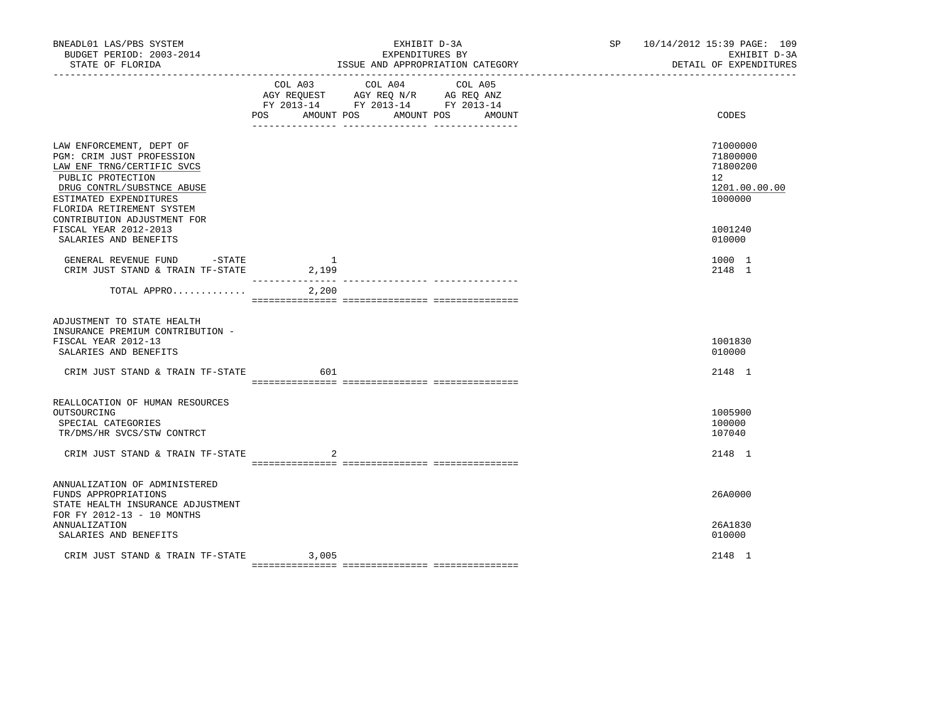| BNEADL01 LAS/PBS SYSTEM<br>BUDGET PERIOD: 2003-2014<br>STATE OF FLORIDA                                                                                                                                                      |                                            | EXHIBIT D-3A<br>EXPENDITURES BY<br>ISSUE AND APPROPRIATION CATEGORY                                                                                                                                                                               | SP | 10/14/2012 15:39 PAGE: 109<br>EXHIBIT D-3A<br>DETAIL OF EXPENDITURES |
|------------------------------------------------------------------------------------------------------------------------------------------------------------------------------------------------------------------------------|--------------------------------------------|---------------------------------------------------------------------------------------------------------------------------------------------------------------------------------------------------------------------------------------------------|----|----------------------------------------------------------------------|
|                                                                                                                                                                                                                              | COL A03<br>POS                             | COL A04<br>COL A05<br>$\begin{tabular}{lllllll} \bf AGY \,\, REQUEST \,\, &\bf AGY \,\, REQ \,\, N/R &\bf AG \,\, REQ \,\, ANZ \\ \bf FY \,\, 2013-14 &\bf FY \,\, 2013-14 &\bf FY \,\, 2013-14 \\ \end{tabular}$<br>AMOUNT POS AMOUNT POS AMOUNT |    | CODES                                                                |
| LAW ENFORCEMENT, DEPT OF<br>PGM: CRIM JUST PROFESSION<br>LAW ENF TRNG/CERTIFIC SVCS<br>PUBLIC PROTECTION<br>DRUG CONTRL/SUBSTNCE ABUSE<br>ESTIMATED EXPENDITURES<br>FLORIDA RETIREMENT SYSTEM<br>CONTRIBUTION ADJUSTMENT FOR |                                            |                                                                                                                                                                                                                                                   |    | 71000000<br>71800000<br>71800200<br>12<br>1201.00.00.00<br>1000000   |
| FISCAL YEAR 2012-2013<br>SALARIES AND BENEFITS                                                                                                                                                                               |                                            |                                                                                                                                                                                                                                                   |    | 1001240<br>010000                                                    |
| GENERAL REVENUE FUND -STATE<br>CRIM JUST STAND & TRAIN TF-STATE                                                                                                                                                              | $\overline{1}$<br>2,199<br>--------------- |                                                                                                                                                                                                                                                   |    | 1000 1<br>2148 1                                                     |
| TOTAL APPRO                                                                                                                                                                                                                  | 2,200                                      |                                                                                                                                                                                                                                                   |    |                                                                      |
| ADJUSTMENT TO STATE HEALTH<br>INSURANCE PREMIUM CONTRIBUTION -<br>FISCAL YEAR 2012-13<br>SALARIES AND BENEFITS                                                                                                               |                                            |                                                                                                                                                                                                                                                   |    | 1001830<br>010000                                                    |
| CRIM JUST STAND & TRAIN TF-STATE                                                                                                                                                                                             | 601                                        |                                                                                                                                                                                                                                                   |    | 2148 1                                                               |
| REALLOCATION OF HUMAN RESOURCES<br>OUTSOURCING<br>SPECIAL CATEGORIES<br>TR/DMS/HR SVCS/STW CONTRCT<br>CRIM JUST STAND & TRAIN TF-STATE                                                                                       |                                            |                                                                                                                                                                                                                                                   |    | 1005900<br>100000<br>107040<br>2148 1                                |
|                                                                                                                                                                                                                              |                                            |                                                                                                                                                                                                                                                   |    |                                                                      |
| ANNUALIZATION OF ADMINISTERED<br>FUNDS APPROPRIATIONS<br>STATE HEALTH INSURANCE ADJUSTMENT<br>FOR FY 2012-13 - 10 MONTHS                                                                                                     |                                            |                                                                                                                                                                                                                                                   |    | 26A0000                                                              |
| ANNUALIZATION<br>SALARIES AND BENEFITS                                                                                                                                                                                       |                                            |                                                                                                                                                                                                                                                   |    | 26A1830<br>010000                                                    |
| CRIM JUST STAND & TRAIN TF-STATE                                                                                                                                                                                             | 3,005                                      |                                                                                                                                                                                                                                                   |    | 2148 1                                                               |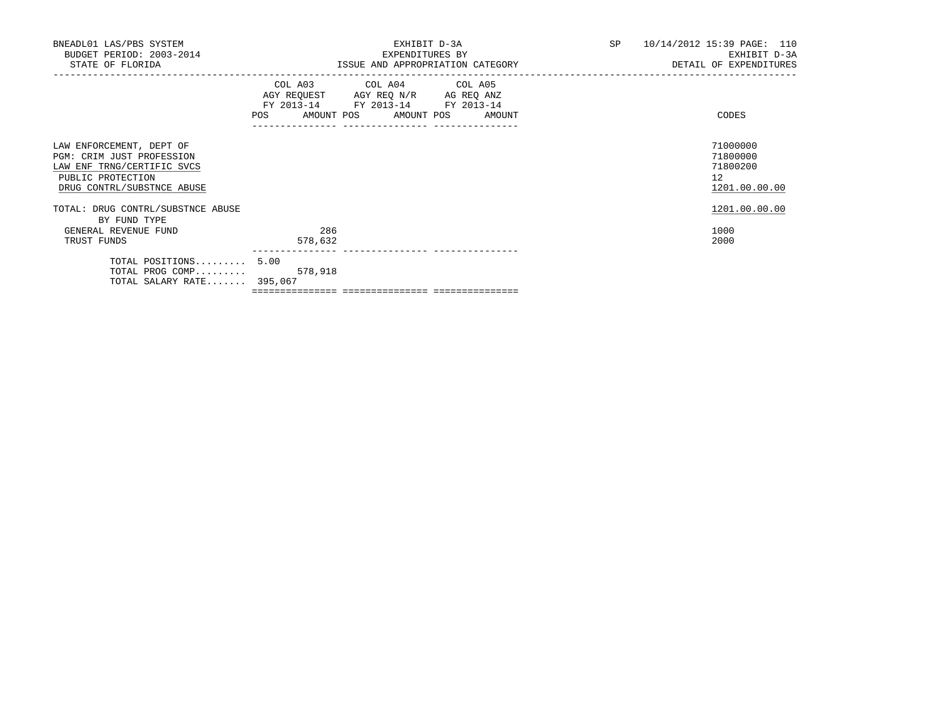| BNEADL01 LAS/PBS SYSTEM<br>BUDGET PERIOD: 2003-2014<br>STATE OF FLORIDA                                                                |                | EXHIBIT D-3A<br>EXPENDITURES BY<br>ISSUE AND APPROPRIATION CATEGORY                                                                   | SP <sub>2</sub> | 10/14/2012 15:39 PAGE: 110<br>EXHIBIT D-3A<br>DETAIL OF EXPENDITURES |
|----------------------------------------------------------------------------------------------------------------------------------------|----------------|---------------------------------------------------------------------------------------------------------------------------------------|-----------------|----------------------------------------------------------------------|
|                                                                                                                                        |                | COL A03 COL A04 COL A05<br>AGY REQUEST AGY REQ N/R AG REQ ANZ<br>FY 2013-14 FY 2013-14 FY 2013-14<br>POS AMOUNT POS AMOUNT POS AMOUNT |                 | CODES                                                                |
| LAW ENFORCEMENT, DEPT OF<br>PGM: CRIM JUST PROFESSION<br>LAW ENF TRNG/CERTIFIC SVCS<br>PUBLIC PROTECTION<br>DRUG CONTRL/SUBSTNCE ABUSE |                |                                                                                                                                       |                 | 71000000<br>71800000<br>71800200<br>12<br>1201.00.00.00              |
| TOTAL: DRUG CONTRL/SUBSTNCE ABUSE<br>BY FUND TYPE                                                                                      |                |                                                                                                                                       |                 | 1201.00.00.00                                                        |
| GENERAL REVENUE FUND<br>TRUST FUNDS                                                                                                    | 286<br>578,632 |                                                                                                                                       |                 | 1000<br>2000                                                         |
| TOTAL POSITIONS 5.00<br>TOTAL PROG COMP 578,918<br>TOTAL SALARY RATE 395,067                                                           |                |                                                                                                                                       |                 |                                                                      |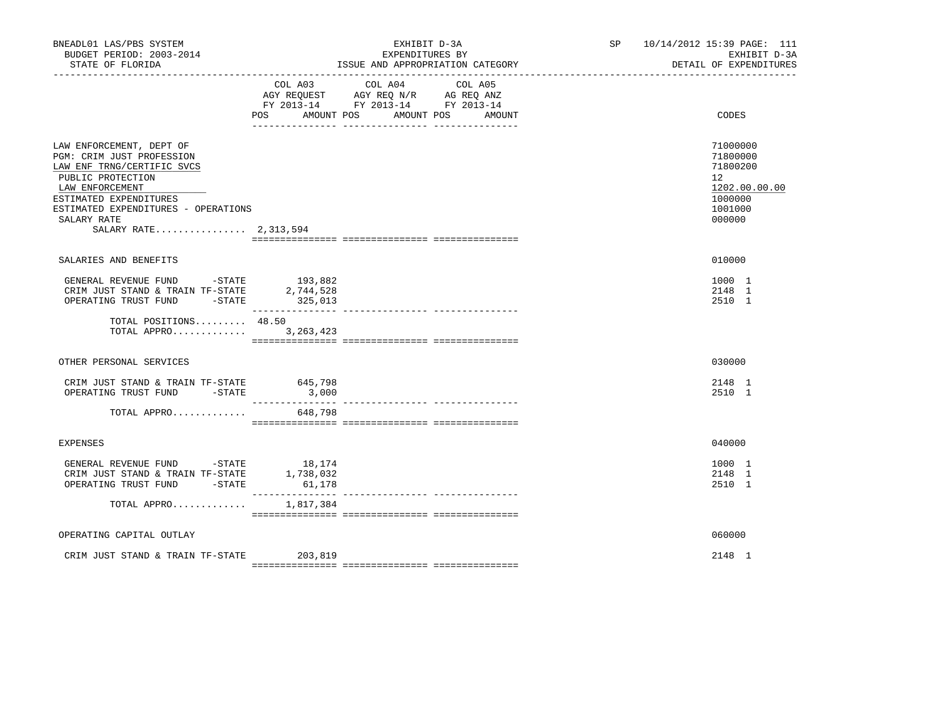| BNEADL01 LAS/PBS SYSTEM<br>BUDGET PERIOD: 2003-2014<br>STATE OF FLORIDA                                                                                                                                                              |                              | EXHIBIT D-3A<br>EXPENDITURES BY<br>ISSUE AND APPROPRIATION CATEGORY                                                                                   | SP 10/14/2012 15:39 PAGE: 111<br>EXHIBIT D-3A<br>DETAIL OF EXPENDITURES                              |
|--------------------------------------------------------------------------------------------------------------------------------------------------------------------------------------------------------------------------------------|------------------------------|-------------------------------------------------------------------------------------------------------------------------------------------------------|------------------------------------------------------------------------------------------------------|
|                                                                                                                                                                                                                                      | COL A03<br>POS<br>AMOUNT POS | COL A04<br>COL A05<br>AGY REQUEST AGY REQ N/R AG REQ ANZ<br>FY 2013-14 FY 2013-14 FY 2013-14<br>AMOUNT POS<br>AMOUNT<br>__ ________________ _________ | CODES                                                                                                |
| LAW ENFORCEMENT, DEPT OF<br>PGM: CRIM JUST PROFESSION<br>LAW ENF TRNG/CERTIFIC SVCS<br>PUBLIC PROTECTION<br>LAW ENFORCEMENT<br>ESTIMATED EXPENDITURES<br>ESTIMATED EXPENDITURES - OPERATIONS<br>SALARY RATE<br>SALARY RATE 2,313,594 |                              |                                                                                                                                                       | 71000000<br>71800000<br>71800200<br>12 <sup>°</sup><br>1202.00.00.00<br>1000000<br>1001000<br>000000 |
|                                                                                                                                                                                                                                      |                              |                                                                                                                                                       |                                                                                                      |
| SALARIES AND BENEFITS                                                                                                                                                                                                                |                              |                                                                                                                                                       | 010000                                                                                               |
| GENERAL REVENUE FUND -STATE<br>CRIM JUST STAND & TRAIN TF-STATE 2,744,528<br>OPERATING TRUST FUND -STATE                                                                                                                             | 193,882<br>325,013           |                                                                                                                                                       | 1000 1<br>2148 1<br>2510 1                                                                           |
| TOTAL POSITIONS 48.50<br>TOTAL APPRO                                                                                                                                                                                                 | 3, 263, 423                  |                                                                                                                                                       |                                                                                                      |
| OTHER PERSONAL SERVICES                                                                                                                                                                                                              |                              |                                                                                                                                                       | 030000                                                                                               |
| CRIM JUST STAND & TRAIN TF-STATE 645,798<br>OPERATING TRUST FUND -STATE                                                                                                                                                              | 3,000<br>________________    | --------------- ---------------                                                                                                                       | 2148 1<br>2510 1                                                                                     |
| TOTAL APPRO                                                                                                                                                                                                                          | 648,798                      |                                                                                                                                                       |                                                                                                      |
| <b>EXPENSES</b>                                                                                                                                                                                                                      |                              |                                                                                                                                                       | 040000                                                                                               |
| GENERAL REVENUE FUND -STATE 18,174<br>CRIM JUST STAND & TRAIN TF-STATE $1,738,032$<br>OPERATING TRUST FUND -STATE                                                                                                                    | 61,178                       |                                                                                                                                                       | 1000 1<br>2148 1<br>2510 1                                                                           |
| TOTAL APPRO                                                                                                                                                                                                                          | 1,817,384                    |                                                                                                                                                       |                                                                                                      |
| OPERATING CAPITAL OUTLAY                                                                                                                                                                                                             |                              |                                                                                                                                                       | 060000                                                                                               |
| CRIM JUST STAND & TRAIN TF-STATE 203,819                                                                                                                                                                                             |                              |                                                                                                                                                       | 2148 1                                                                                               |
|                                                                                                                                                                                                                                      |                              |                                                                                                                                                       |                                                                                                      |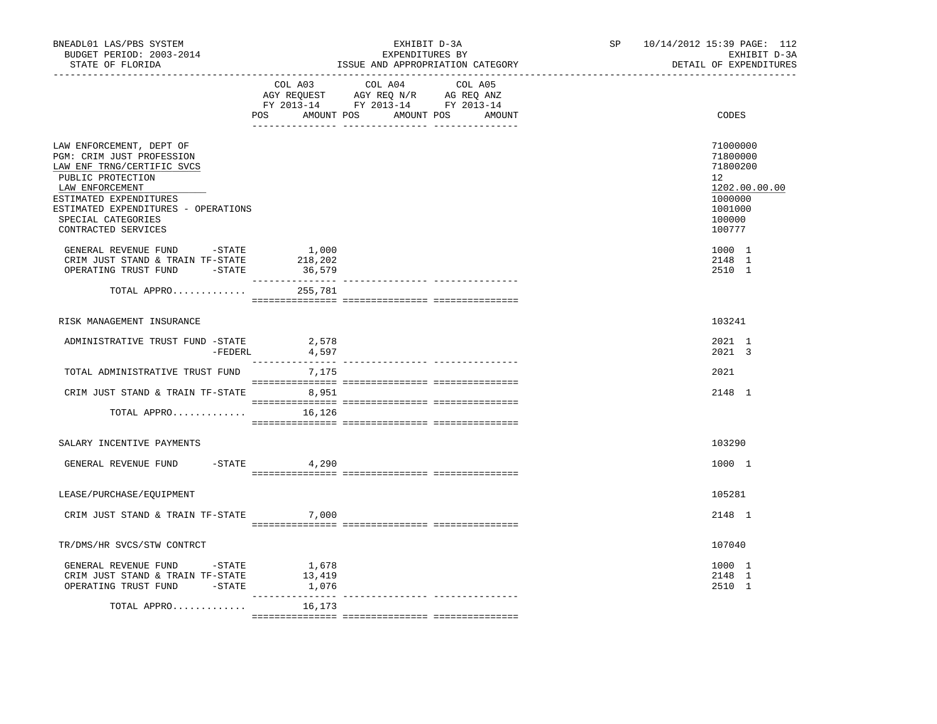| BNEADL01 LAS/PBS SYSTEM<br>BUDGET PERIOD: 2003-2014<br>STATE OF FLORIDA                                                                                                                                                                   |                            | EXHIBIT D-3A<br>EXPENDITURES BY<br>ISSUE AND APPROPRIATION CATEGORY                                                                   | SP 10/14/2012 15:39 PAGE: 112<br>EXHIBIT D-3A<br>DETAIL OF EXPENDITURES                           |
|-------------------------------------------------------------------------------------------------------------------------------------------------------------------------------------------------------------------------------------------|----------------------------|---------------------------------------------------------------------------------------------------------------------------------------|---------------------------------------------------------------------------------------------------|
|                                                                                                                                                                                                                                           |                            | COL A03 COL A04 COL A05<br>AGY REQUEST AGY REQ N/R AG REQ ANZ<br>FY 2013-14 FY 2013-14 FY 2013-14<br>POS AMOUNT POS AMOUNT POS AMOUNT | CODES                                                                                             |
| LAW ENFORCEMENT, DEPT OF<br>PGM: CRIM JUST PROFESSION<br>LAW ENF TRNG/CERTIFIC SVCS<br>PUBLIC PROTECTION<br>LAW ENFORCEMENT<br>ESTIMATED EXPENDITURES<br>ESTIMATED EXPENDITURES - OPERATIONS<br>SPECIAL CATEGORIES<br>CONTRACTED SERVICES |                            |                                                                                                                                       | 71000000<br>71800000<br>71800200<br>12<br>1202.00.00.00<br>1000000<br>1001000<br>100000<br>100777 |
| GENERAL REVENUE FUND -STATE<br>CRIM JUST STAND & TRAIN TF-STATE<br>OPERATING TRUST FUND -STATE                                                                                                                                            | 1,000<br>218,202<br>36,579 |                                                                                                                                       | 1000 1<br>2148 1<br>2510 1                                                                        |
| TOTAL APPRO                                                                                                                                                                                                                               | 255,781                    |                                                                                                                                       |                                                                                                   |
| RISK MANAGEMENT INSURANCE                                                                                                                                                                                                                 |                            |                                                                                                                                       | 103241                                                                                            |
| ADMINISTRATIVE TRUST FUND -STATE<br>-FEDERL                                                                                                                                                                                               | 2,578<br>4,597             |                                                                                                                                       | 2021 1<br>2021 3                                                                                  |
| TOTAL ADMINISTRATIVE TRUST FUND                                                                                                                                                                                                           | 7,175                      |                                                                                                                                       | 2021                                                                                              |
| CRIM JUST STAND & TRAIN TF-STATE 8,951                                                                                                                                                                                                    |                            |                                                                                                                                       | 2148 1                                                                                            |
| TOTAL APPRO                                                                                                                                                                                                                               | 16,126                     |                                                                                                                                       |                                                                                                   |
| SALARY INCENTIVE PAYMENTS                                                                                                                                                                                                                 |                            |                                                                                                                                       | 103290                                                                                            |
| GENERAL REVENUE FUND -STATE 4,290                                                                                                                                                                                                         |                            |                                                                                                                                       | 1000 1                                                                                            |
| LEASE/PURCHASE/EQUIPMENT                                                                                                                                                                                                                  |                            |                                                                                                                                       | 105281                                                                                            |
| CRIM JUST STAND & TRAIN TF-STATE                                                                                                                                                                                                          | 7,000                      |                                                                                                                                       | 2148 1                                                                                            |
| TR/DMS/HR SVCS/STW CONTRCT                                                                                                                                                                                                                |                            |                                                                                                                                       | 107040                                                                                            |
| GENERAL REVENUE FUND -STATE<br>CRIM JUST STAND & TRAIN TF-STATE<br>OPERATING TRUST FUND -STATE                                                                                                                                            | 1,678<br>13,419<br>1,076   |                                                                                                                                       | 1000 1<br>2148 1<br>2510 1                                                                        |
| TOTAL APPRO                                                                                                                                                                                                                               | _________<br>16,173        | --------------- ----------------                                                                                                      |                                                                                                   |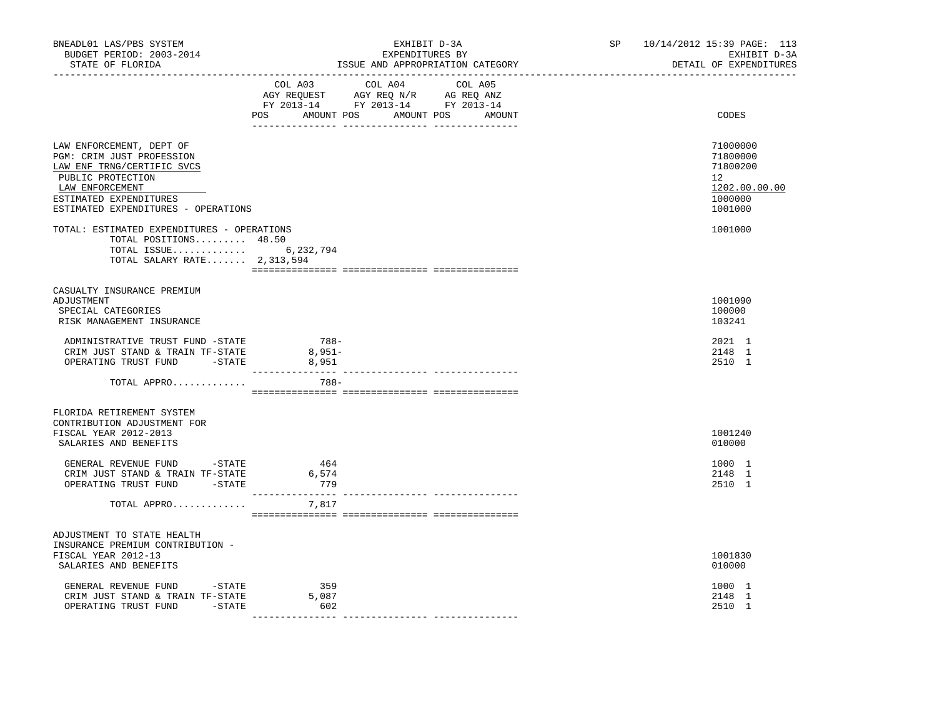| BNEADL01 LAS/PBS SYSTEM<br>BUDGET PERIOD: 2003-2014<br>STATE OF FLORIDA                                                                                                                      | EXHIBIT D-3A<br>EXPENDITURES BY<br>ISSUE AND APPROPRIATION CATEGORY  |                                                               |  | SP 10/14/2012 15:39 PAGE: 113<br>EXHIBIT D-3A<br>DETAIL OF EXPENDITURES |                                                                               |  |
|----------------------------------------------------------------------------------------------------------------------------------------------------------------------------------------------|----------------------------------------------------------------------|---------------------------------------------------------------|--|-------------------------------------------------------------------------|-------------------------------------------------------------------------------|--|
|                                                                                                                                                                                              | FY 2013-14 FY 2013-14 FY 2013-14<br>POS AMOUNT POS AMOUNT POS AMOUNT | COL A03 COL A04 COL A05<br>AGY REQUEST AGY REQ N/R AG REQ ANZ |  |                                                                         | CODES                                                                         |  |
| LAW ENFORCEMENT, DEPT OF<br>PGM: CRIM JUST PROFESSION<br>LAW ENF TRNG/CERTIFIC SVCS<br>PUBLIC PROTECTION<br>LAW ENFORCEMENT<br>ESTIMATED EXPENDITURES<br>ESTIMATED EXPENDITURES - OPERATIONS |                                                                      |                                                               |  |                                                                         | 71000000<br>71800000<br>71800200<br>12<br>1202.00.00.00<br>1000000<br>1001000 |  |
| TOTAL: ESTIMATED EXPENDITURES - OPERATIONS<br>TOTAL POSITIONS 48.50<br>TOTAL ISSUE 6,232,794<br>TOTAL SALARY RATE 2,313,594                                                                  |                                                                      |                                                               |  |                                                                         | 1001000                                                                       |  |
| CASUALTY INSURANCE PREMIUM<br>ADJUSTMENT<br>SPECIAL CATEGORIES<br>RISK MANAGEMENT INSURANCE                                                                                                  |                                                                      |                                                               |  |                                                                         | 1001090<br>100000<br>103241                                                   |  |
| ADMINISTRATIVE TRUST FUND -STATE<br>CRIM JUST STAND & TRAIN TF-STATE<br>OPERATING TRUST FUND -STATE                                                                                          | $788-$<br>$8,951-$<br>8,951                                          |                                                               |  |                                                                         | 2021 1<br>2148 1<br>2510 1                                                    |  |
| TOTAL APPRO                                                                                                                                                                                  | 788-                                                                 |                                                               |  |                                                                         |                                                                               |  |
| FLORIDA RETIREMENT SYSTEM<br>CONTRIBUTION ADJUSTMENT FOR<br>FISCAL YEAR 2012-2013<br>SALARIES AND BENEFITS                                                                                   |                                                                      |                                                               |  |                                                                         | 1001240<br>010000                                                             |  |
| GENERAL REVENUE FUND -STATE<br>CRIM JUST STAND & TRAIN TF-STATE<br>OPERATING TRUST FUND -STATE                                                                                               | 464<br>6,574<br>779                                                  |                                                               |  |                                                                         | 1000 1<br>2148 1<br>2510 1                                                    |  |
| TOTAL APPRO                                                                                                                                                                                  | 7,817                                                                |                                                               |  |                                                                         |                                                                               |  |
| ADJUSTMENT TO STATE HEALTH<br>INSURANCE PREMIUM CONTRIBUTION -<br>FISCAL YEAR 2012-13<br>SALARIES AND BENEFITS                                                                               |                                                                      |                                                               |  |                                                                         | 1001830<br>010000                                                             |  |
| GENERAL REVENUE FUND -STATE<br>CRIM JUST STAND & TRAIN TF-STATE<br>OPERATING TRUST FUND -STATE                                                                                               | 359<br>5,087<br>602                                                  |                                                               |  |                                                                         | 1000 1<br>2148 1<br>2510 1                                                    |  |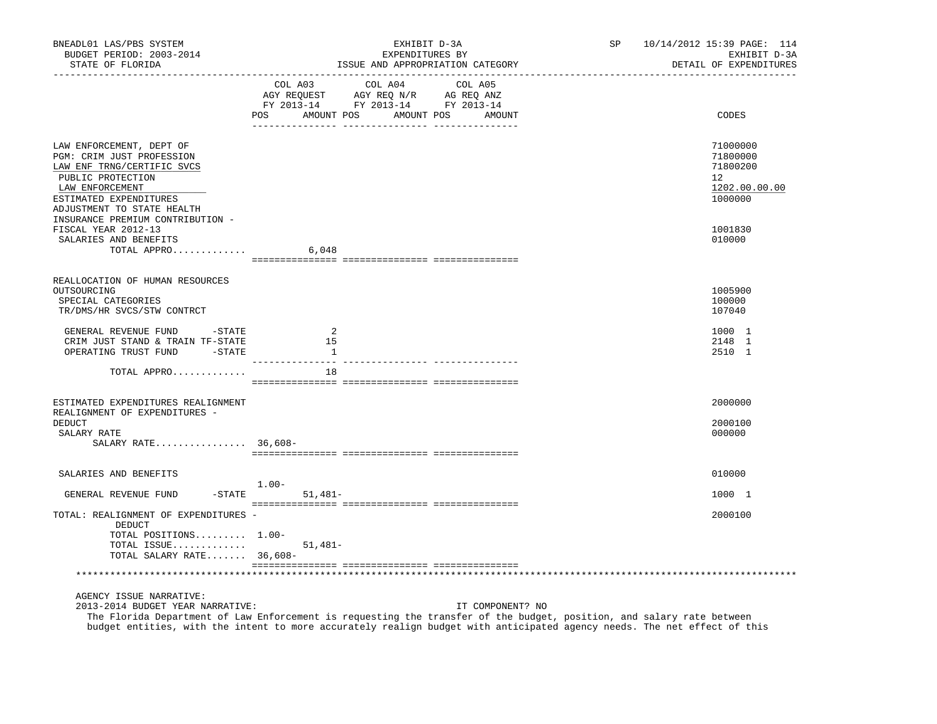| BNEADL01 LAS/PBS SYSTEM<br>BUDGET PERIOD: 2003-2014<br>STATE OF FLORIDA                                                                                                                                                 | EXHIBIT D-3A<br>EXPENDITURES BY<br>ISSUE AND APPROPRIATION CATEGORY                                                                                                                                                                                                   | <b>SP</b><br>10/14/2012 15:39 PAGE: 114<br>EXHIBIT D-3A<br>DETAIL OF EXPENDITURES |
|-------------------------------------------------------------------------------------------------------------------------------------------------------------------------------------------------------------------------|-----------------------------------------------------------------------------------------------------------------------------------------------------------------------------------------------------------------------------------------------------------------------|-----------------------------------------------------------------------------------|
|                                                                                                                                                                                                                         | COL A03<br>COL A04<br>COL A05<br>AGY REQUEST AGY REQ N/R AG REQ ANZ<br>FY 2013-14 FY 2013-14 FY 2013-14<br>POS<br>AMOUNT POS AMOUNT POS<br>AMOUNT                                                                                                                     | CODES                                                                             |
| LAW ENFORCEMENT, DEPT OF<br>PGM: CRIM JUST PROFESSION<br>LAW ENF TRNG/CERTIFIC SVCS<br>PUBLIC PROTECTION<br>LAW ENFORCEMENT<br>ESTIMATED EXPENDITURES<br>ADJUSTMENT TO STATE HEALTH<br>INSURANCE PREMIUM CONTRIBUTION - |                                                                                                                                                                                                                                                                       | 71000000<br>71800000<br>71800200<br>12<br>1202.00.00.00<br>1000000                |
| FISCAL YEAR 2012-13<br>SALARIES AND BENEFITS<br>TOTAL APPRO                                                                                                                                                             | 6,048                                                                                                                                                                                                                                                                 | 1001830<br>010000                                                                 |
| REALLOCATION OF HUMAN RESOURCES<br>OUTSOURCING<br>SPECIAL CATEGORIES<br>TR/DMS/HR SVCS/STW CONTRCT                                                                                                                      |                                                                                                                                                                                                                                                                       | 1005900<br>100000<br>107040                                                       |
| GENERAL REVENUE FUND -STATE<br>CRIM JUST STAND & TRAIN TF-STATE<br>OPERATING TRUST FUND -STATE                                                                                                                          | 2<br>15<br>1                                                                                                                                                                                                                                                          | 1000 1<br>2148 1<br>2510 1                                                        |
| TOTAL APPRO                                                                                                                                                                                                             | 18                                                                                                                                                                                                                                                                    |                                                                                   |
| ESTIMATED EXPENDITURES REALIGNMENT<br>REALIGNMENT OF EXPENDITURES -<br>DEDUCT<br>SALARY RATE<br>SALARY RATE 36,608-                                                                                                     |                                                                                                                                                                                                                                                                       | 2000000<br>2000100<br>000000                                                      |
| SALARIES AND BENEFITS                                                                                                                                                                                                   |                                                                                                                                                                                                                                                                       | 010000                                                                            |
| GENERAL REVENUE FUND                                                                                                                                                                                                    | $1.00-$<br>$-STATE$<br>$51,481-$                                                                                                                                                                                                                                      | 1000 1                                                                            |
| TOTAL: REALIGNMENT OF EXPENDITURES -<br>DEDUCT<br>TOTAL POSITIONS 1.00-<br>TOTAL ISSUE<br>TOTAL SALARY RATE 36,608-                                                                                                     | $51,481-$                                                                                                                                                                                                                                                             | 2000100                                                                           |
|                                                                                                                                                                                                                         |                                                                                                                                                                                                                                                                       |                                                                                   |
| AGENCY ISSUE NARRATIVE:<br>2013-2014 BUDGET YEAR NARRATIVE:                                                                                                                                                             | IT COMPONENT? NO<br>The Florida Department of Law Enforcement is requesting the transfer of the budget, position, and salary rate between<br>budget entities, with the intent to more accurately realign budget with anticipated agency needs. The net effect of this |                                                                                   |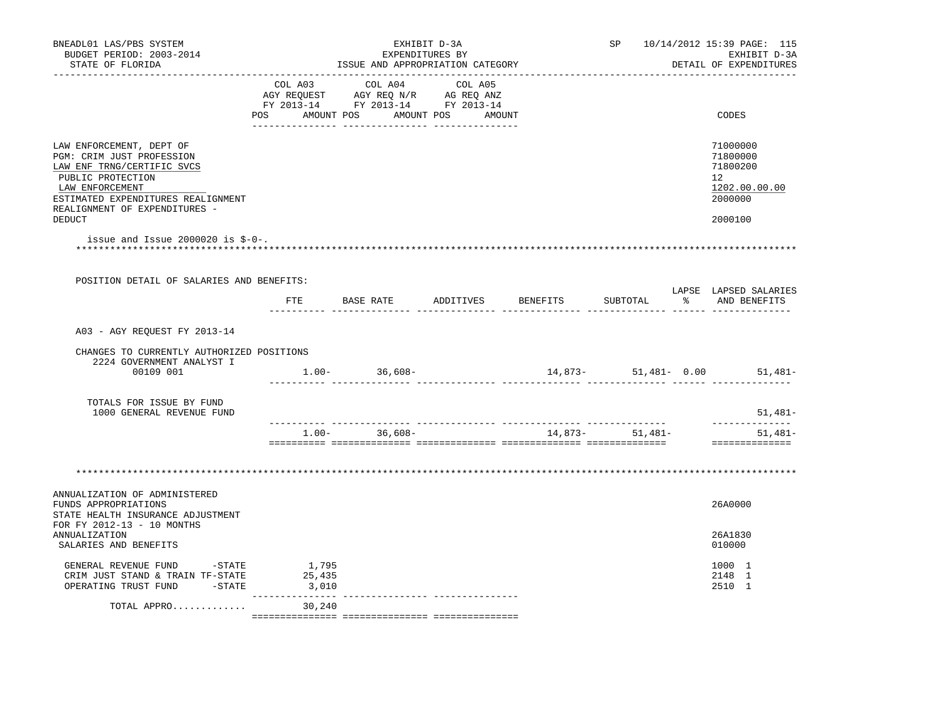| BNEADL01 LAS/PBS SYSTEM<br>BUDGET PERIOD: 2003-2014<br>STATE OF FLORIDA                                                                                                                            | EXHIBIT D-3A<br>EXPENDITURES BY<br>ISSUE AND APPROPRIATION CATEGORY |                                                                                                                                                                                                |  |  |                  | SP 10/14/2012 15:39 PAGE: 115<br>EXHIBIT D-3A<br>DETAIL OF EXPENDITURES |                                                                                 |  |
|----------------------------------------------------------------------------------------------------------------------------------------------------------------------------------------------------|---------------------------------------------------------------------|------------------------------------------------------------------------------------------------------------------------------------------------------------------------------------------------|--|--|------------------|-------------------------------------------------------------------------|---------------------------------------------------------------------------------|--|
|                                                                                                                                                                                                    |                                                                     | $\begin{tabular}{lcccc} COL A03 & COL A04 & COL A05 \\ AGY REQUEST & AGY REQ N/R & AG REQ ANZ \\ FY & 2013-14 & FY & 2013-14 & FY & 2013-14 \end{tabular}$<br>POS AMOUNT POS AMOUNT POS AMOUNT |  |  |                  |                                                                         | CODES                                                                           |  |
| LAW ENFORCEMENT, DEPT OF<br>PGM: CRIM JUST PROFESSION<br>LAW ENF TRNG/CERTIFIC SVCS<br>PUBLIC PROTECTION<br>LAW ENFORCEMENT<br>ESTIMATED EXPENDITURES REALIGNMENT<br>REALIGNMENT OF EXPENDITURES - |                                                                     |                                                                                                                                                                                                |  |  |                  |                                                                         | 71000000<br>71800000<br>71800200<br>12 <sup>°</sup><br>1202.00.00.00<br>2000000 |  |
| <b>DEDUCT</b><br>issue and Issue 2000020 is $$-0-$ .                                                                                                                                               |                                                                     |                                                                                                                                                                                                |  |  |                  |                                                                         | 2000100                                                                         |  |
| POSITION DETAIL OF SALARIES AND BENEFITS:                                                                                                                                                          |                                                                     |                                                                                                                                                                                                |  |  |                  |                                                                         | LAPSE LAPSED SALARIES                                                           |  |
|                                                                                                                                                                                                    |                                                                     | FTE BASE RATE ADDITIVES BENEFITS                                                                                                                                                               |  |  |                  |                                                                         | SUBTOTAL % AND BENEFITS                                                         |  |
| A03 - AGY REQUEST FY 2013-14                                                                                                                                                                       |                                                                     |                                                                                                                                                                                                |  |  |                  |                                                                         |                                                                                 |  |
| CHANGES TO CURRENTLY AUTHORIZED POSITIONS<br>2224 GOVERNMENT ANALYST I                                                                                                                             |                                                                     |                                                                                                                                                                                                |  |  |                  |                                                                         |                                                                                 |  |
| 00109 001                                                                                                                                                                                          |                                                                     | $1.00 - 36,608 -$                                                                                                                                                                              |  |  |                  |                                                                         | 14,873- 51,481- 0.00 51,481-                                                    |  |
| TOTALS FOR ISSUE BY FUND<br>1000 GENERAL REVENUE FUND                                                                                                                                              |                                                                     |                                                                                                                                                                                                |  |  |                  |                                                                         | 51,481–<br>--------------                                                       |  |
|                                                                                                                                                                                                    |                                                                     | $1.00 - 36,608 -$                                                                                                                                                                              |  |  | $14,873-51,481-$ |                                                                         | $51,481-$<br>==============                                                     |  |
|                                                                                                                                                                                                    |                                                                     |                                                                                                                                                                                                |  |  |                  |                                                                         |                                                                                 |  |
| ANNUALIZATION OF ADMINISTERED<br>FUNDS APPROPRIATIONS<br>STATE HEALTH INSURANCE ADJUSTMENT                                                                                                         |                                                                     |                                                                                                                                                                                                |  |  |                  |                                                                         | 26A0000                                                                         |  |
| FOR FY 2012-13 - 10 MONTHS<br>ANNUALIZATION<br>SALARIES AND BENEFITS                                                                                                                               |                                                                     |                                                                                                                                                                                                |  |  |                  |                                                                         | 26A1830<br>010000                                                               |  |
| GENERAL REVENUE FUND - STATE<br>CRIM JUST STAND & TRAIN TF-STATE<br>OPERATING TRUST FUND -STATE                                                                                                    | 1,795<br>25,435<br>3,010                                            |                                                                                                                                                                                                |  |  |                  |                                                                         | 1000 1<br>2148 1<br>2510 1                                                      |  |
| TOTAL APPRO                                                                                                                                                                                        | ---------------<br>30,240                                           |                                                                                                                                                                                                |  |  |                  |                                                                         |                                                                                 |  |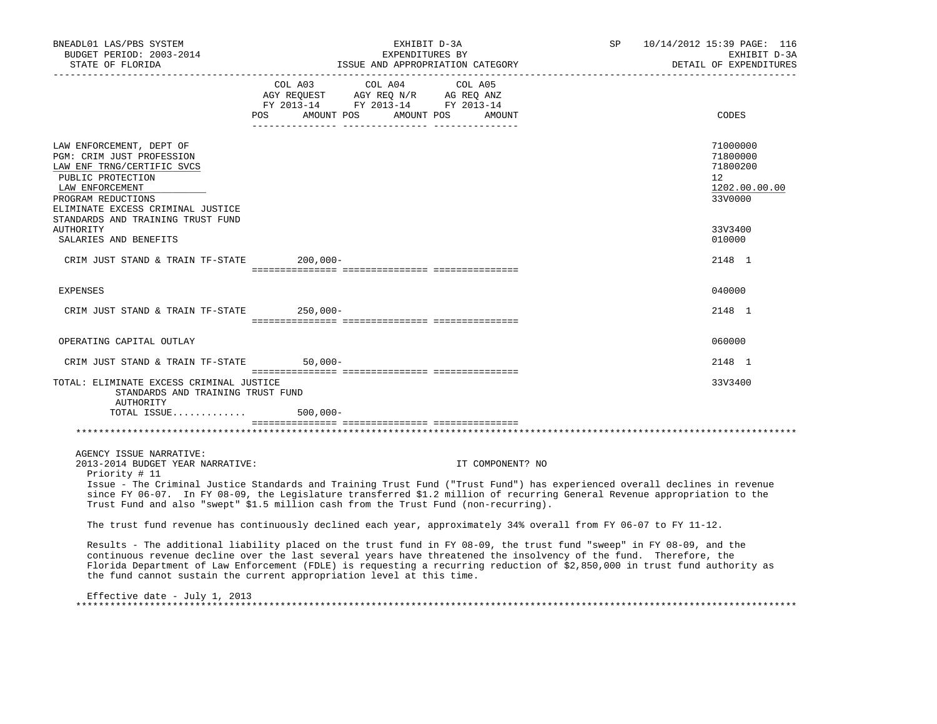| BNEADL01 LAS/PBS SYSTEM<br>BUDGET PERIOD: 2003-2014<br>STATE OF FLORIDA                                                                                                                                                                                                                                                                                                                                                                          |                                                                                                                                                                                                                                                                                                                    | EXHIBIT D-3A<br>EXPENDITURES BY<br>ISSUE AND APPROPRIATION CATEGORY |         |                  | SP | 10/14/2012 15:39 PAGE: 116<br>EXHIBIT D-3A<br>DETAIL OF EXPENDITURES |                                                                              |
|--------------------------------------------------------------------------------------------------------------------------------------------------------------------------------------------------------------------------------------------------------------------------------------------------------------------------------------------------------------------------------------------------------------------------------------------------|--------------------------------------------------------------------------------------------------------------------------------------------------------------------------------------------------------------------------------------------------------------------------------------------------------------------|---------------------------------------------------------------------|---------|------------------|----|----------------------------------------------------------------------|------------------------------------------------------------------------------|
|                                                                                                                                                                                                                                                                                                                                                                                                                                                  | COL A03<br>$\begin{array}{ccccccccc}\n\text{AGY} & \text{REQUEST} & \text{AGY} & \text{REQ} & \text{N/R} & \text{AG} & \text{REQ} & \text{ANZ} \\ \text{AGY} & \text{REQUEST} & \text{AGY} & \text{REQ} & \text{ANZ} & \text{FY} & 2013-14 & \text{FY} & 2013-14\n\end{array}$<br>POS AMOUNT POS AMOUNT POS AMOUNT | COL A04                                                             | COL A05 |                  |    |                                                                      | CODES                                                                        |
|                                                                                                                                                                                                                                                                                                                                                                                                                                                  |                                                                                                                                                                                                                                                                                                                    |                                                                     |         |                  |    |                                                                      |                                                                              |
| LAW ENFORCEMENT, DEPT OF<br>PGM: CRIM JUST PROFESSION<br>LAW ENF TRNG/CERTIFIC SVCS<br>PUBLIC PROTECTION<br>LAW ENFORCEMENT<br>PROGRAM REDUCTIONS<br>ELIMINATE EXCESS CRIMINAL JUSTICE<br>STANDARDS AND TRAINING TRUST FUND                                                                                                                                                                                                                      |                                                                                                                                                                                                                                                                                                                    |                                                                     |         |                  |    |                                                                      | 71000000<br>71800000<br>71800200<br>$12^{\circ}$<br>1202.00.00.00<br>33V0000 |
| AUTHORITY                                                                                                                                                                                                                                                                                                                                                                                                                                        |                                                                                                                                                                                                                                                                                                                    |                                                                     |         |                  |    |                                                                      | 33V3400                                                                      |
| SALARIES AND BENEFITS                                                                                                                                                                                                                                                                                                                                                                                                                            |                                                                                                                                                                                                                                                                                                                    |                                                                     |         |                  |    |                                                                      | 010000                                                                       |
| CRIM JUST STAND & TRAIN TF-STATE                                                                                                                                                                                                                                                                                                                                                                                                                 | 200,000-                                                                                                                                                                                                                                                                                                           |                                                                     |         |                  |    |                                                                      | 2148 1                                                                       |
| EXPENSES                                                                                                                                                                                                                                                                                                                                                                                                                                         |                                                                                                                                                                                                                                                                                                                    |                                                                     |         |                  |    |                                                                      | 040000                                                                       |
| CRIM JUST STAND & TRAIN TF-STATE                                                                                                                                                                                                                                                                                                                                                                                                                 | $250,000-$                                                                                                                                                                                                                                                                                                         |                                                                     |         |                  |    |                                                                      | 2148 1                                                                       |
| OPERATING CAPITAL OUTLAY                                                                                                                                                                                                                                                                                                                                                                                                                         |                                                                                                                                                                                                                                                                                                                    |                                                                     |         |                  |    |                                                                      | 060000                                                                       |
| CRIM JUST STAND & TRAIN TF-STATE                                                                                                                                                                                                                                                                                                                                                                                                                 | $50,000-$                                                                                                                                                                                                                                                                                                          |                                                                     |         |                  |    |                                                                      | 2148 1                                                                       |
| TOTAL: ELIMINATE EXCESS CRIMINAL JUSTICE<br>STANDARDS AND TRAINING TRUST FUND<br>AUTHORITY<br>TOTAL ISSUE                                                                                                                                                                                                                                                                                                                                        | $500,000 -$                                                                                                                                                                                                                                                                                                        |                                                                     |         |                  |    |                                                                      | 33V3400                                                                      |
|                                                                                                                                                                                                                                                                                                                                                                                                                                                  |                                                                                                                                                                                                                                                                                                                    |                                                                     |         |                  |    |                                                                      |                                                                              |
|                                                                                                                                                                                                                                                                                                                                                                                                                                                  |                                                                                                                                                                                                                                                                                                                    |                                                                     |         |                  |    |                                                                      |                                                                              |
| AGENCY ISSUE NARRATIVE:<br>2013-2014 BUDGET YEAR NARRATIVE:<br>Priority # 11<br>Issue - The Criminal Justice Standards and Training Trust Fund ("Trust Fund") has experienced overall declines in revenue                                                                                                                                                                                                                                        |                                                                                                                                                                                                                                                                                                                    |                                                                     |         | IT COMPONENT? NO |    |                                                                      |                                                                              |
| since FY 06-07. In FY 08-09, the Legislature transferred \$1.2 million of recurring General Revenue appropriation to the<br>Trust Fund and also "swept" \$1.5 million cash from the Trust Fund (non-recurring).                                                                                                                                                                                                                                  |                                                                                                                                                                                                                                                                                                                    |                                                                     |         |                  |    |                                                                      |                                                                              |
| The trust fund revenue has continuously declined each year, approximately 34% overall from FY 06-07 to FY 11-12.                                                                                                                                                                                                                                                                                                                                 |                                                                                                                                                                                                                                                                                                                    |                                                                     |         |                  |    |                                                                      |                                                                              |
| Results - The additional liability placed on the trust fund in FY 08-09, the trust fund "sweep" in FY 08-09, and the<br>continuous revenue decline over the last several years have threatened the insolvency of the fund. Therefore, the<br>Florida Department of Law Enforcement (FDLE) is requesting a recurring reduction of \$2,850,000 in trust fund authority as<br>the fund cannot sustain the current appropriation level at this time. |                                                                                                                                                                                                                                                                                                                    |                                                                     |         |                  |    |                                                                      |                                                                              |
| Effective date - July 1, 2013                                                                                                                                                                                                                                                                                                                                                                                                                    |                                                                                                                                                                                                                                                                                                                    |                                                                     |         |                  |    |                                                                      |                                                                              |